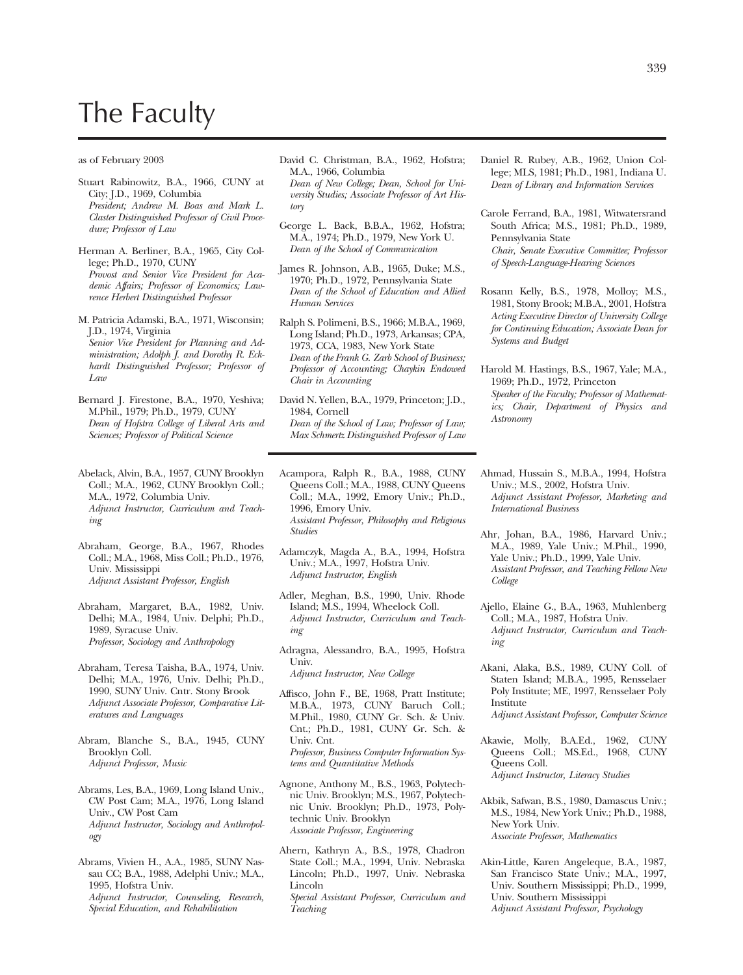## The Faculty

## as of February 2003

- Stuart Rabinowitz, B.A., 1966, CUNY at City; J.D., 1969, Columbia *President; Andrew M. Boas and Mark L. Claster Distinguished Professor of Civil Procedure; Professor of Law*
- Herman A. Berliner, B.A., 1965, City College; Ph.D., 1970, CUNY *Provost and Senior Vice President for Academic Affairs; Professor of Economics; Lawrence Herbert Distinguished Professor*
- M. Patricia Adamski, B.A., 1971, Wisconsin; J.D., 1974, Virginia *Senior Vice President for Planning and Administration; Adolph J. and Dorothy R. Eckhardt Distinguished Professor; Professor of Law*
- Bernard J. Firestone, B.A., 1970, Yeshiva; M.Phil., 1979; Ph.D., 1979, CUNY *Dean of Hofstra College of Liberal Arts and Sciences; Professor of Political Science*
- Abelack, Alvin, B.A., 1957, CUNY Brooklyn Coll.; M.A., 1962, CUNY Brooklyn Coll.; M.A., 1972, Columbia Univ. *Adjunct Instructor, Curriculum and Teaching*
- Abraham, George, B.A., 1967, Rhodes Coll.; M.A., 1968, Miss Coll.; Ph.D., 1976, Univ. Mississippi *Adjunct Assistant Professor, English*
- Abraham, Margaret, B.A., 1982, Univ. Delhi; M.A., 1984, Univ. Delphi; Ph.D., 1989, Syracuse Univ. *Professor, Sociology and Anthropology*
- Abraham, Teresa Taisha, B.A., 1974, Univ. Delhi; M.A., 1976, Univ. Delhi; Ph.D., 1990, SUNY Univ. Cntr. Stony Brook *Adjunct Associate Professor, Comparative Literatures and Languages*
- Abram, Blanche S., B.A., 1945, CUNY Brooklyn Coll. *Adjunct Professor, Music*
- Abrams, Les, B.A., 1969, Long Island Univ., CW Post Cam; M.A., 1976, Long Island Univ., CW Post Cam *Adjunct Instructor, Sociology and Anthropology*
- Abrams, Vivien H., A.A., 1985, SUNY Nassau CC; B.A., 1988, Adelphi Univ.; M.A., 1995, Hofstra Univ. *Adjunct Instructor, Counseling, Research, Special Education, and Rehabilitation*

David C. Christman, B.A., 1962, Hofstra; M.A., 1966, Columbia

*Dean of New College; Dean, School for University Studies; Associate Professor of Art History* 

- George L. Back, B.B.A., 1962, Hofstra; M.A., 1974; Ph.D., 1979, New York U. *Dean of the School of Communication*
- James R. Johnson, A.B., 1965, Duke; M.S., 1970; Ph.D., 1972, Pennsylvania State *Dean of the School of Education and Allied Human Services*
- Ralph S. Polimeni, B.S., 1966; M.B.A., 1969, Long Island; Ph.D., 1973, Arkansas; CPA, 1973, CCA, 1983, New York State *Dean of the Frank G. Zarb School of Business; Professor of Accounting; Chaykin Endowed Chair in Accounting*

David N. Yellen, B.A., 1979, Princeton; J.D., 1984, Cornell *Dean of the School of Law; Professor of Law; Max Schmertz Distinguished Professor of Law* 

- Acampora, Ralph R., B.A., 1988, CUNY Queens Coll.; M.A., 1988, CUNY Queens Coll.; M.A., 1992, Emory Univ.; Ph.D., 1996, Emory Univ. *Assistant Professor, Philosophy and Religious Studies*
- Adamczyk, Magda A., B.A., 1994, Hofstra Univ.; M.A., 1997, Hofstra Univ. *Adjunct Instructor, English*
- Adler, Meghan, B.S., 1990, Univ. Rhode Island; M.S., 1994, Wheelock Coll. *Adjunct Instructor, Curriculum and Teaching*
- Adragna, Alessandro, B.A., 1995, Hofstra Univ.

*Adjunct Instructor, New College* 

- Affisco, John F., BE, 1968, Pratt Institute; M.B.A., 1973, CUNY Baruch Coll.; M.Phil., 1980, CUNY Gr. Sch. & Univ. Cnt.; Ph.D., 1981, CUNY Gr. Sch. & Univ. Cnt. *Professor, Business Computer Information Systems and Quantitative Methods*
- Agnone, Anthony M., B.S., 1963, Polytechnic Univ. Brooklyn; M.S., 1967, Polytechnic Univ. Brooklyn; Ph.D., 1973, Polytechnic Univ. Brooklyn *Associate Professor, Engineering*
- Ahern, Kathryn A., B.S., 1978, Chadron State Coll.; M.A., 1994, Univ. Nebraska Lincoln; Ph.D., 1997, Univ. Nebraska Lincoln *Special Assistant Professor, Curriculum and Teaching*
- Daniel R. Rubey, A.B., 1962, Union College; MLS, 1981; Ph.D., 1981, Indiana U. *Dean of Library and Information Services*
- Carole Ferrand, B.A., 1981, Witwatersrand South Africa; M.S., 1981; Ph.D., 1989, Pennsylvania State *Chair, Senate Executive Committee; Professor of Speech-Language-Hearing Sciences*
- Rosann Kelly, B.S., 1978, Molloy; M.S., 1981, Stony Brook; M.B.A., 2001, Hofstra *Acting Executive Director of University College for Continuing Education; Associate Dean for Systems and Budget*
- Harold M. Hastings, B.S., 1967, Yale; M.A., 1969; Ph.D., 1972, Princeton *Speaker of the Faculty; Professor of Mathematics; Chair, Department of Physics and Astronomy*
- Ahmad, Hussain S., M.B.A., 1994, Hofstra Univ.; M.S., 2002, Hofstra Univ. *Adjunct Assistant Professor, Marketing and International Business*
- Ahr, Johan, B.A., 1986, Harvard Univ.; M.A., 1989, Yale Univ.; M.Phil., 1990, Yale Univ.; Ph.D., 1999, Yale Univ. *Assistant Professor, and Teaching Fellow New College*
- Ajello, Elaine G., B.A., 1963, Muhlenberg Coll.; M.A., 1987, Hofstra Univ. *Adjunct Instructor, Curriculum and Teaching*
- Akani, Alaka, B.S., 1989, CUNY Coll. of Staten Island; M.B.A., 1995, Rensselaer Poly Institute; ME, 1997, Rensselaer Poly Institute *Adjunct Assistant Professor, Computer Science*
- Akawie, Molly, B.A.Ed., 1962, CUNY Queens Coll.; MS.Ed., 1968, CUNY Queens Coll. *Adjunct Instructor, Literacy Studies*
- Akbik, Safwan, B.S., 1980, Damascus Univ.; M.S., 1984, New York Univ.; Ph.D., 1988, New York Univ. *Associate Professor, Mathematics*
- Akin-Little, Karen Angeleque, B.A., 1987, San Francisco State Univ.; M.A., 1997, Univ. Southern Mississippi; Ph.D., 1999, Univ. Southern Mississippi *Adjunct Assistant Professor, Psychology*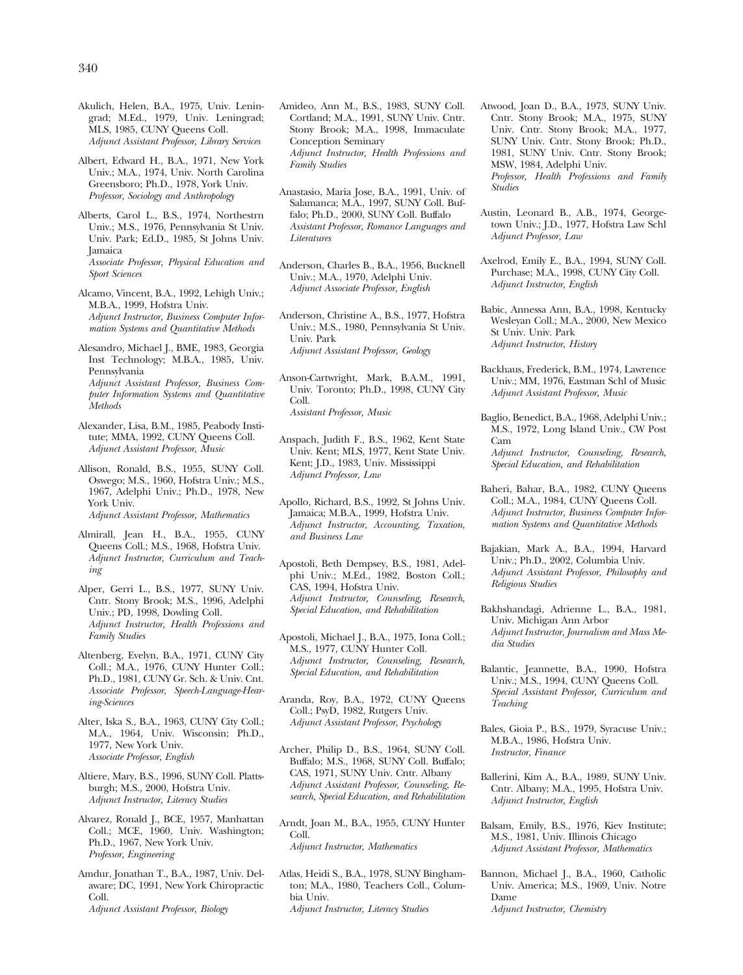- Akulich, Helen, B.A., 1975, Univ. Leningrad; M.Ed., 1979, Univ. Leningrad; MLS, 1985, CUNY Queens Coll. *Adjunct Assistant Professor, Library Services*
- Albert, Edward H., B.A., 1971, New York Univ.; M.A., 1974, Univ. North Carolina Greensboro; Ph.D., 1978, York Univ. *Professor, Sociology and Anthropology*
- Alberts, Carol L., B.S., 1974, Northestrn Univ.; M.S., 1976, Pennsylvania St Univ. Univ. Park; Ed.D., 1985, St Johns Univ. Jamaica *Associate Professor, Physical Education and Sport Sciences*
- Alcamo, Vincent, B.A., 1992, Lehigh Univ.; M.B.A., 1999, Hofstra Univ. *Adjunct Instructor, Business Computer Information Systems and Quantitative Methods*
- Alesandro, Michael J., BME, 1983, Georgia Inst Technology; M.B.A., 1985, Univ. Pennsylvania *Adjunct Assistant Professor, Business Computer Information Systems and Quantitative Methods*
- Alexander, Lisa, B.M., 1985, Peabody Institute; MMA, 1992, CUNY Queens Coll. *Adjunct Assistant Professor, Music*
- Allison, Ronald, B.S., 1955, SUNY Coll. Oswego; M.S., 1960, Hofstra Univ.; M.S., 1967, Adelphi Univ.; Ph.D., 1978, New York Univ. *Adjunct Assistant Professor, Mathematics*
- Almirall, Jean H., B.A., 1955, CUNY Queens Coll.; M.S., 1968, Hofstra Univ. *Adjunct Instructor, Curriculum and Teaching*
- Alper, Gerri L., B.S., 1977, SUNY Univ. Cntr. Stony Brook; M.S., 1996, Adelphi Univ.; PD, 1998, Dowling Coll. *Adjunct Instructor, Health Professions and Family Studies*
- Altenberg, Evelyn, B.A., 1971, CUNY City Coll.; M.A., 1976, CUNY Hunter Coll.; Ph.D., 1981, CUNY Gr. Sch. & Univ. Cnt. *Associate Professor, Speech-Language-Hearing-Sciences*
- Alter, Iska S., B.A., 1963, CUNY City Coll.; M.A., 1964, Univ. Wisconsin; Ph.D., 1977, New York Univ. *Associate Professor, English*
- Altiere, Mary, B.S., 1996, SUNY Coll. Plattsburgh; M.S., 2000, Hofstra Univ. *Adjunct Instructor, Literacy Studies*
- Alvarez, Ronald J., BCE, 1957, Manhattan Coll.; MCE, 1960, Univ. Washington; Ph.D., 1967, New York Univ. *Professor, Engineering*
- Amdur, Jonathan T., B.A., 1987, Univ. Delaware; DC, 1991, New York Chiropractic Coll. *Adjunct Assistant Professor, Biology*
- Amideo, Ann M., B.S., 1983, SUNY Coll. Cortland; M.A., 1991, SUNY Univ. Cntr. Stony Brook; M.A., 1998, Immaculate Conception Seminary *Adjunct Instructor, Health Professions and Family Studies*
- Anastasio, Maria Jose, B.A., 1991, Univ. of Salamanca; M.A., 1997, SUNY Coll. Buffalo; Ph.D., 2000, SUNY Coll. Buffalo *Assistant Professor, Romance Languages and Literatures*
- Anderson, Charles B., B.A., 1956, Bucknell Univ.; M.A., 1970, Adelphi Univ. *Adjunct Associate Professor, English*

Anderson, Christine A., B.S., 1977, Hofstra Univ.; M.S., 1980, Pennsylvania St Univ. Univ. Park *Adjunct Assistant Professor, Geology* 

- Anson-Cartwright, Mark, B.A.M., 1991, Univ. Toronto; Ph.D., 1998, CUNY City Coll. *Assistant Professor, Music*
- Anspach, Judith F., B.S., 1962, Kent State Univ. Kent; MLS, 1977, Kent State Univ. Kent; J.D., 1983, Univ. Mississippi *Adjunct Professor, Law*
- Apollo, Richard, B.S., 1992, St Johns Univ. Jamaica; M.B.A., 1999, Hofstra Univ. *Adjunct Instructor, Accounting, Taxation, and Business Law*
- Apostoli, Beth Dempsey, B.S., 1981, Adelphi Univ.; M.Ed., 1982, Boston Coll.; CAS, 1994, Hofstra Univ. *Adjunct Instructor, Counseling, Research, Special Education, and Rehabilitation*
- Apostoli, Michael J., B.A., 1975, Iona Coll.; M.S., 1977, CUNY Hunter Coll. *Adjunct Instructor, Counseling, Research, Special Education, and Rehabilitation*
- Aranda, Roy, B.A., 1972, CUNY Queens Coll.; PsyD, 1982, Rutgers Univ. *Adjunct Assistant Professor, Psychology*
- Archer, Philip D., B.S., 1964, SUNY Coll. Buffalo; M.S., 1968, SUNY Coll. Buffalo; CAS, 1971, SUNY Univ. Cntr. Albany *Adjunct Assistant Professor, Counseling, Research, Special Education, and Rehabilitation*
- Arndt, Joan M., B.A., 1955, CUNY Hunter Coll. *Adjunct Instructor, Mathematics*
- Atlas, Heidi S., B.A., 1978, SUNY Binghamton; M.A., 1980, Teachers Coll., Columbia Univ. *Adjunct Instructor, Literacy Studies*
- Atwood, Joan D., B.A., 1973, SUNY Univ. Cntr. Stony Brook; M.A., 1975, SUNY Univ. Cntr. Stony Brook; M.A., 1977, SUNY Univ. Cntr. Stony Brook; Ph.D., 1981, SUNY Univ. Cntr. Stony Brook; MSW, 1984, Adelphi Univ. *Professor, Health Professions and Family Studies*
- Austin, Leonard B., A.B., 1974, Georgetown Univ.; J.D., 1977, Hofstra Law Schl *Adjunct Professor, Law*
- Axelrod, Emily E., B.A., 1994, SUNY Coll. Purchase; M.A., 1998, CUNY City Coll. *Adjunct Instructor, English*
- Babic, Annessa Ann, B.A., 1998, Kentucky Wesleyan Coll.; M.A., 2000, New Mexico St Univ. Univ. Park *Adjunct Instructor, History*
- Backhaus, Frederick, B.M., 1974, Lawrence Univ.; MM, 1976, Eastman Schl of Music *Adjunct Assistant Professor, Music*
- Baglio, Benedict, B.A., 1968, Adelphi Univ.; M.S., 1972, Long Island Univ., CW Post Cam *Adjunct Instructor, Counseling, Research, Special Education, and Rehabilitation*
- Baheri, Bahar, B.A., 1982, CUNY Queens Coll.; M.A., 1984, CUNY Queens Coll. *Adjunct Instructor, Business Computer Information Systems and Quantitative Methods*
- Bajakian, Mark A., B.A., 1994, Harvard Univ.; Ph.D., 2002, Columbia Univ. *Adjunct Assistant Professor, Philosophy and Religious Studies*
- Bakhshandagi, Adrienne L., B.A., 1981, Univ. Michigan Ann Arbor *Adjunct Instructor, Journalism and Mass Media Studies*
- Balantic, Jeannette, B.A., 1990, Hofstra Univ.; M.S., 1994, CUNY Queens Coll. *Special Assistant Professor, Curriculum and Teaching*
- Bales, Gioia P., B.S., 1979, Syracuse Univ.; M.B.A., 1986, Hofstra Univ. *Instructor, Finance*
- Ballerini, Kim A., B.A., 1989, SUNY Univ. Cntr. Albany; M.A., 1995, Hofstra Univ. *Adjunct Instructor, English*
- Balsam, Emily, B.S., 1976, Kiev Institute; M.S., 1981, Univ. Illinois Chicago *Adjunct Assistant Professor, Mathematics*
- Bannon, Michael J., B.A., 1960, Catholic Univ. America; M.S., 1969, Univ. Notre Dame *Adjunct Instructor, Chemistry*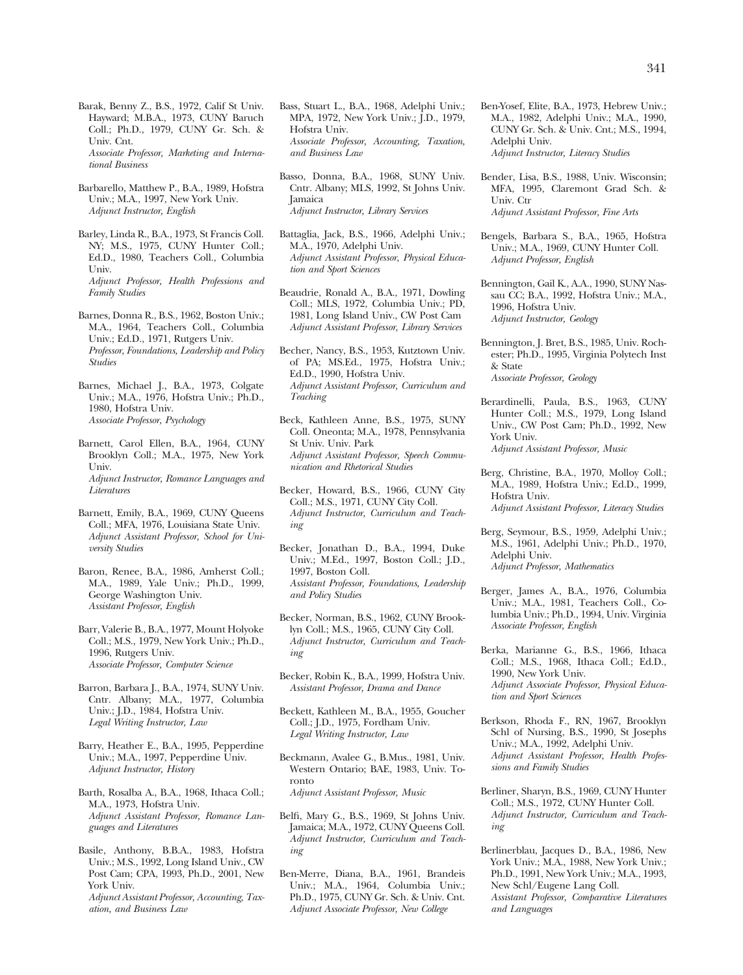Barak, Benny Z., B.S., 1972, Calif St Univ. Hayward; M.B.A., 1973, CUNY Baruch Coll.; Ph.D., 1979, CUNY Gr. Sch. & Univ. Cnt. *Associate Professor, Marketing and International Business* 

Barbarello, Matthew P., B.A., 1989, Hofstra Univ.; M.A., 1997, New York Univ. *Adjunct Instructor, English* 

Barley, Linda R., B.A., 1973, St Francis Coll. NY; M.S., 1975, CUNY Hunter Coll.; Ed.D., 1980, Teachers Coll., Columbia Univ. *Adjunct Professor, Health Professions and Family Studies* 

- Barnes, Donna R., B.S., 1962, Boston Univ.; M.A., 1964, Teachers Coll., Columbia Univ.; Ed.D., 1971, Rutgers Univ. *Professor, Foundations, Leadership and Policy Studies*
- Barnes, Michael J., B.A., 1973, Colgate Univ.; M.A., 1976, Hofstra Univ.; Ph.D., 1980, Hofstra Univ. *Associate Professor, Psychology*
- Barnett, Carol Ellen, B.A., 1964, CUNY Brooklyn Coll.; M.A., 1975, New York Univ. *Adjunct Instructor, Romance Languages and Literatures*
- Barnett, Emily, B.A., 1969, CUNY Queens Coll.; MFA, 1976, Louisiana State Univ. *Adjunct Assistant Professor, School for University Studies*
- Baron, Renee, B.A., 1986, Amherst Coll.; M.A., 1989, Yale Univ.; Ph.D., 1999, George Washington Univ. *Assistant Professor, English*
- Barr, Valerie B., B.A., 1977, Mount Holyoke Coll.; M.S., 1979, New York Univ.; Ph.D., 1996, Rutgers Univ. *Associate Professor, Computer Science*

Barron, Barbara J., B.A., 1974, SUNY Univ. Cntr. Albany; M.A., 1977, Columbia Univ.; J.D., 1984, Hofstra Univ. *Legal Writing Instructor, Law* 

- Barry, Heather E., B.A., 1995, Pepperdine Univ.; M.A., 1997, Pepperdine Univ. *Adjunct Instructor, History*
- Barth, Rosalba A., B.A., 1968, Ithaca Coll.; M.A., 1973, Hofstra Univ. *Adjunct Assistant Professor, Romance Languages and Literatures*
- Basile, Anthony, B.B.A., 1983, Hofstra Univ.; M.S., 1992, Long Island Univ., CW Post Cam; CPA, 1993, Ph.D., 2001, New York Univ. *Adjunct Assistant Professor, Accounting, Taxation, and Business Law*
- Bass, Stuart L., B.A., 1968, Adelphi Univ.; MPA, 1972, New York Univ.; J.D., 1979, Hofstra Univ. *Associate Professor, Accounting, Taxation, and Business Law*
- Basso, Donna, B.A., 1968, SUNY Univ. Cntr. Albany; MLS, 1992, St Johns Univ. Jamaica *Adjunct Instructor, Library Services*
- Battaglia, Jack, B.S., 1966, Adelphi Univ.; M.A., 1970, Adelphi Univ. *Adjunct Assistant Professor, Physical Education and Sport Sciences*
- Beaudrie, Ronald A., B.A., 1971, Dowling Coll.; MLS, 1972, Columbia Univ.; PD, 1981, Long Island Univ., CW Post Cam *Adjunct Assistant Professor, Library Services*
- Becher, Nancy, B.S., 1953, Kutztown Univ. of PA; MS.Ed., 1975, Hofstra Univ.; Ed.D., 1990, Hofstra Univ. *Adjunct Assistant Professor, Curriculum and Teaching*
- Beck, Kathleen Anne, B.S., 1975, SUNY Coll. Oneonta; M.A., 1978, Pennsylvania St Univ. Univ. Park *Adjunct Assistant Professor, Speech Communication and Rhetorical Studies*
- Becker, Howard, B.S., 1966, CUNY City Coll.; M.S., 1971, CUNY City Coll. *Adjunct Instructor, Curriculum and Teaching*
- Becker, Jonathan D., B.A., 1994, Duke Univ.; M.Ed., 1997, Boston Coll.; J.D., 1997, Boston Coll. *Assistant Professor, Foundations, Leadership and Policy Studies*
- Becker, Norman, B.S., 1962, CUNY Brooklyn Coll.; M.S., 1965, CUNY City Coll. *Adjunct Instructor, Curriculum and Teaching*
- Becker, Robin K., B.A., 1999, Hofstra Univ. *Assistant Professor, Drama and Dance*
- Beckett, Kathleen M., B.A., 1955, Goucher Coll.; J.D., 1975, Fordham Univ. *Legal Writing Instructor, Law*
- Beckmann, Avalee G., B.Mus., 1981, Univ. Western Ontario; BAE, 1983, Univ. Toronto *Adjunct Assistant Professor, Music*
- Belfi, Mary G., B.S., 1969, St Johns Univ. Jamaica; M.A., 1972, CUNY Queens Coll. *Adjunct Instructor, Curriculum and Teaching*
- Ben-Merre, Diana, B.A., 1961, Brandeis Univ.; M.A., 1964, Columbia Univ.; Ph.D., 1975, CUNY Gr. Sch. & Univ. Cnt. *Adjunct Associate Professor, New College*
- Ben-Yosef, Elite, B.A., 1973, Hebrew Univ.; M.A., 1982, Adelphi Univ.; M.A., 1990, CUNY Gr. Sch. & Univ. Cnt.; M.S., 1994, Adelphi Univ. *Adjunct Instructor, Literacy Studies*
- Bender, Lisa, B.S., 1988, Univ. Wisconsin; MFA, 1995, Claremont Grad Sch. & Univ. Ctr *Adjunct Assistant Professor, Fine Arts*
- Bengels, Barbara S., B.A., 1965, Hofstra Univ.; M.A., 1969, CUNY Hunter Coll. *Adjunct Professor, English*
- Bennington, Gail K., A.A., 1990, SUNY Nassau CC; B.A., 1992, Hofstra Univ.; M.A., 1996, Hofstra Univ. *Adjunct Instructor, Geology*
- Bennington, J. Bret, B.S., 1985, Univ. Rochester; Ph.D., 1995, Virginia Polytech Inst & State *Associate Professor, Geology*
- Berardinelli, Paula, B.S., 1963, CUNY Hunter Coll.; M.S., 1979, Long Island Univ., CW Post Cam; Ph.D., 1992, New York Univ. *Adjunct Assistant Professor, Music*
- Berg, Christine, B.A., 1970, Molloy Coll.; M.A., 1989, Hofstra Univ.; Ed.D., 1999, Hofstra Univ. *Adjunct Assistant Professor, Literacy Studies*
- Berg, Seymour, B.S., 1959, Adelphi Univ.; M.S., 1961, Adelphi Univ.; Ph.D., 1970, Adelphi Univ. *Adjunct Professor, Mathematics*
- Berger, James A., B.A., 1976, Columbia Univ.; M.A., 1981, Teachers Coll., Columbia Univ.; Ph.D., 1994, Univ. Virginia *Associate Professor, English*
- Berka, Marianne G., B.S., 1966, Ithaca Coll.; M.S., 1968, Ithaca Coll.; Ed.D., 1990, New York Univ. *Adjunct Associate Professor, Physical Education and Sport Sciences*
- Berkson, Rhoda F., RN, 1967, Brooklyn Schl of Nursing, B.S., 1990, St Josephs Univ.; M.A., 1992, Adelphi Univ. *Adjunct Assistant Professor, Health Professions and Family Studies*
- Berliner, Sharyn, B.S., 1969, CUNY Hunter Coll.; M.S., 1972, CUNY Hunter Coll. *Adjunct Instructor, Curriculum and Teaching*
- Berlinerblau, Jacques D., B.A., 1986, New York Univ.; M.A., 1988, New York Univ.; Ph.D., 1991, New York Univ.; M.A., 1993, New Schl/Eugene Lang Coll. *Assistant Professor, Comparative Literatures and Languages*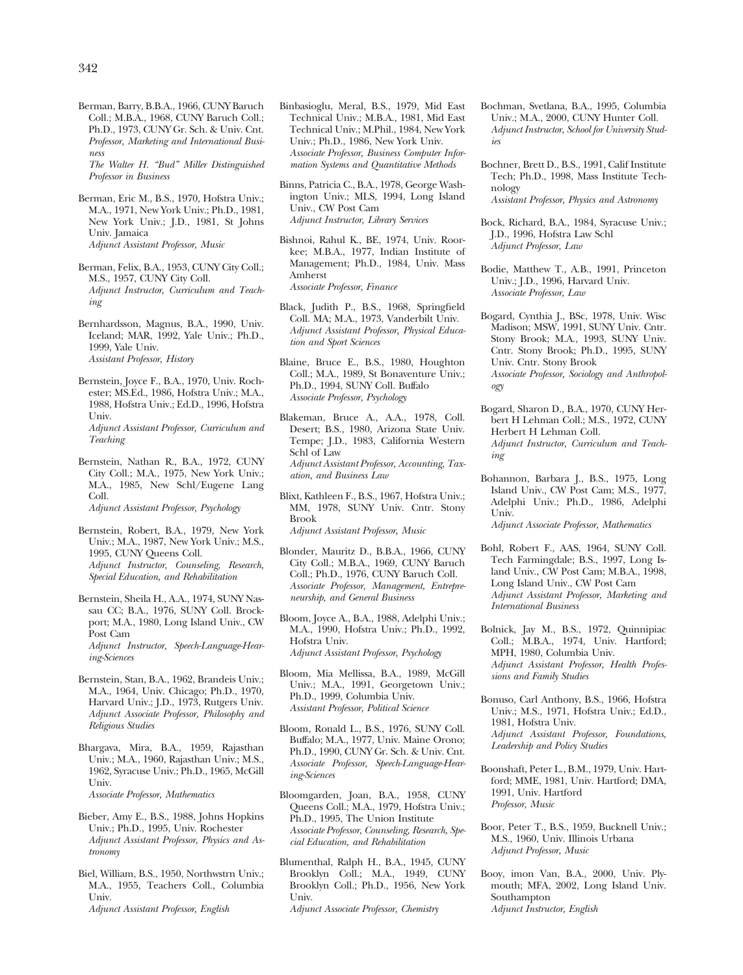Berman, Barry, B.B.A., 1966, CUNY Baruch Coll.; M.B.A., 1968, CUNY Baruch Coll.; Ph.D., 1973, CUNY Gr. Sch. & Univ. Cnt. *Professor, Marketing and International Business* 

*The Walter H. "Bud" Miller Distinguished Professor in Business* 

- Berman, Eric M., B.S., 1970, Hofstra Univ.; M.A., 1971, New York Univ.; Ph.D., 1981, New York Univ.; J.D., 1981, St Johns Univ. Jamaica *Adjunct Assistant Professor, Music*
- Berman, Felix, B.A., 1953, CUNY City Coll.; M.S., 1957, CUNY City Coll. *Adjunct Instructor, Curriculum and Teaching*
- Bernhardsson, Magnus, B.A., 1990, Univ. Iceland; MAR, 1992, Yale Univ.; Ph.D., 1999, Yale Univ. *Assistant Professor, History*
- Bernstein, Joyce F., B.A., 1970, Univ. Rochester; MS.Ed., 1986, Hofstra Univ.; M.A., 1988, Hofstra Univ.; Ed.D., 1996, Hofstra Univ. *Adjunct Assistant Professor, Curriculum and*

*Teaching* 

Bernstein, Nathan R., B.A., 1972, CUNY City Coll.; M.A., 1975, New York Univ.; M.A., 1985, New Schl/Eugene Lang Coll.

*Adjunct Assistant Professor, Psychology* 

Bernstein, Robert, B.A., 1979, New York Univ.; M.A., 1987, New York Univ.; M.S., 1995, CUNY Queens Coll. *Adjunct Instructor, Counseling, Research, Special Education, and Rehabilitation* 

- Bernstein, Sheila H., A.A., 1974, SUNY Nassau CC; B.A., 1976, SUNY Coll. Brockport; M.A., 1980, Long Island Univ., CW Post Cam *Adjunct Instructor, Speech-Language-Hear-*
- *ing-Sciences*  Bernstein, Stan, B.A., 1962, Brandeis Univ.; M.A., 1964, Univ. Chicago; Ph.D., 1970,
- Harvard Univ.; J.D., 1973, Rutgers Univ. *Adjunct Associate Professor, Philosophy and Religious Studies*  Bhargava, Mira, B.A., 1959, Rajasthan
- Univ.; M.A., 1960, Rajasthan Univ.; M.S., 1962, Syracuse Univ.; Ph.D., 1965, McGill Univ. *Associate Professor, Mathematics*
- Bieber, Amy E., B.S., 1988, Johns Hopkins Univ.; Ph.D., 1995, Univ. Rochester *Adjunct Assistant Professor, Physics and Astronomy*
- Biel, William, B.S., 1950, Northwstrn Univ.; M.A., 1955, Teachers Coll., Columbia Univ. *Adjunct Assistant Professor, English*
- Binbasioglu, Meral, B.S., 1979, Mid East Technical Univ.; M.B.A., 1981, Mid East Technical Univ.; M.Phil., 1984, New York Univ.; Ph.D., 1986, New York Univ. *Associate Professor, Business Computer Information Systems and Quantitative Methods*
- Binns, Patricia C., B.A., 1978, George Washington Univ.; MLS, 1994, Long Island Univ., CW Post Cam *Adjunct Instructor, Library Services*
- Bishnoi, Rahul K., BE, 1974, Univ. Roorkee; M.B.A., 1977, Indian Institute of Management; Ph.D., 1984, Univ. Mass Amherst *Associate Professor, Finance*
- Black, Judith P., B.S., 1968, Springfield Coll. MA; M.A., 1973, Vanderbilt Univ. *Adjunct Assistant Professor, Physical Education and Sport Sciences*
- Blaine, Bruce E., B.S., 1980, Houghton Coll.; M.A., 1989, St Bonaventure Univ.; Ph.D., 1994, SUNY Coll. Buffalo *Associate Professor, Psychology*
- Blakeman, Bruce A., A.A., 1978, Coll. Desert; B.S., 1980, Arizona State Univ. Tempe; J.D., 1983, California Western Schl of Law *Adjunct Assistant Professor, Accounting, Taxation, and Business Law*
- Blixt, Kathleen F., B.S., 1967, Hofstra Univ.; MM, 1978, SUNY Univ. Cntr. Stony Brook

*Adjunct Assistant Professor, Music* 

- Blonder, Mauritz D., B.B.A., 1966, CUNY City Coll.; M.B.A., 1969, CUNY Baruch Coll.; Ph.D., 1976, CUNY Baruch Coll. *Associate Professor, Management, Entrepreneurship, and General Business*
- Bloom, Joyce A., B.A., 1988, Adelphi Univ.; M.A., 1990, Hofstra Univ.; Ph.D., 1992, Hofstra Univ.

*Adjunct Assistant Professor, Psychology* 

- Bloom, Mia Mellissa, B.A., 1989, McGill Univ.; M.A., 1991, Georgetown Univ.; Ph.D., 1999, Columbia Univ. *Assistant Professor, Political Science*
- Bloom, Ronald L., B.S., 1976, SUNY Coll. Buffalo; M.A., 1977, Univ. Maine Orono; Ph.D., 1990, CUNY Gr. Sch. & Univ. Cnt. *Associate Professor, Speech-Language-Hearing-Sciences*
- Bloomgarden, Joan, B.A., 1958, CUNY Queens Coll.; M.A., 1979, Hofstra Univ.; Ph.D., 1995, The Union Institute *Associate Professor, Counseling, Research, Special Education, and Rehabilitation*
- Blumenthal, Ralph H., B.A., 1945, CUNY Brooklyn Coll.; M.A., 1949, CUNY Brooklyn Coll.; Ph.D., 1956, New York Univ.

*Adjunct Associate Professor, Chemistry* 

- Bochman, Svetlana, B.A., 1995, Columbia Univ.; M.A., 2000, CUNY Hunter Coll. *Adjunct Instructor, School for University Studies*
- Bochner, Brett D., B.S., 1991, Calif Institute Tech; Ph.D., 1998, Mass Institute Technology *Assistant Professor, Physics and Astronomy*
- Bock, Richard, B.A., 1984, Syracuse Univ.; J.D., 1996, Hofstra Law Schl *Adjunct Professor, Law*
- Bodie, Matthew T., A.B., 1991, Princeton Univ.; J.D., 1996, Harvard Univ. *Associate Professor, Law*
- Bogard, Cynthia J., BSc, 1978, Univ. Wisc Madison; MSW, 1991, SUNY Univ. Cntr. Stony Brook; M.A., 1993, SUNY Univ. Cntr. Stony Brook; Ph.D., 1995, SUNY Univ. Cntr. Stony Brook *Associate Professor, Sociology and Anthropology*
- Bogard, Sharon D., B.A., 1970, CUNY Herbert H Lehman Coll.; M.S., 1972, CUNY Herbert H Lehman Coll. *Adjunct Instructor, Curriculum and Teaching*
- Bohannon, Barbara J., B.S., 1975, Long Island Univ., CW Post Cam; M.S., 1977, Adelphi Univ.; Ph.D., 1986, Adelphi Univ.

*Adjunct Associate Professor, Mathematics* 

- Bohl, Robert F., AAS, 1964, SUNY Coll. Tech Farmingdale; B.S., 1997, Long Island Univ., CW Post Cam; M.B.A., 1998, Long Island Univ., CW Post Cam *Adjunct Assistant Professor, Marketing and International Business*
- Bolnick, Jay M., B.S., 1972, Quinnipiac Coll.; M.B.A., 1974, Univ. Hartford; MPH, 1980, Columbia Univ. *Adjunct Assistant Professor, Health Professions and Family Studies*
- Bonuso, Carl Anthony, B.S., 1966, Hofstra Univ.; M.S., 1971, Hofstra Univ.; Ed.D., 1981, Hofstra Univ. *Adjunct Assistant Professor, Foundations, Leadership and Policy Studies*
- Boonshaft, Peter L., B.M., 1979, Univ. Hartford; MME, 1981, Univ. Hartford; DMA, 1991, Univ. Hartford *Professor, Music*
- Boor, Peter T., B.S., 1959, Bucknell Univ.; M.S., 1960, Univ. Illinois Urbana *Adjunct Professor, Music*
- Booy, imon Van, B.A., 2000, Univ. Plymouth; MFA, 2002, Long Island Univ. Southampton *Adjunct Instructor, English*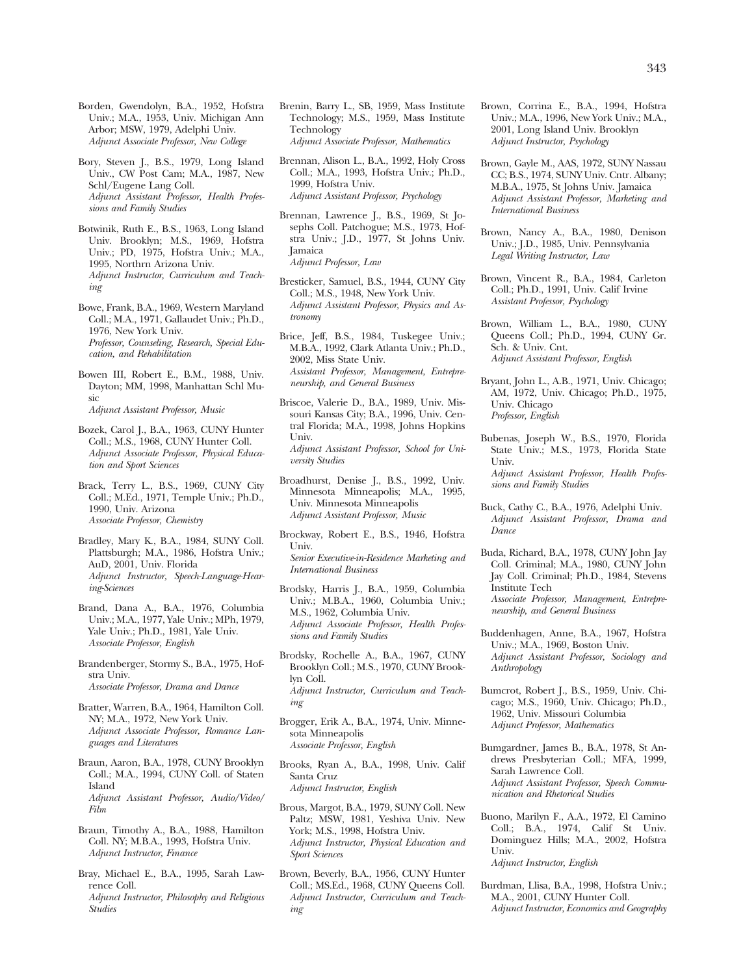Borden, Gwendolyn, B.A., 1952, Hofstra Univ.; M.A., 1953, Univ. Michigan Ann Arbor; MSW, 1979, Adelphi Univ. *Adjunct Associate Professor, New College* 

- Bory, Steven J., B.S., 1979, Long Island Univ., CW Post Cam; M.A., 1987, New Schl/Eugene Lang Coll. *Adjunct Assistant Professor, Health Professions and Family Studies*
- Botwinik, Ruth E., B.S., 1963, Long Island Univ. Brooklyn; M.S., 1969, Hofstra Univ.; PD, 1975, Hofstra Univ.; M.A., 1995, Northrn Arizona Univ. *Adjunct Instructor, Curriculum and Teaching*
- Bowe, Frank, B.A., 1969, Western Maryland Coll.; M.A., 1971, Gallaudet Univ.; Ph.D., 1976, New York Univ. *Professor, Counseling, Research, Special Education, and Rehabilitation*
- Bowen III, Robert E., B.M., 1988, Univ. Dayton; MM, 1998, Manhattan Schl Music *Adjunct Assistant Professor, Music*
- Bozek, Carol J., B.A., 1963, CUNY Hunter Coll.; M.S., 1968, CUNY Hunter Coll. *Adjunct Associate Professor, Physical Education and Sport Sciences*
- Brack, Terry L., B.S., 1969, CUNY City Coll.; M.Ed., 1971, Temple Univ.; Ph.D., 1990, Univ. Arizona *Associate Professor, Chemistry*
- Bradley, Mary K., B.A., 1984, SUNY Coll. Plattsburgh; M.A., 1986, Hofstra Univ.; AuD, 2001, Univ. Florida *Adjunct Instructor, Speech-Language-Hearing-Sciences*
- Brand, Dana A., B.A., 1976, Columbia Univ.; M.A., 1977, Yale Univ.; MPh, 1979, Yale Univ.; Ph.D., 1981, Yale Univ. *Associate Professor, English*
- Brandenberger, Stormy S., B.A., 1975, Hofstra Univ. *Associate Professor, Drama and Dance*
- Bratter, Warren, B.A., 1964, Hamilton Coll. NY; M.A., 1972, New York Univ. *Adjunct Associate Professor, Romance Languages and Literatures*
- Braun, Aaron, B.A., 1978, CUNY Brooklyn Coll.; M.A., 1994, CUNY Coll. of Staten Island *Adjunct Assistant Professor, Audio/Video/ Film*
- Braun, Timothy A., B.A., 1988, Hamilton Coll. NY; M.B.A., 1993, Hofstra Univ. *Adjunct Instructor, Finance*
- Bray, Michael E., B.A., 1995, Sarah Lawrence Coll. *Adjunct Instructor, Philosophy and Religious Studies*
- Brenin, Barry L., SB, 1959, Mass Institute Technology; M.S., 1959, Mass Institute Technology *Adjunct Associate Professor, Mathematics*
- Brennan, Alison L., B.A., 1992, Holy Cross Coll.; M.A., 1993, Hofstra Univ.; Ph.D., 1999, Hofstra Univ. *Adjunct Assistant Professor, Psychology*
- Brennan, Lawrence J., B.S., 1969, St Josephs Coll. Patchogue; M.S., 1973, Hofstra Univ.; J.D., 1977, St Johns Univ. Jamaica *Adjunct Professor, Law*
- Bresticker, Samuel, B.S., 1944, CUNY City Coll.; M.S., 1948, New York Univ. *Adjunct Assistant Professor, Physics and Astronomy*
- Brice, Jeff, B.S., 1984, Tuskegee Univ.; M.B.A., 1992, Clark Atlanta Univ.; Ph.D., 2002, Miss State Univ. *Assistant Professor, Management, Entrepreneurship, and General Business*
- Briscoe, Valerie D., B.A., 1989, Univ. Missouri Kansas City; B.A., 1996, Univ. Central Florida; M.A., 1998, Johns Hopkins Univ. *Adjunct Assistant Professor, School for University Studies*
- Broadhurst, Denise J., B.S., 1992, Univ. Minnesota Minneapolis; M.A., 1995, Univ. Minnesota Minneapolis *Adjunct Assistant Professor, Music*
- Brockway, Robert E., B.S., 1946, Hofstra Univ. *Senior Executive-in-Residence Marketing and International Business*
- Brodsky, Harris J., B.A., 1959, Columbia Univ.; M.B.A., 1960, Columbia Univ.; M.S., 1962, Columbia Univ. *Adjunct Associate Professor, Health Professions and Family Studies*
- Brodsky, Rochelle A., B.A., 1967, CUNY Brooklyn Coll.; M.S., 1970, CUNY Brooklyn Coll. *Adjunct Instructor, Curriculum and Teaching*
- Brogger, Erik A., B.A., 1974, Univ. Minnesota Minneapolis *Associate Professor, English*
- Brooks, Ryan A., B.A., 1998, Univ. Calif Santa Cruz *Adjunct Instructor, English*
- Brous, Margot, B.A., 1979, SUNY Coll. New Paltz; MSW, 1981, Yeshiva Univ. New York; M.S., 1998, Hofstra Univ. *Adjunct Instructor, Physical Education and Sport Sciences*
- Brown, Beverly, B.A., 1956, CUNY Hunter Coll.; MS.Ed., 1968, CUNY Queens Coll. *Adjunct Instructor, Curriculum and Teaching*
- Brown, Corrina E., B.A., 1994, Hofstra Univ.; M.A., 1996, New York Univ.; M.A., 2001, Long Island Univ. Brooklyn *Adjunct Instructor, Psychology*
- Brown, Gayle M., AAS, 1972, SUNY Nassau CC; B.S., 1974, SUNY Univ. Cntr. Albany; M.B.A., 1975, St Johns Univ. Jamaica *Adjunct Assistant Professor, Marketing and International Business*
- Brown, Nancy A., B.A., 1980, Denison Univ.; J.D., 1985, Univ. Pennsylvania *Legal Writing Instructor, Law*
- Brown, Vincent R., B.A., 1984, Carleton Coll.; Ph.D., 1991, Univ. Calif Irvine *Assistant Professor, Psychology*
- Brown, William L., B.A., 1980, CUNY Queens Coll.; Ph.D., 1994, CUNY Gr. Sch. & Univ. Cnt. *Adjunct Assistant Professor, English*
- Bryant, John L., A.B., 1971, Univ. Chicago; AM, 1972, Univ. Chicago; Ph.D., 1975, Univ. Chicago *Professor, English*
- Bubenas, Joseph W., B.S., 1970, Florida State Univ.; M.S., 1973, Florida State Univ. *Adjunct Assistant Professor, Health Professions and Family Studies*
- Buck, Cathy C., B.A., 1976, Adelphi Univ. *Adjunct Assistant Professor, Drama and Dance*
- Buda, Richard, B.A., 1978, CUNY John Jay Coll. Criminal; M.A., 1980, CUNY John Jay Coll. Criminal; Ph.D., 1984, Stevens Institute Tech *Associate Professor, Management, Entrepreneurship, and General Business*
- Buddenhagen, Anne, B.A., 1967, Hofstra Univ.; M.A., 1969, Boston Univ. *Adjunct Assistant Professor, Sociology and Anthropology*
- Bumcrot, Robert J., B.S., 1959, Univ. Chicago; M.S., 1960, Univ. Chicago; Ph.D., 1962, Univ. Missouri Columbia *Adjunct Professor, Mathematics*
- Bumgardner, James B., B.A., 1978, St Andrews Presbyterian Coll.; MFA, 1999, Sarah Lawrence Coll. *Adjunct Assistant Professor, Speech Communication and Rhetorical Studies*
- Buono, Marilyn F., A.A., 1972, El Camino Coll.; B.A., 1974, Calif St Univ. Dominguez Hills; M.A., 2002, Hofstra Univ. *Adjunct Instructor, English*
- Burdman, Llisa, B.A., 1998, Hofstra Univ.; M.A., 2001, CUNY Hunter Coll. *Adjunct Instructor, Economics and Geography*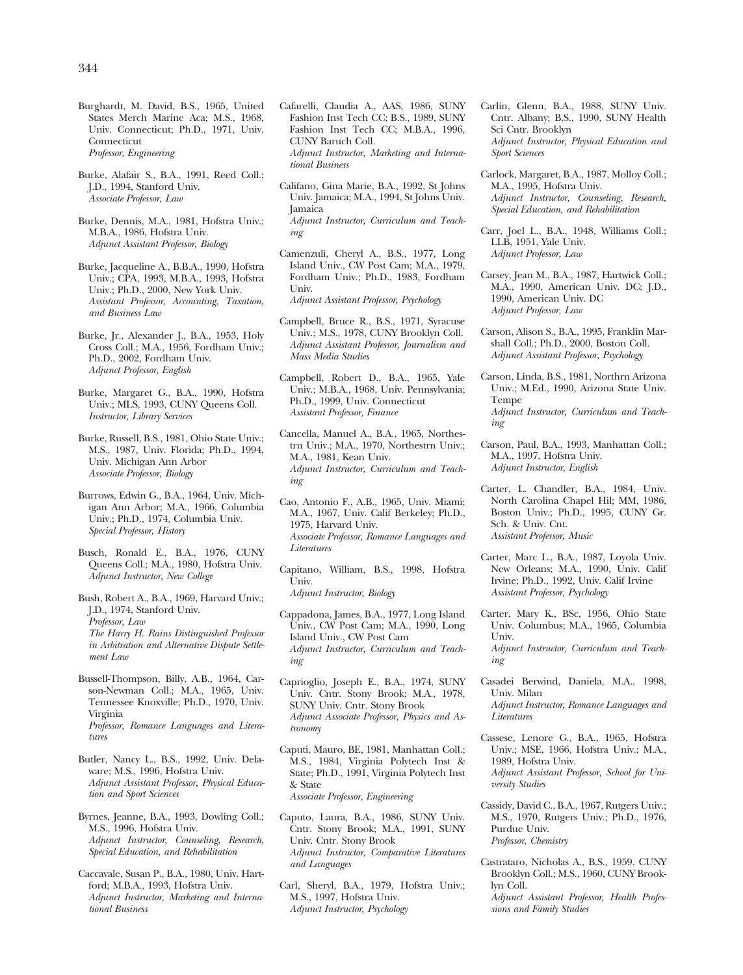Burghardt, M. David, B.S., 1965, United States Merch Marine Aca; M.S., 1968, Univ. Connecticut; Ph.D., 1971, Univ. **Connecticut** *Professor, Engineering* 

Burke, Alafair S., B.A., 1991, Reed Coll.; J.D., 1994, Stanford Univ. *Associate Professor, Law* 

Burke, Dennis, M.A., 1981, Hofstra Univ.; M.B.A., 1986, Hofstra Univ. *Adjunct Assistant Professor, Biology* 

Burke, Jacqueline A., B.B.A., 1990, Hofstra Univ.; CPA, 1993, M.B.A., 1993, Hofstra Univ.; Ph.D., 2000, New York Univ. *Assistant Professor, Accounting, Taxation, and Business Law* 

Burke, Jr., Alexander J., B.A., 1953, Holy Cross Coll.; M.A., 1956, Fordham Univ.; Ph.D., 2002, Fordham Univ. *Adjunct Professor, English* 

Burke, Margaret G., B.A., 1990, Hofstra Univ.; MLS, 1993, CUNY Queens Coll. *Instructor, Library Services* 

Burke, Russell, B.S., 1981, Ohio State Univ.; M.S., 1987, Univ. Florida; Ph.D., 1994, Univ. Michigan Ann Arbor *Associate Professor, Biology* 

Burrows, Edwin G., B.A., 1964, Univ. Michigan Ann Arbor; M.A., 1966, Columbia Univ.; Ph.D., 1974, Columbia Univ. *Special Professor, History* 

Busch, Ronald E., B.A., 1976, CUNY Queens Coll.; M.A., 1980, Hofstra Univ. *Adjunct Instructor, New College* 

Bush, Robert A., B.A., 1969, Harvard Univ.; J.D., 1974, Stanford Univ. *Professor, Law The Harry H. Rains Distinguished Professor in Arbitration and Alternative Dispute Settlement Law* 

Bussell-Thompson, Billy, A.B., 1964, Carson-Newman Coll.; M.A., 1965, Univ. Tennessee Knoxville; Ph.D., 1970, Univ. Virginia *Professor, Romance Languages and Literatures* 

Butler, Nancy L., B.S., 1992, Univ. Delaware; M.S., 1996, Hofstra Univ. *Adjunct Assistant Professor, Physical Education and Sport Sciences* 

Byrnes, Jeanne, B.A., 1993, Dowling Coll.; M.S., 1996, Hofstra Univ. *Adjunct Instructor, Counseling, Research, Special Education, and Rehabilitation* 

Caccavale, Susan P., B.A., 1980, Univ. Hartford; M.B.A., 1993, Hofstra Univ. *Adjunct Instructor, Marketing and International Business* 

Cafarelli, Claudia A., AAS, 1986, SUNY Fashion Inst Tech CC; B.S., 1989, SUNY Fashion Inst Tech CC; M.B.A., 1996, CUNY Baruch Coll. *Adjunct Instructor, Marketing and International Business* 

Califano, Gina Marie, B.A., 1992, St Johns Univ. Jamaica; M.A., 1994, St Johns Univ. Jamaica *Adjunct Instructor, Curriculum and Teaching* 

Camenzuli, Cheryl A., B.S., 1977, Long Island Univ., CW Post Cam; M.A., 1979, Fordham Univ.; Ph.D., 1983, Fordham Univ. *Adjunct Assistant Professor, Psychology* 

Campbell, Bruce R., B.S., 1971, Syracuse Univ.; M.S., 1978, CUNY Brooklyn Coll. *Adjunct Assistant Professor, Journalism and Mass Media Studies* 

Campbell, Robert D., B.A., 1965, Yale Univ.; M.B.A., 1968, Univ. Pennsylvania; Ph.D., 1999, Univ. Connecticut *Assistant Professor, Finance* 

Cancella, Manuel A., B.A., 1965, Northestrn Univ.; M.A., 1970, Northestrn Univ.; M.A., 1981, Kean Univ. *Adjunct Instructor, Curriculum and Teaching* 

Cao, Antonio F., A.B., 1965, Univ. Miami; M.A., 1967, Univ. Calif Berkeley; Ph.D., 1975, Harvard Univ. *Associate Professor, Romance Languages and Literatures* 

Capitano, William, B.S., 1998, Hofstra Univ. *Adjunct Instructor, Biology* 

Cappadona, James, B.A., 1977, Long Island Univ., CW Post Cam; M.A., 1990, Long Island Univ., CW Post Cam *Adjunct Instructor, Curriculum and Teaching* 

Caprioglio, Joseph E., B.A., 1974, SUNY Univ. Cntr. Stony Brook; M.A., 1978, SUNY Univ. Cntr. Stony Brook *Adjunct Associate Professor, Physics and Astronomy* 

Caputi, Mauro, BE, 1981, Manhattan Coll.; M.S., 1984, Virginia Polytech Inst & State; Ph.D., 1991, Virginia Polytech Inst & State *Associate Professor, Engineering* 

Caputo, Laura, B.A., 1986, SUNY Univ. Cntr. Stony Brook; M.A., 1991, SUNY Univ. Cntr. Stony Brook *Adjunct Instructor, Comparative Literatures and Languages* 

Carl, Sheryl, B.A., 1979, Hofstra Univ.; M.S., 1997, Hofstra Univ. *Adjunct Instructor, Psychology* 

Carlin, Glenn, B.A., 1988, SUNY Univ. Cntr. Albany; B.S., 1990, SUNY Health Sci Cntr. Brooklyn *Adjunct Instructor, Physical Education and Sport Sciences* 

Carlock, Margaret, B.A., 1987, Molloy Coll.; M.A., 1995, Hofstra Univ. *Adjunct Instructor, Counseling, Research, Special Education, and Rehabilitation* 

Carr, Joel L., B.A., 1948, Williams Coll.; LLB, 1951, Yale Univ. *Adjunct Professor, Law* 

Carsey, Jean M., B.A., 1987, Hartwick Coll.; M.A., 1990, American Univ. DC; J.D., 1990, American Univ. DC *Adjunct Professor, Law* 

Carson, Alison S., B.A., 1995, Franklin Marshall Coll.; Ph.D., 2000, Boston Coll. *Adjunct Assistant Professor, Psychology* 

Carson, Linda, B.S., 1981, Northrn Arizona Univ.; M.Ed., 1990, Arizona State Univ. Tempe *Adjunct Instructor, Curriculum and Teaching* 

Carson, Paul, B.A., 1993, Manhattan Coll.; M.A., 1997, Hofstra Univ. *Adjunct Instructor, English* 

Carter, L. Chandler, B.A., 1984, Univ. North Carolina Chapel Hil; MM, 1986, Boston Univ.; Ph.D., 1995, CUNY Gr. Sch. & Univ. Cnt. *Assistant Professor, Music* 

Carter, Marc L., B.A., 1987, Loyola Univ. New Orleans; M.A., 1990, Univ. Calif Irvine; Ph.D., 1992, Univ. Calif Irvine *Assistant Professor, Psychology* 

Carter, Mary K., BSc, 1956, Ohio State Univ. Columbus; M.A., 1965, Columbia Univ. *Adjunct Instructor, Curriculum and Teach-*

*ing*  Casadei Berwind, Daniela, M.A., 1998,

Univ. Milan *Adjunct Instructor, Romance Languages and Literatures* 

Cassese, Lenore G., B.A., 1965, Hofstra Univ.; MSE, 1966, Hofstra Univ.; M.A., 1989, Hofstra Univ. *Adjunct Assistant Professor, School for University Studies* 

Cassidy, David C., B.A., 1967, Rutgers Univ.; M.S., 1970, Rutgers Univ.; Ph.D., 1976, Purdue Univ. *Professor, Chemistry* 

Castrataro, Nicholas A., B.S., 1959, CUNY Brooklyn Coll.; M.S., 1960, CUNY Brooklyn Coll. *Adjunct Assistant Professor, Health Professions and Family Studies*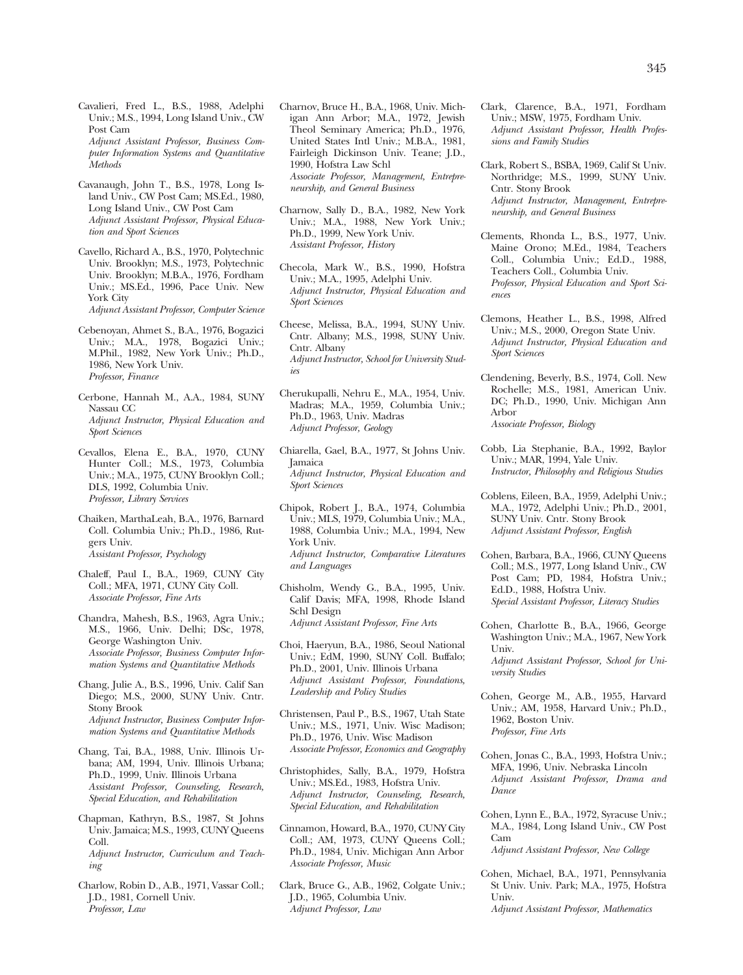Cavalieri, Fred L., B.S., 1988, Adelphi Univ.; M.S., 1994, Long Island Univ., CW Post Cam

*Adjunct Assistant Professor, Business Computer Information Systems and Quantitative Methods* 

Cavanaugh, John T., B.S., 1978, Long Island Univ., CW Post Cam; MS.Ed., 1980, Long Island Univ., CW Post Cam *Adjunct Assistant Professor, Physical Education and Sport Sciences* 

Cavello, Richard A., B.S., 1970, Polytechnic Univ. Brooklyn; M.S., 1973, Polytechnic Univ. Brooklyn; M.B.A., 1976, Fordham Univ.; MS.Ed., 1996, Pace Univ. New York City *Adjunct Assistant Professor, Computer Science* 

- Cebenoyan, Ahmet S., B.A., 1976, Bogazici Univ.; M.A., 1978, Bogazici Univ.; M.Phil., 1982, New York Univ.; Ph.D., 1986, New York Univ. *Professor, Finance*
- Cerbone, Hannah M., A.A., 1984, SUNY Nassau CC *Adjunct Instructor, Physical Education and Sport Sciences*
- Cevallos, Elena E., B.A., 1970, CUNY Hunter Coll.; M.S., 1973, Columbia Univ.; M.A., 1975, CUNY Brooklyn Coll.; DLS, 1992, Columbia Univ. *Professor, Library Services*
- Chaiken, MarthaLeah, B.A., 1976, Barnard Coll. Columbia Univ.; Ph.D., 1986, Rutgers Univ. *Assistant Professor, Psychology*
- Chaleff, Paul I., B.A., 1969, CUNY City Coll.; MFA, 1971, CUNY City Coll. *Associate Professor, Fine Arts*
- Chandra, Mahesh, B.S., 1963, Agra Univ.; M.S., 1966, Univ. Delhi; DSc, 1978, George Washington Univ. *Associate Professor, Business Computer Information Systems and Quantitative Methods*
- Chang, Julie A., B.S., 1996, Univ. Calif San Diego; M.S., 2000, SUNY Univ. Cntr. Stony Brook *Adjunct Instructor, Business Computer Information Systems and Quantitative Methods*
- Chang, Tai, B.A., 1988, Univ. Illinois Urbana; AM, 1994, Univ. Illinois Urbana; Ph.D., 1999, Univ. Illinois Urbana *Assistant Professor, Counseling, Research, Special Education, and Rehabilitation*
- Chapman, Kathryn, B.S., 1987, St Johns Univ. Jamaica; M.S., 1993, CUNY Queens Coll. *Adjunct Instructor, Curriculum and Teaching*
- Charlow, Robin D., A.B., 1971, Vassar Coll.; J.D., 1981, Cornell Univ. *Professor, Law*
- Charnov, Bruce H., B.A., 1968, Univ. Michigan Ann Arbor; M.A., 1972, Jewish Theol Seminary America; Ph.D., 1976, United States Intl Univ.; M.B.A., 1981, Fairleigh Dickinson Univ. Teane; J.D., 1990, Hofstra Law Schl *Associate Professor, Management, Entrepreneurship, and General Business*
- Charnow, Sally D., B.A., 1982, New York Univ.; M.A., 1988, New York Univ.; Ph.D., 1999, New York Univ. *Assistant Professor, History*
- Checola, Mark W., B.S., 1990, Hofstra Univ.; M.A., 1995, Adelphi Univ. *Adjunct Instructor, Physical Education and Sport Sciences*

Cheese, Melissa, B.A., 1994, SUNY Univ. Cntr. Albany; M.S., 1998, SUNY Univ. Cntr. Albany *Adjunct Instructor, School for University Studies* 

- Cherukupalli, Nehru E., M.A., 1954, Univ. Madras; M.A., 1959, Columbia Univ.; Ph.D., 1963, Univ. Madras *Adjunct Professor, Geology*
- Chiarella, Gael, B.A., 1977, St Johns Univ. Jamaica *Adjunct Instructor, Physical Education and Sport Sciences*
- Chipok, Robert J., B.A., 1974, Columbia Univ.; MLS, 1979, Columbia Univ.; M.A., 1988, Columbia Univ.; M.A., 1994, New York Univ. *Adjunct Instructor, Comparative Literatures and Languages*
- Chisholm, Wendy G., B.A., 1995, Univ. Calif Davis; MFA, 1998, Rhode Island Schl Design *Adjunct Assistant Professor, Fine Arts*
- Choi, Haeryun, B.A., 1986, Seoul National Univ.; EdM, 1990, SUNY Coll. Buffalo; Ph.D., 2001, Univ. Illinois Urbana *Adjunct Assistant Professor, Foundations, Leadership and Policy Studies*
- Christensen, Paul P., B.S., 1967, Utah State Univ.; M.S., 1971, Univ. Wisc Madison; Ph.D., 1976, Univ. Wisc Madison *Associate Professor, Economics and Geography*
- Christophides, Sally, B.A., 1979, Hofstra Univ.; MS.Ed., 1983, Hofstra Univ. *Adjunct Instructor, Counseling, Research, Special Education, and Rehabilitation*
- Cinnamon, Howard, B.A., 1970, CUNY City Coll.; AM, 1973, CUNY Queens Coll.; Ph.D., 1984, Univ. Michigan Ann Arbor *Associate Professor, Music*
- Clark, Bruce G., A.B., 1962, Colgate Univ.; J.D., 1965, Columbia Univ. *Adjunct Professor, Law*
- Clark, Clarence, B.A., 1971, Fordham Univ.; MSW, 1975, Fordham Univ. *Adjunct Assistant Professor, Health Professions and Family Studies*
- Clark, Robert S., BSBA, 1969, Calif St Univ. Northridge; M.S., 1999, SUNY Univ. Cntr. Stony Brook *Adjunct Instructor, Management, Entrepreneurship, and General Business*
- Clements, Rhonda L., B.S., 1977, Univ. Maine Orono; M.Ed., 1984, Teachers Coll., Columbia Univ.; Ed.D., 1988, Teachers Coll., Columbia Univ. *Professor, Physical Education and Sport Sciences*
- Clemons, Heather L., B.S., 1998, Alfred Univ.; M.S., 2000, Oregon State Univ. *Adjunct Instructor, Physical Education and Sport Sciences*
- Clendening, Beverly, B.S., 1974, Coll. New Rochelle; M.S., 1981, American Univ. DC; Ph.D., 1990, Univ. Michigan Ann Arbor *Associate Professor, Biology*
- Cobb, Lia Stephanie, B.A., 1992, Baylor Univ.; MAR, 1994, Yale Univ. *Instructor, Philosophy and Religious Studies*
- Coblens, Eileen, B.A., 1959, Adelphi Univ.; M.A., 1972, Adelphi Univ.; Ph.D., 2001, SUNY Univ. Cntr. Stony Brook *Adjunct Assistant Professor, English*
- Cohen, Barbara, B.A., 1966, CUNY Queens Coll.; M.S., 1977, Long Island Univ., CW Post Cam; PD, 1984, Hofstra Univ.; Ed.D., 1988, Hofstra Univ. *Special Assistant Professor, Literacy Studies*
- Cohen, Charlotte B., B.A., 1966, George Washington Univ.; M.A., 1967, New York Univ. *Adjunct Assistant Professor, School for Uni-*
- *versity Studies*
- Cohen, George M., A.B., 1955, Harvard Univ.; AM, 1958, Harvard Univ.; Ph.D., 1962, Boston Univ. *Professor, Fine Arts*
- Cohen, Jonas C., B.A., 1993, Hofstra Univ.; MFA, 1996, Univ. Nebraska Lincoln *Adjunct Assistant Professor, Drama and Dance*
- Cohen, Lynn E., B.A., 1972, Syracuse Univ.; M.A., 1984, Long Island Univ., CW Post Cam *Adjunct Assistant Professor, New College*
- Cohen, Michael, B.A., 1971, Pennsylvania St Univ. Univ. Park; M.A., 1975, Hofstra Univ. *Adjunct Assistant Professor, Mathematics*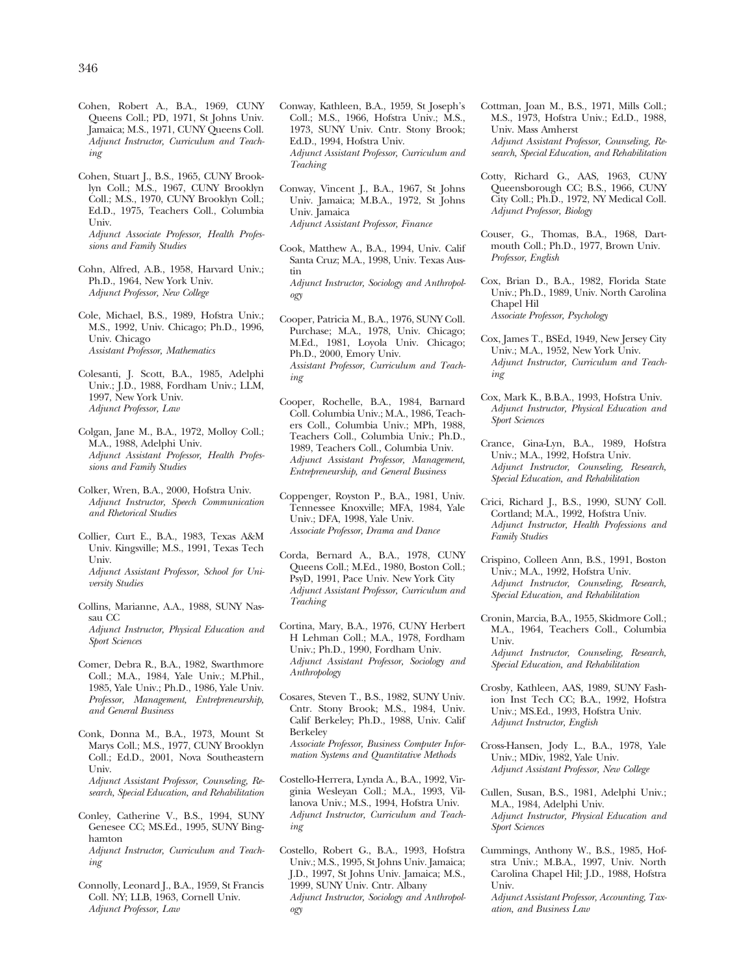- Cohen, Robert A., B.A., 1969, CUNY Queens Coll.; PD, 1971, St Johns Univ. Jamaica; M.S., 1971, CUNY Queens Coll. *Adjunct Instructor, Curriculum and Teaching*
- Cohen, Stuart J., B.S., 1965, CUNY Brooklyn Coll.; M.S., 1967, CUNY Brooklyn Coll.; M.S., 1970, CUNY Brooklyn Coll.; Ed.D., 1975, Teachers Coll., Columbia Univ. *Adjunct Associate Professor, Health Profes-*

*sions and Family Studies* 

- Cohn, Alfred, A.B., 1958, Harvard Univ.; Ph.D., 1964, New York Univ. *Adjunct Professor, New College*
- Cole, Michael, B.S., 1989, Hofstra Univ.; M.S., 1992, Univ. Chicago; Ph.D., 1996, Univ. Chicago *Assistant Professor, Mathematics*

Colesanti, J. Scott, B.A., 1985, Adelphi Univ.; J.D., 1988, Fordham Univ.; LLM, 1997, New York Univ. *Adjunct Professor, Law* 

Colgan, Jane M., B.A., 1972, Molloy Coll.; M.A., 1988, Adelphi Univ. *Adjunct Assistant Professor, Health Professions and Family Studies* 

Colker, Wren, B.A., 2000, Hofstra Univ. *Adjunct Instructor, Speech Communication and Rhetorical Studies* 

- Collier, Curt E., B.A., 1983, Texas A&M Univ. Kingsville; M.S., 1991, Texas Tech Univ. *Adjunct Assistant Professor, School for University Studies*
- Collins, Marianne, A.A., 1988, SUNY Nassau CC *Adjunct Instructor, Physical Education and Sport Sciences*
- Comer, Debra R., B.A., 1982, Swarthmore Coll.; M.A., 1984, Yale Univ.; M.Phil., 1985, Yale Univ.; Ph.D., 1986, Yale Univ. *Professor, Management, Entrepreneurship, and General Business*
- Conk, Donna M., B.A., 1973, Mount St Marys Coll.; M.S., 1977, CUNY Brooklyn Coll.; Ed.D., 2001, Nova Southeastern Univ. *Adjunct Assistant Professor, Counseling, Research, Special Education, and Rehabilitation*
- Conley, Catherine V., B.S., 1994, SUNY Genesee CC; MS.Ed., 1995, SUNY Binghamton *Adjunct Instructor, Curriculum and Teaching*
- Connolly, Leonard J., B.A., 1959, St Francis Coll. NY; LLB, 1963, Cornell Univ. *Adjunct Professor, Law*
- Conway, Kathleen, B.A., 1959, St Joseph's Coll.; M.S., 1966, Hofstra Univ.; M.S., 1973, SUNY Univ. Cntr. Stony Brook; Ed.D., 1994, Hofstra Univ. *Adjunct Assistant Professor, Curriculum and Teaching*
- Conway, Vincent J., B.A., 1967, St Johns Univ. Jamaica; M.B.A., 1972, St Johns Univ. Jamaica *Adjunct Assistant Professor, Finance*
- Cook, Matthew A., B.A., 1994, Univ. Calif Santa Cruz; M.A., 1998, Univ. Texas Austin *Adjunct Instructor, Sociology and Anthropology*
- Cooper, Patricia M., B.A., 1976, SUNY Coll. Purchase; M.A., 1978, Univ. Chicago; M.Ed., 1981, Loyola Univ. Chicago; Ph.D., 2000, Emory Univ. *Assistant Professor, Curriculum and Teaching*
- Cooper, Rochelle, B.A., 1984, Barnard Coll. Columbia Univ.; M.A., 1986, Teachers Coll., Columbia Univ.; MPh, 1988, Teachers Coll., Columbia Univ.; Ph.D., 1989, Teachers Coll., Columbia Univ. *Adjunct Assistant Professor, Management, Entrepreneurship, and General Business*
- Coppenger, Royston P., B.A., 1981, Univ. Tennessee Knoxville; MFA, 1984, Yale Univ.; DFA, 1998, Yale Univ. *Associate Professor, Drama and Dance*
- Corda, Bernard A., B.A., 1978, CUNY Queens Coll.; M.Ed., 1980, Boston Coll.; PsyD, 1991, Pace Univ. New York City *Adjunct Assistant Professor, Curriculum and Teaching*
- Cortina, Mary, B.A., 1976, CUNY Herbert H Lehman Coll.; M.A., 1978, Fordham Univ.; Ph.D., 1990, Fordham Univ. *Adjunct Assistant Professor, Sociology and Anthropology*
- Cosares, Steven T., B.S., 1982, SUNY Univ. Cntr. Stony Brook; M.S., 1984, Univ. Calif Berkeley; Ph.D., 1988, Univ. Calif Berkeley *Associate Professor, Business Computer Information Systems and Quantitative Methods*
- Costello-Herrera, Lynda A., B.A., 1992, Virginia Wesleyan Coll.; M.A., 1993, Villanova Univ.; M.S., 1994, Hofstra Univ. *Adjunct Instructor, Curriculum and Teaching*
- Costello, Robert G., B.A., 1993, Hofstra Univ.; M.S., 1995, St Johns Univ. Jamaica; J.D., 1997, St Johns Univ. Jamaica; M.S., 1999, SUNY Univ. Cntr. Albany *Adjunct Instructor, Sociology and Anthropology*
- Cottman, Joan M., B.S., 1971, Mills Coll.; M.S., 1973, Hofstra Univ.; Ed.D., 1988, Univ. Mass Amherst *Adjunct Assistant Professor, Counseling, Research, Special Education, and Rehabilitation*
- Cotty, Richard G., AAS, 1963, CUNY Queensborough CC; B.S., 1966, CUNY City Coll.; Ph.D., 1972, NY Medical Coll. *Adjunct Professor, Biology*
- Couser, G., Thomas, B.A., 1968, Dartmouth Coll.; Ph.D., 1977, Brown Univ. *Professor, English*
- Cox, Brian D., B.A., 1982, Florida State Univ.; Ph.D., 1989, Univ. North Carolina Chapel Hil *Associate Professor, Psychology*
- Cox, James T., BSEd, 1949, New Jersey City Univ.; M.A., 1952, New York Univ. *Adjunct Instructor, Curriculum and Teaching*
- Cox, Mark K., B.B.A., 1993, Hofstra Univ. *Adjunct Instructor, Physical Education and Sport Sciences*
- Crance, Gina-Lyn, B.A., 1989, Hofstra Univ.; M.A., 1992, Hofstra Univ. *Adjunct Instructor, Counseling, Research, Special Education, and Rehabilitation*
- Crici, Richard J., B.S., 1990, SUNY Coll. Cortland; M.A., 1992, Hofstra Univ. *Adjunct Instructor, Health Professions and Family Studies*
- Crispino, Colleen Ann, B.S., 1991, Boston Univ.; M.A., 1992, Hofstra Univ. *Adjunct Instructor, Counseling, Research, Special Education, and Rehabilitation*
- Cronin, Marcia, B.A., 1955, Skidmore Coll.; M.A., 1964, Teachers Coll., Columbia Univ. *Adjunct Instructor, Counseling, Research, Special Education, and Rehabilitation*
- Crosby, Kathleen, AAS, 1989, SUNY Fashion Inst Tech CC; B.A., 1992, Hofstra Univ.; MS.Ed., 1993, Hofstra Univ. *Adjunct Instructor, English*
- Cross-Hansen, Jody L., B.A., 1978, Yale Univ.; MDiv, 1982, Yale Univ. *Adjunct Assistant Professor, New College*
- Cullen, Susan, B.S., 1981, Adelphi Univ.; M.A., 1984, Adelphi Univ. *Adjunct Instructor, Physical Education and Sport Sciences*
- Cummings, Anthony W., B.S., 1985, Hofstra Univ.; M.B.A., 1997, Univ. North Carolina Chapel Hil; J.D., 1988, Hofstra Univ.

*Adjunct Assistant Professor, Accounting, Taxation, and Business Law*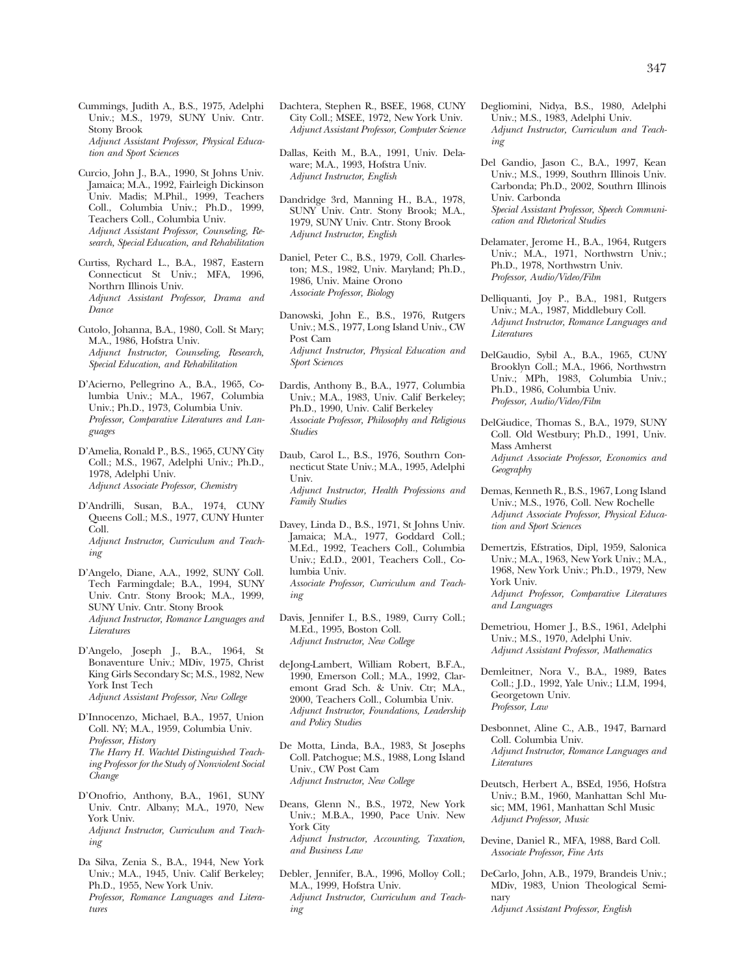Cummings, Judith A., B.S., 1975, Adelphi Univ.; M.S., 1979, SUNY Univ. Cntr. Stony Brook *Adjunct Assistant Professor, Physical Education and Sport Sciences* 

- Curcio, John J., B.A., 1990, St Johns Univ. Jamaica; M.A., 1992, Fairleigh Dickinson Univ. Madis; M.Phil., 1999, Teachers Coll., Columbia Univ.; Ph.D., 1999, Teachers Coll., Columbia Univ. *Adjunct Assistant Professor, Counseling, Research, Special Education, and Rehabilitation*
- Curtiss, Rychard L., B.A., 1987, Eastern Connecticut St Univ.; MFA, 1996, Northrn Illinois Univ. *Adjunct Assistant Professor, Drama and Dance*
- Cutolo, Johanna, B.A., 1980, Coll. St Mary; M.A., 1986, Hofstra Univ. *Adjunct Instructor, Counseling, Research, Special Education, and Rehabilitation*
- D'Acierno, Pellegrino A., B.A., 1965, Columbia Univ.; M.A., 1967, Columbia Univ.; Ph.D., 1973, Columbia Univ. *Professor, Comparative Literatures and Languages*
- D'Amelia, Ronald P., B.S., 1965, CUNY City Coll.; M.S., 1967, Adelphi Univ.; Ph.D., 1978, Adelphi Univ. *Adjunct Associate Professor, Chemistry*
- D'Andrilli, Susan, B.A., 1974, CUNY Queens Coll.; M.S., 1977, CUNY Hunter Coll. *Adjunct Instructor, Curriculum and Teaching*
- D'Angelo, Diane, A.A., 1992, SUNY Coll. Tech Farmingdale; B.A., 1994, SUNY Univ. Cntr. Stony Brook; M.A., 1999, SUNY Univ. Cntr. Stony Brook *Adjunct Instructor, Romance Languages and Literatures*
- D'Angelo, Joseph J., B.A., 1964, St Bonaventure Univ.; MDiv, 1975, Christ King Girls Secondary Sc; M.S., 1982, New York Inst Tech *Adjunct Assistant Professor, New College*
- D'Innocenzo, Michael, B.A., 1957, Union Coll. NY; M.A., 1959, Columbia Univ. *Professor, History The Harry H. Wachtel Distinguished Teaching Professor for the Study of Nonviolent Social Change*
- D'Onofrio, Anthony, B.A., 1961, SUNY Univ. Cntr. Albany; M.A., 1970, New York Univ. *Adjunct Instructor, Curriculum and Teaching*
- Da Silva, Zenia S., B.A., 1944, New York Univ.; M.A., 1945, Univ. Calif Berkeley; Ph.D., 1955, New York Univ. *Professor, Romance Languages and Literatures*
- Dachtera, Stephen R., BSEE, 1968, CUNY City Coll.; MSEE, 1972, New York Univ. *Adjunct Assistant Professor, Computer Science*
- Dallas, Keith M., B.A., 1991, Univ. Delaware; M.A., 1993, Hofstra Univ. *Adjunct Instructor, English*
- Dandridge 3rd, Manning H., B.A., 1978, SUNY Univ. Cntr. Stony Brook; M.A., 1979, SUNY Univ. Cntr. Stony Brook *Adjunct Instructor, English*
- Daniel, Peter C., B.S., 1979, Coll. Charleston; M.S., 1982, Univ. Maryland; Ph.D., 1986, Univ. Maine Orono *Associate Professor, Biology*
- Danowski, John E., B.S., 1976, Rutgers Univ.; M.S., 1977, Long Island Univ., CW Post Cam *Adjunct Instructor, Physical Education and Sport Sciences*
- Dardis, Anthony B., B.A., 1977, Columbia Univ.; M.A., 1983, Univ. Calif Berkeley; Ph.D., 1990, Univ. Calif Berkeley *Associate Professor, Philosophy and Religious Studies*
- Daub, Carol L., B.S., 1976, Southrn Connecticut State Univ.; M.A., 1995, Adelphi Univ. *Adjunct Instructor, Health Professions and Family Studies*
- Davey, Linda D., B.S., 1971, St Johns Univ. Jamaica; M.A., 1977, Goddard Coll.; M.Ed., 1992, Teachers Coll., Columbia Univ.; Ed.D., 2001, Teachers Coll., Columbia Univ. *Associate Professor, Curriculum and Teaching*
- Davis, Jennifer I., B.S., 1989, Curry Coll.; M.Ed., 1995, Boston Coll. *Adjunct Instructor, New College*
- deJong-Lambert, William Robert, B.F.A., 1990, Emerson Coll.; M.A., 1992, Claremont Grad Sch. & Univ. Ctr; M.A., 2000, Teachers Coll., Columbia Univ. *Adjunct Instructor, Foundations, Leadership and Policy Studies*
- De Motta, Linda, B.A., 1983, St Josephs Coll. Patchogue; M.S., 1988, Long Island Univ., CW Post Cam *Adjunct Instructor, New College*
- Deans, Glenn N., B.S., 1972, New York Univ.; M.B.A., 1990, Pace Univ. New York City *Adjunct Instructor, Accounting, Taxation, and Business Law*
- Debler, Jennifer, B.A., 1996, Molloy Coll.; M.A., 1999, Hofstra Univ. *Adjunct Instructor, Curriculum and Teaching*
- Degliomini, Nidya, B.S., 1980, Adelphi Univ.; M.S., 1983, Adelphi Univ. *Adjunct Instructor, Curriculum and Teaching*
- Del Gandio, Jason C., B.A., 1997, Kean Univ.; M.S., 1999, Southrn Illinois Univ. Carbonda; Ph.D., 2002, Southrn Illinois Univ. Carbonda *Special Assistant Professor, Speech Communication and Rhetorical Studies*
- Delamater, Jerome H., B.A., 1964, Rutgers Univ.; M.A., 1971, Northwstrn Univ.; Ph.D., 1978, Northwstrn Univ. *Professor, Audio/Video/Film*
- Delliquanti, Joy P., B.A., 1981, Rutgers Univ.; M.A., 1987, Middlebury Coll. *Adjunct Instructor, Romance Languages and Literatures*
- DelGaudio, Sybil A., B.A., 1965, CUNY Brooklyn Coll.; M.A., 1966, Northwstrn Univ.; MPh, 1983, Columbia Univ.; Ph.D., 1986, Columbia Univ. *Professor, Audio/Video/Film*
- DelGiudice, Thomas S., B.A., 1979, SUNY Coll. Old Westbury; Ph.D., 1991, Univ. Mass Amherst *Adjunct Associate Professor, Economics and Geography*
- Demas, Kenneth R., B.S., 1967, Long Island Univ.; M.S., 1976, Coll. New Rochelle *Adjunct Associate Professor, Physical Education and Sport Sciences*
- Demertzis, Efstratios, Dipl, 1959, Salonica Univ.; M.A., 1963, New York Univ.; M.A., 1968, New York Univ.; Ph.D., 1979, New York Univ.

*Adjunct Professor, Comparative Literatures and Languages* 

- Demetriou, Homer J., B.S., 1961, Adelphi Univ.; M.S., 1970, Adelphi Univ. *Adjunct Assistant Professor, Mathematics*
- Demleitner, Nora V., B.A., 1989, Bates Coll.; J.D., 1992, Yale Univ.; LLM, 1994, Georgetown Univ. *Professor, Law*
- Desbonnet, Aline C., A.B., 1947, Barnard Coll. Columbia Univ. *Adjunct Instructor, Romance Languages and Literatures*
- Deutsch, Herbert A., BSEd, 1956, Hofstra Univ.; B.M., 1960, Manhattan Schl Music; MM, 1961, Manhattan Schl Music *Adjunct Professor, Music*
- Devine, Daniel R., MFA, 1988, Bard Coll. *Associate Professor, Fine Arts*
- DeCarlo, John, A.B., 1979, Brandeis Univ.; MDiv, 1983, Union Theological Seminary *Adjunct Assistant Professor, English*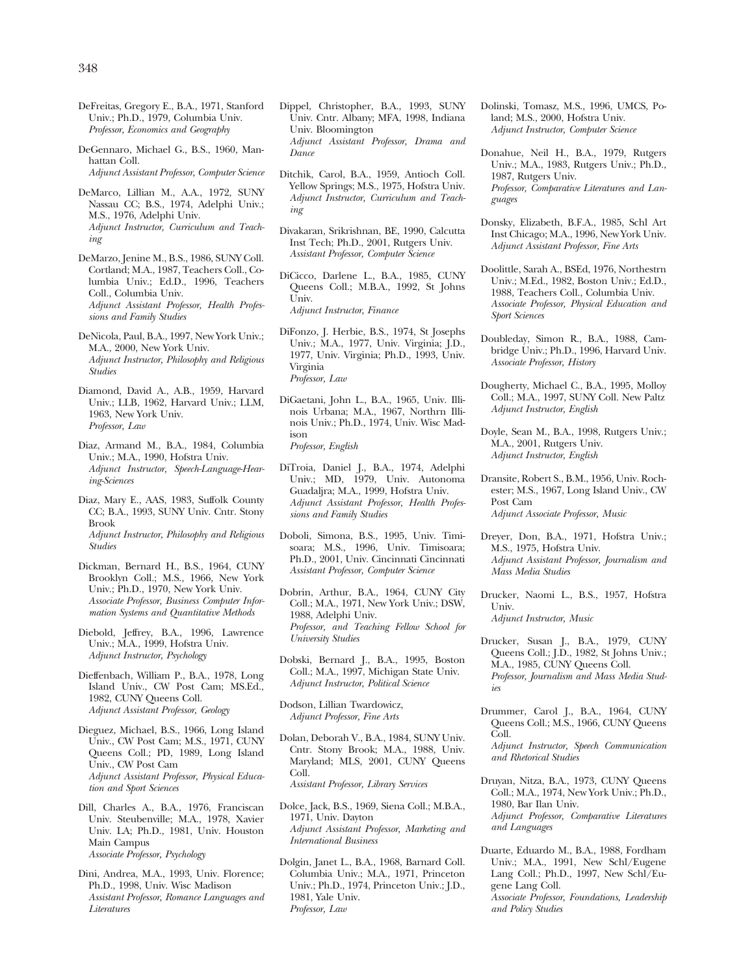- DeFreitas, Gregory E., B.A., 1971, Stanford Univ.; Ph.D., 1979, Columbia Univ. *Professor, Economics and Geography*
- DeGennaro, Michael G., B.S., 1960, Manhattan Coll. *Adjunct Assistant Professor, Computer Science*
- DeMarco, Lillian M., A.A., 1972, SUNY Nassau CC; B.S., 1974, Adelphi Univ.; M.S., 1976, Adelphi Univ. *Adjunct Instructor, Curriculum and Teaching*
- DeMarzo, Jenine M., B.S., 1986, SUNY Coll. Cortland; M.A., 1987, Teachers Coll., Columbia Univ.; Ed.D., 1996, Teachers Coll., Columbia Univ. *Adjunct Assistant Professor, Health Professions and Family Studies*
- DeNicola, Paul, B.A., 1997, New York Univ.; M.A., 2000, New York Univ. *Adjunct Instructor, Philosophy and Religious Studies*
- Diamond, David A., A.B., 1959, Harvard Univ.; LLB, 1962, Harvard Univ.; LLM, 1963, New York Univ. *Professor, Law*
- Diaz, Armand M., B.A., 1984, Columbia Univ.; M.A., 1990, Hofstra Univ. *Adjunct Instructor, Speech-Language-Hearing-Sciences*
- Diaz, Mary E., AAS, 1983, Suffolk County CC; B.A., 1993, SUNY Univ. Cntr. Stony Brook *Adjunct Instructor, Philosophy and Religious Studies*
- Dickman, Bernard H., B.S., 1964, CUNY Brooklyn Coll.; M.S., 1966, New York Univ.; Ph.D., 1970, New York Univ. *Associate Professor, Business Computer Information Systems and Quantitative Methods*
- Diebold, Jeffrey, B.A., 1996, Lawrence Univ.; M.A., 1999, Hofstra Univ. *Adjunct Instructor, Psychology*
- Dieffenbach, William P., B.A., 1978, Long Island Univ., CW Post Cam; MS.Ed., 1982, CUNY Queens Coll. *Adjunct Assistant Professor, Geology*
- Dieguez, Michael, B.S., 1966, Long Island Univ., CW Post Cam; M.S., 1971, CUNY Queens Coll.; PD, 1989, Long Island Univ., CW Post Cam *Adjunct Assistant Professor, Physical Education and Sport Sciences*
- Dill, Charles A., B.A., 1976, Franciscan Univ. Steubenville; M.A., 1978, Xavier Univ. LA; Ph.D., 1981, Univ. Houston Main Campus *Associate Professor, Psychology*
- Dini, Andrea, M.A., 1993, Univ. Florence; Ph.D., 1998, Univ. Wisc Madison *Assistant Professor, Romance Languages and Literatures*
- Dippel, Christopher, B.A., 1993, SUNY Univ. Cntr. Albany; MFA, 1998, Indiana Univ. Bloomington *Adjunct Assistant Professor, Drama and Dance*
- Ditchik, Carol, B.A., 1959, Antioch Coll. Yellow Springs; M.S., 1975, Hofstra Univ. *Adjunct Instructor, Curriculum and Teaching*
- Divakaran, Srikrishnan, BE, 1990, Calcutta Inst Tech; Ph.D., 2001, Rutgers Univ. *Assistant Professor, Computer Science*
- DiCicco, Darlene L., B.A., 1985, CUNY Queens Coll.; M.B.A., 1992, St Johns Univ. *Adjunct Instructor, Finance*
- DiFonzo, J. Herbie, B.S., 1974, St Josephs Univ.; M.A., 1977, Univ. Virginia; J.D., 1977, Univ. Virginia; Ph.D., 1993, Univ. Virginia *Professor, Law*
- DiGaetani, John L., B.A., 1965, Univ. Illinois Urbana; M.A., 1967, Northrn Illinois Univ.; Ph.D., 1974, Univ. Wisc Madison *Professor, English*
- DiTroia, Daniel J., B.A., 1974, Adelphi Univ.; MD, 1979, Univ. Autonoma Guadaljra; M.A., 1999, Hofstra Univ. *Adjunct Assistant Professor, Health Professions and Family Studies*
- Doboli, Simona, B.S., 1995, Univ. Timisoara; M.S., 1996, Univ. Timisoara; Ph.D., 2001, Univ. Cincinnati Cincinnati *Assistant Professor, Computer Science*
- Dobrin, Arthur, B.A., 1964, CUNY City Coll.; M.A., 1971, New York Univ.; DSW, 1988, Adelphi Univ. *Professor, and Teaching Fellow School for University Studies*
- Dobski, Bernard J., B.A., 1995, Boston Coll.; M.A., 1997, Michigan State Univ. *Adjunct Instructor, Political Science*
- Dodson, Lillian Twardowicz, *Adjunct Professor, Fine Arts*
- Dolan, Deborah V., B.A., 1984, SUNY Univ. Cntr. Stony Brook; M.A., 1988, Univ. Maryland; MLS, 2001, CUNY Queens Coll. *Assistant Professor, Library Services*
- Dolce, Jack, B.S., 1969, Siena Coll.; M.B.A., 1971, Univ. Dayton *Adjunct Assistant Professor, Marketing and International Business*
- Dolgin, Janet L., B.A., 1968, Barnard Coll. Columbia Univ.; M.A., 1971, Princeton Univ.; Ph.D., 1974, Princeton Univ.; J.D., 1981, Yale Univ. *Professor, Law*
- Dolinski, Tomasz, M.S., 1996, UMCS, Poland; M.S., 2000, Hofstra Univ. *Adjunct Instructor, Computer Science*
- Donahue, Neil H., B.A., 1979, Rutgers Univ.; M.A., 1983, Rutgers Univ.; Ph.D., 1987, Rutgers Univ. *Professor, Comparative Literatures and Languages*
- Donsky, Elizabeth, B.F.A., 1985, Schl Art Inst Chicago; M.A., 1996, New York Univ. *Adjunct Assistant Professor, Fine Arts*
- Doolittle, Sarah A., BSEd, 1976, Northestrn Univ.; M.Ed., 1982, Boston Univ.; Ed.D., 1988, Teachers Coll., Columbia Univ. *Associate Professor, Physical Education and Sport Sciences*
- Doubleday, Simon R., B.A., 1988, Cambridge Univ.; Ph.D., 1996, Harvard Univ. *Associate Professor, History*
- Dougherty, Michael C., B.A., 1995, Molloy Coll.; M.A., 1997, SUNY Coll. New Paltz *Adjunct Instructor, English*
- Doyle, Sean M., B.A., 1998, Rutgers Univ.; M.A., 2001, Rutgers Univ. *Adjunct Instructor, English*
- Dransite, Robert S., B.M., 1956, Univ. Rochester; M.S., 1967, Long Island Univ., CW Post Cam *Adjunct Associate Professor, Music*
- Dreyer, Don, B.A., 1971, Hofstra Univ.; M.S., 1975, Hofstra Univ. *Adjunct Assistant Professor, Journalism and Mass Media Studies*
- Drucker, Naomi L., B.S., 1957, Hofstra Univ. *Adjunct Instructor, Music*
- Drucker, Susan J., B.A., 1979, CUNY Queens Coll.; J.D., 1982, St Johns Univ.; M.A., 1985, CUNY Queens Coll. *Professor, Journalism and Mass Media Studies*
- Drummer, Carol J., B.A., 1964, CUNY Queens Coll.; M.S., 1966, CUNY Queens Coll. *Adjunct Instructor, Speech Communication* 
	- *and Rhetorical Studies*
- Druyan, Nitza, B.A., 1973, CUNY Queens Coll.; M.A., 1974, New York Univ.; Ph.D., 1980, Bar Ilan Univ. *Adjunct Professor, Comparative Literatures and Languages*
- Duarte, Eduardo M., B.A., 1988, Fordham Univ.; M.A., 1991, New Schl/Eugene Lang Coll.; Ph.D., 1997, New Schl/Eugene Lang Coll. *Associate Professor, Foundations, Leadership*

*and Policy Studies*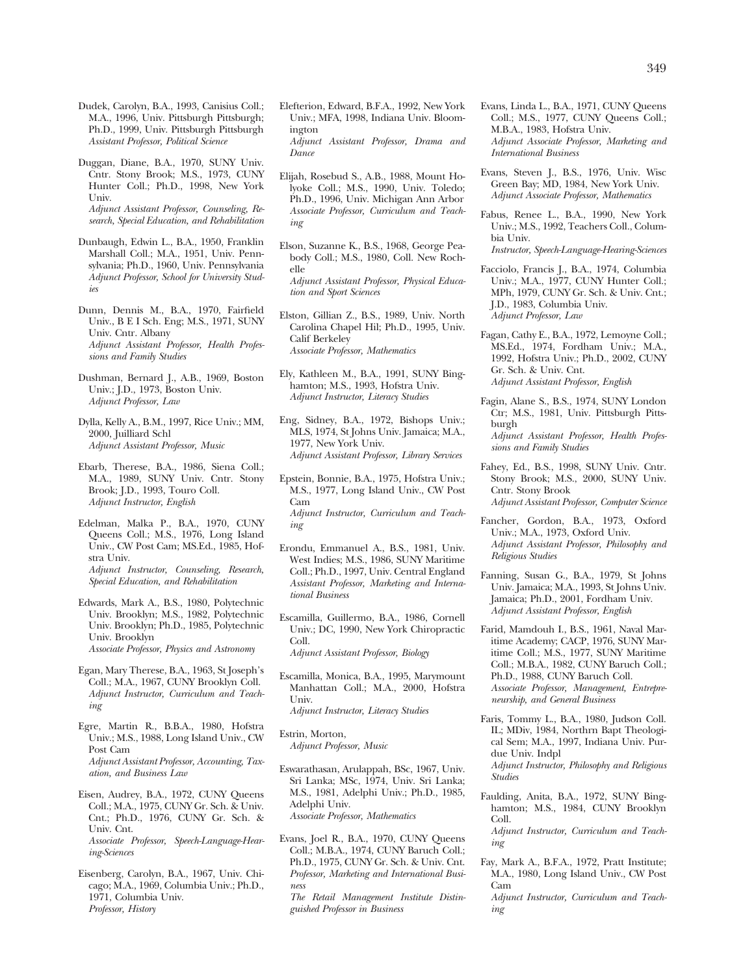- Dudek, Carolyn, B.A., 1993, Canisius Coll.; M.A., 1996, Univ. Pittsburgh Pittsburgh; Ph.D., 1999, Univ. Pittsburgh Pittsburgh *Assistant Professor, Political Science*
- Duggan, Diane, B.A., 1970, SUNY Univ. Cntr. Stony Brook; M.S., 1973, CUNY Hunter Coll.; Ph.D., 1998, New York Univ. *Adjunct Assistant Professor, Counseling, Research, Special Education, and Rehabilitation*

Dunbaugh, Edwin L., B.A., 1950, Franklin Marshall Coll.; M.A., 1951, Univ. Pennsylvania; Ph.D., 1960, Univ. Pennsylvania *Adjunct Professor, School for University Studies* 

- Dunn, Dennis M., B.A., 1970, Fairfield Univ.,BEI Sch. Eng; M.S., 1971, SUNY Univ. Cntr. Albany *Adjunct Assistant Professor, Health Professions and Family Studies*
- Dushman, Bernard J., A.B., 1969, Boston Univ.; J.D., 1973, Boston Univ. *Adjunct Professor, Law*
- Dylla, Kelly A., B.M., 1997, Rice Univ.; MM, 2000, Juilliard Schl *Adjunct Assistant Professor, Music*
- Ebarb, Therese, B.A., 1986, Siena Coll.; M.A., 1989, SUNY Univ. Cntr. Stony Brook; J.D., 1993, Touro Coll. *Adjunct Instructor, English*
- Edelman, Malka P., B.A., 1970, CUNY Queens Coll.; M.S., 1976, Long Island Univ., CW Post Cam; MS.Ed., 1985, Hofstra Univ. *Adjunct Instructor, Counseling, Research, Special Education, and Rehabilitation*
- Edwards, Mark A., B.S., 1980, Polytechnic Univ. Brooklyn; M.S., 1982, Polytechnic Univ. Brooklyn; Ph.D., 1985, Polytechnic Univ. Brooklyn *Associate Professor, Physics and Astronomy*
- Egan, Mary Therese, B.A., 1963, St Joseph's Coll.; M.A., 1967, CUNY Brooklyn Coll. *Adjunct Instructor, Curriculum and Teaching*
- Egre, Martin R., B.B.A., 1980, Hofstra Univ.; M.S., 1988, Long Island Univ., CW Post Cam *Adjunct Assistant Professor, Accounting, Taxation, and Business Law*
- Eisen, Audrey, B.A., 1972, CUNY Queens Coll.; M.A., 1975, CUNY Gr. Sch. & Univ. Cnt.; Ph.D., 1976, CUNY Gr. Sch. & Univ. Cnt. *Associate Professor, Speech-Language-Hearing-Sciences*
- Eisenberg, Carolyn, B.A., 1967, Univ. Chicago; M.A., 1969, Columbia Univ.; Ph.D., 1971, Columbia Univ. *Professor, History*
- Elefterion, Edward, B.F.A., 1992, New York Univ.; MFA, 1998, Indiana Univ. Bloomington *Adjunct Assistant Professor, Drama and Dance*
- Elijah, Rosebud S., A.B., 1988, Mount Holyoke Coll.; M.S., 1990, Univ. Toledo; Ph.D., 1996, Univ. Michigan Ann Arbor *Associate Professor, Curriculum and Teaching*
- Elson, Suzanne K., B.S., 1968, George Peabody Coll.; M.S., 1980, Coll. New Rochelle *Adjunct Assistant Professor, Physical Education and Sport Sciences*
- Elston, Gillian Z., B.S., 1989, Univ. North Carolina Chapel Hil; Ph.D., 1995, Univ. Calif Berkeley *Associate Professor, Mathematics*
- Ely, Kathleen M., B.A., 1991, SUNY Binghamton; M.S., 1993, Hofstra Univ. *Adjunct Instructor, Literacy Studies*
- Eng, Sidney, B.A., 1972, Bishops Univ.; MLS, 1974, St Johns Univ. Jamaica; M.A., 1977, New York Univ. *Adjunct Assistant Professor, Library Services*
- Epstein, Bonnie, B.A., 1975, Hofstra Univ.; M.S., 1977, Long Island Univ., CW Post Cam *Adjunct Instructor, Curriculum and Teaching*
- Erondu, Emmanuel A., B.S., 1981, Univ. West Indies; M.S., 1986, SUNY Maritime Coll.; Ph.D., 1997, Univ. Central England *Assistant Professor, Marketing and International Business*
- Escamilla, Guillermo, B.A., 1986, Cornell Univ.; DC, 1990, New York Chiropractic Coll.

*Adjunct Assistant Professor, Biology* 

- Escamilla, Monica, B.A., 1995, Marymount Manhattan Coll.; M.A., 2000, Hofstra Univ. *Adjunct Instructor, Literacy Studies*
- Estrin, Morton, *Adjunct Professor, Music*
- Eswarathasan, Arulappah, BSc, 1967, Univ. Sri Lanka; MSc, 1974, Univ. Sri Lanka; M.S., 1981, Adelphi Univ.; Ph.D., 1985, Adelphi Univ. *Associate Professor, Mathematics*
- Evans, Joel R., B.A., 1970, CUNY Queens Coll.; M.B.A., 1974, CUNY Baruch Coll.; Ph.D., 1975, CUNY Gr. Sch. & Univ. Cnt. *Professor, Marketing and International Business*

*The Retail Management Institute Distinguished Professor in Business* 

- Evans, Linda L., B.A., 1971, CUNY Queens Coll.; M.S., 1977, CUNY Queens Coll.; M.B.A., 1983, Hofstra Univ. *Adjunct Associate Professor, Marketing and International Business*
- Evans, Steven J., B.S., 1976, Univ. Wisc Green Bay; MD, 1984, New York Univ. *Adjunct Associate Professor, Mathematics*
- Fabus, Renee L., B.A., 1990, New York Univ.; M.S., 1992, Teachers Coll., Columbia Univ. *Instructor, Speech-Language-Hearing-Sciences*
- Facciolo, Francis J., B.A., 1974, Columbia Univ.; M.A., 1977, CUNY Hunter Coll.; MPh, 1979, CUNY Gr. Sch. & Univ. Cnt.; J.D., 1983, Columbia Univ. *Adjunct Professor, Law*
- Fagan, Cathy E., B.A., 1972, Lemoyne Coll.; MS.Ed., 1974, Fordham Univ.; M.A., 1992, Hofstra Univ.; Ph.D., 2002, CUNY Gr. Sch. & Univ. Cnt. *Adjunct Assistant Professor, English*
- Fagin, Alane S., B.S., 1974, SUNY London Ctr; M.S., 1981, Univ. Pittsburgh Pittsburgh *Adjunct Assistant Professor, Health Profes-*
- *sions and Family Studies*  Fahey, Ed., B.S., 1998, SUNY Univ. Cntr.
	- Stony Brook; M.S., 2000, SUNY Univ. Cntr. Stony Brook *Adjunct Assistant Professor, Computer Science*
- Fancher, Gordon, B.A., 1973, Oxford Univ.; M.A., 1973, Oxford Univ. *Adjunct Assistant Professor, Philosophy and Religious Studies*
- Fanning, Susan G., B.A., 1979, St Johns Univ. Jamaica; M.A., 1993, St Johns Univ. Jamaica; Ph.D., 2001, Fordham Univ. *Adjunct Assistant Professor, English*
- Farid, Mamdouh I., B.S., 1961, Naval Maritime Academy; CACP, 1976, SUNY Maritime Coll.; M.S., 1977, SUNY Maritime Coll.; M.B.A., 1982, CUNY Baruch Coll.; Ph.D., 1988, CUNY Baruch Coll. *Associate Professor, Management, Entrepreneurship, and General Business*
- Faris, Tommy L., B.A., 1980, Judson Coll. IL; MDiv, 1984, Northrn Bapt Theological Sem; M.A., 1997, Indiana Univ. Purdue Univ. Indpl
	- *Adjunct Instructor, Philosophy and Religious Studies*
- Faulding, Anita, B.A., 1972, SUNY Binghamton; M.S., 1984, CUNY Brooklyn Coll.

*Adjunct Instructor, Curriculum and Teaching* 

Fay, Mark A., B.F.A., 1972, Pratt Institute; M.A., 1980, Long Island Univ., CW Post Cam

*Adjunct Instructor, Curriculum and Teaching*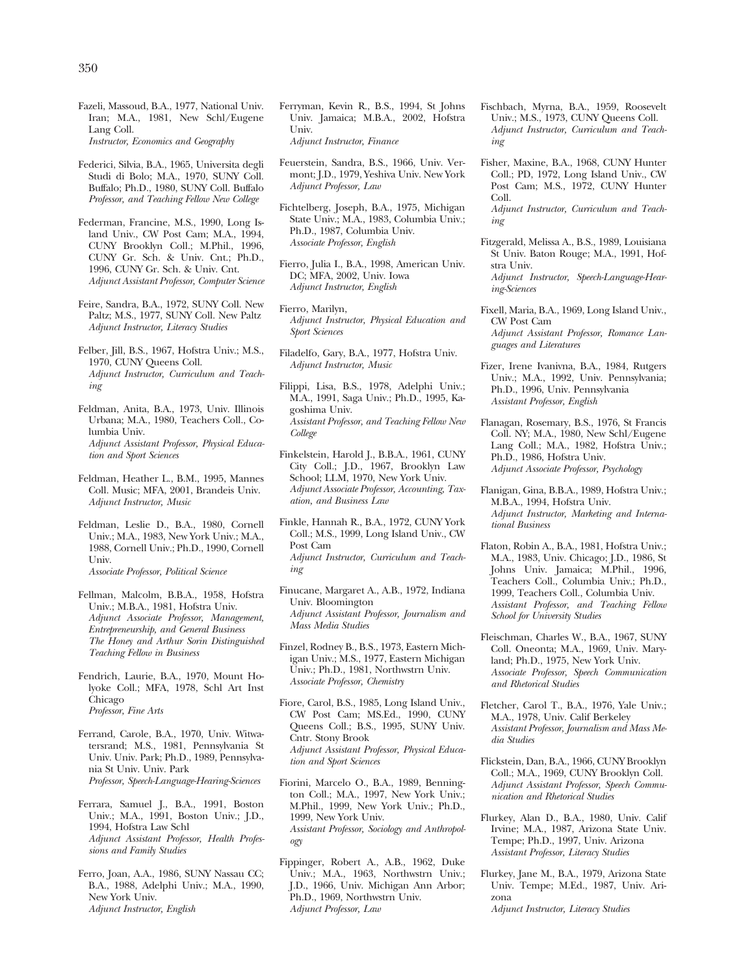- Fazeli, Massoud, B.A., 1977, National Univ. Iran; M.A., 1981, New Schl/Eugene Lang Coll. *Instructor, Economics and Geography*
- Federici, Silvia, B.A., 1965, Universita degli Studi di Bolo; M.A., 1970, SUNY Coll. Buffalo; Ph.D., 1980, SUNY Coll. Buffalo *Professor, and Teaching Fellow New College*
- Federman, Francine, M.S., 1990, Long Island Univ., CW Post Cam; M.A., 1994, CUNY Brooklyn Coll.; M.Phil., 1996, CUNY Gr. Sch. & Univ. Cnt.; Ph.D., 1996, CUNY Gr. Sch. & Univ. Cnt. *Adjunct Assistant Professor, Computer Science*
- Feire, Sandra, B.A., 1972, SUNY Coll. New Paltz; M.S., 1977, SUNY Coll. New Paltz *Adjunct Instructor, Literacy Studies*
- Felber, Jill, B.S., 1967, Hofstra Univ.; M.S., 1970, CUNY Queens Coll. *Adjunct Instructor, Curriculum and Teaching*
- Feldman, Anita, B.A., 1973, Univ. Illinois Urbana; M.A., 1980, Teachers Coll., Columbia Univ. *Adjunct Assistant Professor, Physical Education and Sport Sciences*
- Feldman, Heather L., B.M., 1995, Mannes Coll. Music; MFA, 2001, Brandeis Univ. *Adjunct Instructor, Music*
- Feldman, Leslie D., B.A., 1980, Cornell Univ.; M.A., 1983, New York Univ.; M.A., 1988, Cornell Univ.; Ph.D., 1990, Cornell Univ. *Associate Professor, Political Science*
- Fellman, Malcolm, B.B.A., 1958, Hofstra Univ.; M.B.A., 1981, Hofstra Univ. *Adjunct Associate Professor, Management, Entrepreneurship, and General Business The Honey and Arthur Sorin Distinguished Teaching Fellow in Business*
- Fendrich, Laurie, B.A., 1970, Mount Holyoke Coll.; MFA, 1978, Schl Art Inst Chicago *Professor, Fine Arts*
- Ferrand, Carole, B.A., 1970, Univ. Witwatersrand; M.S., 1981, Pennsylvania St Univ. Univ. Park; Ph.D., 1989, Pennsylvania St Univ. Univ. Park *Professor, Speech-Language-Hearing-Sciences*
- Ferrara, Samuel J., B.A., 1991, Boston Univ.; M.A., 1991, Boston Univ.; J.D., 1994, Hofstra Law Schl *Adjunct Assistant Professor, Health Professions and Family Studies*
- Ferro, Joan, A.A., 1986, SUNY Nassau CC; B.A., 1988, Adelphi Univ.; M.A., 1990, New York Univ. *Adjunct Instructor, English*
- Ferryman, Kevin R., B.S., 1994, St Johns Univ. Jamaica; M.B.A., 2002, Hofstra Univ. *Adjunct Instructor, Finance*
- Feuerstein, Sandra, B.S., 1966, Univ. Vermont; J.D., 1979, Yeshiva Univ. New York *Adjunct Professor, Law*
- Fichtelberg, Joseph, B.A., 1975, Michigan State Univ.; M.A., 1983, Columbia Univ.; Ph.D., 1987, Columbia Univ. *Associate Professor, English*
- Fierro, Julia I., B.A., 1998, American Univ. DC; MFA, 2002, Univ. Iowa *Adjunct Instructor, English*
- Fierro, Marilyn, *Adjunct Instructor, Physical Education and Sport Sciences*
- Filadelfo, Gary, B.A., 1977, Hofstra Univ. *Adjunct Instructor, Music*
- Filippi, Lisa, B.S., 1978, Adelphi Univ.; M.A., 1991, Saga Univ.; Ph.D., 1995, Kagoshima Univ. *Assistant Professor, and Teaching Fellow New College*
- Finkelstein, Harold J., B.B.A., 1961, CUNY City Coll.; J.D., 1967, Brooklyn Law School; LLM, 1970, New York Univ. *Adjunct Associate Professor, Accounting, Taxation, and Business Law*
- Finkle, Hannah R., B.A., 1972, CUNY York Coll.; M.S., 1999, Long Island Univ., CW Post Cam *Adjunct Instructor, Curriculum and Teaching*
- Finucane, Margaret A., A.B., 1972, Indiana Univ. Bloomington *Adjunct Assistant Professor, Journalism and Mass Media Studies*
- Finzel, Rodney B., B.S., 1973, Eastern Michigan Univ.; M.S., 1977, Eastern Michigan Univ.; Ph.D., 1981, Northwstrn Univ. *Associate Professor, Chemistry*
- Fiore, Carol, B.S., 1985, Long Island Univ., CW Post Cam; MS.Ed., 1990, CUNY Queens Coll.; B.S., 1995, SUNY Univ. Cntr. Stony Brook *Adjunct Assistant Professor, Physical Education and Sport Sciences*
- Fiorini, Marcelo O., B.A., 1989, Bennington Coll.; M.A., 1997, New York Univ.; M.Phil., 1999, New York Univ.; Ph.D., 1999, New York Univ. *Assistant Professor, Sociology and Anthropology*
- Fippinger, Robert A., A.B., 1962, Duke Univ.; M.A., 1963, Northwstrn Univ.; J.D., 1966, Univ. Michigan Ann Arbor; Ph.D., 1969, Northwstrn Univ. *Adjunct Professor, Law*
- Fischbach, Myrna, B.A., 1959, Roosevelt Univ.; M.S., 1973, CUNY Queens Coll. *Adjunct Instructor, Curriculum and Teaching*
- Fisher, Maxine, B.A., 1968, CUNY Hunter Coll.; PD, 1972, Long Island Univ., CW Post Cam; M.S., 1972, CUNY Hunter Coll.
	- *Adjunct Instructor, Curriculum and Teaching*
- Fitzgerald, Melissa A., B.S., 1989, Louisiana St Univ. Baton Rouge; M.A., 1991, Hofstra Univ. *Adjunct Instructor, Speech-Language-Hearing-Sciences*
- Fixell, Maria, B.A., 1969, Long Island Univ., CW Post Cam *Adjunct Assistant Professor, Romance Languages and Literatures*
- Fizer, Irene Ivanivna, B.A., 1984, Rutgers Univ.; M.A., 1992, Univ. Pennsylvania; Ph.D., 1996, Univ. Pennsylvania *Assistant Professor, English*
- Flanagan, Rosemary, B.S., 1976, St Francis Coll. NY; M.A., 1980, New Schl/Eugene Lang Coll.; M.A., 1982, Hofstra Univ.; Ph.D., 1986, Hofstra Univ. *Adjunct Associate Professor, Psychology*
- Flanigan, Gina, B.B.A., 1989, Hofstra Univ.; M.B.A., 1994, Hofstra Univ. *Adjunct Instructor, Marketing and International Business*
- Flaton, Robin A., B.A., 1981, Hofstra Univ.; M.A., 1983, Univ. Chicago; J.D., 1986, St Johns Univ. Jamaica; M.Phil., 1996, Teachers Coll., Columbia Univ.; Ph.D., 1999, Teachers Coll., Columbia Univ. *Assistant Professor, and Teaching Fellow School for University Studies*
- Fleischman, Charles W., B.A., 1967, SUNY Coll. Oneonta; M.A., 1969, Univ. Maryland; Ph.D., 1975, New York Univ. *Associate Professor, Speech Communication and Rhetorical Studies*
- Fletcher, Carol T., B.A., 1976, Yale Univ.; M.A., 1978, Univ. Calif Berkeley *Assistant Professor, Journalism and Mass Media Studies*
- Flickstein, Dan, B.A., 1966, CUNY Brooklyn Coll.; M.A., 1969, CUNY Brooklyn Coll. *Adjunct Assistant Professor, Speech Communication and Rhetorical Studies*
- Flurkey, Alan D., B.A., 1980, Univ. Calif Irvine; M.A., 1987, Arizona State Univ. Tempe; Ph.D., 1997, Univ. Arizona *Assistant Professor, Literacy Studies*
- Flurkey, Jane M., B.A., 1979, Arizona State Univ. Tempe; M.Ed., 1987, Univ. Arizona *Adjunct Instructor, Literacy Studies*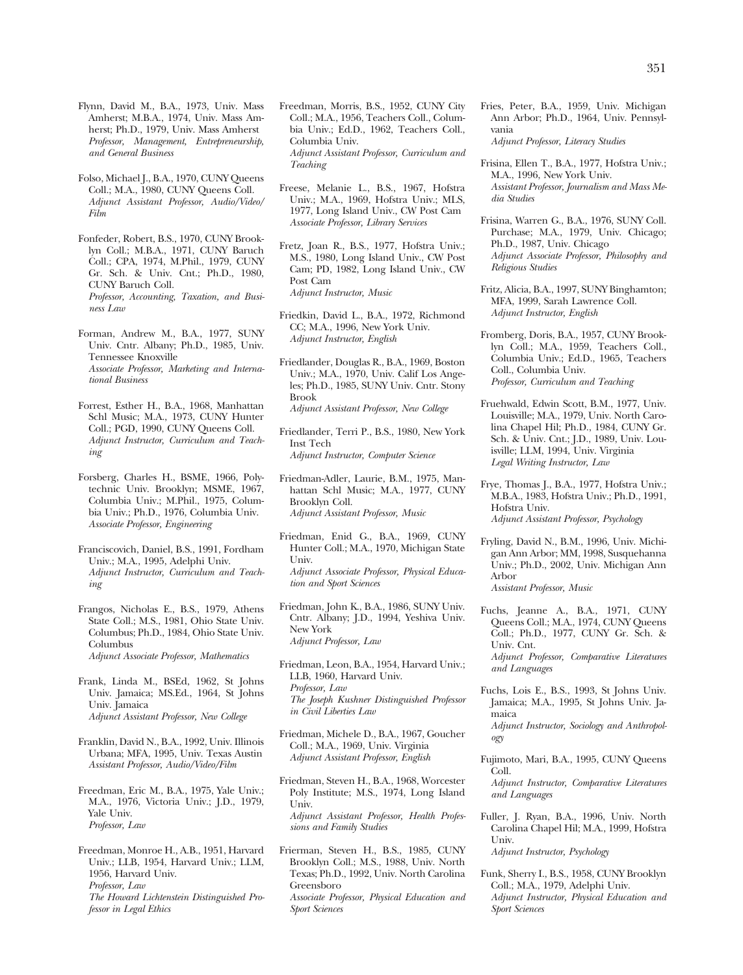Flynn, David M., B.A., 1973, Univ. Mass Amherst; M.B.A., 1974, Univ. Mass Amherst; Ph.D., 1979, Univ. Mass Amherst *Professor, Management, Entrepreneurship, and General Business* 

Folso, Michael J., B.A., 1970, CUNY Queens Coll.; M.A., 1980, CUNY Queens Coll. *Adjunct Assistant Professor, Audio/Video/ Film* 

Fonfeder, Robert, B.S., 1970, CUNY Brooklyn Coll.; M.B.A., 1971, CUNY Baruch Coll.; CPA, 1974, M.Phil., 1979, CUNY Gr. Sch. & Univ. Cnt.; Ph.D., 1980, CUNY Baruch Coll. *Professor, Accounting, Taxation, and Business Law* 

- Forman, Andrew M., B.A., 1977, SUNY Univ. Cntr. Albany; Ph.D., 1985, Univ. Tennessee Knoxville *Associate Professor, Marketing and International Business*
- Forrest, Esther H., B.A., 1968, Manhattan Schl Music; M.A., 1973, CUNY Hunter Coll.; PGD, 1990, CUNY Queens Coll. *Adjunct Instructor, Curriculum and Teaching*

Forsberg, Charles H., BSME, 1966, Polytechnic Univ. Brooklyn; MSME, 1967, Columbia Univ.; M.Phil., 1975, Columbia Univ.; Ph.D., 1976, Columbia Univ. *Associate Professor, Engineering* 

- Franciscovich, Daniel, B.S., 1991, Fordham Univ.; M.A., 1995, Adelphi Univ. *Adjunct Instructor, Curriculum and Teaching*
- Frangos, Nicholas E., B.S., 1979, Athens State Coll.; M.S., 1981, Ohio State Univ. Columbus; Ph.D., 1984, Ohio State Univ. Columbus *Adjunct Associate Professor, Mathematics*
- Frank, Linda M., BSEd, 1962, St Johns Univ. Jamaica; MS.Ed., 1964, St Johns Univ. Jamaica *Adjunct Assistant Professor, New College*
- Franklin, David N., B.A., 1992, Univ. Illinois Urbana; MFA, 1995, Univ. Texas Austin *Assistant Professor, Audio/Video/Film*
- Freedman, Eric M., B.A., 1975, Yale Univ.; M.A., 1976, Victoria Univ.; J.D., 1979, Yale Univ. *Professor, Law*
- Freedman, Monroe H., A.B., 1951, Harvard Univ.; LLB, 1954, Harvard Univ.; LLM, 1956, Harvard Univ. *Professor, Law The Howard Lichtenstein Distinguished Professor in Legal Ethics*
- Freedman, Morris, B.S., 1952, CUNY City Coll.; M.A., 1956, Teachers Coll., Columbia Univ.; Ed.D., 1962, Teachers Coll., Columbia Univ. *Adjunct Assistant Professor, Curriculum and Teaching*
- Freese, Melanie L., B.S., 1967, Hofstra Univ.; M.A., 1969, Hofstra Univ.; MLS, 1977, Long Island Univ., CW Post Cam *Associate Professor, Library Services*
- Fretz, Joan R., B.S., 1977, Hofstra Univ.; M.S., 1980, Long Island Univ., CW Post Cam; PD, 1982, Long Island Univ., CW Post Cam *Adjunct Instructor, Music*
- Friedkin, David L., B.A., 1972, Richmond CC; M.A., 1996, New York Univ. *Adjunct Instructor, English*
- Friedlander, Douglas R., B.A., 1969, Boston Univ.; M.A., 1970, Univ. Calif Los Angeles; Ph.D., 1985, SUNY Univ. Cntr. Stony Brook *Adjunct Assistant Professor, New College*
- Friedlander, Terri P., B.S., 1980, New York Inst Tech *Adjunct Instructor, Computer Science*
- Friedman-Adler, Laurie, B.M., 1975, Manhattan Schl Music; M.A., 1977, CUNY Brooklyn Coll. *Adjunct Assistant Professor, Music*
- Friedman, Enid G., B.A., 1969, CUNY Hunter Coll.; M.A., 1970, Michigan State Univ. *Adjunct Associate Professor, Physical Education and Sport Sciences*
- Friedman, John K., B.A., 1986, SUNY Univ. Cntr. Albany; J.D., 1994, Yeshiva Univ. New York *Adjunct Professor, Law*
- Friedman, Leon, B.A., 1954, Harvard Univ.; LLB, 1960, Harvard Univ. *Professor, Law The Joseph Kushner Distinguished Professor in Civil Liberties Law*
- Friedman, Michele D., B.A., 1967, Goucher Coll.; M.A., 1969, Univ. Virginia *Adjunct Assistant Professor, English*

Friedman, Steven H., B.A., 1968, Worcester Poly Institute; M.S., 1974, Long Island Univ. *Adjunct Assistant Professor, Health Professions and Family Studies* 

Frierman, Steven H., B.S., 1985, CUNY Brooklyn Coll.; M.S., 1988, Univ. North Texas; Ph.D., 1992, Univ. North Carolina Greensboro *Associate Professor, Physical Education and Sport Sciences* 

- Fries, Peter, B.A., 1959, Univ. Michigan Ann Arbor; Ph.D., 1964, Univ. Pennsylvania *Adjunct Professor, Literacy Studies*
- Frisina, Ellen T., B.A., 1977, Hofstra Univ.; M.A., 1996, New York Univ. *Assistant Professor, Journalism and Mass Media Studies*
- Frisina, Warren G., B.A., 1976, SUNY Coll. Purchase; M.A., 1979, Univ. Chicago; Ph.D., 1987, Univ. Chicago *Adjunct Associate Professor, Philosophy and Religious Studies*
- Fritz, Alicia, B.A., 1997, SUNY Binghamton; MFA, 1999, Sarah Lawrence Coll. *Adjunct Instructor, English*
- Fromberg, Doris, B.A., 1957, CUNY Brooklyn Coll.; M.A., 1959, Teachers Coll., Columbia Univ.; Ed.D., 1965, Teachers Coll., Columbia Univ. *Professor, Curriculum and Teaching*
- Fruehwald, Edwin Scott, B.M., 1977, Univ. Louisville; M.A., 1979, Univ. North Carolina Chapel Hil; Ph.D., 1984, CUNY Gr. Sch. & Univ. Cnt.; J.D., 1989, Univ. Louisville; LLM, 1994, Univ. Virginia *Legal Writing Instructor, Law*
- Frye, Thomas J., B.A., 1977, Hofstra Univ.; M.B.A., 1983, Hofstra Univ.; Ph.D., 1991, Hofstra Univ. *Adjunct Assistant Professor, Psychology*
- Fryling, David N., B.M., 1996, Univ. Michigan Ann Arbor; MM, 1998, Susquehanna Univ.; Ph.D., 2002, Univ. Michigan Ann Arbor *Assistant Professor, Music*
- Fuchs, Jeanne A., B.A., 1971, CUNY Queens Coll.; M.A., 1974, CUNY Queens Coll.; Ph.D., 1977, CUNY Gr. Sch. & Univ. Cnt.

*Adjunct Professor, Comparative Literatures and Languages* 

- Fuchs, Lois E., B.S., 1993, St Johns Univ. Jamaica; M.A., 1995, St Johns Univ. Jamaica
- *Adjunct Instructor, Sociology and Anthropology*
- Fujimoto, Mari, B.A., 1995, CUNY Queens Coll.
	- *Adjunct Instructor, Comparative Literatures and Languages*
- Fuller, J. Ryan, B.A., 1996, Univ. North Carolina Chapel Hil; M.A., 1999, Hofstra Univ. *Adjunct Instructor, Psychology*

Funk, Sherry I., B.S., 1958, CUNY Brooklyn Coll.; M.A., 1979, Adelphi Univ. *Adjunct Instructor, Physical Education and Sport Sciences*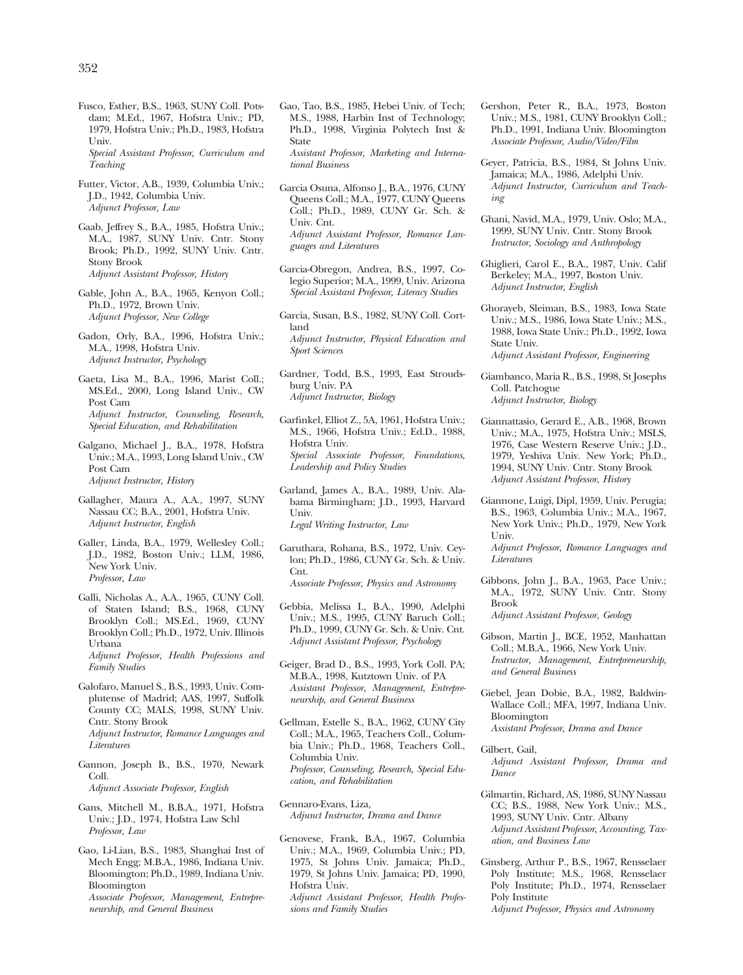Fusco, Esther, B.S., 1963, SUNY Coll. Potsdam; M.Ed., 1967, Hofstra Univ.; PD, 1979, Hofstra Univ.; Ph.D., 1983, Hofstra Univ.

*Special Assistant Professor, Curriculum and Teaching* 

- Futter, Victor, A.B., 1939, Columbia Univ.; J.D., 1942, Columbia Univ. *Adjunct Professor, Law*
- Gaab, Jeffrey S., B.A., 1985, Hofstra Univ.; M.A., 1987, SUNY Univ. Cntr. Stony Brook; Ph.D., 1992, SUNY Univ. Cntr. Stony Brook *Adjunct Assistant Professor, History*
- Gable, John A., B.A., 1965, Kenyon Coll.; Ph.D., 1972, Brown Univ. *Adjunct Professor, New College*
- Gadon, Orly, B.A., 1996, Hofstra Univ.; M.A., 1998, Hofstra Univ. *Adjunct Instructor, Psychology*
- Gaeta, Lisa M., B.A., 1996, Marist Coll.; MS.Ed., 2000, Long Island Univ., CW Post Cam *Adjunct Instructor, Counseling, Research, Special Education, and Rehabilitation*
- Galgano, Michael J., B.A., 1978, Hofstra Univ.; M.A., 1993, Long Island Univ., CW Post Cam *Adjunct Instructor, History*
- Gallagher, Maura A., A.A., 1997, SUNY Nassau CC; B.A., 2001, Hofstra Univ. *Adjunct Instructor, English*
- Galler, Linda, B.A., 1979, Wellesley Coll.; J.D., 1982, Boston Univ.; LLM, 1986, New York Univ. *Professor, Law*
- Galli, Nicholas A., A.A., 1965, CUNY Coll. of Staten Island; B.S., 1968, CUNY Brooklyn Coll.; MS.Ed., 1969, CUNY Brooklyn Coll.; Ph.D., 1972, Univ. Illinois Urbana *Adjunct Professor, Health Professions and Family Studies*
- Galofaro, Manuel S., B.S., 1993, Univ. Complutense of Madrid; AAS, 1997, Suffolk County CC; MALS, 1998, SUNY Univ. Cntr. Stony Brook *Adjunct Instructor, Romance Languages and Literatures*
- Gannon, Joseph B., B.S., 1970, Newark Coll. *Adjunct Associate Professor, English*
- Gans, Mitchell M., B.B.A., 1971, Hofstra Univ.; J.D., 1974, Hofstra Law Schl *Professor, Law*
- Gao, Li-Lian, B.S., 1983, Shanghai Inst of Mech Engg; M.B.A., 1986, Indiana Univ. Bloomington; Ph.D., 1989, Indiana Univ. Bloomington *Associate Professor, Management, Entrepreneurship, and General Business*
- Gao, Tao, B.S., 1985, Hebei Univ. of Tech; M.S., 1988, Harbin Inst of Technology; Ph.D., 1998, Virginia Polytech Inst & State *Assistant Professor, Marketing and International Business*
- Garcia Osuna, Alfonso J., B.A., 1976, CUNY Queens Coll.; M.A., 1977, CUNY Queens Coll.; Ph.D., 1989, CUNY Gr. Sch. & Univ. Cnt. *Adjunct Assistant Professor, Romance Languages and Literatures*
- Garcia-Obregon, Andrea, B.S., 1997, Colegio Superior; M.A., 1999, Univ. Arizona *Special Assistant Professor, Literacy Studies*
- Garcia, Susan, B.S., 1982, SUNY Coll. Cortland *Adjunct Instructor, Physical Education and Sport Sciences*
- Gardner, Todd, B.S., 1993, East Stroudsburg Univ. PA *Adjunct Instructor, Biology*
- Garfinkel, Elliot Z., 5A, 1961, Hofstra Univ.; M.S., 1966, Hofstra Univ.; Ed.D., 1988, Hofstra Univ. *Special Associate Professor, Foundations, Leadership and Policy Studies*
- Garland, James A., B.A., 1989, Univ. Alabama Birmingham; J.D., 1993, Harvard Univ. *Legal Writing Instructor, Law*
- Garuthara, Rohana, B.S., 1972, Univ. Ceylon; Ph.D., 1986, CUNY Gr. Sch. & Univ. Cnt. *Associate Professor, Physics and Astronomy*
- Gebbia, Melissa I., B.A., 1990, Adelphi Univ.; M.S., 1995, CUNY Baruch Coll.; Ph.D., 1999, CUNY Gr. Sch. & Univ. Cnt. *Adjunct Assistant Professor, Psychology*
- Geiger, Brad D., B.S., 1993, York Coll. PA; M.B.A., 1998, Kutztown Univ. of PA *Assistant Professor, Management, Entrepreneurship, and General Business*
- Gellman, Estelle S., B.A., 1962, CUNY City Coll.; M.A., 1965, Teachers Coll., Columbia Univ.; Ph.D., 1968, Teachers Coll., Columbia Univ. *Professor, Counseling, Research, Special Education, and Rehabilitation*
- Gennaro-Evans, Liza, *Adjunct Instructor, Drama and Dance*
- Genovese, Frank, B.A., 1967, Columbia Univ.; M.A., 1969, Columbia Univ.; PD, 1975, St Johns Univ. Jamaica; Ph.D., 1979, St Johns Univ. Jamaica; PD, 1990, Hofstra Univ. *Adjunct Assistant Professor, Health Professions and Family Studies*
- Gershon, Peter R., B.A., 1973, Boston Univ.; M.S., 1981, CUNY Brooklyn Coll.; Ph.D., 1991, Indiana Univ. Bloomington *Associate Professor, Audio/Video/Film*
- Geyer, Patricia, B.S., 1984, St Johns Univ. Jamaica; M.A., 1986, Adelphi Univ. *Adjunct Instructor, Curriculum and Teaching*
- Ghani, Navid, M.A., 1979, Univ. Oslo; M.A., 1999, SUNY Univ. Cntr. Stony Brook *Instructor, Sociology and Anthropology*
- Ghiglieri, Carol E., B.A., 1987, Univ. Calif Berkeley; M.A., 1997, Boston Univ. *Adjunct Instructor, English*
- Ghorayeb, Sleiman, B.S., 1983, Iowa State Univ.; M.S., 1986, Iowa State Univ.; M.S., 1988, Iowa State Univ.; Ph.D., 1992, Iowa State Univ. *Adjunct Assistant Professor, Engineering*
- Giambanco, Maria R., B.S., 1998, St Josephs Coll. Patchogue *Adjunct Instructor, Biology*
- Giannattasio, Gerard E., A.B., 1968, Brown Univ.; M.A., 1975, Hofstra Univ.; MSLS, 1976, Case Western Reserve Univ.; J.D., 1979, Yeshiva Univ. New York; Ph.D., 1994, SUNY Univ. Cntr. Stony Brook *Adjunct Assistant Professor, History*
- Giannone, Luigi, Dipl, 1959, Univ. Perugia; B.S., 1963, Columbia Univ.; M.A., 1967, New York Univ.; Ph.D., 1979, New York Univ.
	- *Adjunct Professor, Romance Languages and Literatures*
- Gibbons, John J., B.A., 1963, Pace Univ.; M.A., 1972, SUNY Univ. Cntr. Stony Brook *Adjunct Assistant Professor, Geology*
- Gibson, Martin J., BCE, 1952, Manhattan Coll.; M.B.A., 1966, New York Univ.
- *Instructor, Management, Entrepreneurship, and General Business*
- Giebel, Jean Dobie, B.A., 1982, Baldwin-Wallace Coll.; MFA, 1997, Indiana Univ. Bloomington *Assistant Professor, Drama and Dance*
- Gilbert, Gail,
- *Adjunct Assistant Professor, Drama and Dance*
- Gilmartin, Richard, AS, 1986, SUNY Nassau CC; B.S., 1988, New York Univ.; M.S., 1993, SUNY Univ. Cntr. Albany *Adjunct Assistant Professor, Accounting, Taxation, and Business Law*
- Ginsberg, Arthur P., B.S., 1967, Rensselaer Poly Institute; M.S., 1968, Rensselaer Poly Institute; Ph.D., 1974, Rensselaer Poly Institute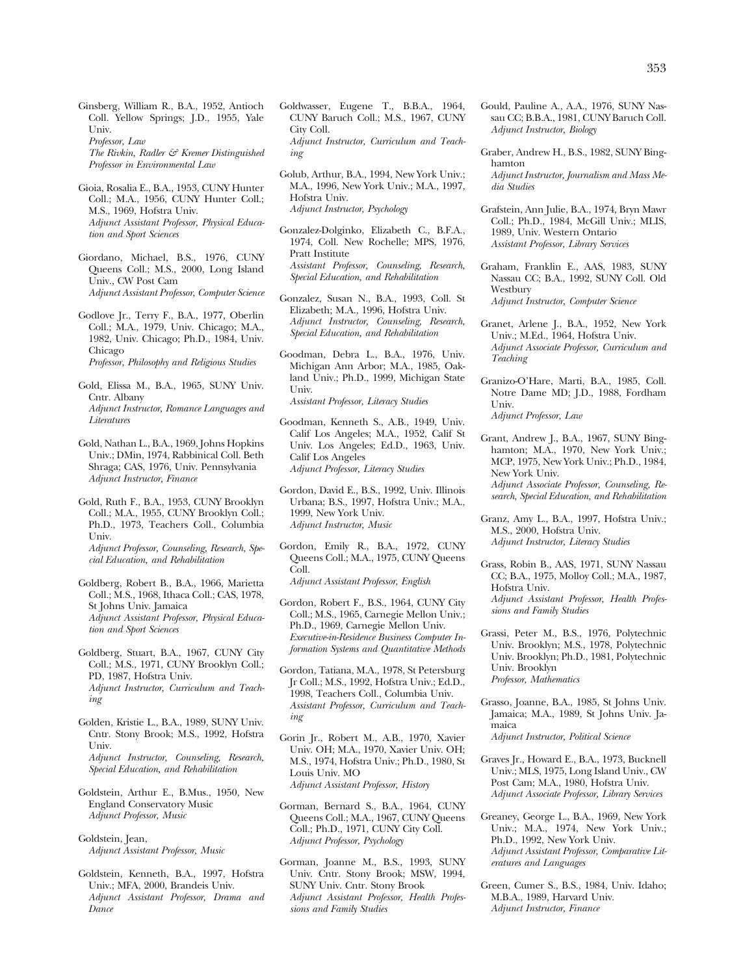Ginsberg, William R., B.A., 1952, Antioch Coll. Yellow Springs; J.D., 1955, Yale Univ. *Professor, Law* 

*The Rivkin, Radler & Kremer Distinguished Professor in Environmental Law* 

- Gioia, Rosalia E., B.A., 1953, CUNY Hunter Coll.; M.A., 1956, CUNY Hunter Coll.; M.S., 1969, Hofstra Univ. *Adjunct Assistant Professor, Physical Education and Sport Sciences*
- Giordano, Michael, B.S., 1976, CUNY Queens Coll.; M.S., 2000, Long Island Univ., CW Post Cam *Adjunct Assistant Professor, Computer Science*
- Godlove Jr., Terry F., B.A., 1977, Oberlin Coll.; M.A., 1979, Univ. Chicago; M.A., 1982, Univ. Chicago; Ph.D., 1984, Univ. Chicago *Professor, Philosophy and Religious Studies*
- Gold, Elissa M., B.A., 1965, SUNY Univ. Cntr. Albany *Adjunct Instructor, Romance Languages and Literatures*
- Gold, Nathan L., B.A., 1969, Johns Hopkins Univ.; DMin, 1974, Rabbinical Coll. Beth Shraga; CAS, 1976, Univ. Pennsylvania *Adjunct Instructor, Finance*
- Gold, Ruth F., B.A., 1953, CUNY Brooklyn Coll.; M.A., 1955, CUNY Brooklyn Coll.; Ph.D., 1973, Teachers Coll., Columbia Univ. *Adjunct Professor, Counseling, Research, Special Education, and Rehabilitation*
- Goldberg, Robert B., B.A., 1966, Marietta Coll.; M.S., 1968, Ithaca Coll.; CAS, 1978, St Johns Univ. Jamaica *Adjunct Assistant Professor, Physical Education and Sport Sciences*
- Goldberg, Stuart, B.A., 1967, CUNY City Coll.; M.S., 1971, CUNY Brooklyn Coll.; PD, 1987, Hofstra Univ. *Adjunct Instructor, Curriculum and Teaching*
- Golden, Kristie L., B.A., 1989, SUNY Univ. Cntr. Stony Brook; M.S., 1992, Hofstra Univ. *Adjunct Instructor, Counseling, Research, Special Education, and Rehabilitation*
- Goldstein, Arthur E., B.Mus., 1950, New England Conservatory Music *Adjunct Professor, Music*

Goldstein, Jean, *Adjunct Assistant Professor, Music* 

Goldstein, Kenneth, B.A., 1997, Hofstra Univ.; MFA, 2000, Brandeis Univ. *Adjunct Assistant Professor, Drama and Dance* 

- Goldwasser, Eugene T., B.B.A., 1964, CUNY Baruch Coll.; M.S., 1967, CUNY City Coll. *Adjunct Instructor, Curriculum and Teaching*
- Golub, Arthur, B.A., 1994, New York Univ.; M.A., 1996, New York Univ.; M.A., 1997, Hofstra Univ. *Adjunct Instructor, Psychology*
- Gonzalez-Dolginko, Elizabeth C., B.F.A., 1974, Coll. New Rochelle; MPS, 1976, Pratt Institute *Assistant Professor, Counseling, Research, Special Education, and Rehabilitation*
- Gonzalez, Susan N., B.A., 1993, Coll. St Elizabeth; M.A., 1996, Hofstra Univ. *Adjunct Instructor, Counseling, Research, Special Education, and Rehabilitation*
- Goodman, Debra L., B.A., 1976, Univ. Michigan Ann Arbor; M.A., 1985, Oakland Univ.; Ph.D., 1999, Michigan State Univ. *Assistant Professor, Literacy Studies*
- Goodman, Kenneth S., A.B., 1949, Univ. Calif Los Angeles; M.A., 1952, Calif St Univ. Los Angeles; Ed.D., 1963, Univ. Calif Los Angeles *Adjunct Professor, Literacy Studies*
- Gordon, David E., B.S., 1992, Univ. Illinois Urbana; B.S., 1997, Hofstra Univ.; M.A., 1999, New York Univ. *Adjunct Instructor, Music*
- Gordon, Emily R., B.A., 1972, CUNY Queens Coll.; M.A., 1975, CUNY Queens Coll.

*Adjunct Assistant Professor, English* 

- Gordon, Robert F., B.S., 1964, CUNY City Coll.; M.S., 1965, Carnegie Mellon Univ.; Ph.D., 1969, Carnegie Mellon Univ. *Executive-in-Residence Business Computer Information Systems and Quantitative Methods*
- Gordon, Tatiana, M.A., 1978, St Petersburg Jr Coll.; M.S., 1992, Hofstra Univ.; Ed.D., 1998, Teachers Coll., Columbia Univ. *Assistant Professor, Curriculum and Teaching*
- Gorin Jr., Robert M., A.B., 1970, Xavier Univ. OH; M.A., 1970, Xavier Univ. OH; M.S., 1974, Hofstra Univ.; Ph.D., 1980, St Louis Univ. MO *Adjunct Assistant Professor, History*
- Gorman, Bernard S., B.A., 1964, CUNY Queens Coll.; M.A., 1967, CUNY Queens Coll.; Ph.D., 1971, CUNY City Coll. *Adjunct Professor, Psychology*
- Gorman, Joanne M., B.S., 1993, SUNY Univ. Cntr. Stony Brook; MSW, 1994, SUNY Univ. Cntr. Stony Brook *Adjunct Assistant Professor, Health Professions and Family Studies*
- Gould, Pauline A., A.A., 1976, SUNY Nassau CC; B.B.A., 1981, CUNY Baruch Coll. *Adjunct Instructor, Biology*
- Graber, Andrew H., B.S., 1982, SUNY Binghamton *Adjunct Instructor, Journalism and Mass Me*
	- *dia Studies*
- Grafstein, Ann Julie, B.A., 1974, Bryn Mawr Coll.; Ph.D., 1984, McGill Univ.; MLIS, 1989, Univ. Western Ontario *Assistant Professor, Library Services*
- Graham, Franklin E., AAS, 1983, SUNY Nassau CC; B.A., 1992, SUNY Coll. Old Westbury *Adjunct Instructor, Computer Science* 
	-
- Granet, Arlene J., B.A., 1952, New York Univ.; M.Ed., 1964, Hofstra Univ. *Adjunct Associate Professor, Curriculum and Teaching*
- Granizo-O'Hare, Marti, B.A., 1985, Coll. Notre Dame MD; J.D., 1988, Fordham Univ.

*Adjunct Professor, Law* 

Grant, Andrew J., B.A., 1967, SUNY Binghamton; M.A., 1970, New York Univ.; MCP, 1975, New York Univ.; Ph.D., 1984, New York Univ.

*Adjunct Associate Professor, Counseling, Research, Special Education, and Rehabilitation* 

- Granz, Amy L., B.A., 1997, Hofstra Univ.; M.S., 2000, Hofstra Univ. *Adjunct Instructor, Literacy Studies*
- Grass, Robin B., AAS, 1971, SUNY Nassau CC; B.A., 1975, Molloy Coll.; M.A., 1987, Hofstra Univ. *Adjunct Assistant Professor, Health Professions and Family Studies*
- Grassi, Peter M., B.S., 1976, Polytechnic Univ. Brooklyn; M.S., 1978, Polytechnic Univ. Brooklyn; Ph.D., 1981, Polytechnic Univ. Brooklyn *Professor, Mathematics*
- Grasso, Joanne, B.A., 1985, St Johns Univ. Jamaica; M.A., 1989, St Johns Univ. Jamaica *Adjunct Instructor, Political Science*
- Graves Jr., Howard E., B.A., 1973, Bucknell Univ.; MLS, 1975, Long Island Univ., CW
- Post Cam; M.A., 1980, Hofstra Univ. *Adjunct Associate Professor, Library Services*
- Greaney, George L., B.A., 1969, New York Univ.; M.A., 1974, New York Univ.; Ph.D., 1992, New York Univ. *Adjunct Assistant Professor, Comparative Literatures and Languages*
- Green, Cumer S., B.S., 1984, Univ. Idaho; M.B.A., 1989, Harvard Univ. *Adjunct Instructor, Finance*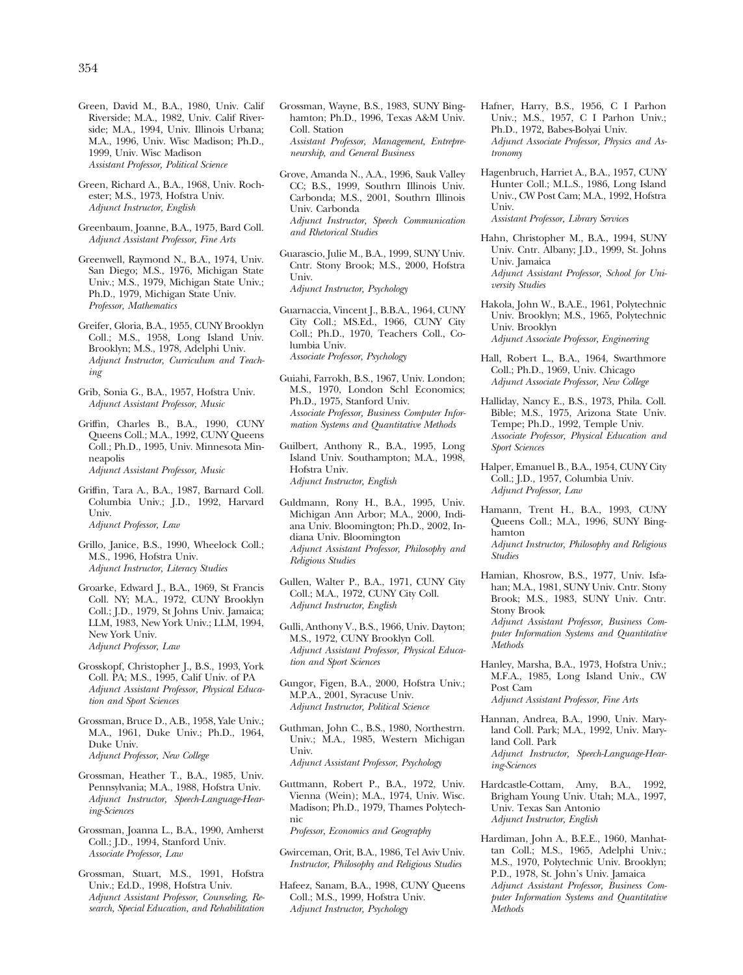Green, David M., B.A., 1980, Univ. Calif Riverside; M.A., 1982, Univ. Calif Riverside; M.A., 1994, Univ. Illinois Urbana; M.A., 1996, Univ. Wisc Madison; Ph.D., 1999, Univ. Wisc Madison *Assistant Professor, Political Science* 

Green, Richard A., B.A., 1968, Univ. Rochester; M.S., 1973, Hofstra Univ. *Adjunct Instructor, English* 

Greenbaum, Joanne, B.A., 1975, Bard Coll. *Adjunct Assistant Professor, Fine Arts* 

Greenwell, Raymond N., B.A., 1974, Univ. San Diego; M.S., 1976, Michigan State Univ.; M.S., 1979, Michigan State Univ.; Ph.D., 1979, Michigan State Univ. *Professor, Mathematics* 

Greifer, Gloria, B.A., 1955, CUNY Brooklyn Coll.; M.S., 1958, Long Island Univ. Brooklyn; M.S., 1978, Adelphi Univ. *Adjunct Instructor, Curriculum and Teaching* 

Grib, Sonia G., B.A., 1957, Hofstra Univ. *Adjunct Assistant Professor, Music* 

Griffin, Charles B., B.A., 1990, CUNY Queens Coll.; M.A., 1992, CUNY Queens Coll.; Ph.D., 1995, Univ. Minnesota Minneapolis *Adjunct Assistant Professor, Music* 

Griffin, Tara A., B.A., 1987, Barnard Coll. Columbia Univ.; J.D., 1992, Harvard Univ. *Adjunct Professor, Law* 

Grillo, Janice, B.S., 1990, Wheelock Coll.; M.S., 1996, Hofstra Univ. *Adjunct Instructor, Literacy Studies* 

Groarke, Edward J., B.A., 1969, St Francis Coll. NY; M.A., 1972, CUNY Brooklyn Coll.; J.D., 1979, St Johns Univ. Jamaica; LLM, 1983, New York Univ.; LLM, 1994, New York Univ. *Adjunct Professor, Law* 

Grosskopf, Christopher J., B.S., 1993, York Coll. PA; M.S., 1995, Calif Univ. of PA *Adjunct Assistant Professor, Physical Education and Sport Sciences* 

Grossman, Bruce D., A.B., 1958, Yale Univ.; M.A., 1961, Duke Univ.; Ph.D., 1964, Duke Univ. *Adjunct Professor, New College* 

Grossman, Heather T., B.A., 1985, Univ. Pennsylvania; M.A., 1988, Hofstra Univ. *Adjunct Instructor, Speech-Language-Hearing-Sciences* 

Grossman, Joanna L., B.A., 1990, Amherst Coll.; J.D., 1994, Stanford Univ. *Associate Professor, Law* 

Grossman, Stuart, M.S., 1991, Hofstra Univ.; Ed.D., 1998, Hofstra Univ. *Adjunct Assistant Professor, Counseling, Research, Special Education, and Rehabilitation*  Grossman, Wayne, B.S., 1983, SUNY Binghamton; Ph.D., 1996, Texas A&M Univ. Coll. Station *Assistant Professor, Management, Entrepreneurship, and General Business* 

Grove, Amanda N., A.A., 1996, Sauk Valley CC; B.S., 1999, Southrn Illinois Univ. Carbonda; M.S., 2001, Southrn Illinois Univ. Carbonda *Adjunct Instructor, Speech Communication and Rhetorical Studies* 

Guarascio, Julie M., B.A., 1999, SUNY Univ. Cntr. Stony Brook; M.S., 2000, Hofstra Univ. *Adjunct Instructor, Psychology* 

Guarnaccia, Vincent J., B.B.A., 1964, CUNY City Coll.; MS.Ed., 1966, CUNY City Coll.; Ph.D., 1970, Teachers Coll., Columbia Univ. *Associate Professor, Psychology* 

Guiahi, Farrokh, B.S., 1967, Univ. London; M.S., 1970, London Schl Economics; Ph.D., 1975, Stanford Univ. *Associate Professor, Business Computer Information Systems and Quantitative Methods* 

Guilbert, Anthony R., B.A., 1995, Long Island Univ. Southampton; M.A., 1998, Hofstra Univ. *Adjunct Instructor, English* 

Guldmann, Rony H., B.A., 1995, Univ. Michigan Ann Arbor; M.A., 2000, Indiana Univ. Bloomington; Ph.D., 2002, Indiana Univ. Bloomington *Adjunct Assistant Professor, Philosophy and Religious Studies* 

Gullen, Walter P., B.A., 1971, CUNY City Coll.; M.A., 1972, CUNY City Coll. *Adjunct Instructor, English* 

Gulli, Anthony V., B.S., 1966, Univ. Dayton; M.S., 1972, CUNY Brooklyn Coll. *Adjunct Assistant Professor, Physical Education and Sport Sciences* 

Gungor, Figen, B.A., 2000, Hofstra Univ.; M.P.A., 2001, Syracuse Univ. *Adjunct Instructor, Political Science* 

Guthman, John C., B.S., 1980, Northestrn. Univ.; M.A., 1985, Western Michigan Univ. *Adjunct Assistant Professor, Psychology* 

Guttmann, Robert P., B.A., 1972, Univ. Vienna (Wein); M.A., 1974, Univ. Wisc. Madison; Ph.D., 1979, Thames Polytechnic

*Professor, Economics and Geography* 

Gwirceman, Orit, B.A., 1986, Tel Aviv Univ. *Instructor, Philosophy and Religious Studies* 

Hafeez, Sanam, B.A., 1998, CUNY Queens Coll.; M.S., 1999, Hofstra Univ. *Adjunct Instructor, Psychology* 

Hafner, Harry, B.S., 1956, C I Parhon Univ.; M.S., 1957, C I Parhon Univ.; Ph.D., 1972, Babes-Bolyai Univ. *Adjunct Associate Professor, Physics and Astronomy* 

Hagenbruch, Harriet A., B.A., 1957, CUNY Hunter Coll.; M.L.S., 1986, Long Island Univ., CW Post Cam; M.A., 1992, Hofstra Univ. *Assistant Professor, Library Services* 

Hahn, Christopher M., B.A., 1994, SUNY Univ. Cntr. Albany; J.D., 1999, St. Johns Univ. Jamaica

*Adjunct Assistant Professor, School for University Studies* 

Hakola, John W., B.A.E., 1961, Polytechnic Univ. Brooklyn; M.S., 1965, Polytechnic Univ. Brooklyn *Adjunct Associate Professor, Engineering* 

Hall, Robert L., B.A., 1964, Swarthmore Coll.; Ph.D., 1969, Univ. Chicago *Adjunct Associate Professor, New College* 

Halliday, Nancy E., B.S., 1973, Phila. Coll. Bible; M.S., 1975, Arizona State Univ. Tempe; Ph.D., 1992, Temple Univ. *Associate Professor, Physical Education and Sport Sciences* 

Halper, Emanuel B., B.A., 1954, CUNY City Coll.; J.D., 1957, Columbia Univ. *Adjunct Professor, Law* 

Hamann, Trent H., B.A., 1993, CUNY Queens Coll.; M.A., 1996, SUNY Binghamton

*Adjunct Instructor, Philosophy and Religious Studies* 

Hamian, Khosrow, B.S., 1977, Univ. Isfahan; M.A., 1981, SUNY Univ. Cntr. Stony Brook; M.S., 1983, SUNY Univ. Cntr. Stony Brook

*Adjunct Assistant Professor, Business Computer Information Systems and Quantitative Methods* 

Hanley, Marsha, B.A., 1973, Hofstra Univ.; M.F.A., 1985, Long Island Univ., CW Post Cam *Adjunct Assistant Professor, Fine Arts* 

Hannan, Andrea, B.A., 1990, Univ. Maryland Coll. Park; M.A., 1992, Univ. Maryland Coll. Park *Adjunct Instructor, Speech-Language-Hearing-Sciences* 

- Hardcastle-Cottam, Amy, B.A., 1992, Brigham Young Univ. Utah; M.A., 1997, Univ. Texas San Antonio *Adjunct Instructor, English*
- Hardiman, John A., B.E.E., 1960, Manhattan Coll.; M.S., 1965, Adelphi Univ.; M.S., 1970, Polytechnic Univ. Brooklyn; P.D., 1978, St. John's Univ. Jamaica *Adjunct Assistant Professor, Business Computer Information Systems and Quantitative Methods*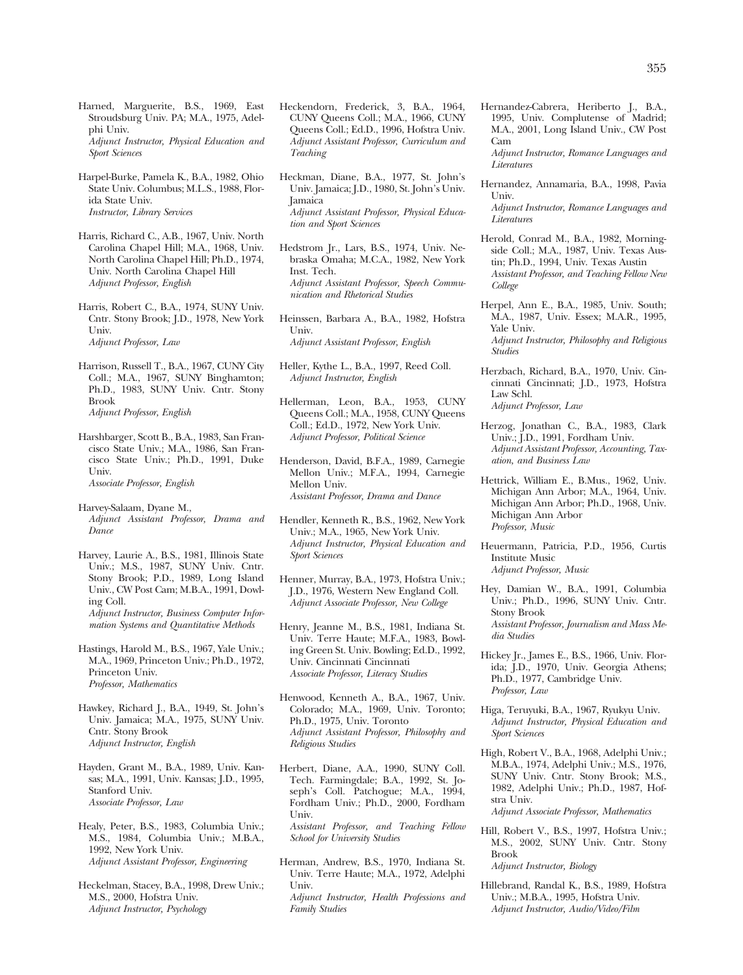Harned, Marguerite, B.S., 1969, East Stroudsburg Univ. PA; M.A., 1975, Adelphi Univ. *Adjunct Instructor, Physical Education and Sport Sciences* 

Harpel-Burke, Pamela K., B.A., 1982, Ohio State Univ. Columbus; M.L.S., 1988, Florida State Univ. *Instructor, Library Services* 

Harris, Richard C., A.B., 1967, Univ. North Carolina Chapel Hill; M.A., 1968, Univ. North Carolina Chapel Hill; Ph.D., 1974, Univ. North Carolina Chapel Hill *Adjunct Professor, English* 

Harris, Robert C., B.A., 1974, SUNY Univ. Cntr. Stony Brook; J.D., 1978, New York Univ. *Adjunct Professor, Law* 

Harrison, Russell T., B.A., 1967, CUNY City Coll.; M.A., 1967, SUNY Binghamton; Ph.D., 1983, SUNY Univ. Cntr. Stony Brook *Adjunct Professor, English* 

- Harshbarger, Scott B., B.A., 1983, San Francisco State Univ.; M.A., 1986, San Francisco State Univ.; Ph.D., 1991, Duke Univ. *Associate Professor, English*
- Harvey-Salaam, Dyane M., *Adjunct Assistant Professor, Drama and Dance*
- Harvey, Laurie A., B.S., 1981, Illinois State Univ.; M.S., 1987, SUNY Univ. Cntr. Stony Brook; P.D., 1989, Long Island Univ., CW Post Cam; M.B.A., 1991, Dowling Coll. *Adjunct Instructor, Business Computer Information Systems and Quantitative Methods*
- Hastings, Harold M., B.S., 1967, Yale Univ.; M.A., 1969, Princeton Univ.; Ph.D., 1972, Princeton Univ. *Professor, Mathematics*
- Hawkey, Richard J., B.A., 1949, St. John's Univ. Jamaica; M.A., 1975, SUNY Univ. Cntr. Stony Brook *Adjunct Instructor, English*
- Hayden, Grant M., B.A., 1989, Univ. Kansas; M.A., 1991, Univ. Kansas; J.D., 1995, Stanford Univ. *Associate Professor, Law*
- Healy, Peter, B.S., 1983, Columbia Univ.; M.S., 1984, Columbia Univ.; M.B.A., 1992, New York Univ. *Adjunct Assistant Professor, Engineering*
- Heckelman, Stacey, B.A., 1998, Drew Univ.; M.S., 2000, Hofstra Univ. *Adjunct Instructor, Psychology*
- Heckendorn, Frederick, 3, B.A., 1964, CUNY Queens Coll.; M.A., 1966, CUNY Queens Coll.; Ed.D., 1996, Hofstra Univ. *Adjunct Assistant Professor, Curriculum and Teaching*
- Heckman, Diane, B.A., 1977, St. John's Univ. Jamaica; J.D., 1980, St. John's Univ. Jamaica *Adjunct Assistant Professor, Physical Education and Sport Sciences*
- Hedstrom Jr., Lars, B.S., 1974, Univ. Nebraska Omaha; M.C.A., 1982, New York Inst. Tech. *Adjunct Assistant Professor, Speech Communication and Rhetorical Studies*
- Heinssen, Barbara A., B.A., 1982, Hofstra Univ. *Adjunct Assistant Professor, English*
- Heller, Kythe L., B.A., 1997, Reed Coll. *Adjunct Instructor, English*
- Hellerman, Leon, B.A., 1953, CUNY Queens Coll.; M.A., 1958, CUNY Queens Coll.; Ed.D., 1972, New York Univ. *Adjunct Professor, Political Science*
- Henderson, David, B.F.A., 1989, Carnegie Mellon Univ.; M.F.A., 1994, Carnegie Mellon Univ. *Assistant Professor, Drama and Dance*
- Hendler, Kenneth R., B.S., 1962, New York Univ.; M.A., 1965, New York Univ. *Adjunct Instructor, Physical Education and Sport Sciences*
- Henner, Murray, B.A., 1973, Hofstra Univ.; J.D., 1976, Western New England Coll. *Adjunct Associate Professor, New College*
- Henry, Jeanne M., B.S., 1981, Indiana St. Univ. Terre Haute; M.F.A., 1983, Bowling Green St. Univ. Bowling; Ed.D., 1992, Univ. Cincinnati Cincinnati *Associate Professor, Literacy Studies*
- Henwood, Kenneth A., B.A., 1967, Univ. Colorado; M.A., 1969, Univ. Toronto; Ph.D., 1975, Univ. Toronto *Adjunct Assistant Professor, Philosophy and Religious Studies*
- Herbert, Diane, A.A., 1990, SUNY Coll. Tech. Farmingdale; B.A., 1992, St. Joseph's Coll. Patchogue; M.A., 1994, Fordham Univ.; Ph.D., 2000, Fordham Univ. *Assistant Professor, and Teaching Fellow School for University Studies*
- Herman, Andrew, B.S., 1970, Indiana St. Univ. Terre Haute; M.A., 1972, Adelphi Univ. *Adjunct Instructor, Health Professions and Family Studies*

Hernandez-Cabrera, Heriberto J., B.A., 1995, Univ. Complutense of Madrid; M.A., 2001, Long Island Univ., CW Post Cam *Adjunct Instructor, Romance Languages and* 

*Literatures* 

Hernandez, Annamaria, B.A., 1998, Pavia Univ.

*Adjunct Instructor, Romance Languages and Literatures* 

- Herold, Conrad M., B.A., 1982, Morningside Coll.; M.A., 1987, Univ. Texas Austin; Ph.D., 1994, Univ. Texas Austin *Assistant Professor, and Teaching Fellow New College*
- Herpel, Ann E., B.A., 1985, Univ. South; M.A., 1987, Univ. Essex; M.A.R., 1995, Yale Univ. *Adjunct Instructor, Philosophy and Religious Studies*
- Herzbach, Richard, B.A., 1970, Univ. Cincinnati Cincinnati; J.D., 1973, Hofstra Law Schl. *Adjunct Professor, Law*
- Herzog, Jonathan C., B.A., 1983, Clark Univ.; J.D., 1991, Fordham Univ. *Adjunct Assistant Professor, Accounting, Taxation, and Business Law*
- Hettrick, William E., B.Mus., 1962, Univ. Michigan Ann Arbor; M.A., 1964, Univ. Michigan Ann Arbor; Ph.D., 1968, Univ. Michigan Ann Arbor *Professor, Music*
- Heuermann, Patricia, P.D., 1956, Curtis Institute Music *Adjunct Professor, Music*
- Hey, Damian W., B.A., 1991, Columbia Univ.; Ph.D., 1996, SUNY Univ. Cntr. Stony Brook *Assistant Professor, Journalism and Mass Media Studies*
- Hickey Jr., James E., B.S., 1966, Univ. Florida; J.D., 1970, Univ. Georgia Athens; Ph.D., 1977, Cambridge Univ. *Professor, Law*
- Higa, Teruyuki, B.A., 1967, Ryukyu Univ. *Adjunct Instructor, Physical Education and Sport Sciences*
- High, Robert V., B.A., 1968, Adelphi Univ.; M.B.A., 1974, Adelphi Univ.; M.S., 1976, SUNY Univ. Cntr. Stony Brook; M.S., 1982, Adelphi Univ.; Ph.D., 1987, Hofstra Univ.

*Adjunct Associate Professor, Mathematics* 

- Hill, Robert V., B.S., 1997, Hofstra Univ.; M.S., 2002, SUNY Univ. Cntr. Stony Brook *Adjunct Instructor, Biology*
- Hillebrand, Randal K., B.S., 1989, Hofstra Univ.; M.B.A., 1995, Hofstra Univ. *Adjunct Instructor, Audio/Video/Film*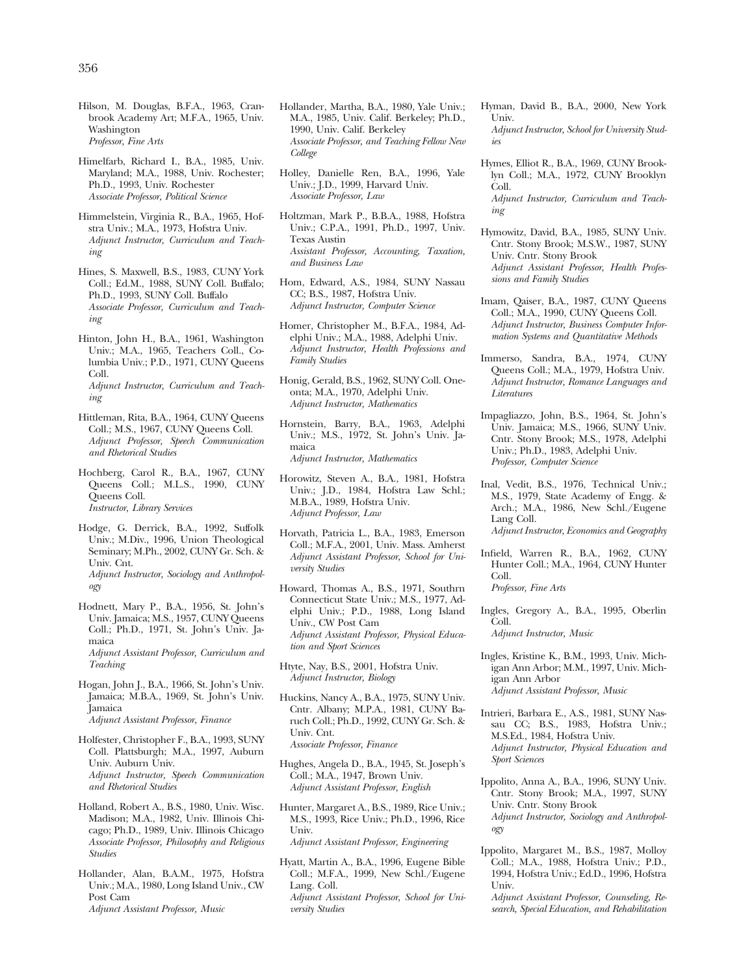Hilson, M. Douglas, B.F.A., 1963, Cranbrook Academy Art; M.F.A., 1965, Univ. Washington *Professor, Fine Arts* 

Himelfarb, Richard I., B.A., 1985, Univ. Maryland; M.A., 1988, Univ. Rochester; Ph.D., 1993, Univ. Rochester *Associate Professor, Political Science* 

Himmelstein, Virginia R., B.A., 1965, Hofstra Univ.; M.A., 1973, Hofstra Univ. *Adjunct Instructor, Curriculum and Teaching* 

Hines, S. Maxwell, B.S., 1983, CUNY York Coll.; Ed.M., 1988, SUNY Coll. Buffalo; Ph.D., 1993, SUNY Coll. Buffalo *Associate Professor, Curriculum and Teaching* 

Hinton, John H., B.A., 1961, Washington Univ.; M.A., 1965, Teachers Coll., Columbia Univ.; P.D., 1971, CUNY Queens Coll. *Adjunct Instructor, Curriculum and Teaching* 

Hittleman, Rita, B.A., 1964, CUNY Queens Coll.; M.S., 1967, CUNY Queens Coll. *Adjunct Professor, Speech Communication and Rhetorical Studies* 

Hochberg, Carol R., B.A., 1967, CUNY Queens Coll.; M.L.S., 1990, CUNY Queens Coll. *Instructor, Library Services* 

Hodge, G. Derrick, B.A., 1992, Suffolk Univ.; M.Div., 1996, Union Theological Seminary; M.Ph., 2002, CUNY Gr. Sch. & Univ. Cnt. *Adjunct Instructor, Sociology and Anthropology* 

Hodnett, Mary P., B.A., 1956, St. John's Univ. Jamaica; M.S., 1957, CUNY Queens Coll.; Ph.D., 1971, St. John's Univ. Jamaica *Adjunct Assistant Professor, Curriculum and Teaching* 

Hogan, John J., B.A., 1966, St. John's Univ. Jamaica; M.B.A., 1969, St. John's Univ. Jamaica *Adjunct Assistant Professor, Finance* 

- Holfester, Christopher F., B.A., 1993, SUNY Coll. Plattsburgh; M.A., 1997, Auburn Univ. Auburn Univ. *Adjunct Instructor, Speech Communication and Rhetorical Studies*
- Holland, Robert A., B.S., 1980, Univ. Wisc. Madison; M.A., 1982, Univ. Illinois Chicago; Ph.D., 1989, Univ. Illinois Chicago *Associate Professor, Philosophy and Religious Studies*
- Hollander, Alan, B.A.M., 1975, Hofstra Univ.; M.A., 1980, Long Island Univ., CW Post Cam *Adjunct Assistant Professor, Music*

Hollander, Martha, B.A., 1980, Yale Univ.; M.A., 1985, Univ. Calif. Berkeley; Ph.D., 1990, Univ. Calif. Berkeley *Associate Professor, and Teaching Fellow New College* 

Holley, Danielle Ren, B.A., 1996, Yale Univ.; J.D., 1999, Harvard Univ. *Associate Professor, Law* 

- Holtzman, Mark P., B.B.A., 1988, Hofstra Univ.; C.P.A., 1991, Ph.D., 1997, Univ. Texas Austin *Assistant Professor, Accounting, Taxation, and Business Law*
- Hom, Edward, A.S., 1984, SUNY Nassau CC; B.S., 1987, Hofstra Univ. *Adjunct Instructor, Computer Science*

Homer, Christopher M., B.F.A., 1984, Adelphi Univ.; M.A., 1988, Adelphi Univ. *Adjunct Instructor, Health Professions and Family Studies* 

Honig, Gerald, B.S., 1962, SUNY Coll. Oneonta; M.A., 1970, Adelphi Univ. *Adjunct Instructor, Mathematics* 

Hornstein, Barry, B.A., 1963, Adelphi Univ.; M.S., 1972, St. John's Univ. Jamaica *Adjunct Instructor, Mathematics* 

Horowitz, Steven A., B.A., 1981, Hofstra Univ.; J.D., 1984, Hofstra Law Schl.; M.B.A., 1989, Hofstra Univ. *Adjunct Professor, Law* 

- Horvath, Patricia L., B.A., 1983, Emerson Coll.; M.F.A., 2001, Univ. Mass. Amherst *Adjunct Assistant Professor, School for University Studies*
- Howard, Thomas A., B.S., 1971, Southrn Connecticut State Univ.; M.S., 1977, Adelphi Univ.; P.D., 1988, Long Island Univ., CW Post Cam *Adjunct Assistant Professor, Physical Education and Sport Sciences*

Htyte, Nay, B.S., 2001, Hofstra Univ. *Adjunct Instructor, Biology* 

Huckins, Nancy A., B.A., 1975, SUNY Univ. Cntr. Albany; M.P.A., 1981, CUNY Baruch Coll.; Ph.D., 1992, CUNY Gr. Sch. & Univ. Cnt. *Associate Professor, Finance* 

Hughes, Angela D., B.A., 1945, St. Joseph's Coll.; M.A., 1947, Brown Univ. *Adjunct Assistant Professor, English* 

Hunter, Margaret A., B.S., 1989, Rice Univ.; M.S., 1993, Rice Univ.; Ph.D., 1996, Rice Univ.

*Adjunct Assistant Professor, Engineering* 

Hyatt, Martin A., B.A., 1996, Eugene Bible Coll.; M.F.A., 1999, New Schl./Eugene Lang. Coll. *Adjunct Assistant Professor, School for University Studies* 

- Hyman, David B., B.A., 2000, New York Univ. *Adjunct Instructor, School for University Studies*
- Hymes, Elliot R., B.A., 1969, CUNY Brooklyn Coll.; M.A., 1972, CUNY Brooklyn Coll. *Adjunct Instructor, Curriculum and Teaching*
- Hymowitz, David, B.A., 1985, SUNY Univ. Cntr. Stony Brook; M.S.W., 1987, SUNY Univ. Cntr. Stony Brook *Adjunct Assistant Professor, Health Professions and Family Studies*
- Imam, Qaiser, B.A., 1987, CUNY Queens Coll.; M.A., 1990, CUNY Queens Coll. *Adjunct Instructor, Business Computer Information Systems and Quantitative Methods*
- Immerso, Sandra, B.A., 1974, CUNY Queens Coll.; M.A., 1979, Hofstra Univ. *Adjunct Instructor, Romance Languages and Literatures*
- Impagliazzo, John, B.S., 1964, St. John's Univ. Jamaica; M.S., 1966, SUNY Univ. Cntr. Stony Brook; M.S., 1978, Adelphi Univ.; Ph.D., 1983, Adelphi Univ. *Professor, Computer Science*
- Inal, Vedit, B.S., 1976, Technical Univ.; M.S., 1979, State Academy of Engg. & Arch.; M.A., 1986, New Schl./Eugene Lang Coll.

*Adjunct Instructor, Economics and Geography* 

- Infield, Warren R., B.A., 1962, CUNY Hunter Coll.; M.A., 1964, CUNY Hunter Coll. *Professor, Fine Arts*
- Ingles, Gregory A., B.A., 1995, Oberlin Coll.

*Adjunct Instructor, Music* 

- Ingles, Kristine K., B.M., 1993, Univ. Michigan Ann Arbor; M.M., 1997, Univ. Michigan Ann Arbor *Adjunct Assistant Professor, Music*
- Intrieri, Barbara E., A.S., 1981, SUNY Nassau CC; B.S., 1983, Hofstra Univ.; M.S.Ed., 1984, Hofstra Univ. *Adjunct Instructor, Physical Education and Sport Sciences*
- Ippolito, Anna A., B.A., 1996, SUNY Univ. Cntr. Stony Brook; M.A., 1997, SUNY Univ. Cntr. Stony Brook *Adjunct Instructor, Sociology and Anthropology*
- Ippolito, Margaret M., B.S., 1987, Molloy Coll.; M.A., 1988, Hofstra Univ.; P.D., 1994, Hofstra Univ.; Ed.D., 1996, Hofstra Univ.

*Adjunct Assistant Professor, Counseling, Research, Special Education, and Rehabilitation*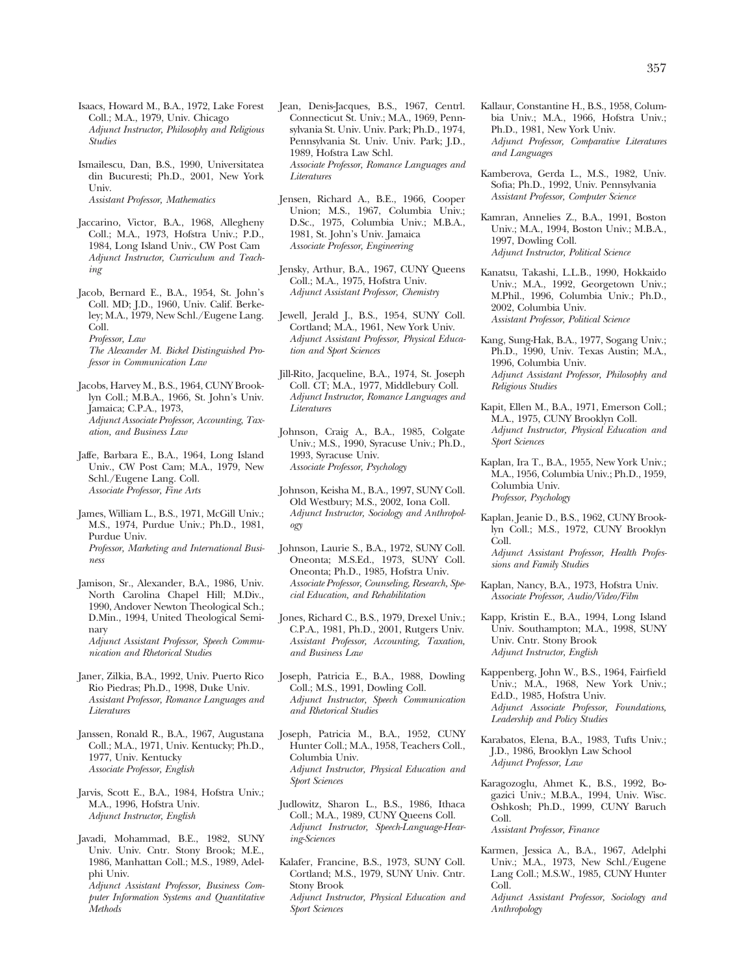Isaacs, Howard M., B.A., 1972, Lake Forest Coll.; M.A., 1979, Univ. Chicago *Adjunct Instructor, Philosophy and Religious Studies* 

Ismailescu, Dan, B.S., 1990, Universitatea din Bucuresti; Ph.D., 2001, New York Univ. *Assistant Professor, Mathematics* 

Jaccarino, Victor, B.A., 1968, Allegheny Coll.; M.A., 1973, Hofstra Univ.; P.D., 1984, Long Island Univ., CW Post Cam *Adjunct Instructor, Curriculum and Teaching* 

Jacob, Bernard E., B.A., 1954, St. John's Coll. MD; J.D., 1960, Univ. Calif. Berkeley; M.A., 1979, New Schl./Eugene Lang. Coll. *Professor, Law The Alexander M. Bickel Distinguished Professor in Communication Law* 

Jacobs, Harvey M., B.S., 1964, CUNY Brooklyn Coll.; M.B.A., 1966, St. John's Univ. Jamaica; C.P.A., 1973, *Adjunct Associate Professor, Accounting, Taxation, and Business Law* 

Jaffe, Barbara E., B.A., 1964, Long Island Univ., CW Post Cam; M.A., 1979, New Schl./Eugene Lang. Coll. *Associate Professor, Fine Arts* 

James, William L., B.S., 1971, McGill Univ.; M.S., 1974, Purdue Univ.; Ph.D., 1981, Purdue Univ. *Professor, Marketing and International Business* 

- Jamison, Sr., Alexander, B.A., 1986, Univ. North Carolina Chapel Hill; M.Div., 1990, Andover Newton Theological Sch.; D.Min., 1994, United Theological Seminary *Adjunct Assistant Professor, Speech Communication and Rhetorical Studies*
- Janer, Zilkia, B.A., 1992, Univ. Puerto Rico Rio Piedras; Ph.D., 1998, Duke Univ. *Assistant Professor, Romance Languages and Literatures*

Janssen, Ronald R., B.A., 1967, Augustana Coll.; M.A., 1971, Univ. Kentucky; Ph.D., 1977, Univ. Kentucky *Associate Professor, English* 

Jarvis, Scott E., B.A., 1984, Hofstra Univ.; M.A., 1996, Hofstra Univ. *Adjunct Instructor, English* 

Javadi, Mohammad, B.E., 1982, SUNY Univ. Univ. Cntr. Stony Brook; M.E., 1986, Manhattan Coll.; M.S., 1989, Adelphi Univ. *Adjunct Assistant Professor, Business Com-*

*puter Information Systems and Quantitative Methods* 

Jean, Denis-Jacques, B.S., 1967, Centrl. Connecticut St. Univ.; M.A., 1969, Pennsylvania St. Univ. Univ. Park; Ph.D., 1974, Pennsylvania St. Univ. Univ. Park; J.D., 1989, Hofstra Law Schl. *Associate Professor, Romance Languages and Literatures* 

- Jensen, Richard A., B.E., 1966, Cooper Union; M.S., 1967, Columbia Univ.; D.Sc., 1975, Columbia Univ.; M.B.A., 1981, St. John's Univ. Jamaica *Associate Professor, Engineering*
- Jensky, Arthur, B.A., 1967, CUNY Queens Coll.; M.A., 1975, Hofstra Univ. *Adjunct Assistant Professor, Chemistry*

Jewell, Jerald J., B.S., 1954, SUNY Coll. Cortland; M.A., 1961, New York Univ. *Adjunct Assistant Professor, Physical Education and Sport Sciences* 

Jill-Rito, Jacqueline, B.A., 1974, St. Joseph Coll. CT; M.A., 1977, Middlebury Coll. *Adjunct Instructor, Romance Languages and Literatures* 

Johnson, Craig A., B.A., 1985, Colgate Univ.; M.S., 1990, Syracuse Univ.; Ph.D., 1993, Syracuse Univ. *Associate Professor, Psychology* 

Johnson, Keisha M., B.A., 1997, SUNY Coll. Old Westbury; M.S., 2002, Iona Coll. *Adjunct Instructor, Sociology and Anthropology* 

Johnson, Laurie S., B.A., 1972, SUNY Coll. Oneonta; M.S.Ed., 1973, SUNY Coll. Oneonta; Ph.D., 1985, Hofstra Univ. *Associate Professor, Counseling, Research, Special Education, and Rehabilitation* 

Jones, Richard C., B.S., 1979, Drexel Univ.; C.P.A., 1981, Ph.D., 2001, Rutgers Univ. *Assistant Professor, Accounting, Taxation, and Business Law* 

- Joseph, Patricia E., B.A., 1988, Dowling Coll.; M.S., 1991, Dowling Coll. *Adjunct Instructor, Speech Communication and Rhetorical Studies*
- Joseph, Patricia M., B.A., 1952, CUNY Hunter Coll.; M.A., 1958, Teachers Coll., Columbia Univ. *Adjunct Instructor, Physical Education and Sport Sciences*
- Judlowitz, Sharon L., B.S., 1986, Ithaca Coll.; M.A., 1989, CUNY Queens Coll. *Adjunct Instructor, Speech-Language-Hearing-Sciences*
- Kalafer, Francine, B.S., 1973, SUNY Coll. Cortland; M.S., 1979, SUNY Univ. Cntr. Stony Brook *Adjunct Instructor, Physical Education and Sport Sciences*
- Kallaur, Constantine H., B.S., 1958, Columbia Univ.; M.A., 1966, Hofstra Univ.; Ph.D., 1981, New York Univ. *Adjunct Professor, Comparative Literatures and Languages*
- Kamberova, Gerda L., M.S., 1982, Univ. Sofia; Ph.D., 1992, Univ. Pennsylvania *Assistant Professor, Computer Science*

Kamran, Annelies Z., B.A., 1991, Boston Univ.; M.A., 1994, Boston Univ.; M.B.A., 1997, Dowling Coll. *Adjunct Instructor, Political Science* 

- Kanatsu, Takashi, L.L.B., 1990, Hokkaido Univ.; M.A., 1992, Georgetown Univ.; M.Phil., 1996, Columbia Univ.; Ph.D., 2002, Columbia Univ. *Assistant Professor, Political Science*
- Kang, Sung-Hak, B.A., 1977, Sogang Univ.; Ph.D., 1990, Univ. Texas Austin; M.A., 1996, Columbia Univ. *Adjunct Assistant Professor, Philosophy and Religious Studies*
- Kapit, Ellen M., B.A., 1971, Emerson Coll.; M.A., 1975, CUNY Brooklyn Coll. *Adjunct Instructor, Physical Education and Sport Sciences*
- Kaplan, Ira T., B.A., 1955, New York Univ.; M.A., 1956, Columbia Univ.; Ph.D., 1959, Columbia Univ. *Professor, Psychology*
- Kaplan, Jeanie D., B.S., 1962, CUNY Brooklyn Coll.; M.S., 1972, CUNY Brooklyn Coll. *Adjunct Assistant Professor, Health Profes-*

*sions and Family Studies* 

- Kaplan, Nancy, B.A., 1973, Hofstra Univ. *Associate Professor, Audio/Video/Film*
- Kapp, Kristin E., B.A., 1994, Long Island Univ. Southampton; M.A., 1998, SUNY Univ. Cntr. Stony Brook *Adjunct Instructor, English*
- Kappenberg, John W., B.S., 1964, Fairfield Univ.; M.A., 1968, New York Univ.; Ed.D., 1985, Hofstra Univ. *Adjunct Associate Professor, Foundations, Leadership and Policy Studies*
- Karabatos, Elena, B.A., 1983, Tufts Univ.; J.D., 1986, Brooklyn Law School *Adjunct Professor, Law*
- Karagozoglu, Ahmet K., B.S., 1992, Bogazici Univ.; M.B.A., 1994, Univ. Wisc. Oshkosh; Ph.D., 1999, CUNY Baruch Coll.

*Assistant Professor, Finance* 

Karmen, Jessica A., B.A., 1967, Adelphi Univ.; M.A., 1973, New Schl./Eugene Lang Coll.; M.S.W., 1985, CUNY Hunter Coll.

*Adjunct Assistant Professor, Sociology and Anthropology*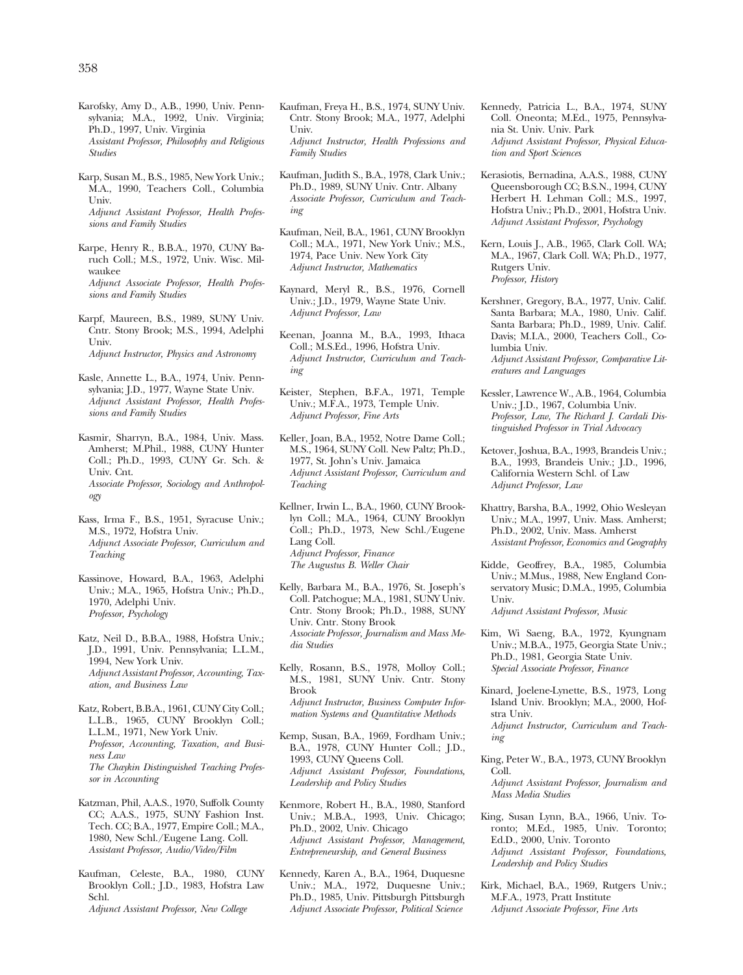- Karofsky, Amy D., A.B., 1990, Univ. Pennsylvania; M.A., 1992, Univ. Virginia; Ph.D., 1997, Univ. Virginia *Assistant Professor, Philosophy and Religious Studies*
- Karp, Susan M., B.S., 1985, New York Univ.; M.A., 1990, Teachers Coll., Columbia Univ. *Adjunct Assistant Professor, Health Professions and Family Studies*
- Karpe, Henry R., B.B.A., 1970, CUNY Baruch Coll.; M.S., 1972, Univ. Wisc. Milwaukee *Adjunct Associate Professor, Health Professions and Family Studies*
- Karpf, Maureen, B.S., 1989, SUNY Univ. Cntr. Stony Brook; M.S., 1994, Adelphi Univ. *Adjunct Instructor, Physics and Astronomy*
- Kasle, Annette L., B.A., 1974, Univ. Pennsylvania; J.D., 1977, Wayne State Univ. *Adjunct Assistant Professor, Health Professions and Family Studies*
- Kasmir, Sharryn, B.A., 1984, Univ. Mass. Amherst; M.Phil., 1988, CUNY Hunter Coll.; Ph.D., 1993, CUNY Gr. Sch. & Univ. Cnt. *Associate Professor, Sociology and Anthropology*
- Kass, Irma F., B.S., 1951, Syracuse Univ.; M.S., 1972, Hofstra Univ. *Adjunct Associate Professor, Curriculum and Teaching*
- Kassinove, Howard, B.A., 1963, Adelphi Univ.; M.A., 1965, Hofstra Univ.; Ph.D., 1970, Adelphi Univ. *Professor, Psychology*
- Katz, Neil D., B.B.A., 1988, Hofstra Univ.; J.D., 1991, Univ. Pennsylvania; L.L.M., 1994, New York Univ. *Adjunct Assistant Professor, Accounting, Taxation, and Business Law*
- Katz, Robert, B.B.A., 1961, CUNY City Coll.; L.L.B., 1965, CUNY Brooklyn Coll.; L.L.M., 1971, New York Univ. *Professor, Accounting, Taxation, and Business Law The Chaykin Distinguished Teaching Professor in Accounting*
- Katzman, Phil, A.A.S., 1970, Suffolk County CC; A.A.S., 1975, SUNY Fashion Inst. Tech. CC; B.A., 1977, Empire Coll.; M.A., 1980, New Schl./Eugene Lang. Coll. *Assistant Professor, Audio/Video/Film*
- Kaufman, Celeste, B.A., 1980, CUNY Brooklyn Coll.; J.D., 1983, Hofstra Law Schl. *Adjunct Assistant Professor, New College*
- Kaufman, Freya H., B.S., 1974, SUNY Univ. Cntr. Stony Brook; M.A., 1977, Adelphi Univ. *Adjunct Instructor, Health Professions and Family Studies*
- Kaufman, Judith S., B.A., 1978, Clark Univ.; Ph.D., 1989, SUNY Univ. Cntr. Albany *Associate Professor, Curriculum and Teaching*
- Kaufman, Neil, B.A., 1961, CUNY Brooklyn Coll.; M.A., 1971, New York Univ.; M.S., 1974, Pace Univ. New York City *Adjunct Instructor, Mathematics*
- Kaynard, Meryl R., B.S., 1976, Cornell Univ.; J.D., 1979, Wayne State Univ. *Adjunct Professor, Law*
- Keenan, Joanna M., B.A., 1993, Ithaca Coll.; M.S.Ed., 1996, Hofstra Univ. *Adjunct Instructor, Curriculum and Teaching*
- Keister, Stephen, B.F.A., 1971, Temple Univ.; M.F.A., 1973, Temple Univ. *Adjunct Professor, Fine Arts*
- Keller, Joan, B.A., 1952, Notre Dame Coll.; M.S., 1964, SUNY Coll. New Paltz; Ph.D., 1977, St. John's Univ. Jamaica *Adjunct Assistant Professor, Curriculum and Teaching*
- Kellner, Irwin L., B.A., 1960, CUNY Brooklyn Coll.; M.A., 1964, CUNY Brooklyn Coll.; Ph.D., 1973, New Schl./Eugene Lang Coll. *Adjunct Professor, Finance The Augustus B. Weller Chair*
- Kelly, Barbara M., B.A., 1976, St. Joseph's Coll. Patchogue; M.A., 1981, SUNY Univ. Cntr. Stony Brook; Ph.D., 1988, SUNY Univ. Cntr. Stony Brook *Associate Professor, Journalism and Mass Media Studies*
- Kelly, Rosann, B.S., 1978, Molloy Coll.; M.S., 1981, SUNY Univ. Cntr. Stony Brook *Adjunct Instructor, Business Computer Information Systems and Quantitative Methods*
- Kemp, Susan, B.A., 1969, Fordham Univ.; B.A., 1978, CUNY Hunter Coll.; J.D., 1993, CUNY Queens Coll. *Adjunct Assistant Professor, Foundations, Leadership and Policy Studies*
- Kenmore, Robert H., B.A., 1980, Stanford Univ.; M.B.A., 1993, Univ. Chicago; Ph.D., 2002, Univ. Chicago *Adjunct Assistant Professor, Management, Entrepreneurship, and General Business*
- Kennedy, Karen A., B.A., 1964, Duquesne Univ.; M.A., 1972, Duquesne Univ.; Ph.D., 1985, Univ. Pittsburgh Pittsburgh *Adjunct Associate Professor, Political Science*
- Kennedy, Patricia L., B.A., 1974, SUNY Coll. Oneonta; M.Ed., 1975, Pennsylvania St. Univ. Univ. Park *Adjunct Assistant Professor, Physical Education and Sport Sciences*
- Kerasiotis, Bernadina, A.A.S., 1988, CUNY Queensborough CC; B.S.N., 1994, CUNY Herbert H. Lehman Coll.; M.S., 1997, Hofstra Univ.; Ph.D., 2001, Hofstra Univ. *Adjunct Assistant Professor, Psychology*
- Kern, Louis J., A.B., 1965, Clark Coll. WA; M.A., 1967, Clark Coll. WA; Ph.D., 1977, Rutgers Univ. *Professor, History*
- Kershner, Gregory, B.A., 1977, Univ. Calif. Santa Barbara; M.A., 1980, Univ. Calif. Santa Barbara; Ph.D., 1989, Univ. Calif. Davis; M.I.A., 2000, Teachers Coll., Columbia Univ.

*Adjunct Assistant Professor, Comparative Literatures and Languages* 

- Kessler, Lawrence W., A.B., 1964, Columbia Univ.; J.D., 1967, Columbia Univ. *Professor, Law, The Richard J. Cardali Distinguished Professor in Trial Advocacy*
- Ketover, Joshua, B.A., 1993, Brandeis Univ.; B.A., 1993, Brandeis Univ.; J.D., 1996, California Western Schl. of Law *Adjunct Professor, Law*
- Khattry, Barsha, B.A., 1992, Ohio Wesleyan Univ.; M.A., 1997, Univ. Mass. Amherst; Ph.D., 2002, Univ. Mass. Amherst *Assistant Professor, Economics and Geography*
- Kidde, Geoffrey, B.A., 1985, Columbia Univ.; M.Mus., 1988, New England Conservatory Music; D.M.A., 1995, Columbia Univ.

*Adjunct Assistant Professor, Music* 

- Kim, Wi Saeng, B.A., 1972, Kyungnam Univ.; M.B.A., 1975, Georgia State Univ.; Ph.D., 1981, Georgia State Univ. *Special Associate Professor, Finance*
- Kinard, Joelene-Lynette, B.S., 1973, Long Island Univ. Brooklyn; M.A., 2000, Hofstra Univ. *Adjunct Instructor, Curriculum and Teaching*
- King, Peter W., B.A., 1973, CUNY Brooklyn Coll.

*Adjunct Assistant Professor, Journalism and Mass Media Studies* 

- King, Susan Lynn, B.A., 1966, Univ. Toronto; M.Ed., 1985, Univ. Toronto; Ed.D., 2000, Univ. Toronto *Adjunct Assistant Professor, Foundations, Leadership and Policy Studies*
- Kirk, Michael, B.A., 1969, Rutgers Univ.; M.F.A., 1973, Pratt Institute *Adjunct Associate Professor, Fine Arts*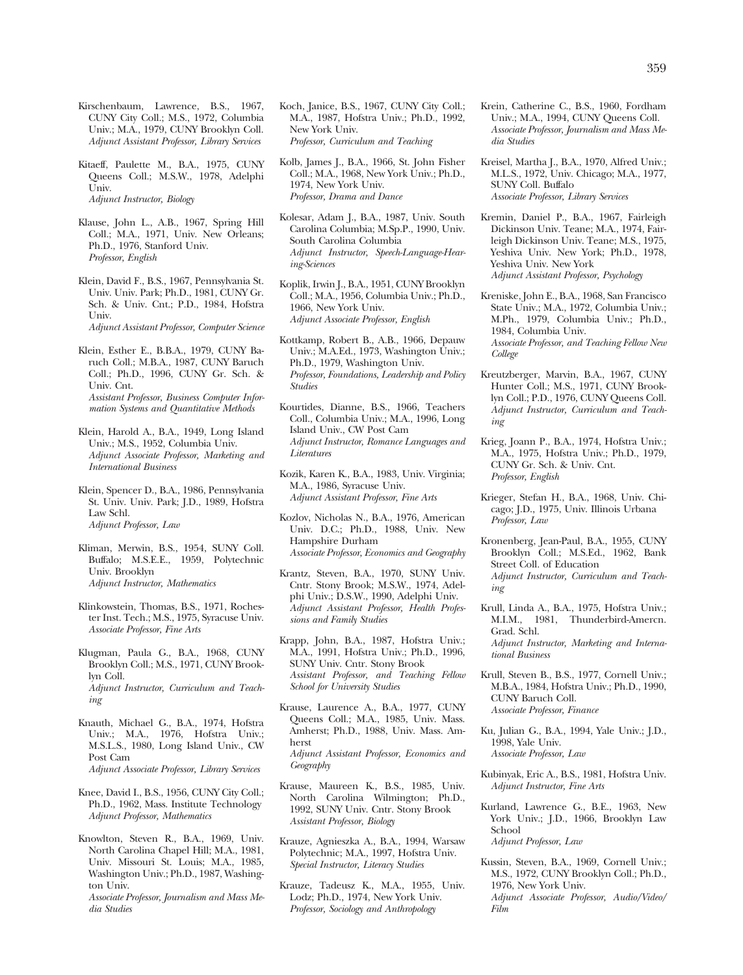Kirschenbaum, Lawrence, B.S., 1967, CUNY City Coll.; M.S., 1972, Columbia Univ.; M.A., 1979, CUNY Brooklyn Coll. *Adjunct Assistant Professor, Library Services* 

Kitaeff, Paulette M., B.A., 1975, CUNY Queens Coll.; M.S.W., 1978, Adelphi Univ. *Adjunct Instructor, Biology* 

Klause, John L., A.B., 1967, Spring Hill Coll.; M.A., 1971, Univ. New Orleans; Ph.D., 1976, Stanford Univ. *Professor, English* 

Klein, David F., B.S., 1967, Pennsylvania St. Univ. Univ. Park; Ph.D., 1981, CUNY Gr. Sch. & Univ. Cnt.; P.D., 1984, Hofstra Univ. *Adjunct Assistant Professor, Computer Science* 

Klein, Esther E., B.B.A., 1979, CUNY Baruch Coll.; M.B.A., 1987, CUNY Baruch Coll.; Ph.D., 1996, CUNY Gr. Sch. & Univ. Cnt. *Assistant Professor, Business Computer Information Systems and Quantitative Methods* 

- Klein, Harold A., B.A., 1949, Long Island Univ.; M.S., 1952, Columbia Univ. *Adjunct Associate Professor, Marketing and International Business*
- Klein, Spencer D., B.A., 1986, Pennsylvania St. Univ. Univ. Park; J.D., 1989, Hofstra Law Schl. *Adjunct Professor, Law*

Kliman, Merwin, B.S., 1954, SUNY Coll. Buffalo; M.S.E.E., 1959, Polytechnic Univ. Brooklyn *Adjunct Instructor, Mathematics* 

- Klinkowstein, Thomas, B.S., 1971, Rochester Inst. Tech.; M.S., 1975, Syracuse Univ. *Associate Professor, Fine Arts*
- Klugman, Paula G., B.A., 1968, CUNY Brooklyn Coll.; M.S., 1971, CUNY Brooklyn Coll. *Adjunct Instructor, Curriculum and Teaching*
- Knauth, Michael G., B.A., 1974, Hofstra Univ.; M.A., 1976, Hofstra Univ.; M.S.L.S., 1980, Long Island Univ., CW Post Cam *Adjunct Associate Professor, Library Services*
- Knee, David I., B.S., 1956, CUNY City Coll.; Ph.D., 1962, Mass. Institute Technology *Adjunct Professor, Mathematics*
- Knowlton, Steven R., B.A., 1969, Univ. North Carolina Chapel Hill; M.A., 1981, Univ. Missouri St. Louis; M.A., 1985, Washington Univ.; Ph.D., 1987, Washington Univ. *Associate Professor, Journalism and Mass Media Studies*
- Koch, Janice, B.S., 1967, CUNY City Coll.; M.A., 1987, Hofstra Univ.; Ph.D., 1992, New York Univ. *Professor, Curriculum and Teaching*
- Kolb, James J., B.A., 1966, St. John Fisher Coll.; M.A., 1968, New York Univ.; Ph.D., 1974, New York Univ. *Professor, Drama and Dance*
- Kolesar, Adam J., B.A., 1987, Univ. South Carolina Columbia; M.Sp.P., 1990, Univ. South Carolina Columbia *Adjunct Instructor, Speech-Language-Hearing-Sciences*
- Koplik, Irwin J., B.A., 1951, CUNY Brooklyn Coll.; M.A., 1956, Columbia Univ.; Ph.D., 1966, New York Univ. *Adjunct Associate Professor, English*
- Kottkamp, Robert B., A.B., 1966, Depauw Univ.; M.A.Ed., 1973, Washington Univ.; Ph.D., 1979, Washington Univ. *Professor, Foundations, Leadership and Policy Studies*
- Kourtides, Dianne, B.S., 1966, Teachers Coll., Columbia Univ.; M.A., 1996, Long Island Univ., CW Post Cam *Adjunct Instructor, Romance Languages and Literatures*
- Kozik, Karen K., B.A., 1983, Univ. Virginia; M.A., 1986, Syracuse Univ. *Adjunct Assistant Professor, Fine Arts*
- Kozlov, Nicholas N., B.A., 1976, American Univ. D.C.; Ph.D., 1988, Univ. New Hampshire Durham *Associate Professor, Economics and Geography*
- Krantz, Steven, B.A., 1970, SUNY Univ. Cntr. Stony Brook; M.S.W., 1974, Adelphi Univ.; D.S.W., 1990, Adelphi Univ. *Adjunct Assistant Professor, Health Professions and Family Studies*
- Krapp, John, B.A., 1987, Hofstra Univ.; M.A., 1991, Hofstra Univ.; Ph.D., 1996, SUNY Univ. Cntr. Stony Brook *Assistant Professor, and Teaching Fellow School for University Studies*
- Krause, Laurence A., B.A., 1977, CUNY Queens Coll.; M.A., 1985, Univ. Mass. Amherst; Ph.D., 1988, Univ. Mass. Amherst *Adjunct Assistant Professor, Economics and Geography*
- Krause, Maureen K., B.S., 1985, Univ. North Carolina Wilmington; Ph.D., 1992, SUNY Univ. Cntr. Stony Brook *Assistant Professor, Biology*
- Krauze, Agnieszka A., B.A., 1994, Warsaw Polytechnic; M.A., 1997, Hofstra Univ. *Special Instructor, Literacy Studies*
- Krauze, Tadeusz K., M.A., 1955, Univ. Lodz; Ph.D., 1974, New York Univ. *Professor, Sociology and Anthropology*
- Krein, Catherine C., B.S., 1960, Fordham Univ.; M.A., 1994, CUNY Queens Coll. *Associate Professor, Journalism and Mass Media Studies*
- Kreisel, Martha J., B.A., 1970, Alfred Univ.; M.L.S., 1972, Univ. Chicago; M.A., 1977, SUNY Coll. Buffalo *Associate Professor, Library Services*
- Kremin, Daniel P., B.A., 1967, Fairleigh Dickinson Univ. Teane; M.A., 1974, Fairleigh Dickinson Univ. Teane; M.S., 1975, Yeshiva Univ. New York; Ph.D., 1978, Yeshiva Univ. New York *Adjunct Assistant Professor, Psychology*
- Kreniske, John E., B.A., 1968, San Francisco State Univ.; M.A., 1972, Columbia Univ.; M.Ph., 1979, Columbia Univ.; Ph.D., 1984, Columbia Univ. *Associate Professor, and Teaching Fellow New*

*College* 

- Kreutzberger, Marvin, B.A., 1967, CUNY Hunter Coll.; M.S., 1971, CUNY Brooklyn Coll.; P.D., 1976, CUNY Queens Coll. *Adjunct Instructor, Curriculum and Teaching*
- Krieg, Joann P., B.A., 1974, Hofstra Univ.; M.A., 1975, Hofstra Univ.; Ph.D., 1979, CUNY Gr. Sch. & Univ. Cnt. *Professor, English*
- Krieger, Stefan H., B.A., 1968, Univ. Chicago; J.D., 1975, Univ. Illinois Urbana *Professor, Law*
- Kronenberg, Jean-Paul, B.A., 1955, CUNY Brooklyn Coll.; M.S.Ed., 1962, Bank Street Coll. of Education *Adjunct Instructor, Curriculum and Teaching*
- Krull, Linda A., B.A., 1975, Hofstra Univ.; M.I.M., 1981, Thunderbird-Amercn. Grad. Schl.

*Adjunct Instructor, Marketing and International Business* 

- Krull, Steven B., B.S., 1977, Cornell Univ.; M.B.A., 1984, Hofstra Univ.; Ph.D., 1990, CUNY Baruch Coll. *Associate Professor, Finance*
- Ku, Julian G., B.A., 1994, Yale Univ.; J.D., 1998, Yale Univ. *Associate Professor, Law*
- Kubinyak, Eric A., B.S., 1981, Hofstra Univ. *Adjunct Instructor, Fine Arts*
- Kurland, Lawrence G., B.E., 1963, New York Univ.; J.D., 1966, Brooklyn Law School *Adjunct Professor, Law*
- 
- Kussin, Steven, B.A., 1969, Cornell Univ.; M.S., 1972, CUNY Brooklyn Coll.; Ph.D., 1976, New York Univ. *Adjunct Associate Professor, Audio/Video/ Film*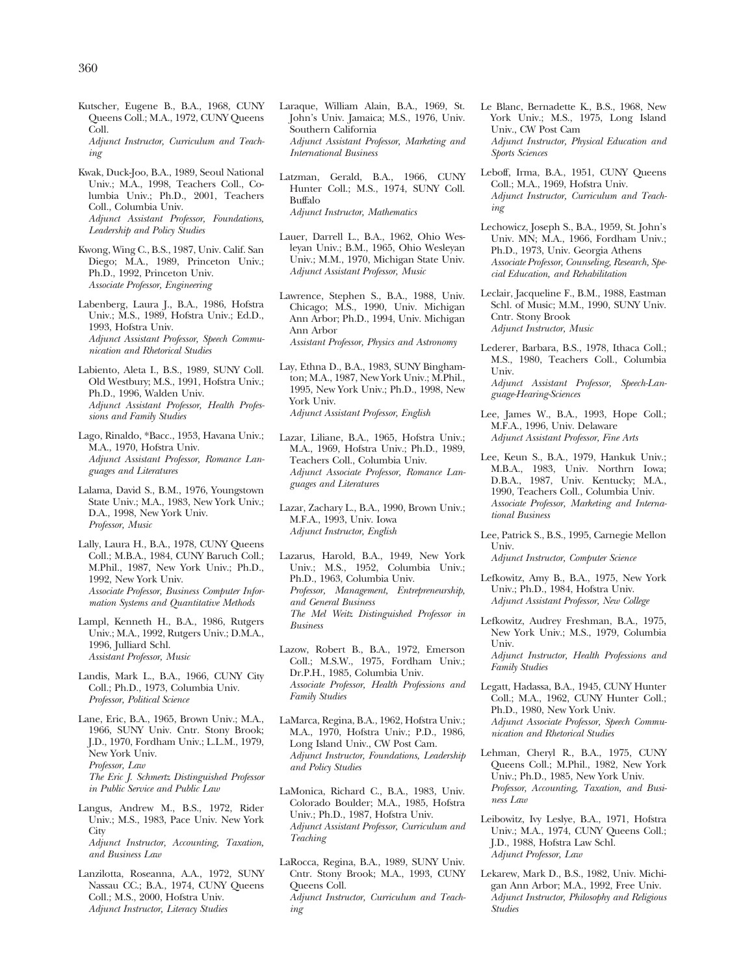- Kutscher, Eugene B., B.A., 1968, CUNY Queens Coll.; M.A., 1972, CUNY Queens Coll. *Adjunct Instructor, Curriculum and Teaching*
- Kwak, Duck-Joo, B.A., 1989, Seoul National Univ.; M.A., 1998, Teachers Coll., Columbia Univ.; Ph.D., 2001, Teachers Coll., Columbia Univ. *Adjunct Assistant Professor, Foundations, Leadership and Policy Studies*
- Kwong, Wing C., B.S., 1987, Univ. Calif. San Diego; M.A., 1989, Princeton Univ.; Ph.D., 1992, Princeton Univ. *Associate Professor, Engineering*
- Labenberg, Laura J., B.A., 1986, Hofstra Univ.; M.S., 1989, Hofstra Univ.; Ed.D., 1993, Hofstra Univ. *Adjunct Assistant Professor, Speech Communication and Rhetorical Studies*
- Labiento, Aleta I., B.S., 1989, SUNY Coll. Old Westbury; M.S., 1991, Hofstra Univ.; Ph.D., 1996, Walden Univ. *Adjunct Assistant Professor, Health Professions and Family Studies*
- Lago, Rinaldo, \*Bacc., 1953, Havana Univ.; M.A., 1970, Hofstra Univ. *Adjunct Assistant Professor, Romance Languages and Literatures*
- Lalama, David S., B.M., 1976, Youngstown State Univ.; M.A., 1983, New York Univ.; D.A., 1998, New York Univ. *Professor, Music*
- Lally, Laura H., B.A., 1978, CUNY Queens Coll.; M.B.A., 1984, CUNY Baruch Coll.; M.Phil., 1987, New York Univ.; Ph.D., 1992, New York Univ. *Associate Professor, Business Computer Information Systems and Quantitative Methods*
- Lampl, Kenneth H., B.A., 1986, Rutgers Univ.; M.A., 1992, Rutgers Univ.; D.M.A., 1996, Julliard Schl. *Assistant Professor, Music*
- Landis, Mark L., B.A., 1966, CUNY City Coll.; Ph.D., 1973, Columbia Univ. *Professor, Political Science*
- Lane, Eric, B.A., 1965, Brown Univ.; M.A., 1966, SUNY Univ. Cntr. Stony Brook; J.D., 1970, Fordham Univ.; L.L.M., 1979, New York Univ. *Professor, Law The Eric J. Schmertz Distinguished Professor in Public Service and Public Law*
- Langus, Andrew M., B.S., 1972, Rider Univ.; M.S., 1983, Pace Univ. New York **City** *Adjunct Instructor, Accounting, Taxation, and Business Law*
- Lanzilotta, Roseanna, A.A., 1972, SUNY Nassau CC.; B.A., 1974, CUNY Queens Coll.; M.S., 2000, Hofstra Univ. *Adjunct Instructor, Literacy Studies*
- Laraque, William Alain, B.A., 1969, St. John's Univ. Jamaica; M.S., 1976, Univ. Southern California *Adjunct Assistant Professor, Marketing and International Business*
- Latzman, Gerald, B.A., 1966, CUNY Hunter Coll.; M.S., 1974, SUNY Coll. Buffalo *Adjunct Instructor, Mathematics*
- Lauer, Darrell L., B.A., 1962, Ohio Wesleyan Univ.; B.M., 1965, Ohio Wesleyan Univ.; M.M., 1970, Michigan State Univ. *Adjunct Assistant Professor, Music*
- Lawrence, Stephen S., B.A., 1988, Univ. Chicago; M.S., 1990, Univ. Michigan Ann Arbor; Ph.D., 1994, Univ. Michigan Ann Arbor *Assistant Professor, Physics and Astronomy*
- Lay, Ethna D., B.A., 1983, SUNY Binghamton; M.A., 1987, New York Univ.; M.Phil., 1995, New York Univ.; Ph.D., 1998, New York Univ. *Adjunct Assistant Professor, English*
- Lazar, Liliane, B.A., 1965, Hofstra Univ.; M.A., 1969, Hofstra Univ.; Ph.D., 1989, Teachers Coll., Columbia Univ. *Adjunct Associate Professor, Romance Languages and Literatures*
- Lazar, Zachary L., B.A., 1990, Brown Univ.; M.F.A., 1993, Univ. Iowa *Adjunct Instructor, English*
- Lazarus, Harold, B.A., 1949, New York Univ.; M.S., 1952, Columbia Univ.; Ph.D., 1963, Columbia Univ. *Professor, Management, Entrepreneurship, and General Business The Mel Weitz Distinguished Professor in Business*
- Lazow, Robert B., B.A., 1972, Emerson Coll.; M.S.W., 1975, Fordham Univ.; Dr.P.H., 1985, Columbia Univ. *Associate Professor, Health Professions and Family Studies*
- LaMarca, Regina, B.A., 1962, Hofstra Univ.; M.A., 1970, Hofstra Univ.; P.D., 1986, Long Island Univ., CW Post Cam. *Adjunct Instructor, Foundations, Leadership and Policy Studies*
- LaMonica, Richard C., B.A., 1983, Univ. Colorado Boulder; M.A., 1985, Hofstra Univ.; Ph.D., 1987, Hofstra Univ. *Adjunct Assistant Professor, Curriculum and Teaching*
- LaRocca, Regina, B.A., 1989, SUNY Univ. Cntr. Stony Brook; M.A., 1993, CUNY Queens Coll. *Adjunct Instructor, Curriculum and Teaching*
- Le Blanc, Bernadette K., B.S., 1968, New York Univ.; M.S., 1975, Long Island Univ., CW Post Cam *Adjunct Instructor, Physical Education and Sports Sciences*
- Leboff, Irma, B.A., 1951, CUNY Queens Coll.; M.A., 1969, Hofstra Univ. *Adjunct Instructor, Curriculum and Teaching*
- Lechowicz, Joseph S., B.A., 1959, St. John's Univ. MN; M.A., 1966, Fordham Univ.; Ph.D., 1973, Univ. Georgia Athens *Associate Professor, Counseling, Research, Special Education, and Rehabilitation*
- Leclair, Jacqueline F., B.M., 1988, Eastman Schl. of Music; M.M., 1990, SUNY Univ. Cntr. Stony Brook *Adjunct Instructor, Music*
- Lederer, Barbara, B.S., 1978, Ithaca Coll.; M.S., 1980, Teachers Coll., Columbia Univ. *Adjunct Assistant Professor, Speech-Language-Hearing-Sciences*
- Lee, James W., B.A., 1993, Hope Coll.; M.F.A., 1996, Univ. Delaware *Adjunct Assistant Professor, Fine Arts*
- Lee, Keun S., B.A., 1979, Hankuk Univ.; M.B.A., 1983, Univ. Northrn Iowa; D.B.A., 1987, Univ. Kentucky; M.A., 1990, Teachers Coll., Columbia Univ. *Associate Professor, Marketing and International Business*
- Lee, Patrick S., B.S., 1995, Carnegie Mellon Univ.
	- *Adjunct Instructor, Computer Science*
- Lefkowitz, Amy B., B.A., 1975, New York Univ.; Ph.D., 1984, Hofstra Univ. *Adjunct Assistant Professor, New College*
- Lefkowitz, Audrey Freshman, B.A., 1975, New York Univ.; M.S., 1979, Columbia Univ. *Adjunct Instructor, Health Professions and*
- *Family Studies*  Legatt, Hadassa, B.A., 1945, CUNY Hunter Coll.; M.A., 1962, CUNY Hunter Coll.; Ph.D., 1980, New York Univ.
	- *Adjunct Associate Professor, Speech Communication and Rhetorical Studies*
- Lehman, Cheryl R., B.A., 1975, CUNY Queens Coll.; M.Phil., 1982, New York Univ.; Ph.D., 1985, New York Univ. *Professor, Accounting, Taxation, and Business Law*
- Leibowitz, Ivy Leslye, B.A., 1971, Hofstra Univ.; M.A., 1974, CUNY Queens Coll.; J.D., 1988, Hofstra Law Schl. *Adjunct Professor, Law*
- Lekarew, Mark D., B.S., 1982, Univ. Michigan Ann Arbor; M.A., 1992, Free Univ. *Adjunct Instructor, Philosophy and Religious Studies*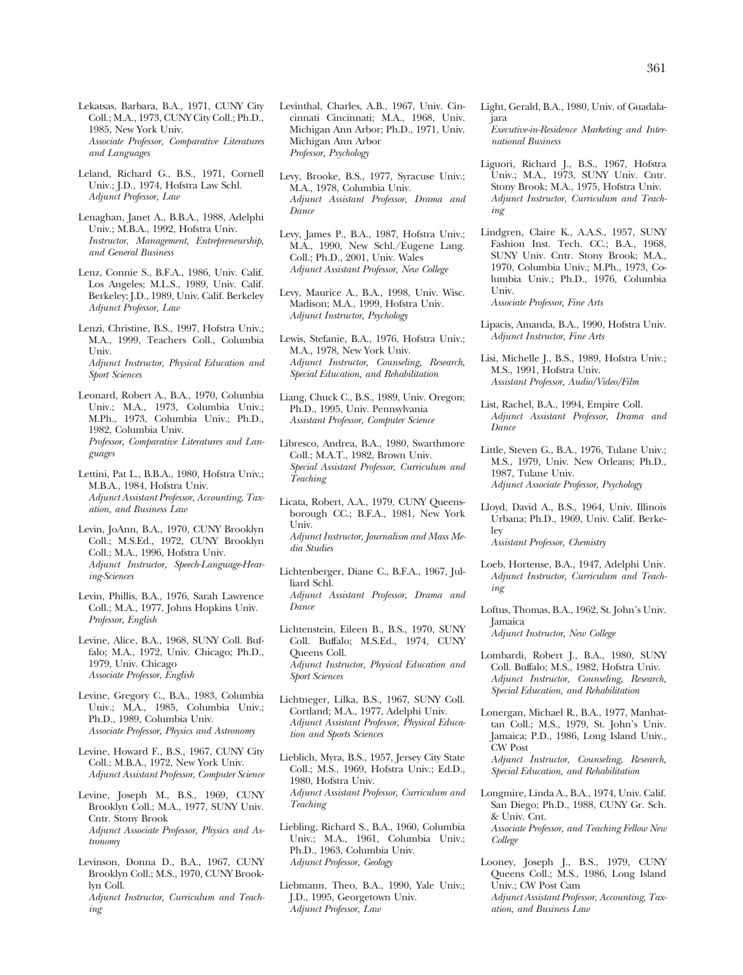Lekatsas, Barbara, B.A., 1971, CUNY City Coll.; M.A., 1973, CUNY City Coll.; Ph.D., 1985, New York Univ. *Associate Professor, Comparative Literatures and Languages* 

Leland, Richard G., B.S., 1971, Cornell Univ.; J.D., 1974, Hofstra Law Schl. *Adjunct Professor, Law* 

Lenaghan, Janet A., B.B.A., 1988, Adelphi Univ.; M.B.A., 1992, Hofstra Univ. *Instructor, Management, Entrepreneurship, and General Business* 

Lenz, Connie S., B.F.A., 1986, Univ. Calif. Los Angeles; M.L.S., 1989, Univ. Calif. Berkeley; J.D., 1989, Univ. Calif. Berkeley *Adjunct Professor, Law* 

Lenzi, Christine, B.S., 1997, Hofstra Univ.; M.A., 1999, Teachers Coll., Columbia Univ. *Adjunct Instructor, Physical Education and Sport Sciences* 

Leonard, Robert A., B.A., 1970, Columbia Univ.; M.A., 1973, Columbia Univ.; M.Ph., 1973, Columbia Univ.; Ph.D., 1982, Columbia Univ. *Professor, Comparative Literatures and Languages* 

Lettini, Pat L., B.B.A., 1980, Hofstra Univ.; M.B.A., 1984, Hofstra Univ. *Adjunct Assistant Professor, Accounting, Taxation, and Business Law* 

Levin, JoAnn, B.A., 1970, CUNY Brooklyn Coll.; M.S.Ed., 1972, CUNY Brooklyn Coll.; M.A., 1996, Hofstra Univ. *Adjunct Instructor, Speech-Language-Hearing-Sciences* 

Levin, Phillis, B.A., 1976, Sarah Lawrence Coll.; M.A., 1977, Johns Hopkins Univ. *Professor, English* 

Levine, Alice, B.A., 1968, SUNY Coll. Buffalo; M.A., 1972, Univ. Chicago; Ph.D., 1979, Univ. Chicago *Associate Professor, English* 

Levine, Gregory C., B.A., 1983, Columbia Univ.; M.A., 1985, Columbia Univ.; Ph.D., 1989, Columbia Univ. *Associate Professor, Physics and Astronomy* 

Levine, Howard F., B.S., 1967, CUNY City Coll.; M.B.A., 1972, New York Univ. *Adjunct Assistant Professor, Computer Science* 

Levine, Joseph M., B.S., 1969, CUNY Brooklyn Coll.; M.A., 1977, SUNY Univ. Cntr. Stony Brook *Adjunct Associate Professor, Physics and Astronomy* 

Levinson, Donna D., B.A., 1967, CUNY Brooklyn Coll.; M.S., 1970, CUNY Brooklyn Coll. *Adjunct Instructor, Curriculum and Teaching* 

Levinthal, Charles, A.B., 1967, Univ. Cincinnati Cincinnati; M.A., 1968, Univ. Michigan Ann Arbor; Ph.D., 1971, Univ. Michigan Ann Arbor *Professor, Psychology* 

Levy, Brooke, B.S., 1977, Syracuse Univ.; M.A., 1978, Columbia Univ. *Adjunct Assistant Professor, Drama and Dance* 

Levy, James P., B.A., 1987, Hofstra Univ.; M.A., 1990, New Schl./Eugene Lang. Coll.; Ph.D., 2001, Univ. Wales *Adjunct Assistant Professor, New College* 

Levy, Maurice A., B.A., 1998, Univ. Wisc. Madison; M.A., 1999, Hofstra Univ. *Adjunct Instructor, Psychology* 

Lewis, Stefanie, B.A., 1976, Hofstra Univ.; M.A., 1978, New York Univ. *Adjunct Instructor, Counseling, Research, Special Education, and Rehabilitation* 

Liang, Chuck C., B.S., 1989, Univ. Oregon; Ph.D., 1995, Univ. Pennsylvania *Assistant Professor, Computer Science* 

Libresco, Andrea, B.A., 1980, Swarthmore Coll.; M.A.T., 1982, Brown Univ. *Special Assistant Professor, Curriculum and Teaching* 

Licata, Robert, A.A., 1979, CUNY Queensborough CC.; B.F.A., 1981, New York Univ. *Adjunct Instructor, Journalism and Mass Media Studies* 

Lichtenberger, Diane C., B.F.A., 1967, Julliard Schl. *Adjunct Assistant Professor, Drama and Dance* 

Lichtenstein, Eileen B., B.S., 1970, SUNY Coll. Buffalo; M.S.Ed., 1974, CUNY Queens Coll. *Adjunct Instructor, Physical Education and Sport Sciences* 

Lichtneger, Lilka, B.S., 1967, SUNY Coll. Cortland; M.A., 1977, Adelphi Univ. *Adjunct Assistant Professor, Physical Education and Sports Sciences* 

Lieblich, Myra, B.S., 1957, Jersey City State Coll.; M.S., 1969, Hofstra Univ.; Ed.D., 1980, Hofstra Univ. *Adjunct Assistant Professor, Curriculum and Teaching* 

Liebling, Richard S., B.A., 1960, Columbia Univ.; M.A., 1961, Columbia Univ.; Ph.D., 1963, Columbia Univ. *Adjunct Professor, Geology* 

Liebmann, Theo, B.A., 1990, Yale Univ.; J.D., 1995, Georgetown Univ. *Adjunct Professor, Law* 

Light, Gerald, B.A., 1980, Univ. of Guadalajara *Executive-in-Residence Marketing and International Business* 

Liguori, Richard J., B.S., 1967, Hofstra Univ.; M.A., 1973, SUNY Univ. Cntr. Stony Brook; M.A., 1975, Hofstra Univ. *Adjunct Instructor, Curriculum and Teaching* 

Lindgren, Claire K., A.A.S., 1957, SUNY Fashion Inst. Tech. CC.; B.A., 1968, SUNY Univ. Cntr. Stony Brook; M.A., 1970, Columbia Univ.; M.Ph., 1973, Columbia Univ.; Ph.D., 1976, Columbia Univ.

*Associate Professor, Fine Arts* 

Lipacis, Amanda, B.A., 1990, Hofstra Univ. *Adjunct Instructor, Fine Arts* 

Lisi, Michelle J., B.S., 1989, Hofstra Univ.; M.S., 1991, Hofstra Univ. *Assistant Professor, Audio/Video/Film* 

List, Rachel, B.A., 1994, Empire Coll. *Adjunct Assistant Professor, Drama and Dance* 

Little, Steven G., B.A., 1976, Tulane Univ.; M.S., 1979, Univ. New Orleans; Ph.D., 1987, Tulane Univ. *Adjunct Associate Professor, Psychology* 

Lloyd, David A., B.S., 1964, Univ. Illinois Urbana; Ph.D., 1969, Univ. Calif. Berkeley *Assistant Professor, Chemistry* 

Loeb, Hortense, B.A., 1947, Adelphi Univ. *Adjunct Instructor, Curriculum and Teaching* 

Loftus, Thomas, B.A., 1962, St. John's Univ. Jamaica

*Adjunct Instructor, New College* 

Lombardi, Robert J., B.A., 1980, SUNY Coll. Buffalo; M.S., 1982, Hofstra Univ. *Adjunct Instructor, Counseling, Research, Special Education, and Rehabilitation* 

Lonergan, Michael R., B.A., 1977, Manhattan Coll.; M.S., 1979, St. John's Univ. Jamaica; P.D., 1986, Long Island Univ., CW Post

*Adjunct Instructor, Counseling, Research, Special Education, and Rehabilitation* 

Longmire, Linda A., B.A., 1974, Univ. Calif. San Diego; Ph.D., 1988, CUNY Gr. Sch. & Univ. Cnt. *Associate Professor, and Teaching Fellow New College* 

Looney, Joseph J., B.S., 1979, CUNY Queens Coll.; M.S., 1986, Long Island Univ.; CW Post Cam *Adjunct Assistant Professor, Accounting, Taxation, and Business Law*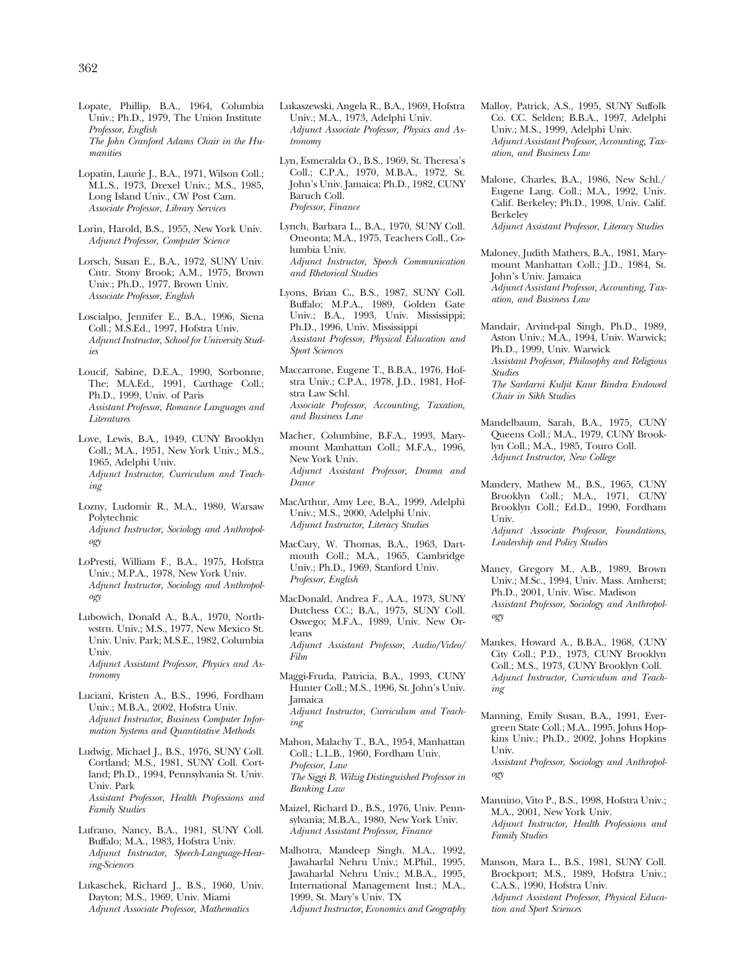- Lopate, Phillip, B.A., 1964, Columbia Univ.; Ph.D., 1979, The Union Institute *Professor, English The John Cranford Adams Chair in the Humanities*
- Lopatin, Laurie J., B.A., 1971, Wilson Coll.; M.L.S., 1973, Drexel Univ.; M.S., 1985, Long Island Univ., CW Post Cam. *Associate Professor, Library Services*
- Lorin, Harold, B.S., 1955, New York Univ. *Adjunct Professor, Computer Science*
- Lorsch, Susan E., B.A., 1972, SUNY Univ. Cntr. Stony Brook; A.M., 1975, Brown Univ.; Ph.D., 1977, Brown Univ. *Associate Professor, English*
- Loscialpo, Jennifer E., B.A., 1996, Siena Coll.; M.S.Ed., 1997, Hofstra Univ. *Adjunct Instructor, School for University Studies*
- Loucif, Sabine, D.E.A., 1990, Sorbonne, The; M.A.Ed., 1991, Carthage Coll.; Ph.D., 1999, Univ. of Paris *Assistant Professor, Romance Languages and Literatures*
- Love, Lewis, B.A., 1949, CUNY Brooklyn Coll.; M.A., 1951, New York Univ.; M.S., 1965, Adelphi Univ. *Adjunct Instructor, Curriculum and Teaching*
- Lozny, Ludomir R., M.A., 1980, Warsaw Polytechnic *Adjunct Instructor, Sociology and Anthropology*
- LoPresti, William F., B.A., 1975, Hofstra Univ.; M.P.A., 1978, New York Univ. *Adjunct Instructor, Sociology and Anthropology*
- Lubowich, Donald A., B.A., 1970, Northwstrn. Univ.; M.S., 1977, New Mexico St. Univ. Univ. Park; M.S.E., 1982, Columbia Univ. *Adjunct Assistant Professor, Physics and Astronomy*
- Luciani, Kristen A., B.S., 1996, Fordham Univ.; M.B.A., 2002, Hofstra Univ. *Adjunct Instructor, Business Computer Information Systems and Quantitative Methods*
- Ludwig, Michael J., B.S., 1976, SUNY Coll. Cortland; M.S., 1981, SUNY Coll. Cortland; Ph.D., 1994, Pennsylvania St. Univ. Univ. Park *Assistant Professor, Health Professions and Family Studies*
- Lufrano, Nancy, B.A., 1981, SUNY Coll. Buffalo; M.A., 1983, Hofstra Univ. *Adjunct Instructor, Speech-Language-Hearing-Sciences*
- Lukaschek, Richard J., B.S., 1960, Univ. Dayton; M.S., 1969, Univ. Miami *Adjunct Associate Professor, Mathematics*
- Lukaszewski, Angela R., B.A., 1969, Hofstra Univ.; M.A., 1973, Adelphi Univ. *Adjunct Associate Professor, Physics and Astronomy*
- Lyn, Esmeralda O., B.S., 1969, St. Theresa's Coll.; C.P.A., 1970, M.B.A., 1972, St. John's Univ. Jamaica; Ph.D., 1982, CUNY Baruch Coll. *Professor, Finance*
- Lynch, Barbara L., B.A., 1970, SUNY Coll. Oneonta; M.A., 1975, Teachers Coll., Columbia Univ. *Adjunct Instructor, Speech Communication and Rhetorical Studies*
- Lyons, Brian C., B.S., 1987, SUNY Coll. Buffalo; M.P.A., 1989, Golden Gate Univ.; B.A., 1993, Univ. Mississippi; Ph.D., 1996, Univ. Mississippi *Assistant Professor, Physical Education and Sport Sciences*
- Maccarrone, Eugene T., B.B.A., 1976, Hofstra Univ.; C.P.A., 1978, J.D., 1981, Hofstra Law Schl. *Associate Professor, Accounting, Taxation, and Business Law*
- Macher, Columbine, B.F.A., 1993, Marymount Manhattan Coll.; M.F.A., 1996, New York Univ. *Adjunct Assistant Professor, Drama and Dance*
- MacArthur, Amy Lee, B.A., 1999, Adelphi Univ.; M.S., 2000, Adelphi Univ. *Adjunct Instructor, Literacy Studies*
- MacCary, W. Thomas, B.A., 1963, Dartmouth Coll.; M.A., 1965, Cambridge Univ.; Ph.D., 1969, Stanford Univ. *Professor, English*
- MacDonald, Andrea F., A.A., 1973, SUNY Dutchess CC.; B.A., 1975, SUNY Coll. Oswego; M.F.A., 1989, Univ. New Orleans

*Adjunct Assistant Professor, Audio/Video/ Film* 

- Maggi-Fruda, Patricia, B.A., 1993, CUNY Hunter Coll.; M.S., 1996, St. John's Univ. Jamaica *Adjunct Instructor, Curriculum and Teaching*
- Mahon, Malachy T., B.A., 1954, Manhattan Coll.; L.L.B., 1960, Fordham Univ. *Professor, Law The Siggi B. Wilzig Distinguished Professor in Banking Law*
- Maizel, Richard D., B.S., 1976, Univ. Pennsylvania; M.B.A., 1980, New York Univ. *Adjunct Assistant Professor, Finance*
- Malhotra, Mandeep Singh, M.A., 1992, Jawaharlal Nehru Univ.; M.Phil., 1995, Jawaharlal Nehru Univ.; M.B.A., 1995, International Management Inst.; M.A., 1999, St. Mary's Univ. TX *Adjunct Instructor, Economics and Geography*
- Malloy, Patrick, A.S., 1995, SUNY Suffolk Co. CC. Selden; B.B.A., 1997, Adelphi Univ.; M.S., 1999, Adelphi Univ. *Adjunct Assistant Professor, Accounting, Taxation, and Business Law*
- Malone, Charles, B.A., 1986, New Schl./ Eugene Lang. Coll.; M.A., 1992, Univ. Calif. Berkeley; Ph.D., 1998, Univ. Calif. Berkeley

*Adjunct Assistant Professor, Literacy Studies* 

- Maloney, Judith Mathers, B.A., 1981, Marymount Manhattan Coll.; J.D., 1984, St. John's Univ. Jamaica *Adjunct Assistant Professor, Accounting, Taxation, and Business Law*
- Mandair, Arvind-pal Singh, Ph.D., 1989, Aston Univ.; M.A., 1994, Univ. Warwick; Ph.D., 1999, Univ. Warwick *Assistant Professor, Philosophy and Religious Studies*

*The Sardarni Kuljit Kaur Bindra Endowed Chair in Sikh Studies* 

- Mandelbaum, Sarah, B.A., 1975, CUNY Queens Coll.; M.A., 1979, CUNY Brooklyn Coll.; M.A., 1985, Touro Coll. *Adjunct Instructor, New College*
- Mandery, Mathew M., B.S., 1965, CUNY Brooklyn Coll.; M.A., 1971, CUNY Brooklyn Coll.; Ed.D., 1990, Fordham Univ.

*Adjunct Associate Professor, Foundations, Leadership and Policy Studies* 

- Maney, Gregory M., A.B., 1989, Brown Univ.; M.Sc., 1994, Univ. Mass. Amherst; Ph.D., 2001, Univ. Wisc. Madison *Assistant Professor, Sociology and Anthropology*
- Mankes, Howard A., B.B.A., 1968, CUNY City Coll.; P.D., 1973, CUNY Brooklyn Coll.; M.S., 1973, CUNY Brooklyn Coll. *Adjunct Instructor, Curriculum and Teaching*
- Manning, Emily Susan, B.A., 1991, Evergreen State Coll.; M.A., 1995, Johns Hopkins Univ.; Ph.D., 2002, Johns Hopkins Univ.
	- *Assistant Professor, Sociology and Anthropology*
- Mannino, Vito P., B.S., 1998, Hofstra Univ.; M.A., 2001, New York Univ. *Adjunct Instructor, Health Professions and Family Studies*
- Manson, Mara L., B.S., 1981, SUNY Coll. Brockport; M.S., 1989, Hofstra Univ.; C.A.S., 1990, Hofstra Univ. *Adjunct Assistant Professor, Physical Education and Sport Sciences*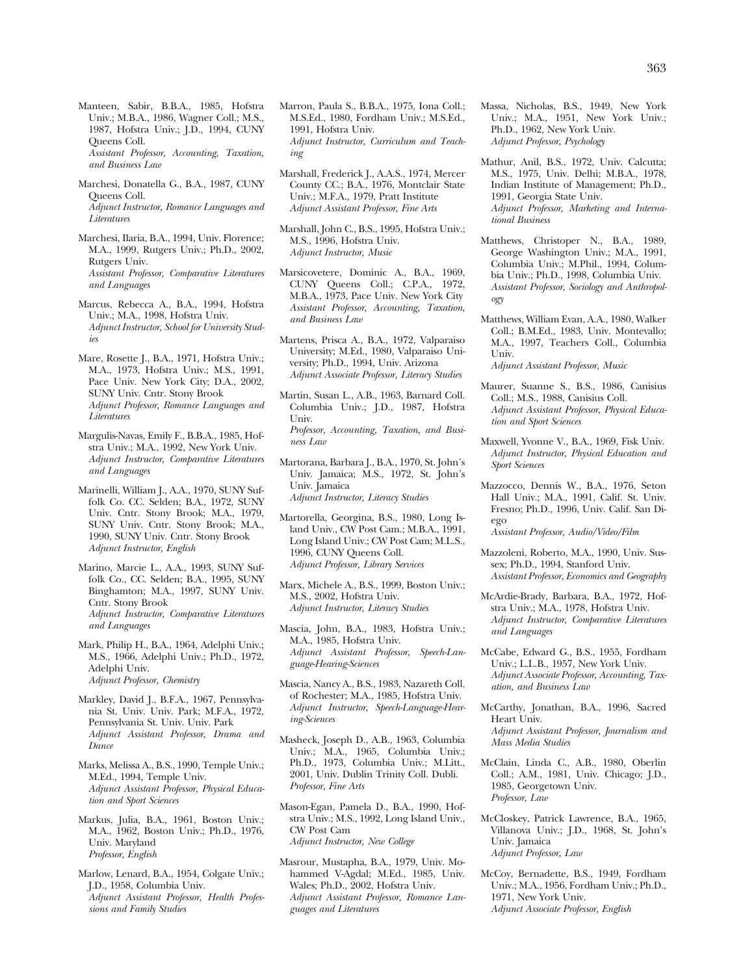Manteen, Sabir, B.B.A., 1985, Hofstra Univ.; M.B.A., 1986, Wagner Coll.; M.S., 1987, Hofstra Univ.; J.D., 1994, CUNY Queens Coll. *Assistant Professor, Accounting, Taxation, and Business Law* 

Marchesi, Donatella G., B.A., 1987, CUNY Queens Coll. *Adjunct Instructor, Romance Languages and Literatures* 

Marchesi, Ilaria, B.A., 1994, Univ. Florence; M.A., 1999, Rutgers Univ.; Ph.D., 2002, Rutgers Univ. *Assistant Professor, Comparative Literatures and Languages* 

Marcus, Rebecca A., B.A., 1994, Hofstra Univ.; M.A., 1998, Hofstra Univ. *Adjunct Instructor, School for University Studies* 

Mare, Rosette J., B.A., 1971, Hofstra Univ.; M.A., 1973, Hofstra Univ.; M.S., 1991, Pace Univ. New York City; D.A., 2002, SUNY Univ. Cntr. Stony Brook *Adjunct Professor, Romance Languages and Literatures* 

Margulis-Navas, Emily F., B.B.A., 1985, Hofstra Univ.; M.A., 1992, New York Univ. *Adjunct Instructor, Comparative Literatures and Languages* 

Marinelli, William J., A.A., 1970, SUNY Suffolk Co. CC. Selden; B.A., 1972, SUNY Univ. Cntr. Stony Brook; M.A., 1979, SUNY Univ. Cntr. Stony Brook; M.A., 1990, SUNY Univ. Cntr. Stony Brook *Adjunct Instructor, English* 

- Marino, Marcie L., A.A., 1993, SUNY Suffolk Co., CC. Selden; B.A., 1995, SUNY Binghamton; M.A., 1997, SUNY Univ. Cntr. Stony Brook *Adjunct Instructor, Comparative Literatures and Languages*
- Mark, Philip H., B.A., 1964, Adelphi Univ.; M.S., 1966, Adelphi Univ.; Ph.D., 1972, Adelphi Univ. *Adjunct Professor, Chemistry*
- Markley, David J., B.F.A., 1967, Pennsylvania St. Univ. Univ. Park; M.F.A., 1972, Pennsylvania St. Univ. Univ. Park *Adjunct Assistant Professor, Drama and Dance*
- Marks, Melissa A., B.S., 1990, Temple Univ.; M.Ed., 1994, Temple Univ. *Adjunct Assistant Professor, Physical Education and Sport Sciences*
- Markus, Julia, B.A., 1961, Boston Univ.; M.A., 1962, Boston Univ.; Ph.D., 1976, Univ. Maryland *Professor, English*
- Marlow, Lenard, B.A., 1954, Colgate Univ.; J.D., 1958, Columbia Univ. *Adjunct Assistant Professor, Health Professions and Family Studies*

Marron, Paula S., B.B.A., 1975, Iona Coll.; M.S.Ed., 1980, Fordham Univ.; M.S.Ed., 1991, Hofstra Univ. *Adjunct Instructor, Curriculum and Teaching* 

Marshall, Frederick J., A.A.S., 1974, Mercer County CC.; B.A., 1976, Montclair State Univ.; M.F.A., 1979, Pratt Institute *Adjunct Assistant Professor, Fine Arts* 

Marshall, John C., B.S., 1995, Hofstra Univ.; M.S., 1996, Hofstra Univ. *Adjunct Instructor, Music* 

Marsicovetere, Dominic A., B.A., 1969, CUNY Queens Coll.; C.P.A., 1972, M.B.A., 1973, Pace Univ. New York City *Assistant Professor, Accounting, Taxation, and Business Law* 

Martens, Prisca A., B.A., 1972, Valparaiso University; M.Ed., 1980, Valparaiso University; Ph.D., 1994, Univ. Arizona *Adjunct Associate Professor, Literacy Studies* 

Martin, Susan L., A.B., 1963, Barnard Coll. Columbia Univ.; J.D., 1987, Hofstra Univ. *Professor, Accounting, Taxation, and Business Law* 

Martorana, Barbara J., B.A., 1970, St. John's Univ. Jamaica; M.S., 1972, St. John's Univ. Jamaica *Adjunct Instructor, Literacy Studies* 

- Martorella, Georgina, B.S., 1980, Long Island Univ., CW Post Cam.; M.B.A., 1991, Long Island Univ.; CW Post Cam; M.L.S., 1996, CUNY Queens Coll. *Adjunct Professor, Library Services*
- Marx, Michele A., B.S., 1999, Boston Univ.; M.S., 2002, Hofstra Univ. *Adjunct Instructor, Literacy Studies*

Mascia, John, B.A., 1983, Hofstra Univ.; M.A., 1985, Hofstra Univ. *Adjunct Assistant Professor, Speech-Language-Hearing-Sciences* 

- Mascia, Nancy A., B.S., 1983, Nazareth Coll. of Rochester; M.A., 1985, Hofstra Univ. *Adjunct Instructor, Speech-Language-Hearing-Sciences*
- Masheck, Joseph D., A.B., 1963, Columbia Univ.; M.A., 1965, Columbia Univ.; Ph.D., 1973, Columbia Univ.; M.Litt., 2001, Univ. Dublin Trinity Coll. Dubli. *Professor, Fine Arts*

Mason-Egan, Pamela D., B.A., 1990, Hofstra Univ.; M.S., 1992, Long Island Univ., CW Post Cam *Adjunct Instructor, New College* 

Masrour, Mustapha, B.A., 1979, Univ. Mohammed V-Agdal; M.Ed., 1985, Univ. Wales; Ph.D., 2002, Hofstra Univ. *Adjunct Assistant Professor, Romance Languages and Literatures* 

- Massa, Nicholas, B.S., 1949, New York Univ.; M.A., 1951, New York Univ.; Ph.D., 1962, New York Univ. *Adjunct Professor, Psychology*
- Mathur, Anil, B.S., 1972, Univ. Calcutta; M.S., 1975, Univ. Delhi; M.B.A., 1978, Indian Institute of Management; Ph.D., 1991, Georgia State Univ. *Adjunct Professor, Marketing and International Business*
- Matthews, Christoper N., B.A., 1989, George Washington Univ.; M.A., 1991, Columbia Univ.; M.Phil., 1994, Columbia Univ.; Ph.D., 1998, Columbia Univ. *Assistant Professor, Sociology and Anthropology*
- Matthews, William Evan, A.A., 1980, Walker Coll.; B.M.Ed., 1983, Univ. Montevallo; M.A., 1997, Teachers Coll., Columbia Univ.

*Adjunct Assistant Professor, Music* 

- Maurer, Suanne S., B.S., 1986, Canisius Coll.; M.S., 1988, Canisius Coll. *Adjunct Assistant Professor, Physical Education and Sport Sciences*
- Maxwell, Yvonne V., B.A., 1969, Fisk Univ. *Adjunct Instructor, Physical Education and Sport Sciences*
- Mazzocco, Dennis W., B.A., 1976, Seton Hall Univ.; M.A., 1991, Calif. St. Univ. Fresno; Ph.D., 1996, Univ. Calif. San Diego

*Assistant Professor, Audio/Video/Film* 

- Mazzoleni, Roberto, M.A., 1990, Univ. Sussex; Ph.D., 1994, Stanford Univ. *Assistant Professor, Economics and Geography*
- McArdie-Brady, Barbara, B.A., 1972, Hofstra Univ.; M.A., 1978, Hofstra Univ. *Adjunct Instructor, Comparative Literatures and Languages*
- McCabe, Edward G., B.S., 1955, Fordham Univ.; L.L.B., 1957, New York Univ. *Adjunct Associate Professor, Accounting, Taxation, and Business Law*
- McCarthy, Jonathan, B.A., 1996, Sacred Heart Univ. *Adjunct Assistant Professor, Journalism and Mass Media Studies*
- McClain, Linda C., A.B., 1980, Oberlin Coll.; A.M., 1981, Univ. Chicago; J.D., 1985, Georgetown Univ. *Professor, Law*
- McCloskey, Patrick Lawrence, B.A., 1965, Villanova Univ.; J.D., 1968, St. John's Univ. Jamaica *Adjunct Professor, Law*
- McCoy, Bernadette, B.S., 1949, Fordham Univ.; M.A., 1956, Fordham Univ.; Ph.D., 1971, New York Univ. *Adjunct Associate Professor, English*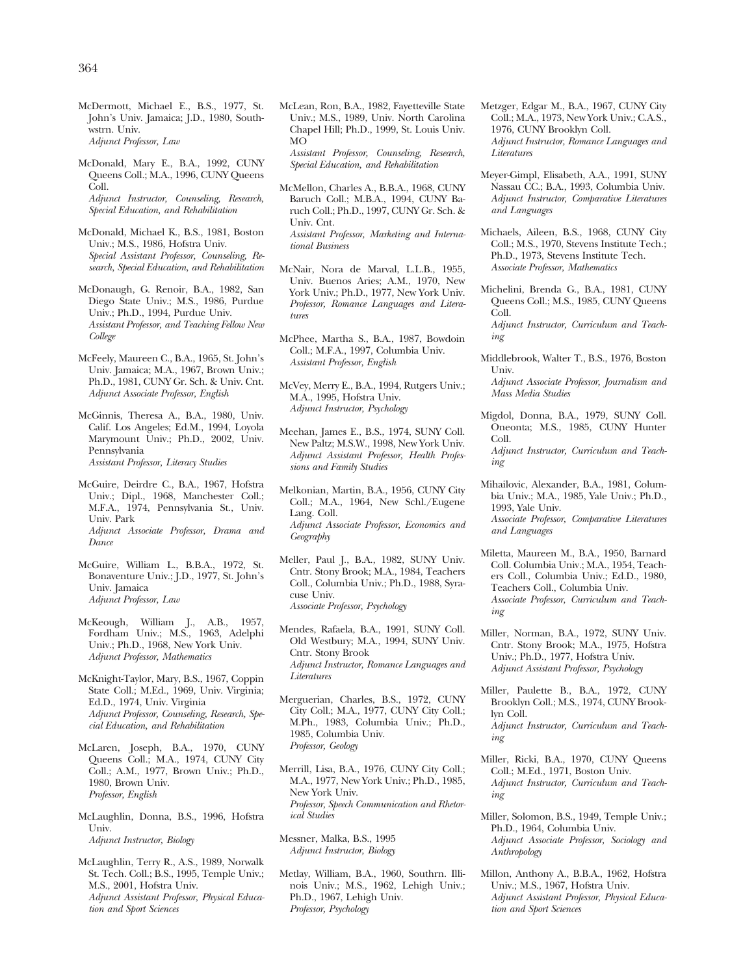McDermott, Michael E., B.S., 1977, St. John's Univ. Jamaica; J.D., 1980, Southwstrn. Univ. *Adjunct Professor, Law* 

- McDonald, Mary E., B.A., 1992, CUNY Queens Coll.; M.A., 1996, CUNY Queens Coll. *Adjunct Instructor, Counseling, Research, Special Education, and Rehabilitation*
- McDonald, Michael K., B.S., 1981, Boston Univ.; M.S., 1986, Hofstra Univ. *Special Assistant Professor, Counseling, Research, Special Education, and Rehabilitation*
- McDonaugh, G. Renoir, B.A., 1982, San Diego State Univ.; M.S., 1986, Purdue Univ.; Ph.D., 1994, Purdue Univ. *Assistant Professor, and Teaching Fellow New College*

McFeely, Maureen C., B.A., 1965, St. John's Univ. Jamaica; M.A., 1967, Brown Univ.; Ph.D., 1981, CUNY Gr. Sch. & Univ. Cnt. *Adjunct Associate Professor, English* 

- McGinnis, Theresa A., B.A., 1980, Univ. Calif. Los Angeles; Ed.M., 1994, Loyola Marymount Univ.; Ph.D., 2002, Univ. Pennsylvania *Assistant Professor, Literacy Studies*
- McGuire, Deirdre C., B.A., 1967, Hofstra Univ.; Dipl., 1968, Manchester Coll.; M.F.A., 1974, Pennsylvania St., Univ. Univ. Park *Adjunct Associate Professor, Drama and Dance*
- McGuire, William L., B.B.A., 1972, St. Bonaventure Univ.; J.D., 1977, St. John's Univ. Jamaica *Adjunct Professor, Law*
- McKeough, William J., A.B., 1957, Fordham Univ.; M.S., 1963, Adelphi Univ.; Ph.D., 1968, New York Univ. *Adjunct Professor, Mathematics*
- McKnight-Taylor, Mary, B.S., 1967, Coppin State Coll.; M.Ed., 1969, Univ. Virginia; Ed.D., 1974, Univ. Virginia *Adjunct Professor, Counseling, Research, Special Education, and Rehabilitation*
- McLaren, Joseph, B.A., 1970, CUNY Queens Coll.; M.A., 1974, CUNY City Coll.; A.M., 1977, Brown Univ.; Ph.D., 1980, Brown Univ. *Professor, English*
- McLaughlin, Donna, B.S., 1996, Hofstra Univ. *Adjunct Instructor, Biology*
- McLaughlin, Terry R., A.S., 1989, Norwalk St. Tech. Coll.; B.S., 1995, Temple Univ.; M.S., 2001, Hofstra Univ. *Adjunct Assistant Professor, Physical Education and Sport Sciences*
- McLean, Ron, B.A., 1982, Fayetteville State Univ.; M.S., 1989, Univ. North Carolina Chapel Hill; Ph.D., 1999, St. Louis Univ. MO *Assistant Professor, Counseling, Research, Special Education, and Rehabilitation*
- McMellon, Charles A., B.B.A., 1968, CUNY Baruch Coll.; M.B.A., 1994, CUNY Baruch Coll.; Ph.D., 1997, CUNY Gr. Sch. & Univ. Cnt. *Assistant Professor, Marketing and International Business*
- McNair, Nora de Marval, L.L.B., 1955, Univ. Buenos Aries; A.M., 1970, New York Univ.; Ph.D., 1977, New York Univ. *Professor, Romance Languages and Literatures*
- McPhee, Martha S., B.A., 1987, Bowdoin Coll.; M.F.A., 1997, Columbia Univ. *Assistant Professor, English*
- McVey, Merry E., B.A., 1994, Rutgers Univ.; M.A., 1995, Hofstra Univ. *Adjunct Instructor, Psychology*
- Meehan, James E., B.S., 1974, SUNY Coll. New Paltz; M.S.W., 1998, New York Univ. *Adjunct Assistant Professor, Health Professions and Family Studies*
- Melkonian, Martin, B.A., 1956, CUNY City Coll.; M.A., 1964, New Schl./Eugene Lang. Coll. *Adjunct Associate Professor, Economics and Geography*
- Meller, Paul J., B.A., 1982, SUNY Univ. Cntr. Stony Brook; M.A., 1984, Teachers Coll., Columbia Univ.; Ph.D., 1988, Syracuse Univ. *Associate Professor, Psychology*
- Mendes, Rafaela, B.A., 1991, SUNY Coll. Old Westbury; M.A., 1994, SUNY Univ. Cntr. Stony Brook *Adjunct Instructor, Romance Languages and Literatures*
- Merguerian, Charles, B.S., 1972, CUNY City Coll.; M.A., 1977, CUNY City Coll.; M.Ph., 1983, Columbia Univ.; Ph.D., 1985, Columbia Univ. *Professor, Geology*
- Merrill, Lisa, B.A., 1976, CUNY City Coll.; M.A., 1977, New York Univ.; Ph.D., 1985, New York Univ. *Professor, Speech Communication and Rhetorical Studies*

Messner, Malka, B.S., 1995 *Adjunct Instructor, Biology* 

Metlay, William, B.A., 1960, Southrn. Illinois Univ.; M.S., 1962, Lehigh Univ.; Ph.D., 1967, Lehigh Univ. *Professor, Psychology* 

- Metzger, Edgar M., B.A., 1967, CUNY City Coll.; M.A., 1973, New York Univ.; C.A.S., 1976, CUNY Brooklyn Coll. *Adjunct Instructor, Romance Languages and Literatures*
- Meyer-Gimpl, Elisabeth, A.A., 1991, SUNY Nassau CC.; B.A., 1993, Columbia Univ. *Adjunct Instructor, Comparative Literatures and Languages*
- Michaels, Aileen, B.S., 1968, CUNY City Coll.; M.S., 1970, Stevens Institute Tech.; Ph.D., 1973, Stevens Institute Tech. *Associate Professor, Mathematics*
- Michelini, Brenda G., B.A., 1981, CUNY Queens Coll.; M.S., 1985, CUNY Queens Coll.
- *Adjunct Instructor, Curriculum and Teaching*
- Middlebrook, Walter T., B.S., 1976, Boston Univ.

*Adjunct Associate Professor, Journalism and Mass Media Studies* 

- Migdol, Donna, B.A., 1979, SUNY Coll. Oneonta; M.S., 1985, CUNY Hunter Coll. *Adjunct Instructor, Curriculum and Teaching*
- Mihailovic, Alexander, B.A., 1981, Columbia Univ.; M.A., 1985, Yale Univ.; Ph.D., 1993, Yale Univ.

*Associate Professor, Comparative Literatures and Languages* 

- Miletta, Maureen M., B.A., 1950, Barnard Coll. Columbia Univ.; M.A., 1954, Teachers Coll., Columbia Univ.; Ed.D., 1980, Teachers Coll., Columbia Univ. *Associate Professor, Curriculum and Teaching*
- Miller, Norman, B.A., 1972, SUNY Univ. Cntr. Stony Brook; M.A., 1975, Hofstra Univ.; Ph.D., 1977, Hofstra Univ. *Adjunct Assistant Professor, Psychology*
- Miller, Paulette B., B.A., 1972, CUNY Brooklyn Coll.; M.S., 1974, CUNY Brooklyn Coll. *Adjunct Instructor, Curriculum and Teaching*
- Miller, Ricki, B.A., 1970, CUNY Queens Coll.; M.Ed., 1971, Boston Univ. *Adjunct Instructor, Curriculum and Teaching*
- Miller, Solomon, B.S., 1949, Temple Univ.; Ph.D., 1964, Columbia Univ. *Adjunct Associate Professor, Sociology and Anthropology*
- Millon, Anthony A., B.B.A., 1962, Hofstra Univ.; M.S., 1967, Hofstra Univ. *Adjunct Assistant Professor, Physical Education and Sport Sciences*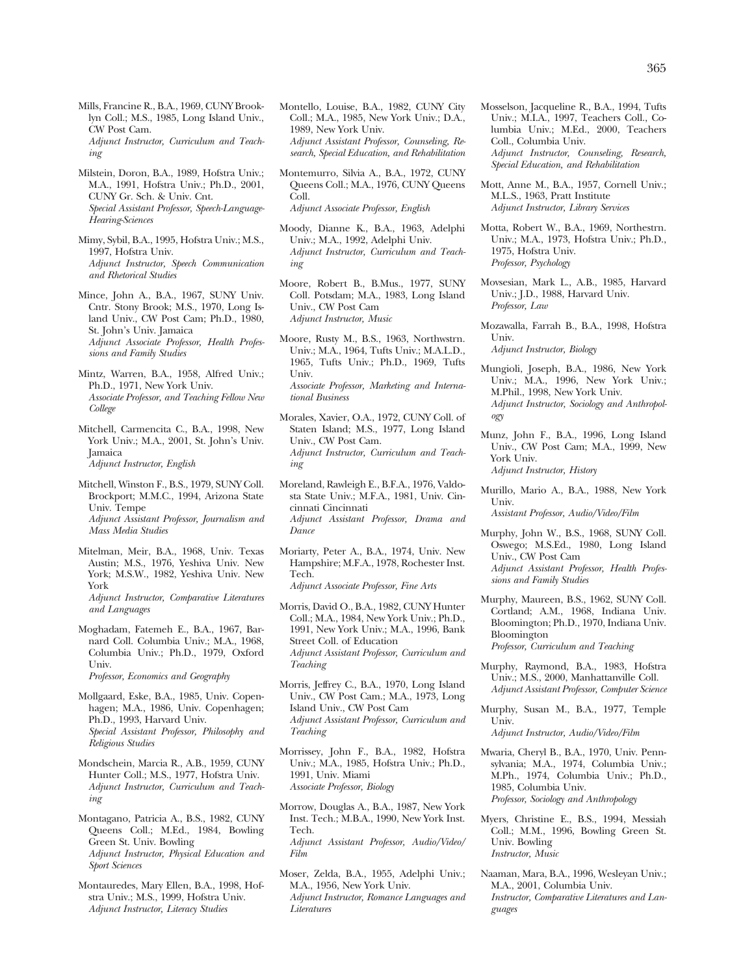Mills, Francine R., B.A., 1969, CUNY Brooklyn Coll.; M.S., 1985, Long Island Univ., CW Post Cam. *Adjunct Instructor, Curriculum and Teaching* 

- Milstein, Doron, B.A., 1989, Hofstra Univ.; M.A., 1991, Hofstra Univ.; Ph.D., 2001, CUNY Gr. Sch. & Univ. Cnt. *Special Assistant Professor, Speech-Language-Hearing-Sciences*
- Mimy, Sybil, B.A., 1995, Hofstra Univ.; M.S., 1997, Hofstra Univ. *Adjunct Instructor, Speech Communication and Rhetorical Studies*
- Mince, John A., B.A., 1967, SUNY Univ. Cntr. Stony Brook; M.S., 1970, Long Island Univ., CW Post Cam; Ph.D., 1980, St. John's Univ. Jamaica *Adjunct Associate Professor, Health Professions and Family Studies*
- Mintz, Warren, B.A., 1958, Alfred Univ.; Ph.D., 1971, New York Univ. *Associate Professor, and Teaching Fellow New College*

Mitchell, Carmencita C., B.A., 1998, New York Univ.; M.A., 2001, St. John's Univ. Jamaica *Adjunct Instructor, English* 

- Mitchell, Winston F., B.S., 1979, SUNY Coll. Brockport; M.M.C., 1994, Arizona State Univ. Tempe *Adjunct Assistant Professor, Journalism and Mass Media Studies*
- Mitelman, Meir, B.A., 1968, Univ. Texas Austin; M.S., 1976, Yeshiva Univ. New York; M.S.W., 1982, Yeshiva Univ. New York *Adjunct Instructor, Comparative Literatures and Languages*
- Moghadam, Fatemeh E., B.A., 1967, Barnard Coll. Columbia Univ.; M.A., 1968, Columbia Univ.; Ph.D., 1979, Oxford Univ.

*Professor, Economics and Geography* 

- Mollgaard, Eske, B.A., 1985, Univ. Copenhagen; M.A., 1986, Univ. Copenhagen; Ph.D., 1993, Harvard Univ. *Special Assistant Professor, Philosophy and Religious Studies*
- Mondschein, Marcia R., A.B., 1959, CUNY Hunter Coll.; M.S., 1977, Hofstra Univ. *Adjunct Instructor, Curriculum and Teaching*
- Montagano, Patricia A., B.S., 1982, CUNY Queens Coll.; M.Ed., 1984, Bowling Green St. Univ. Bowling *Adjunct Instructor, Physical Education and Sport Sciences*
- Montauredes, Mary Ellen, B.A., 1998, Hofstra Univ.; M.S., 1999, Hofstra Univ. *Adjunct Instructor, Literacy Studies*
- Montello, Louise, B.A., 1982, CUNY City Coll.; M.A., 1985, New York Univ.; D.A., 1989, New York Univ. *Adjunct Assistant Professor, Counseling, Research, Special Education, and Rehabilitation*
- Montemurro, Silvia A., B.A., 1972, CUNY Queens Coll.; M.A., 1976, CUNY Queens Coll. *Adjunct Associate Professor, English*
- Moody, Dianne K., B.A., 1963, Adelphi Univ.; M.A., 1992, Adelphi Univ. *Adjunct Instructor, Curriculum and Teaching*
- Moore, Robert B., B.Mus., 1977, SUNY Coll. Potsdam; M.A., 1983, Long Island Univ., CW Post Cam *Adjunct Instructor, Music*
- Moore, Rusty M., B.S., 1963, Northwstrn. Univ.; M.A., 1964, Tufts Univ.; M.A.L.D., 1965, Tufts Univ.; Ph.D., 1969, Tufts Univ. *Associate Professor, Marketing and International Business*
- Morales, Xavier, O.A., 1972, CUNY Coll. of Staten Island; M.S., 1977, Long Island Univ., CW Post Cam. *Adjunct Instructor, Curriculum and Teaching*
- Moreland, Rawleigh E., B.F.A., 1976, Valdosta State Univ.; M.F.A., 1981, Univ. Cincinnati Cincinnati *Adjunct Assistant Professor, Drama and Dance*
- Moriarty, Peter A., B.A., 1974, Univ. New Hampshire; M.F.A., 1978, Rochester Inst. Tech. *Adjunct Associate Professor, Fine Arts*
- Morris, David O., B.A., 1982, CUNY Hunter Coll.; M.A., 1984, New York Univ.; Ph.D., 1991, New York Univ.; M.A., 1996, Bank Street Coll. of Education *Adjunct Assistant Professor, Curriculum and Teaching*
- Morris, Jeffrey C., B.A., 1970, Long Island Univ., CW Post Cam.; M.A., 1973, Long Island Univ., CW Post Cam *Adjunct Assistant Professor, Curriculum and Teaching*
- Morrissey, John F., B.A., 1982, Hofstra Univ.; M.A., 1985, Hofstra Univ.; Ph.D., 1991, Univ. Miami *Associate Professor, Biology*
- Morrow, Douglas A., B.A., 1987, New York Inst. Tech.; M.B.A., 1990, New York Inst. Tech. *Adjunct Assistant Professor, Audio/Video/ Film*
- Moser, Zelda, B.A., 1955, Adelphi Univ.; M.A., 1956, New York Univ. *Adjunct Instructor, Romance Languages and Literatures*
- Mosselson, Jacqueline R., B.A., 1994, Tufts Univ.; M.I.A., 1997, Teachers Coll., Columbia Univ.; M.Ed., 2000, Teachers Coll., Columbia Univ. *Adjunct Instructor, Counseling, Research, Special Education, and Rehabilitation*
- Mott, Anne M., B.A., 1957, Cornell Univ.; M.L.S., 1963, Pratt Institute *Adjunct Instructor, Library Services*
- Motta, Robert W., B.A., 1969, Northestrn. Univ.; M.A., 1973, Hofstra Univ.; Ph.D., 1975, Hofstra Univ. *Professor, Psychology*
- Movsesian, Mark L., A.B., 1985, Harvard Univ.; J.D., 1988, Harvard Univ. *Professor, Law*
- Mozawalla, Farrah B., B.A., 1998, Hofstra Univ.

*Adjunct Instructor, Biology* 

- Mungioli, Joseph, B.A., 1986, New York Univ.; M.A., 1996, New York Univ.; M.Phil., 1998, New York Univ. *Adjunct Instructor, Sociology and Anthropology*
- Munz, John F., B.A., 1996, Long Island Univ., CW Post Cam; M.A., 1999, New York Univ. *Adjunct Instructor, History*
- Murillo, Mario A., B.A., 1988, New York Univ.

*Assistant Professor, Audio/Video/Film* 

- Murphy, John W., B.S., 1968, SUNY Coll. Oswego; M.S.Ed., 1980, Long Island Univ., CW Post Cam *Adjunct Assistant Professor, Health Professions and Family Studies*
- Murphy, Maureen, B.S., 1962, SUNY Coll. Cortland; A.M., 1968, Indiana Univ. Bloomington; Ph.D., 1970, Indiana Univ. Bloomington

*Professor, Curriculum and Teaching* 

- Murphy, Raymond, B.A., 1983, Hofstra Univ.; M.S., 2000, Manhattanville Coll. *Adjunct Assistant Professor, Computer Science*
- Murphy, Susan M., B.A., 1977, Temple Univ.

*Adjunct Instructor, Audio/Video/Film* 

- Mwaria, Cheryl B., B.A., 1970, Univ. Pennsylvania; M.A., 1974, Columbia Univ.; M.Ph., 1974, Columbia Univ.; Ph.D., 1985, Columbia Univ. *Professor, Sociology and Anthropology*
- Myers, Christine E., B.S., 1994, Messiah Coll.; M.M., 1996, Bowling Green St. Univ. Bowling *Instructor, Music*
- Naaman, Mara, B.A., 1996, Wesleyan Univ.; M.A., 2001, Columbia Univ. *Instructor, Comparative Literatures and Languages*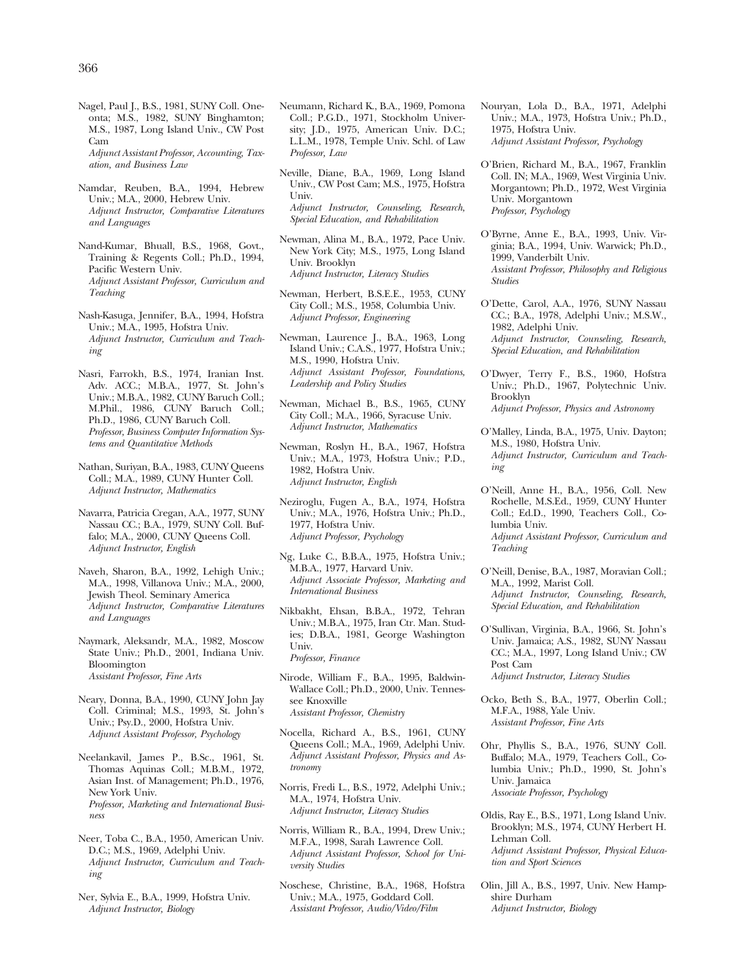Nagel, Paul J., B.S., 1981, SUNY Coll. Oneonta; M.S., 1982, SUNY Binghamton; M.S., 1987, Long Island Univ., CW Post Cam *Adjunct Assistant Professor, Accounting, Tax-*

*ation, and Business Law* 

- Namdar, Reuben, B.A., 1994, Hebrew Univ.; M.A., 2000, Hebrew Univ. *Adjunct Instructor, Comparative Literatures and Languages*
- Nand-Kumar, Bhuall, B.S., 1968, Govt., Training & Regents Coll.; Ph.D., 1994, Pacific Western Univ. *Adjunct Assistant Professor, Curriculum and Teaching*
- Nash-Kasuga, Jennifer, B.A., 1994, Hofstra Univ.; M.A., 1995, Hofstra Univ. *Adjunct Instructor, Curriculum and Teaching*
- Nasri, Farrokh, B.S., 1974, Iranian Inst. Adv. ACC.; M.B.A., 1977, St. John's Univ.; M.B.A., 1982, CUNY Baruch Coll.; M.Phil., 1986, CUNY Baruch Coll.; Ph.D., 1986, CUNY Baruch Coll. *Professor, Business Computer Information Systems and Quantitative Methods*
- Nathan, Suriyan, B.A., 1983, CUNY Queens Coll.; M.A., 1989, CUNY Hunter Coll. *Adjunct Instructor, Mathematics*
- Navarra, Patricia Cregan, A.A., 1977, SUNY Nassau CC.; B.A., 1979, SUNY Coll. Buffalo; M.A., 2000, CUNY Queens Coll. *Adjunct Instructor, English*
- Naveh, Sharon, B.A., 1992, Lehigh Univ.; M.A., 1998, Villanova Univ.; M.A., 2000, Jewish Theol. Seminary America *Adjunct Instructor, Comparative Literatures and Languages*
- Naymark, Aleksandr, M.A., 1982, Moscow State Univ.; Ph.D., 2001, Indiana Univ. Bloomington *Assistant Professor, Fine Arts*
- Neary, Donna, B.A., 1990, CUNY John Jay Coll. Criminal; M.S., 1993, St. John's Univ.; Psy.D., 2000, Hofstra Univ. *Adjunct Assistant Professor, Psychology*
- Neelankavil, James P., B.Sc., 1961, St. Thomas Aquinas Coll.; M.B.M., 1972, Asian Inst. of Management; Ph.D., 1976, New York Univ. *Professor, Marketing and International Business*
- Neer, Toba C., B.A., 1950, American Univ. D.C.; M.S., 1969, Adelphi Univ. *Adjunct Instructor, Curriculum and Teaching*
- Ner, Sylvia E., B.A., 1999, Hofstra Univ. *Adjunct Instructor, Biology*
- Neumann, Richard K., B.A., 1969, Pomona Coll.; P.G.D., 1971, Stockholm University; J.D., 1975, American Univ. D.C.; L.L.M., 1978, Temple Univ. Schl. of Law *Professor, Law*
- Neville, Diane, B.A., 1969, Long Island Univ., CW Post Cam; M.S., 1975, Hofstra Univ. *Adjunct Instructor, Counseling, Research, Special Education, and Rehabilitation*
- Newman, Alina M., B.A., 1972, Pace Univ. New York City; M.S., 1975, Long Island Univ. Brooklyn *Adjunct Instructor, Literacy Studies*
- Newman, Herbert, B.S.E.E., 1953, CUNY City Coll.; M.S., 1958, Columbia Univ. *Adjunct Professor, Engineering*
- Newman, Laurence J., B.A., 1963, Long Island Univ.; C.A.S., 1977, Hofstra Univ.; M.S., 1990, Hofstra Univ. *Adjunct Assistant Professor, Foundations, Leadership and Policy Studies*
- Newman, Michael B., B.S., 1965, CUNY City Coll.; M.A., 1966, Syracuse Univ. *Adjunct Instructor, Mathematics*
- Newman, Roslyn H., B.A., 1967, Hofstra Univ.; M.A., 1973, Hofstra Univ.; P.D., 1982, Hofstra Univ. *Adjunct Instructor, English*
- Neziroglu, Fugen A., B.A., 1974, Hofstra Univ.; M.A., 1976, Hofstra Univ.; Ph.D., 1977, Hofstra Univ. *Adjunct Professor, Psychology*
- Ng, Luke C., B.B.A., 1975, Hofstra Univ.; M.B.A., 1977, Harvard Univ. *Adjunct Associate Professor, Marketing and International Business*
- Nikbakht, Ehsan, B.B.A., 1972, Tehran Univ.; M.B.A., 1975, Iran Ctr. Man. Studies; D.B.A., 1981, George Washington Univ. *Professor, Finance*
- Nirode, William F., B.A., 1995, Baldwin-Wallace Coll.; Ph.D., 2000, Univ. Tennessee Knoxville *Assistant Professor, Chemistry*
- Nocella, Richard A., B.S., 1961, CUNY Queens Coll.; M.A., 1969, Adelphi Univ. *Adjunct Assistant Professor, Physics and Astronomy*
- Norris, Fredi L., B.S., 1972, Adelphi Univ.; M.A., 1974, Hofstra Univ. *Adjunct Instructor, Literacy Studies*
- Norris, William R., B.A., 1994, Drew Univ.; M.F.A., 1998, Sarah Lawrence Coll. *Adjunct Assistant Professor, School for University Studies*
- Noschese, Christine, B.A., 1968, Hofstra Univ.; M.A., 1975, Goddard Coll. *Assistant Professor, Audio/Video/Film*
- Nouryan, Lola D., B.A., 1971, Adelphi Univ.; M.A., 1973, Hofstra Univ.; Ph.D., 1975, Hofstra Univ. *Adjunct Assistant Professor, Psychology*
- O'Brien, Richard M., B.A., 1967, Franklin Coll. IN; M.A., 1969, West Virginia Univ. Morgantown; Ph.D., 1972, West Virginia Univ. Morgantown *Professor, Psychology*
- O'Byrne, Anne E., B.A., 1993, Univ. Virginia; B.A., 1994, Univ. Warwick; Ph.D., 1999, Vanderbilt Univ. *Assistant Professor, Philosophy and Religious Studies*
- O'Dette, Carol, A.A., 1976, SUNY Nassau CC.; B.A., 1978, Adelphi Univ.; M.S.W., 1982, Adelphi Univ. *Adjunct Instructor, Counseling, Research, Special Education, and Rehabilitation*
- O'Dwyer, Terry F., B.S., 1960, Hofstra Univ.; Ph.D., 1967, Polytechnic Univ. Brooklyn *Adjunct Professor, Physics and Astronomy*
- O'Malley, Linda, B.A., 1975, Univ. Dayton; M.S., 1980, Hofstra Univ. *Adjunct Instructor, Curriculum and Teaching*
- O'Neill, Anne H., B.A., 1956, Coll. New Rochelle, M.S.Ed., 1959, CUNY Hunter Coll.; Ed.D., 1990, Teachers Coll., Columbia Univ. *Adjunct Assistant Professor, Curriculum and*
- *Teaching*  O'Neill, Denise, B.A., 1987, Moravian Coll.;
- M.A., 1992, Marist Coll. *Adjunct Instructor, Counseling, Research, Special Education, and Rehabilitation*
- O'Sullivan, Virginia, B.A., 1966, St. John's Univ. Jamaica; A.S., 1982, SUNY Nassau CC.; M.A., 1997, Long Island Univ.; CW Post Cam *Adjunct Instructor, Literacy Studies*
- Ocko, Beth S., B.A., 1977, Oberlin Coll.; M.F.A., 1988, Yale Univ. *Assistant Professor, Fine Arts*
- Ohr, Phyllis S., B.A., 1976, SUNY Coll. Buffalo; M.A., 1979, Teachers Coll., Columbia Univ.; Ph.D., 1990, St. John's Univ. Jamaica *Associate Professor, Psychology*
- Oldis, Ray E., B.S., 1971, Long Island Univ. Brooklyn; M.S., 1974, CUNY Herbert H. Lehman Coll. *Adjunct Assistant Professor, Physical Education and Sport Sciences*
- Olin, Jill A., B.S., 1997, Univ. New Hampshire Durham *Adjunct Instructor, Biology*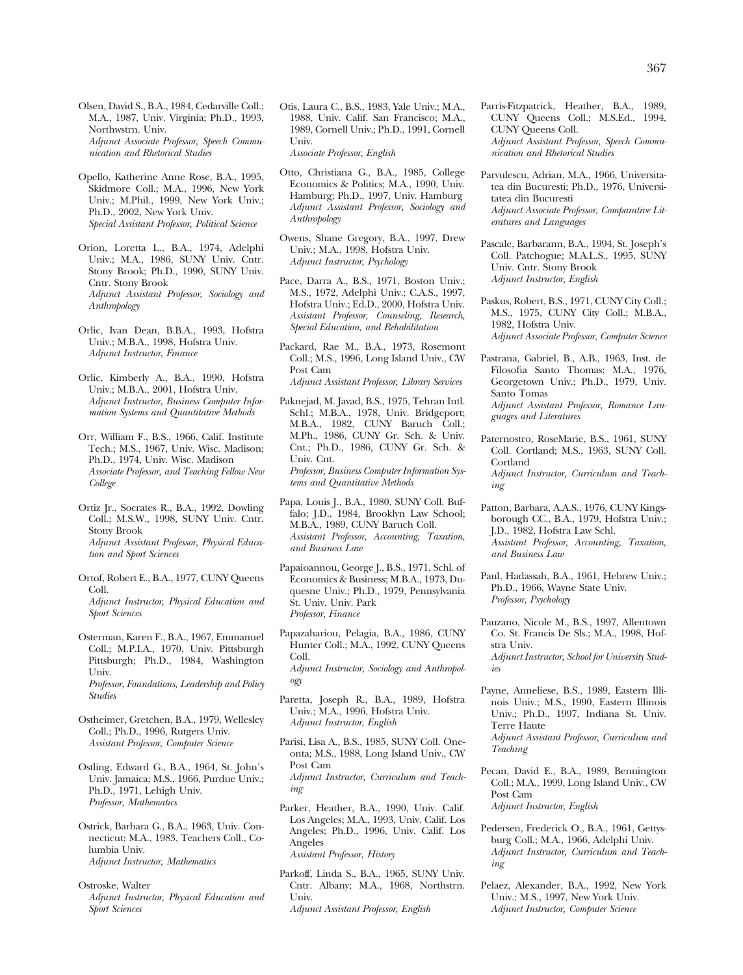Olsen, David S., B.A., 1984, Cedarville Coll.; M.A., 1987, Univ. Virginia; Ph.D., 1993, Northwstrn. Univ. *Adjunct Associate Professor, Speech Communication and Rhetorical Studies* 

- Opello, Katherine Anne Rose, B.A., 1995, Skidmore Coll.; M.A., 1996, New York Univ.; M.Phil., 1999, New York Univ.; Ph.D., 2002, New York Univ. *Special Assistant Professor, Political Science*
- Orion, Loretta L., B.A., 1974, Adelphi Univ.; M.A., 1986, SUNY Univ. Cntr. Stony Brook; Ph.D., 1990, SUNY Univ. Cntr. Stony Brook *Adjunct Assistant Professor, Sociology and Anthropology*

Orlic, Ivan Dean, B.B.A., 1993, Hofstra Univ.; M.B.A., 1998, Hofstra Univ. *Adjunct Instructor, Finance* 

Orlic, Kimberly A., B.A., 1990, Hofstra Univ.; M.B.A., 2001, Hofstra Univ. *Adjunct Instructor, Business Computer Information Systems and Quantitative Methods* 

- Orr, William F., B.S., 1966, Calif. Institute Tech.; M.S., 1967, Univ. Wisc. Madison; Ph.D., 1974, Univ. Wisc. Madison *Associate Professor, and Teaching Fellow New College*
- Ortiz Jr., Socrates R., B.A., 1992, Dowling Coll.; M.S.W., 1998, SUNY Univ. Cntr. Stony Brook *Adjunct Assistant Professor, Physical Education and Sport Sciences*
- Ortof, Robert E., B.A., 1977, CUNY Queens Coll. *Adjunct Instructor, Physical Education and Sport Sciences*
- Osterman, Karen F., B.A., 1967, Emmanuel Coll.; M.P.I.A., 1970, Univ. Pittsburgh Pittsburgh; Ph.D., 1984, Washington Univ. *Professor, Foundations, Leadership and Policy Studies*

Ostheimer, Gretchen, B.A., 1979, Wellesley Coll.; Ph.D., 1996, Rutgers Univ. *Assistant Professor, Computer Science* 

Ostling, Edward G., B.A., 1964, St. John's Univ. Jamaica; M.S., 1966, Purdue Univ.; Ph.D., 1971, Lehigh Univ. *Professor, Mathematics* 

Ostrick, Barbara G., B.A., 1963, Univ. Connecticut; M.A., 1983, Teachers Coll., Columbia Univ. *Adjunct Instructor, Mathematics* 

Ostroske, Walter *Adjunct Instructor, Physical Education and Sport Sciences* 

Otis, Laura C., B.S., 1983, Yale Univ.; M.A., 1988, Univ. Calif. San Francisco; M.A., 1989, Cornell Univ.; Ph.D., 1991, Cornell Univ.

*Associate Professor, English* 

- Otto, Christiana G., B.A., 1985, College Economics & Politics; M.A., 1990, Univ. Hamburg; Ph.D., 1997, Univ. Hamburg *Adjunct Assistant Professor, Sociology and Anthropology*
- Owens, Shane Gregory, B.A., 1997, Drew Univ.; M.A., 1998, Hofstra Univ. *Adjunct Instructor, Psychology*
- Pace, Darra A., B.S., 1971, Boston Univ.; M.S., 1972, Adelphi Univ.; C.A.S., 1997, Hofstra Univ.; Ed.D., 2000, Hofstra Univ. *Assistant Professor, Counseling, Research, Special Education, and Rehabilitation*
- Packard, Rae M., B.A., 1973, Rosemont Coll.; M.S., 1996, Long Island Univ., CW Post Cam *Adjunct Assistant Professor, Library Services*
- Paknejad, M. Javad, B.S., 1975, Tehran Intl. Schl.; M.B.A., 1978, Univ. Bridgeport; M.B.A., 1982, CUNY Baruch Coll.; M.Ph., 1986, CUNY Gr. Sch. & Univ. Cnt.; Ph.D., 1986, CUNY Gr. Sch. & Univ. Cnt. *Professor, Business Computer Information Systems and Quantitative Methods*
- Papa, Louis J., B.A., 1980, SUNY Coll. Buffalo; J.D., 1984, Brooklyn Law School; M.B.A., 1989, CUNY Baruch Coll. *Assistant Professor, Accounting, Taxation, and Business Law*
- Papaioannou, George J., B.S., 1971, Schl. of Economics & Business; M.B.A., 1973, Duquesne Univ.; Ph.D., 1979, Pennsylvania St. Univ. Univ. Park *Professor, Finance*
- Papazahariou, Pelagia, B.A., 1986, CUNY Hunter Coll.; M.A., 1992, CUNY Queens Coll. *Adjunct Instructor, Sociology and Anthropology*
- Paretta, Joseph R., B.A., 1989, Hofstra Univ.; M.A., 1996, Hofstra Univ. *Adjunct Instructor, English*
- Parisi, Lisa A., B.S., 1985, SUNY Coll. Oneonta; M.S., 1988, Long Island Univ., CW Post Cam *Adjunct Instructor, Curriculum and Teaching*

Parker, Heather, B.A., 1990, Univ. Calif. Los Angeles; M.A., 1993, Univ. Calif. Los Angeles; Ph.D., 1996, Univ. Calif. Los Angeles *Assistant Professor, History* 

Parkoff, Linda S., B.A., 1965, SUNY Univ. Cntr. Albany; M.A., 1968, Northstrn. Univ. *Adjunct Assistant Professor, English* 

- Parris-Fitzpatrick, Heather, B.A., 1989, CUNY Queens Coll.; M.S.Ed., 1994, CUNY Queens Coll. *Adjunct Assistant Professor, Speech Communication and Rhetorical Studies*
- Parvulescu, Adrian, M.A., 1966, Universitatea din Bucuresti; Ph.D., 1976, Universitatea din Bucuresti *Adjunct Associate Professor, Comparative Literatures and Languages*
- Pascale, Barbarann, B.A., 1994, St. Joseph's Coll. Patchogue; M.A.L.S., 1995, SUNY Univ. Cntr. Stony Brook *Adjunct Instructor, English*
- Paskus, Robert, B.S., 1971, CUNY City Coll.; M.S., 1975, CUNY City Coll.; M.B.A., 1982, Hofstra Univ. *Adjunct Associate Professor, Computer Science*
- Pastrana, Gabriel, B., A.B., 1963, Inst. de Filosofia Santo Thomas; M.A., 1976, Georgetown Univ.; Ph.D., 1979, Univ. Santo Tomas

*Adjunct Assistant Professor, Romance Languages and Literatures* 

- Paternostro, RoseMarie, B.S., 1961, SUNY Coll. Cortland; M.S., 1963, SUNY Coll. **Cortland** *Adjunct Instructor, Curriculum and Teaching*
- Patton, Barbara, A.A.S., 1976, CUNY Kingsborough CC., B.A., 1979, Hofstra Univ.; J.D., 1982, Hofstra Law Schl. *Assistant Professor, Accounting, Taxation, and Business Law*
- Paul, Hadassah, B.A., 1961, Hebrew Univ.; Ph.D., 1966, Wayne State Univ. *Professor, Psychology*
- Pauzano, Nicole M., B.S., 1997, Allentown Co. St. Francis De Sls.; M.A., 1998, Hofstra Univ.

*Adjunct Instructor, School for University Studies* 

Payne, Anneliese, B.S., 1989, Eastern Illinois Univ.; M.S., 1990, Eastern Illinois Univ.; Ph.D., 1997, Indiana St. Univ. Terre Haute

*Adjunct Assistant Professor, Curriculum and Teaching* 

- Pecan, David E., B.A., 1989, Bennington Coll.; M.A., 1999, Long Island Univ., CW Post Cam *Adjunct Instructor, English*
- Pedersen, Frederick O., B.A., 1961, Gettysburg Coll.; M.A., 1966, Adelphi Univ. *Adjunct Instructor, Curriculum and Teaching*
- Pelaez, Alexander, B.A., 1992, New York Univ.; M.S., 1997, New York Univ. *Adjunct Instructor, Computer Science*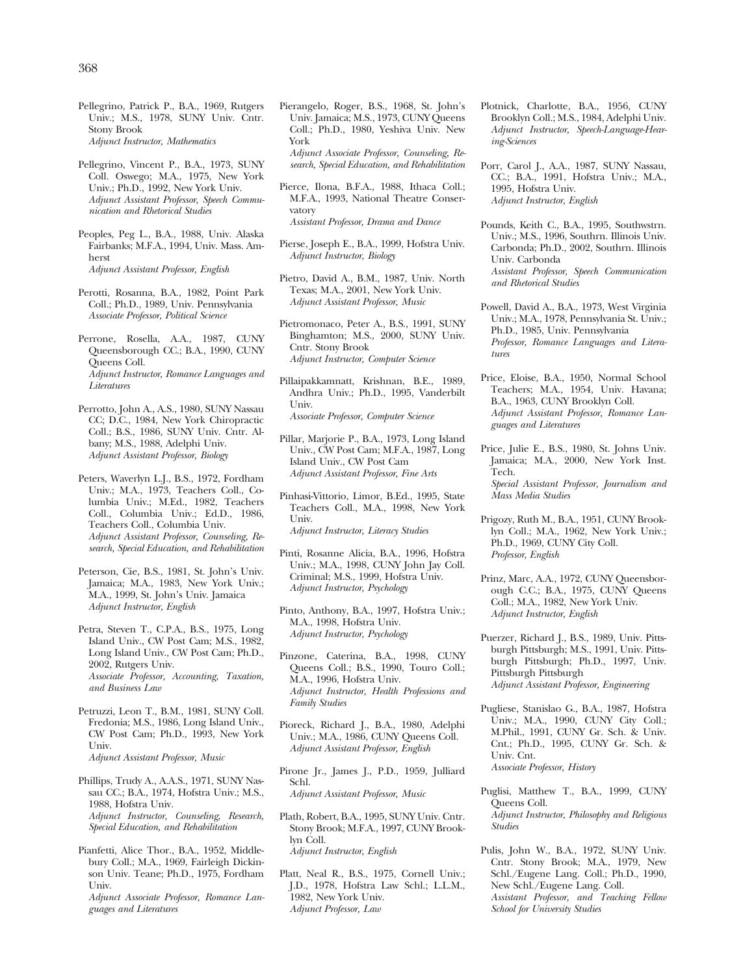Pellegrino, Patrick P., B.A., 1969, Rutgers Univ.; M.S., 1978, SUNY Univ. Cntr. Stony Brook *Adjunct Instructor, Mathematics* 

Pellegrino, Vincent P., B.A., 1973, SUNY Coll. Oswego; M.A., 1975, New York Univ.; Ph.D., 1992, New York Univ. *Adjunct Assistant Professor, Speech Communication and Rhetorical Studies* 

Peoples, Peg L., B.A., 1988, Univ. Alaska Fairbanks; M.F.A., 1994, Univ. Mass. Amherst *Adjunct Assistant Professor, English* 

Perotti, Rosanna, B.A., 1982, Point Park Coll.; Ph.D., 1989, Univ. Pennsylvania *Associate Professor, Political Science* 

Perrone, Rosella, A.A., 1987, CUNY Queensborough CC.; B.A., 1990, CUNY Queens Coll. *Adjunct Instructor, Romance Languages and Literatures* 

Perrotto, John A., A.S., 1980, SUNY Nassau CC; D.C., 1984, New York Chiropractic Coll.; B.S., 1986, SUNY Univ. Cntr. Albany; M.S., 1988, Adelphi Univ. *Adjunct Assistant Professor, Biology* 

Peters, Waverlyn L.J., B.S., 1972, Fordham Univ.; M.A., 1973, Teachers Coll., Columbia Univ.; M.Ed., 1982, Teachers Coll., Columbia Univ.; Ed.D., 1986, Teachers Coll., Columbia Univ. *Adjunct Assistant Professor, Counseling, Research, Special Education, and Rehabilitation* 

Peterson, Cie, B.S., 1981, St. John's Univ. Jamaica; M.A., 1983, New York Univ.; M.A., 1999, St. John's Univ. Jamaica *Adjunct Instructor, English* 

Petra, Steven T., C.P.A., B.S., 1975, Long Island Univ., CW Post Cam; M.S., 1982, Long Island Univ., CW Post Cam; Ph.D., 2002, Rutgers Univ. *Associate Professor, Accounting, Taxation, and Business Law* 

Petruzzi, Leon T., B.M., 1981, SUNY Coll. Fredonia; M.S., 1986, Long Island Univ., CW Post Cam; Ph.D., 1993, New York Univ. *Adjunct Assistant Professor, Music* 

Phillips, Trudy A., A.A.S., 1971, SUNY Nassau CC.; B.A., 1974, Hofstra Univ.; M.S., 1988, Hofstra Univ. *Adjunct Instructor, Counseling, Research, Special Education, and Rehabilitation* 

Pianfetti, Alice Thor., B.A., 1952, Middlebury Coll.; M.A., 1969, Fairleigh Dickinson Univ. Teane; Ph.D., 1975, Fordham Univ. *Adjunct Associate Professor, Romance Languages and Literatures* 

Pierangelo, Roger, B.S., 1968, St. John's Univ. Jamaica; M.S., 1973, CUNY Queens Coll.; Ph.D., 1980, Yeshiva Univ. New York *Adjunct Associate Professor, Counseling, Research, Special Education, and Rehabilitation* 

Pierce, Ilona, B.F.A., 1988, Ithaca Coll.; M.F.A., 1993, National Theatre Conservatory *Assistant Professor, Drama and Dance* 

Pierse, Joseph E., B.A., 1999, Hofstra Univ. *Adjunct Instructor, Biology* 

Pietro, David A., B.M., 1987, Univ. North Texas; M.A., 2001, New York Univ. *Adjunct Assistant Professor, Music* 

Pietromonaco, Peter A., B.S., 1991, SUNY Binghamton; M.S., 2000, SUNY Univ. Cntr. Stony Brook *Adjunct Instructor, Computer Science* 

Pillaipakkamnatt, Krishnan, B.E., 1989, Andhra Univ.; Ph.D., 1995, Vanderbilt Univ. *Associate Professor, Computer Science* 

Pillar, Marjorie P., B.A., 1973, Long Island Univ., CW Post Cam; M.F.A., 1987, Long Island Univ., CW Post Cam *Adjunct Assistant Professor, Fine Arts* 

Pinhasi-Vittorio, Limor, B.Ed., 1995, State Teachers Coll., M.A., 1998, New York Univ. *Adjunct Instructor, Literacy Studies* 

Pinti, Rosanne Alicia, B.A., 1996, Hofstra Univ.; M.A., 1998, CUNY John Jay Coll. Criminal; M.S., 1999, Hofstra Univ. *Adjunct Instructor, Psychology* 

Pinto, Anthony, B.A., 1997, Hofstra Univ.; M.A., 1998, Hofstra Univ. *Adjunct Instructor, Psychology* 

Pinzone, Caterina, B.A., 1998, CUNY Queens Coll.; B.S., 1990, Touro Coll.; M.A., 1996, Hofstra Univ. *Adjunct Instructor, Health Professions and Family Studies* 

- Pioreck, Richard J., B.A., 1980, Adelphi Univ.; M.A., 1986, CUNY Queens Coll. *Adjunct Assistant Professor, English*
- Pirone Jr., James J., P.D., 1959, Julliard Schl. *Adjunct Assistant Professor, Music*

Plath, Robert, B.A., 1995, SUNY Univ. Cntr. Stony Brook; M.F.A., 1997, CUNY Brooklyn Coll. *Adjunct Instructor, English* 

Platt, Neal R., B.S., 1975, Cornell Univ.; J.D., 1978, Hofstra Law Schl.; L.L.M., 1982, New York Univ. *Adjunct Professor, Law* 

Plotnick, Charlotte, B.A., 1956, CUNY Brooklyn Coll.; M.S., 1984, Adelphi Univ. *Adjunct Instructor, Speech-Language-Hearing-Sciences* 

Porr, Carol J., A.A., 1987, SUNY Nassau, CC.; B.A., 1991, Hofstra Univ.; M.A., 1995, Hofstra Univ. *Adjunct Instructor, English* 

Pounds, Keith C., B.A., 1995, Southwstrn. Univ.; M.S., 1996, Southrn. Illinois Univ. Carbonda; Ph.D., 2002, Southrn. Illinois Univ. Carbonda *Assistant Professor, Speech Communication and Rhetorical Studies* 

Powell, David A., B.A., 1973, West Virginia Univ.; M.A., 1978, Pennsylvania St. Univ.; Ph.D., 1985, Univ. Pennsylvania *Professor, Romance Languages and Literatures* 

Price, Eloise, B.A., 1950, Normal School Teachers; M.A., 1954, Univ. Havana; B.A., 1963, CUNY Brooklyn Coll. *Adjunct Assistant Professor, Romance Languages and Literatures* 

Price, Julie E., B.S., 1980, St. Johns Univ. Jamaica; M.A., 2000, New York Inst. Tech.

*Special Assistant Professor, Journalism and Mass Media Studies* 

Prigozy, Ruth M., B.A., 1951, CUNY Brooklyn Coll.; M.A., 1962, New York Univ.; Ph.D., 1969, CUNY City Coll. *Professor, English* 

Prinz, Marc, A.A., 1972, CUNY Queensborough C.C.; B.A., 1975, CUNY Queens Coll.; M.A., 1982, New York Univ. *Adjunct Instructor, English* 

Puerzer, Richard J., B.S., 1989, Univ. Pittsburgh Pittsburgh; M.S., 1991, Univ. Pittsburgh Pittsburgh; Ph.D., 1997, Univ. Pittsburgh Pittsburgh *Adjunct Assistant Professor, Engineering* 

Pugliese, Stanislao G., B.A., 1987, Hofstra Univ.; M.A., 1990, CUNY City Coll.; M.Phil., 1991, CUNY Gr. Sch. & Univ. Cnt.; Ph.D., 1995, CUNY Gr. Sch. & Univ. Cnt. *Associate Professor, History* 

Puglisi, Matthew T., B.A., 1999, CUNY Queens Coll. *Adjunct Instructor, Philosophy and Religious Studies* 

Pulis, John W., B.A., 1972, SUNY Univ. Cntr. Stony Brook; M.A., 1979, New Schl./Eugene Lang. Coll.; Ph.D., 1990, New Schl./Eugene Lang. Coll. *Assistant Professor, and Teaching Fellow School for University Studies*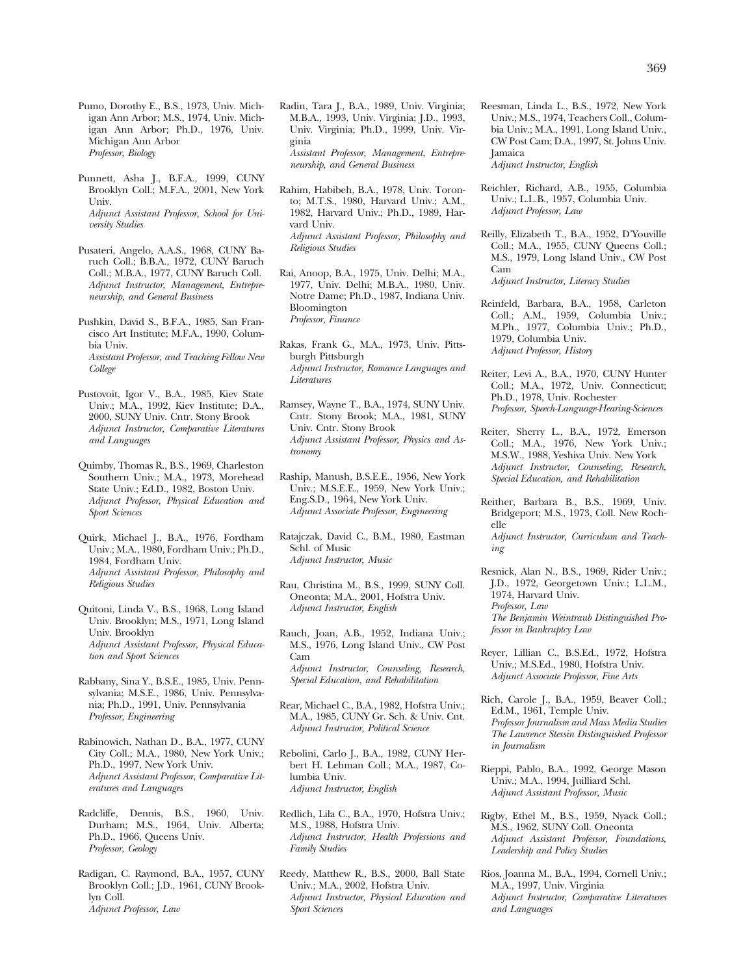Pumo, Dorothy E., B.S., 1973, Univ. Michigan Ann Arbor; M.S., 1974, Univ. Michigan Ann Arbor; Ph.D., 1976, Univ. Michigan Ann Arbor *Professor, Biology* 

- Punnett, Asha J., B.F.A., 1999, CUNY Brooklyn Coll.; M.F.A., 2001, New York Univ. *Adjunct Assistant Professor, School for University Studies*
- Pusateri, Angelo, A.A.S., 1968, CUNY Baruch Coll.; B.B.A., 1972, CUNY Baruch Coll.; M.B.A., 1977, CUNY Baruch Coll. *Adjunct Instructor, Management, Entrepreneurship, and General Business*
- Pushkin, David S., B.F.A., 1985, San Francisco Art Institute; M.F.A., 1990, Columbia Univ. *Assistant Professor, and Teaching Fellow New College*

Pustovoit, Igor V., B.A., 1985, Kiev State Univ.; M.A., 1992, Kiev Institute; D.A., 2000, SUNY Univ. Cntr. Stony Brook *Adjunct Instructor, Comparative Literatures and Languages* 

Quimby, Thomas R., B.S., 1969, Charleston Southern Univ.; M.A., 1973, Morehead State Univ.; Ed.D., 1982, Boston Univ. *Adjunct Professor, Physical Education and Sport Sciences* 

Quirk, Michael J., B.A., 1976, Fordham Univ.; M.A., 1980, Fordham Univ.; Ph.D., 1984, Fordham Univ. *Adjunct Assistant Professor, Philosophy and Religious Studies* 

- Quitoni, Linda V., B.S., 1968, Long Island Univ. Brooklyn; M.S., 1971, Long Island Univ. Brooklyn *Adjunct Assistant Professor, Physical Education and Sport Sciences*
- Rabbany, Sina Y., B.S.E., 1985, Univ. Pennsylvania; M.S.E., 1986, Univ. Pennsylvania; Ph.D., 1991, Univ. Pennsylvania *Professor, Engineering*
- Rabinowich, Nathan D., B.A., 1977, CUNY City Coll.; M.A., 1980, New York Univ.; Ph.D., 1997, New York Univ. *Adjunct Assistant Professor, Comparative Literatures and Languages*
- Radcliffe, Dennis, B.S., 1960, Univ. Durham; M.S., 1964, Univ. Alberta; Ph.D., 1966, Queens Univ. *Professor, Geology*
- Radigan, C. Raymond, B.A., 1957, CUNY Brooklyn Coll.; J.D., 1961, CUNY Brooklyn Coll. *Adjunct Professor, Law*
- Radin, Tara J., B.A., 1989, Univ. Virginia; M.B.A., 1993, Univ. Virginia; J.D., 1993, Univ. Virginia; Ph.D., 1999, Univ. Virginia *Assistant Professor, Management, Entrepreneurship, and General Business*
- Rahim, Habibeh, B.A., 1978, Univ. Toronto; M.T.S., 1980, Harvard Univ.; A.M., 1982, Harvard Univ.; Ph.D., 1989, Harvard Univ. *Adjunct Assistant Professor, Philosophy and Religious Studies*
- Rai, Anoop, B.A., 1975, Univ. Delhi; M.A., 1977, Univ. Delhi; M.B.A., 1980, Univ. Notre Dame; Ph.D., 1987, Indiana Univ. Bloomington *Professor, Finance*
- Rakas, Frank G., M.A., 1973, Univ. Pittsburgh Pittsburgh *Adjunct Instructor, Romance Languages and Literatures*
- Ramsey, Wayne T., B.A., 1974, SUNY Univ. Cntr. Stony Brook; M.A., 1981, SUNY Univ. Cntr. Stony Brook *Adjunct Assistant Professor, Physics and Astronomy*

Raship, Manush, B.S.E.E., 1956, New York Univ.; M.S.E.E., 1959, New York Univ.; Eng.S.D., 1964, New York Univ. *Adjunct Associate Professor, Engineering* 

- Ratajczak, David C., B.M., 1980, Eastman Schl. of Music *Adjunct Instructor, Music*
- Rau, Christina M., B.S., 1999, SUNY Coll. Oneonta; M.A., 2001, Hofstra Univ. *Adjunct Instructor, English*
- Rauch, Joan, A.B., 1952, Indiana Univ.; M.S., 1976, Long Island Univ., CW Post Cam *Adjunct Instructor, Counseling, Research, Special Education, and Rehabilitation*
- Rear, Michael C., B.A., 1982, Hofstra Univ.; M.A., 1985, CUNY Gr. Sch. & Univ. Cnt. *Adjunct Instructor, Political Science*
- Rebolini, Carlo J., B.A., 1982, CUNY Herbert H. Lehman Coll.; M.A., 1987, Columbia Univ. *Adjunct Instructor, English*
- Redlich, Lila C., B.A., 1970, Hofstra Univ.; M.S., 1988, Hofstra Univ. *Adjunct Instructor, Health Professions and Family Studies*
- Reedy, Matthew R., B.S., 2000, Ball State Univ.; M.A., 2002, Hofstra Univ. *Adjunct Instructor, Physical Education and Sport Sciences*
- Reesman, Linda L., B.S., 1972, New York Univ.; M.S., 1974, Teachers Coll., Columbia Univ.; M.A., 1991, Long Island Univ., CW Post Cam; D.A., 1997, St. Johns Univ. Jamaica
	- *Adjunct Instructor, English*
- Reichler, Richard, A.B., 1955, Columbia Univ.; L.L.B., 1957, Columbia Univ. *Adjunct Professor, Law*
- Reilly, Elizabeth T., B.A., 1952, D'Youville Coll.; M.A., 1955, CUNY Queens Coll.; M.S., 1979, Long Island Univ., CW Post Cam *Adjunct Instructor, Literacy Studies*
- Reinfeld, Barbara, B.A., 1958, Carleton Coll.; A.M., 1959, Columbia Univ.; M.Ph., 1977, Columbia Univ.; Ph.D., 1979, Columbia Univ. *Adjunct Professor, History*
- Reiter, Levi A., B.A., 1970, CUNY Hunter Coll.; M.A., 1972, Univ. Connecticut; Ph.D., 1978, Univ. Rochester *Professor, Speech-Language-Hearing-Sciences*
- Reiter, Sherry L., B.A., 1972, Emerson Coll.; M.A., 1976, New York Univ.; M.S.W., 1988, Yeshiva Univ. New York *Adjunct Instructor, Counseling, Research, Special Education, and Rehabilitation*
- Reither, Barbara B., B.S., 1969, Univ. Bridgeport; M.S., 1973, Coll. New Rochelle *Adjunct Instructor, Curriculum and Teaching*
- Resnick, Alan N., B.S., 1969, Rider Univ.; J.D., 1972, Georgetown Univ.; L.L.M., 1974, Harvard Univ. *Professor, Law The Benjamin Weintraub Distinguished Professor in Bankruptcy Law*
- Reyer, Lillian C., B.S.Ed., 1972, Hofstra Univ.; M.S.Ed., 1980, Hofstra Univ. *Adjunct Associate Professor, Fine Arts*
- Rich, Carole J., B.A., 1959, Beaver Coll.; Ed.M., 1961, Temple Univ. *Professor Journalism and Mass Media Studies The Lawrence Stessin Distinguished Professor in Journalism*
- Rieppi, Pablo, B.A., 1992, George Mason Univ.; M.A., 1994, Juilliard Schl. *Adjunct Assistant Professor, Music*
- Rigby, Ethel M., B.S., 1959, Nyack Coll.; M.S., 1962, SUNY Coll. Oneonta *Adjunct Assistant Professor, Foundations, Leadership and Policy Studies*
- Rios, Joanna M., B.A., 1994, Cornell Univ.; M.A., 1997, Univ. Virginia *Adjunct Instructor, Comparative Literatures and Languages*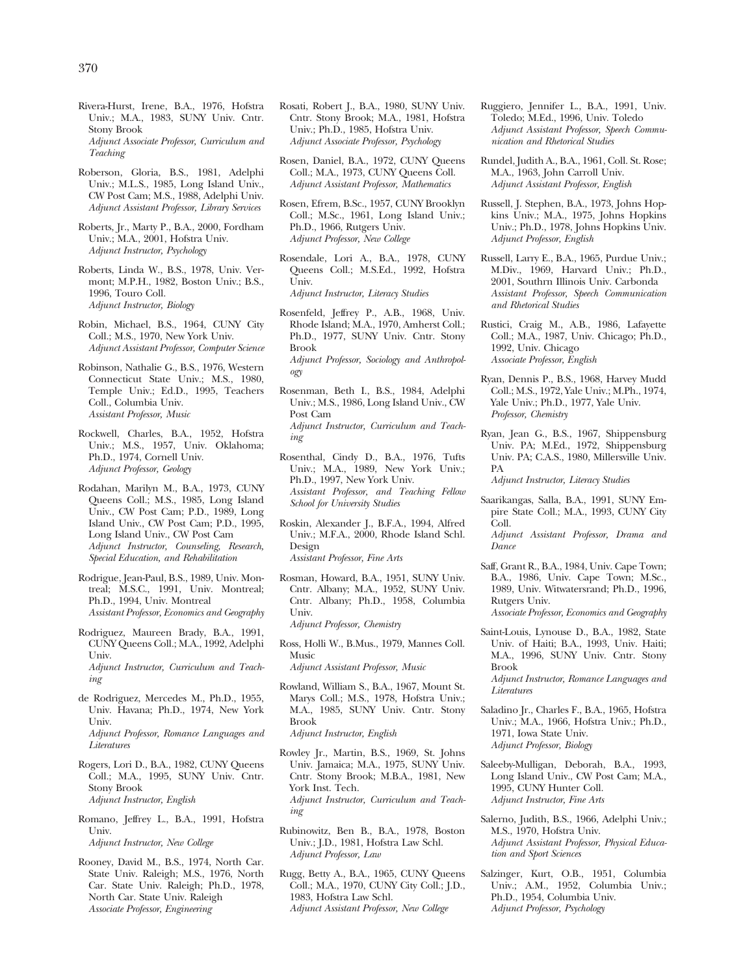- Rivera-Hurst, Irene, B.A., 1976, Hofstra Univ.; M.A., 1983, SUNY Univ. Cntr. Stony Brook *Adjunct Associate Professor, Curriculum and Teaching*
- Roberson, Gloria, B.S., 1981, Adelphi Univ.; M.L.S., 1985, Long Island Univ., CW Post Cam; M.S., 1988, Adelphi Univ. *Adjunct Assistant Professor, Library Services*
- Roberts, Jr., Marty P., B.A., 2000, Fordham Univ.; M.A., 2001, Hofstra Univ. *Adjunct Instructor, Psychology*
- Roberts, Linda W., B.S., 1978, Univ. Vermont; M.P.H., 1982, Boston Univ.; B.S., 1996, Touro Coll. *Adjunct Instructor, Biology*
- Robin, Michael, B.S., 1964, CUNY City Coll.; M.S., 1970, New York Univ. *Adjunct Assistant Professor, Computer Science*
- Robinson, Nathalie G., B.S., 1976, Western Connecticut State Univ.; M.S., 1980, Temple Univ.; Ed.D., 1995, Teachers Coll., Columbia Univ. *Assistant Professor, Music*
- Rockwell, Charles, B.A., 1952, Hofstra Univ.; M.S., 1957, Univ. Oklahoma; Ph.D., 1974, Cornell Univ. *Adjunct Professor, Geology*
- Rodahan, Marilyn M., B.A., 1973, CUNY Queens Coll.; M.S., 1985, Long Island Univ., CW Post Cam; P.D., 1989, Long Island Univ., CW Post Cam; P.D., 1995, Long Island Univ., CW Post Cam *Adjunct Instructor, Counseling, Research, Special Education, and Rehabilitation*
- Rodrigue, Jean-Paul, B.S., 1989, Univ. Montreal; M.S.C., 1991, Univ. Montreal; Ph.D., 1994, Univ. Montreal *Assistant Professor, Economics and Geography*
- Rodriguez, Maureen Brady, B.A., 1991, CUNY Queens Coll.; M.A., 1992, Adelphi Univ. *Adjunct Instructor, Curriculum and Teaching*
- de Rodriguez, Mercedes M., Ph.D., 1955, Univ. Havana; Ph.D., 1974, New York Univ. *Adjunct Professor, Romance Languages and Literatures*
- Rogers, Lori D., B.A., 1982, CUNY Queens Coll.; M.A., 1995, SUNY Univ. Cntr. Stony Brook *Adjunct Instructor, English*
- Romano, Jeffrey L., B.A., 1991, Hofstra Univ. *Adjunct Instructor, New College*
- Rooney, David M., B.S., 1974, North Car. State Univ. Raleigh; M.S., 1976, North Car. State Univ. Raleigh; Ph.D., 1978, North Car. State Univ. Raleigh *Associate Professor, Engineering*
- Rosati, Robert J., B.A., 1980, SUNY Univ. Cntr. Stony Brook; M.A., 1981, Hofstra Univ.; Ph.D., 1985, Hofstra Univ. *Adjunct Associate Professor, Psychology*
- Rosen, Daniel, B.A., 1972, CUNY Queens Coll.; M.A., 1973, CUNY Queens Coll. *Adjunct Assistant Professor, Mathematics*
- Rosen, Efrem, B.Sc., 1957, CUNY Brooklyn Coll.; M.Sc., 1961, Long Island Univ.; Ph.D., 1966, Rutgers Univ. *Adjunct Professor, New College*
- Rosendale, Lori A., B.A., 1978, CUNY Queens Coll.; M.S.Ed., 1992, Hofstra Univ. *Adjunct Instructor, Literacy Studies*
- Rosenfeld, Jeffrey P., A.B., 1968, Univ. Rhode Island; M.A., 1970, Amherst Coll.; Ph.D., 1977, SUNY Univ. Cntr. Stony Brook *Adjunct Professor, Sociology and Anthropology*
- Rosenman, Beth I., B.S., 1984, Adelphi Univ.; M.S., 1986, Long Island Univ., CW Post Cam *Adjunct Instructor, Curriculum and Teaching*
- Rosenthal, Cindy D., B.A., 1976, Tufts Univ.; M.A., 1989, New York Univ.; Ph.D., 1997, New York Univ. *Assistant Professor, and Teaching Fellow School for University Studies*
- Roskin, Alexander J., B.F.A., 1994, Alfred Univ.; M.F.A., 2000, Rhode Island Schl. Design *Assistant Professor, Fine Arts*
- Rosman, Howard, B.A., 1951, SUNY Univ. Cntr. Albany; M.A., 1952, SUNY Univ. Cntr. Albany; Ph.D., 1958, Columbia Univ. *Adjunct Professor, Chemistry*
- Ross, Holli W., B.Mus., 1979, Mannes Coll. Music *Adjunct Assistant Professor, Music*
- Rowland, William S., B.A., 1967, Mount St. Marys Coll.; M.S., 1978, Hofstra Univ.; M.A., 1985, SUNY Univ. Cntr. Stony Brook *Adjunct Instructor, English*
- Rowley Jr., Martin, B.S., 1969, St. Johns Univ. Jamaica; M.A., 1975, SUNY Univ. Cntr. Stony Brook; M.B.A., 1981, New York Inst. Tech. *Adjunct Instructor, Curriculum and Teaching*
- Rubinowitz, Ben B., B.A., 1978, Boston Univ.; J.D., 1981, Hofstra Law Schl. *Adjunct Professor, Law*
- Rugg, Betty A., B.A., 1965, CUNY Queens Coll.; M.A., 1970, CUNY City Coll.; J.D., 1983, Hofstra Law Schl. *Adjunct Assistant Professor, New College*
- Ruggiero, Jennifer L., B.A., 1991, Univ. Toledo; M.Ed., 1996, Univ. Toledo *Adjunct Assistant Professor, Speech Communication and Rhetorical Studies*
- Rundel, Judith A., B.A., 1961, Coll. St. Rose; M.A., 1963, John Carroll Univ. *Adjunct Assistant Professor, English*
- Russell, J. Stephen, B.A., 1973, Johns Hopkins Univ.; M.A., 1975, Johns Hopkins Univ.; Ph.D., 1978, Johns Hopkins Univ. *Adjunct Professor, English*
- Russell, Larry E., B.A., 1965, Purdue Univ.; M.Div., 1969, Harvard Univ.; Ph.D., 2001, Southrn Illinois Univ. Carbonda *Assistant Professor, Speech Communication and Rhetorical Studies*
- Rustici, Craig M., A.B., 1986, Lafayette Coll.; M.A., 1987, Univ. Chicago; Ph.D., 1992, Univ. Chicago *Associate Professor, English*
- Ryan, Dennis P., B.S., 1968, Harvey Mudd Coll.; M.S., 1972, Yale Univ.; M.Ph., 1974, Yale Univ.; Ph.D., 1977, Yale Univ. *Professor, Chemistry*
- Ryan, Jean G., B.S., 1967, Shippensburg Univ. PA; M.Ed., 1972, Shippensburg Univ. PA; C.A.S., 1980, Millersville Univ. PA

*Adjunct Instructor, Literacy Studies* 

Saarikangas, Salla, B.A., 1991, SUNY Empire State Coll.; M.A., 1993, CUNY City Coll.

*Adjunct Assistant Professor, Drama and Dance* 

- Saff, Grant R., B.A., 1984, Univ. Cape Town; B.A., 1986, Univ. Cape Town; M.Sc., 1989, Univ. Witwatersrand; Ph.D., 1996, Rutgers Univ. *Associate Professor, Economics and Geography*
- Saint-Louis, Lynouse D., B.A., 1982, State Univ. of Haiti; B.A., 1993, Univ. Haiti; M.A., 1996, SUNY Univ. Cntr. Stony Brook

*Adjunct Instructor, Romance Languages and Literatures* 

- Saladino Jr., Charles F., B.A., 1965, Hofstra Univ.; M.A., 1966, Hofstra Univ.; Ph.D., 1971, Iowa State Univ. *Adjunct Professor, Biology*
- Saleeby-Mulligan, Deborah, B.A., 1993, Long Island Univ., CW Post Cam; M.A., 1995, CUNY Hunter Coll. *Adjunct Instructor, Fine Arts*
- Salerno, Judith, B.S., 1966, Adelphi Univ.; M.S., 1970, Hofstra Univ. *Adjunct Assistant Professor, Physical Education and Sport Sciences*
- Salzinger, Kurt, O.B., 1951, Columbia Univ.; A.M., 1952, Columbia Univ.; Ph.D., 1954, Columbia Univ. *Adjunct Professor, Psychology*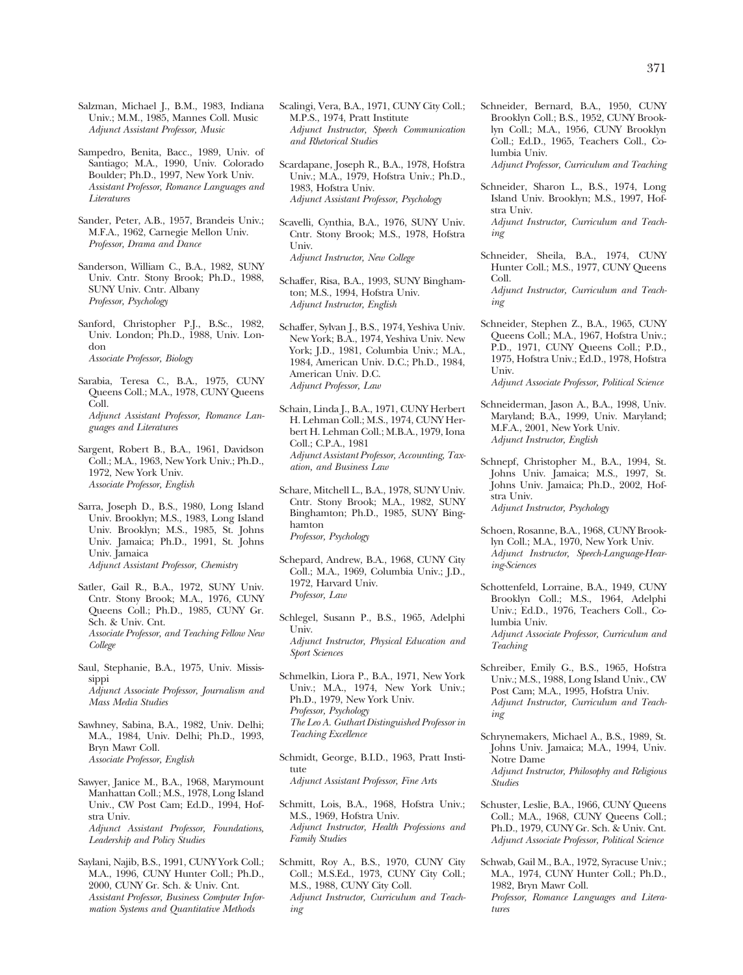Salzman, Michael J., B.M., 1983, Indiana Univ.; M.M., 1985, Mannes Coll. Music *Adjunct Assistant Professor, Music* 

Sampedro, Benita, Bacc., 1989, Univ. of Santiago; M.A., 1990, Univ. Colorado Boulder; Ph.D., 1997, New York Univ. *Assistant Professor, Romance Languages and Literatures* 

Sander, Peter, A.B., 1957, Brandeis Univ.; M.F.A., 1962, Carnegie Mellon Univ. *Professor, Drama and Dance* 

Sanderson, William C., B.A., 1982, SUNY Univ. Cntr. Stony Brook; Ph.D., 1988, SUNY Univ. Cntr. Albany *Professor, Psychology* 

Sanford, Christopher P.J., B.Sc., 1982, Univ. London; Ph.D., 1988, Univ. London *Associate Professor, Biology* 

Sarabia, Teresa C., B.A., 1975, CUNY Queens Coll.; M.A., 1978, CUNY Queens Coll. *Adjunct Assistant Professor, Romance Languages and Literatures* 

Sargent, Robert B., B.A., 1961, Davidson Coll.; M.A., 1963, New York Univ.; Ph.D., 1972, New York Univ. *Associate Professor, English* 

Sarra, Joseph D., B.S., 1980, Long Island Univ. Brooklyn; M.S., 1983, Long Island Univ. Brooklyn; M.S., 1985, St. Johns Univ. Jamaica; Ph.D., 1991, St. Johns Univ. Jamaica *Adjunct Assistant Professor, Chemistry* 

- Satler, Gail R., B.A., 1972, SUNY Univ. Cntr. Stony Brook; M.A., 1976, CUNY Queens Coll.; Ph.D., 1985, CUNY Gr. Sch. & Univ. Cnt. *Associate Professor, and Teaching Fellow New College*
- Saul, Stephanie, B.A., 1975, Univ. Mississippi *Adjunct Associate Professor, Journalism and Mass Media Studies*
- Sawhney, Sabina, B.A., 1982, Univ. Delhi; M.A., 1984, Univ. Delhi; Ph.D., 1993, Bryn Mawr Coll. *Associate Professor, English*
- Sawyer, Janice M., B.A., 1968, Marymount Manhattan Coll.; M.S., 1978, Long Island Univ., CW Post Cam; Ed.D., 1994, Hofstra Univ. *Adjunct Assistant Professor, Foundations,*

*Leadership and Policy Studies* 

Saylani, Najib, B.S., 1991, CUNY York Coll.; M.A., 1996, CUNY Hunter Coll.; Ph.D., 2000, CUNY Gr. Sch. & Univ. Cnt. *Assistant Professor, Business Computer Information Systems and Quantitative Methods* 

Scalingi, Vera, B.A., 1971, CUNY City Coll.; M.P.S., 1974, Pratt Institute *Adjunct Instructor, Speech Communication and Rhetorical Studies* 

Scardapane, Joseph R., B.A., 1978, Hofstra Univ.; M.A., 1979, Hofstra Univ.; Ph.D., 1983, Hofstra Univ. *Adjunct Assistant Professor, Psychology* 

Scavelli, Cynthia, B.A., 1976, SUNY Univ. Cntr. Stony Brook; M.S., 1978, Hofstra Univ. *Adjunct Instructor, New College* 

Schaffer, Risa, B.A., 1993, SUNY Binghamton; M.S., 1994, Hofstra Univ. *Adjunct Instructor, English* 

Schaffer, Sylvan J., B.S., 1974, Yeshiva Univ. New York; B.A., 1974, Yeshiva Univ. New York; J.D., 1981, Columbia Univ.; M.A., 1984, American Univ. D.C.; Ph.D., 1984, American Univ. D.C. *Adjunct Professor, Law* 

Schain, Linda J., B.A., 1971, CUNY Herbert H. Lehman Coll.; M.S., 1974, CUNY Herbert H. Lehman Coll.; M.B.A., 1979, Iona Coll.; C.P.A., 1981 *Adjunct Assistant Professor, Accounting, Taxation, and Business Law* 

Schare, Mitchell L., B.A., 1978, SUNY Univ. Cntr. Stony Brook; M.A., 1982, SUNY Binghamton; Ph.D., 1985, SUNY Binghamton *Professor, Psychology* 

Schepard, Andrew, B.A., 1968, CUNY City Coll.; M.A., 1969, Columbia Univ.; J.D., 1972, Harvard Univ. *Professor, Law* 

Schlegel, Susann P., B.S., 1965, Adelphi Univ. *Adjunct Instructor, Physical Education and Sport Sciences* 

Schmelkin, Liora P., B.A., 1971, New York Univ.; M.A., 1974, New York Univ.; Ph.D., 1979, New York Univ. *Professor, Psychology The Leo A. Guthart Distinguished Professor in Teaching Excellence* 

Schmidt, George, B.I.D., 1963, Pratt Institute *Adjunct Assistant Professor, Fine Arts* 

- Schmitt, Lois, B.A., 1968, Hofstra Univ.; M.S., 1969, Hofstra Univ. *Adjunct Instructor, Health Professions and Family Studies*
- Schmitt, Roy A., B.S., 1970, CUNY City Coll.; M.S.Ed., 1973, CUNY City Coll.; M.S., 1988, CUNY City Coll. *Adjunct Instructor, Curriculum and Teaching*

Schneider, Bernard, B.A., 1950, CUNY Brooklyn Coll.; B.S., 1952, CUNY Brooklyn Coll.; M.A., 1956, CUNY Brooklyn Coll.; Ed.D., 1965, Teachers Coll., Columbia Univ.

*Adjunct Professor, Curriculum and Teaching* 

Schneider, Sharon L., B.S., 1974, Long Island Univ. Brooklyn; M.S., 1997, Hofstra Univ.

*Adjunct Instructor, Curriculum and Teaching* 

- Schneider, Sheila, B.A., 1974, CUNY Hunter Coll.; M.S., 1977, CUNY Queens Coll. *Adjunct Instructor, Curriculum and Teaching*
- Schneider, Stephen Z., B.A., 1965, CUNY Queens Coll.; M.A., 1967, Hofstra Univ.; P.D., 1971, CUNY Queens Coll.; P.D., 1975, Hofstra Univ.; Ed.D., 1978, Hofstra Univ.

*Adjunct Associate Professor, Political Science* 

Schneiderman, Jason A., B.A., 1998, Univ. Maryland; B.A., 1999, Univ. Maryland; M.F.A., 2001, New York Univ. *Adjunct Instructor, English* 

Schnepf, Christopher M., B.A., 1994, St. Johns Univ. Jamaica; M.S., 1997, St. Johns Univ. Jamaica; Ph.D., 2002, Hofstra Univ. *Adjunct Instructor, Psychology* 

- Schoen, Rosanne, B.A., 1968, CUNY Brooklyn Coll.; M.A., 1970, New York Univ. *Adjunct Instructor, Speech-Language-Hearing-Sciences*
- Schottenfeld, Lorraine, B.A., 1949, CUNY Brooklyn Coll.; M.S., 1964, Adelphi Univ.; Ed.D., 1976, Teachers Coll., Columbia Univ. *Adjunct Associate Professor, Curriculum and Teaching*
- Schreiber, Emily G., B.S., 1965, Hofstra Univ.; M.S., 1988, Long Island Univ., CW Post Cam; M.A., 1995, Hofstra Univ. *Adjunct Instructor, Curriculum and Teaching*
- Schrynemakers, Michael A., B.S., 1989, St. Johns Univ. Jamaica; M.A., 1994, Univ. Notre Dame *Adjunct Instructor, Philosophy and Religious Studies*
- Schuster, Leslie, B.A., 1966, CUNY Queens Coll.; M.A., 1968, CUNY Queens Coll.; Ph.D., 1979, CUNY Gr. Sch. & Univ. Cnt. *Adjunct Associate Professor, Political Science*
- Schwab, Gail M., B.A., 1972, Syracuse Univ.; M.A., 1974, CUNY Hunter Coll.; Ph.D., 1982, Bryn Mawr Coll. *Professor, Romance Languages and Literatures*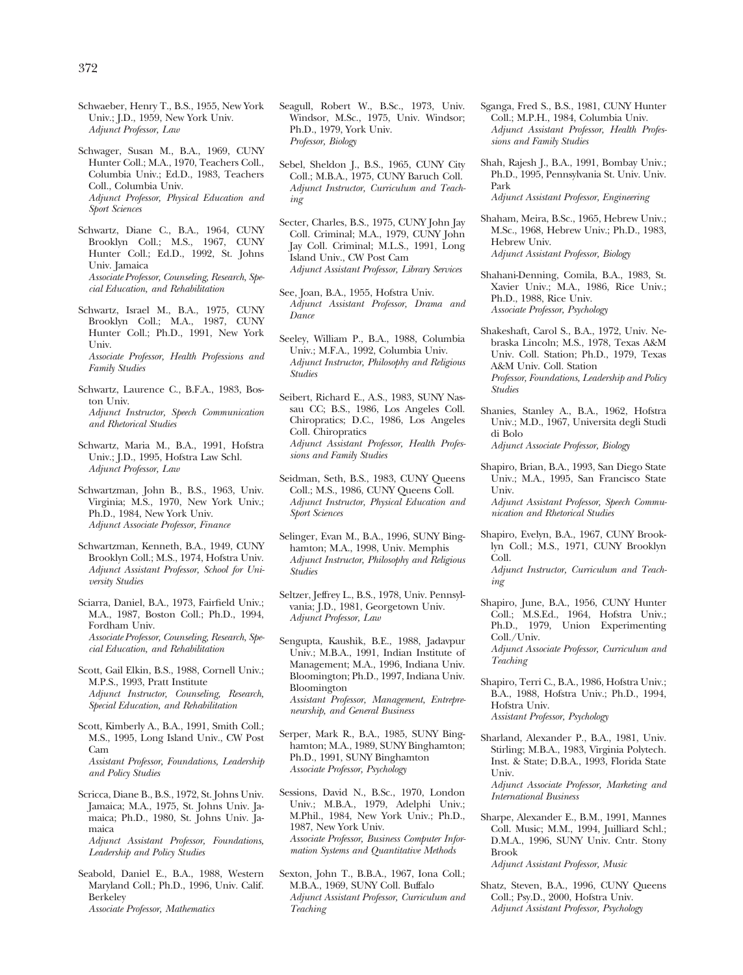- Schwaeber, Henry T., B.S., 1955, New York Univ.; J.D., 1959, New York Univ. *Adjunct Professor, Law*
- Schwager, Susan M., B.A., 1969, CUNY Hunter Coll.; M.A., 1970, Teachers Coll., Columbia Univ.; Ed.D., 1983, Teachers Coll., Columbia Univ. *Adjunct Professor, Physical Education and Sport Sciences*

Schwartz, Diane C., B.A., 1964, CUNY Brooklyn Coll.; M.S., 1967, CUNY Hunter Coll.; Ed.D., 1992, St. Johns Univ. Jamaica *Associate Professor, Counseling, Research, Special Education, and Rehabilitation* 

- Schwartz, Israel M., B.A., 1975, CUNY Brooklyn Coll.; M.A., 1987, CUNY Hunter Coll.; Ph.D., 1991, New York Univ. *Associate Professor, Health Professions and Family Studies*
- Schwartz, Laurence C., B.F.A., 1983, Boston Univ. *Adjunct Instructor, Speech Communication and Rhetorical Studies*
- Schwartz, Maria M., B.A., 1991, Hofstra Univ.; J.D., 1995, Hofstra Law Schl. *Adjunct Professor, Law*
- Schwartzman, John B., B.S., 1963, Univ. Virginia; M.S., 1970, New York Univ.; Ph.D., 1984, New York Univ. *Adjunct Associate Professor, Finance*
- Schwartzman, Kenneth, B.A., 1949, CUNY Brooklyn Coll.; M.S., 1974, Hofstra Univ. *Adjunct Assistant Professor, School for University Studies*
- Sciarra, Daniel, B.A., 1973, Fairfield Univ.; M.A., 1987, Boston Coll.; Ph.D., 1994, Fordham Univ. *Associate Professor, Counseling, Research, Special Education, and Rehabilitation*
- Scott, Gail Elkin, B.S., 1988, Cornell Univ.; M.P.S., 1993, Pratt Institute *Adjunct Instructor, Counseling, Research, Special Education, and Rehabilitation*
- Scott, Kimberly A., B.A., 1991, Smith Coll.; M.S., 1995, Long Island Univ., CW Post Cam *Assistant Professor, Foundations, Leadership and Policy Studies*
- Scricca, Diane B., B.S., 1972, St. Johns Univ. Jamaica; M.A., 1975, St. Johns Univ. Jamaica; Ph.D., 1980, St. Johns Univ. Jamaica

*Adjunct Assistant Professor, Foundations, Leadership and Policy Studies* 

Seabold, Daniel E., B.A., 1988, Western Maryland Coll.; Ph.D., 1996, Univ. Calif. Berkeley *Associate Professor, Mathematics* 

- Seagull, Robert W., B.Sc., 1973, Univ. Windsor, M.Sc., 1975, Univ. Windsor; Ph.D., 1979, York Univ. *Professor, Biology*
- Sebel, Sheldon J., B.S., 1965, CUNY City Coll.; M.B.A., 1975, CUNY Baruch Coll. *Adjunct Instructor, Curriculum and Teaching*
- Secter, Charles, B.S., 1975, CUNY John Jay Coll. Criminal; M.A., 1979, CUNY John Jay Coll. Criminal; M.L.S., 1991, Long Island Univ., CW Post Cam *Adjunct Assistant Professor, Library Services*
- See, Joan, B.A., 1955, Hofstra Univ. *Adjunct Assistant Professor, Drama and Dance*
- Seeley, William P., B.A., 1988, Columbia Univ.; M.F.A., 1992, Columbia Univ. *Adjunct Instructor, Philosophy and Religious Studies*
- Seibert, Richard E., A.S., 1983, SUNY Nassau CC; B.S., 1986, Los Angeles Coll. Chiropratics; D.C., 1986, Los Angeles Coll. Chiropratics *Adjunct Assistant Professor, Health Professions and Family Studies*
- Seidman, Seth, B.S., 1983, CUNY Queens Coll.; M.S., 1986, CUNY Queens Coll. *Adjunct Instructor, Physical Education and Sport Sciences*
- Selinger, Evan M., B.A., 1996, SUNY Binghamton; M.A., 1998, Univ. Memphis *Adjunct Instructor, Philosophy and Religious Studies*
- Seltzer, Jeffrey L., B.S., 1978, Univ. Pennsylvania; J.D., 1981, Georgetown Univ. *Adjunct Professor, Law*

Sengupta, Kaushik, B.E., 1988, Jadavpur Univ.; M.B.A., 1991, Indian Institute of Management; M.A., 1996, Indiana Univ. Bloomington; Ph.D., 1997, Indiana Univ. Bloomington *Assistant Professor, Management, Entrepreneurship, and General Business* 

- Serper, Mark R., B.A., 1985, SUNY Binghamton; M.A., 1989, SUNY Binghamton; Ph.D., 1991, SUNY Binghamton *Associate Professor, Psychology*
- Sessions, David N., B.Sc., 1970, London Univ.; M.B.A., 1979, Adelphi Univ.; M.Phil., 1984, New York Univ.; Ph.D., 1987, New York Univ. *Associate Professor, Business Computer Information Systems and Quantitative Methods*
- Sexton, John T., B.B.A., 1967, Iona Coll.; M.B.A., 1969, SUNY Coll. Buffalo *Adjunct Assistant Professor, Curriculum and Teaching*
- Sganga, Fred S., B.S., 1981, CUNY Hunter Coll.; M.P.H., 1984, Columbia Univ. *Adjunct Assistant Professor, Health Professions and Family Studies*
- Shah, Rajesh J., B.A., 1991, Bombay Univ.; Ph.D., 1995, Pennsylvania St. Univ. Univ. Park

*Adjunct Assistant Professor, Engineering* 

- Shaham, Meira, B.Sc., 1965, Hebrew Univ.; M.Sc., 1968, Hebrew Univ.; Ph.D., 1983, Hebrew Univ. *Adjunct Assistant Professor, Biology*
- Shahani-Denning, Comila, B.A., 1983, St. Xavier Univ.; M.A., 1986, Rice Univ.; Ph.D., 1988, Rice Univ. *Associate Professor, Psychology*
- Shakeshaft, Carol S., B.A., 1972, Univ. Nebraska Lincoln; M.S., 1978, Texas A&M Univ. Coll. Station; Ph.D., 1979, Texas A&M Univ. Coll. Station *Professor, Foundations, Leadership and Policy Studies*
- Shanies, Stanley A., B.A., 1962, Hofstra Univ.; M.D., 1967, Universita degli Studi di Bolo *Adjunct Associate Professor, Biology*
- Shapiro, Brian, B.A., 1993, San Diego State Univ.; M.A., 1995, San Francisco State Univ.

*Adjunct Assistant Professor, Speech Communication and Rhetorical Studies* 

Shapiro, Evelyn, B.A., 1967, CUNY Brooklyn Coll.; M.S., 1971, CUNY Brooklyn Coll. *Adjunct Instructor, Curriculum and Teach-*

*ing* 

Shapiro, June, B.A., 1956, CUNY Hunter Coll.; M.S.Ed., 1964, Hofstra Univ.; Ph.D., 1979, Union Experimenting Coll./Univ.

*Adjunct Associate Professor, Curriculum and Teaching* 

- Shapiro, Terri C., B.A., 1986, Hofstra Univ.; B.A., 1988, Hofstra Univ.; Ph.D., 1994, Hofstra Univ. *Assistant Professor, Psychology*
- Sharland, Alexander P., B.A., 1981, Univ. Stirling; M.B.A., 1983, Virginia Polytech. Inst. & State; D.B.A., 1993, Florida State Univ.

*Adjunct Associate Professor, Marketing and International Business* 

Sharpe, Alexander E., B.M., 1991, Mannes Coll. Music; M.M., 1994, Juilliard Schl.; D.M.A., 1996, SUNY Univ. Cntr. Stony Brook

*Adjunct Assistant Professor, Music* 

Shatz, Steven, B.A., 1996, CUNY Queens Coll.; Psy.D., 2000, Hofstra Univ. *Adjunct Assistant Professor, Psychology*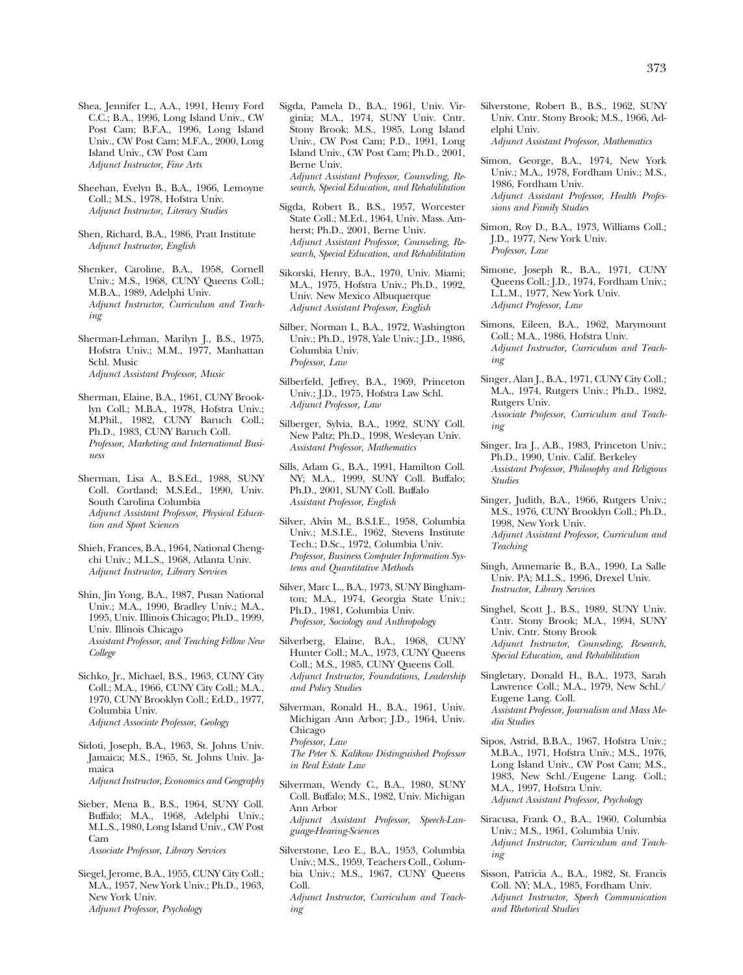- Sheehan, Evelyn B., B.A., 1966, Lemoyne Coll.; M.S., 1978, Hofstra Univ. *Adjunct Instructor, Literacy Studies*
- Shen, Richard, B.A., 1986, Pratt Institute *Adjunct Instructor, English*
- Shenker, Caroline, B.A., 1958, Cornell Univ.; M.S., 1968, CUNY Queens Coll.; M.B.A., 1989, Adelphi Univ. *Adjunct Instructor, Curriculum and Teaching*
- Sherman-Lehman, Marilyn J., B.S., 1975, Hofstra Univ.; M.M., 1977, Manhattan Schl. Music *Adjunct Assistant Professor, Music*
- Sherman, Elaine, B.A., 1961, CUNY Brooklyn Coll.; M.B.A., 1978, Hofstra Univ.; M.Phil., 1982, CUNY Baruch Coll.; Ph.D., 1983, CUNY Baruch Coll. *Professor, Marketing and International Business*
- Sherman, Lisa A., B.S.Ed., 1988, SUNY Coll. Cortland; M.S.Ed., 1990, Univ. South Carolina Columbia *Adjunct Assistant Professor, Physical Education and Sport Sciences*
- Shieh, Frances, B.A., 1964, National Chengchi Univ.; M.L.S., 1968, Atlanta Univ. *Adjunct Instructor, Library Services*
- Shin, Jin Yong, B.A., 1987, Pusan National Univ.; M.A., 1990, Bradley Univ.; M.A., 1995, Univ. Illinois Chicago; Ph.D., 1999, Univ. Illinois Chicago *Assistant Professor, and Teaching Fellow New College*
- Sichko, Jr., Michael, B.S., 1963, CUNY City Coll.; M.A., 1966, CUNY City Coll.; M.A., 1970, CUNY Brooklyn Coll.; Ed.D., 1977, Columbia Univ. *Adjunct Associate Professor, Geology*
- Sidoti, Joseph, B.A., 1963, St. Johns Univ. Jamaica; M.S., 1965, St. Johns Univ. Jamaica *Adjunct Instructor, Economics and Geography*
- Sieber, Mena B., B.S., 1964, SUNY Coll. Buffalo; M.A., 1968, Adelphi Univ.; M.L.S., 1980, Long Island Univ., CW Post Cam

*Associate Professor, Library Services* 

Siegel, Jerome, B.A., 1955, CUNY City Coll.; M.A., 1957, New York Univ.; Ph.D., 1963, New York Univ. *Adjunct Professor, Psychology* 

- Sigda, Pamela D., B.A., 1961, Univ. Virginia; M.A., 1974, SUNY Univ. Cntr. Stony Brook; M.S., 1985, Long Island Univ., CW Post Cam; P.D., 1991, Long Island Univ., CW Post Cam; Ph.D., 2001, Berne Univ. *Adjunct Assistant Professor, Counseling, Research, Special Education, and Rehabilitation*
- Sigda, Robert B., B.S., 1957, Worcester State Coll.; M.Ed., 1964, Univ. Mass. Amherst; Ph.D., 2001, Berne Univ. *Adjunct Assistant Professor, Counseling, Research, Special Education, and Rehabilitation*
- Sikorski, Henry, B.A., 1970, Univ. Miami; M.A., 1975, Hofstra Univ.; Ph.D., 1992, Univ. New Mexico Albuquerque *Adjunct Assistant Professor, English*
- Silber, Norman I., B.A., 1972, Washington Univ.; Ph.D., 1978, Yale Univ.; J.D., 1986, Columbia Univ. *Professor, Law*
- Silberfeld, Jeffrey, B.A., 1969, Princeton Univ.; J.D., 1975, Hofstra Law Schl. *Adjunct Professor, Law*
- Silberger, Sylvia, B.A., 1992, SUNY Coll. New Paltz; Ph.D., 1998, Wesleyan Univ. *Assistant Professor, Mathematics*
- Sills, Adam G., B.A., 1991, Hamilton Coll. NY; M.A., 1999, SUNY Coll. Buffalo; Ph.D., 2001, SUNY Coll. Buffalo *Assistant Professor, English*
- Silver, Alvin M., B.S.I.E., 1958, Columbia Univ.; M.S.I.E., 1962, Stevens Institute Tech.; D.Sc., 1972, Columbia Univ. *Professor, Business Computer Information Systems and Quantitative Methods*
- Silver, Marc L., B.A., 1973, SUNY Binghamton; M.A., 1974, Georgia State Univ.; Ph.D., 1981, Columbia Univ. *Professor, Sociology and Anthropology*
- Silverberg, Elaine, B.A., 1968, CUNY Hunter Coll.; M.A., 1973, CUNY Queens Coll.; M.S., 1985, CUNY Queens Coll. *Adjunct Instructor, Foundations, Leadership and Policy Studies*
- Silverman, Ronald H., B.A., 1961, Univ. Michigan Ann Arbor; J.D., 1964, Univ. Chicago *Professor, Law The Peter S. Kalikow Distinguished Professor in Real Estate Law*
- Silverman, Wendy C., B.A., 1980, SUNY Coll. Buffalo; M.S., 1982, Univ. Michigan Ann Arbor *Adjunct Assistant Professor, Speech-Language-Hearing-Sciences*
- Silverstone, Leo E., B.A., 1953, Columbia Univ.; M.S., 1959, Teachers Coll., Columbia Univ.; M.S., 1967, CUNY Queens Coll. *Adjunct Instructor, Curriculum and Teaching*

Silverstone, Robert B., B.S., 1962, SUNY Univ. Cntr. Stony Brook; M.S., 1966, Adelphi Univ.

*Adjunct Assistant Professor, Mathematics* 

- Simon, George, B.A., 1974, New York Univ.; M.A., 1978, Fordham Univ.; M.S., 1986, Fordham Univ. *Adjunct Assistant Professor, Health Professions and Family Studies*
- Simon, Roy D., B.A., 1973, Williams Coll.; J.D., 1977, New York Univ. *Professor, Law*
- Simone, Joseph R., B.A., 1971, CUNY Queens Coll.; J.D., 1974, Fordham Univ.; L.L.M., 1977, New York Univ. *Adjunct Professor, Law*
- Simons, Eileen, B.A., 1962, Marymount Coll.; M.A., 1986, Hofstra Univ. *Adjunct Instructor, Curriculum and Teaching*
- Singer, Alan J., B.A., 1971, CUNY City Coll.; M.A., 1974, Rutgers Univ.; Ph.D., 1982, Rutgers Univ. *Associate Professor, Curriculum and Teaching*
- Singer, Ira J., A.B., 1983, Princeton Univ.; Ph.D., 1990, Univ. Calif. Berkeley *Assistant Professor, Philosophy and Religious Studies*
- Singer, Judith, B.A., 1966, Rutgers Univ.; M.S., 1976, CUNY Brooklyn Coll.; Ph.D., 1998, New York Univ. *Adjunct Assistant Professor, Curriculum and Teaching*
- Singh, Annemarie B., B.A., 1990, La Salle Univ. PA; M.L.S., 1996, Drexel Univ. *Instructor, Library Services*
- Singhel, Scott J., B.S., 1989, SUNY Univ. Cntr. Stony Brook; M.A., 1994, SUNY Univ. Cntr. Stony Brook *Adjunct Instructor, Counseling, Research, Special Education, and Rehabilitation*
- Singletary, Donald H., B.A., 1973, Sarah Lawrence Coll.; M.A., 1979, New Schl./ Eugene Lang. Coll. *Assistant Professor, Journalism and Mass Media Studies*
- Sipos, Astrid, B.B.A., 1967, Hofstra Univ.; M.B.A., 1971, Hofstra Univ.; M.S., 1976, Long Island Univ., CW Post Cam; M.S., 1983, New Schl./Eugene Lang. Coll.; M.A., 1997, Hofstra Univ. *Adjunct Assistant Professor, Psychology*
- Siracusa, Frank O., B.A., 1960, Columbia Univ.; M.S., 1961, Columbia Univ. *Adjunct Instructor, Curriculum and Teaching*
- Sisson, Patricia A., B.A., 1982, St. Francis Coll. NY; M.A., 1985, Fordham Univ. *Adjunct Instructor, Speech Communication and Rhetorical Studies*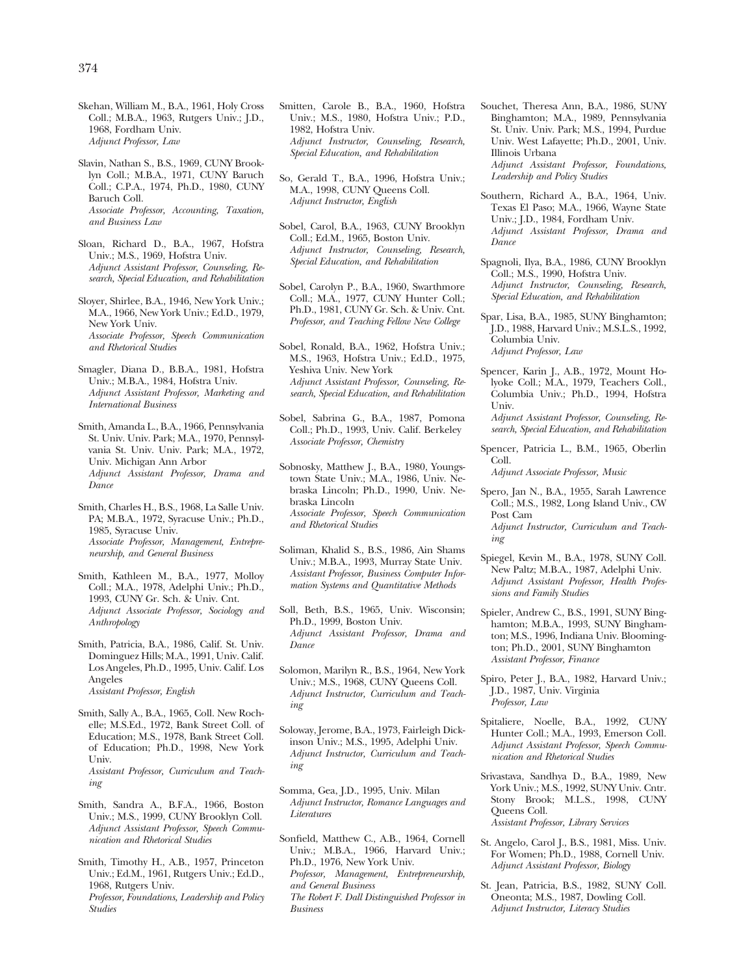Skehan, William M., B.A., 1961, Holy Cross Coll.; M.B.A., 1963, Rutgers Univ.; J.D., 1968, Fordham Univ. *Adjunct Professor, Law* 

- Slavin, Nathan S., B.S., 1969, CUNY Brooklyn Coll.; M.B.A., 1971, CUNY Baruch Coll.; C.P.A., 1974, Ph.D., 1980, CUNY Baruch Coll. *Associate Professor, Accounting, Taxation, and Business Law*
- Sloan, Richard D., B.A., 1967, Hofstra Univ.; M.S., 1969, Hofstra Univ. *Adjunct Assistant Professor, Counseling, Research, Special Education, and Rehabilitation*
- Sloyer, Shirlee, B.A., 1946, New York Univ.; M.A., 1966, New York Univ.; Ed.D., 1979, New York Univ. *Associate Professor, Speech Communication and Rhetorical Studies*
- Smagler, Diana D., B.B.A., 1981, Hofstra Univ.; M.B.A., 1984, Hofstra Univ. *Adjunct Assistant Professor, Marketing and International Business*
- Smith, Amanda L., B.A., 1966, Pennsylvania St. Univ. Univ. Park; M.A., 1970, Pennsylvania St. Univ. Univ. Park; M.A., 1972, Univ. Michigan Ann Arbor *Adjunct Assistant Professor, Drama and Dance*
- Smith, Charles H., B.S., 1968, La Salle Univ. PA; M.B.A., 1972, Syracuse Univ.; Ph.D., 1985, Syracuse Univ. *Associate Professor, Management, Entrepreneurship, and General Business*
- Smith, Kathleen M., B.A., 1977, Molloy Coll.; M.A., 1978, Adelphi Univ.; Ph.D., 1993, CUNY Gr. Sch. & Univ. Cnt. *Adjunct Associate Professor, Sociology and Anthropology*
- Smith, Patricia, B.A., 1986, Calif. St. Univ. Dominguez Hills; M.A., 1991, Univ. Calif. Los Angeles, Ph.D., 1995, Univ. Calif. Los Angeles *Assistant Professor, English*
- Smith, Sally A., B.A., 1965, Coll. New Rochelle; M.S.Ed., 1972, Bank Street Coll. of Education; M.S., 1978, Bank Street Coll. of Education; Ph.D., 1998, New York Univ. *Assistant Professor, Curriculum and Teaching*
- Smith, Sandra A., B.F.A., 1966, Boston Univ.; M.S., 1999, CUNY Brooklyn Coll. *Adjunct Assistant Professor, Speech Communication and Rhetorical Studies*
- Smith, Timothy H., A.B., 1957, Princeton Univ.; Ed.M., 1961, Rutgers Univ.; Ed.D., 1968, Rutgers Univ. *Professor, Foundations, Leadership and Policy Studies*
- Smitten, Carole B., B.A., 1960, Hofstra Univ.; M.S., 1980, Hofstra Univ.; P.D., 1982, Hofstra Univ. *Adjunct Instructor, Counseling, Research, Special Education, and Rehabilitation*
- So, Gerald T., B.A., 1996, Hofstra Univ.; M.A., 1998, CUNY Queens Coll. *Adjunct Instructor, English*
- Sobel, Carol, B.A., 1963, CUNY Brooklyn Coll.; Ed.M., 1965, Boston Univ. *Adjunct Instructor, Counseling, Research, Special Education, and Rehabilitation*
- Sobel, Carolyn P., B.A., 1960, Swarthmore Coll.; M.A., 1977, CUNY Hunter Coll.; Ph.D., 1981, CUNY Gr. Sch. & Univ. Cnt. *Professor, and Teaching Fellow New College*
- Sobel, Ronald, B.A., 1962, Hofstra Univ.; M.S., 1963, Hofstra Univ.; Ed.D., 1975, Yeshiva Univ. New York *Adjunct Assistant Professor, Counseling, Research, Special Education, and Rehabilitation*
- Sobel, Sabrina G., B.A., 1987, Pomona Coll.; Ph.D., 1993, Univ. Calif. Berkeley *Associate Professor, Chemistry*
- Sobnosky, Matthew J., B.A., 1980, Youngstown State Univ.; M.A., 1986, Univ. Nebraska Lincoln; Ph.D., 1990, Univ. Nebraska Lincoln *Associate Professor, Speech Communication and Rhetorical Studies*
- Soliman, Khalid S., B.S., 1986, Ain Shams Univ.; M.B.A., 1993, Murray State Univ. *Assistant Professor, Business Computer Information Systems and Quantitative Methods*
- Soll, Beth, B.S., 1965, Univ. Wisconsin; Ph.D., 1999, Boston Univ. *Adjunct Assistant Professor, Drama and Dance*
- Solomon, Marilyn R., B.S., 1964, New York Univ.; M.S., 1968, CUNY Queens Coll. *Adjunct Instructor, Curriculum and Teaching*
- Soloway, Jerome, B.A., 1973, Fairleigh Dickinson Univ.; M.S., 1995, Adelphi Univ. *Adjunct Instructor, Curriculum and Teaching*
- Somma, Gea, J.D., 1995, Univ. Milan *Adjunct Instructor, Romance Languages and Literatures*

Sonfield, Matthew C., A.B., 1964, Cornell Univ.; M.B.A., 1966, Harvard Univ.; Ph.D., 1976, New York Univ. *Professor, Management, Entrepreneurship, and General Business The Robert F. Dall Distinguished Professor in Business* 

Souchet, Theresa Ann, B.A., 1986, SUNY Binghamton; M.A., 1989, Pennsylvania St. Univ. Univ. Park; M.S., 1994, Purdue Univ. West Lafayette; Ph.D., 2001, Univ. Illinois Urbana

*Adjunct Assistant Professor, Foundations, Leadership and Policy Studies* 

- Southern, Richard A., B.A., 1964, Univ. Texas El Paso; M.A., 1966, Wayne State Univ.; J.D., 1984, Fordham Univ. *Adjunct Assistant Professor, Drama and Dance*
- Spagnoli, Ilya, B.A., 1986, CUNY Brooklyn Coll.; M.S., 1990, Hofstra Univ. *Adjunct Instructor, Counseling, Research, Special Education, and Rehabilitation*
- Spar, Lisa, B.A., 1985, SUNY Binghamton; J.D., 1988, Harvard Univ.; M.S.L.S., 1992, Columbia Univ. *Adjunct Professor, Law*
- Spencer, Karin J., A.B., 1972, Mount Holyoke Coll.; M.A., 1979, Teachers Coll., Columbia Univ.; Ph.D., 1994, Hofstra Univ.
- *Adjunct Assistant Professor, Counseling, Research, Special Education, and Rehabilitation*
- Spencer, Patricia L., B.M., 1965, Oberlin Coll.

*Adjunct Associate Professor, Music* 

Spero, Jan N., B.A., 1955, Sarah Lawrence Coll.; M.S., 1982, Long Island Univ., CW Post Cam

*Adjunct Instructor, Curriculum and Teaching* 

- Spiegel, Kevin M., B.A., 1978, SUNY Coll. New Paltz; M.B.A., 1987, Adelphi Univ. *Adjunct Assistant Professor, Health Professions and Family Studies*
- Spieler, Andrew C., B.S., 1991, SUNY Binghamton; M.B.A., 1993, SUNY Binghamton; M.S., 1996, Indiana Univ. Bloomington; Ph.D., 2001, SUNY Binghamton *Assistant Professor, Finance*
- Spiro, Peter J., B.A., 1982, Harvard Univ.; J.D., 1987, Univ. Virginia *Professor, Law*
- Spitaliere, Noelle, B.A., 1992, CUNY Hunter Coll.; M.A., 1993, Emerson Coll. *Adjunct Assistant Professor, Speech Communication and Rhetorical Studies*
- Srivastava, Sandhya D., B.A., 1989, New York Univ.; M.S., 1992, SUNY Univ. Cntr. Stony Brook; M.L.S., 1998, CUNY Queens Coll.

*Assistant Professor, Library Services* 

- St. Angelo, Carol J., B.S., 1981, Miss. Univ. For Women; Ph.D., 1988, Cornell Univ. *Adjunct Assistant Professor, Biology*
- St. Jean, Patricia, B.S., 1982, SUNY Coll. Oneonta; M.S., 1987, Dowling Coll. *Adjunct Instructor, Literacy Studies*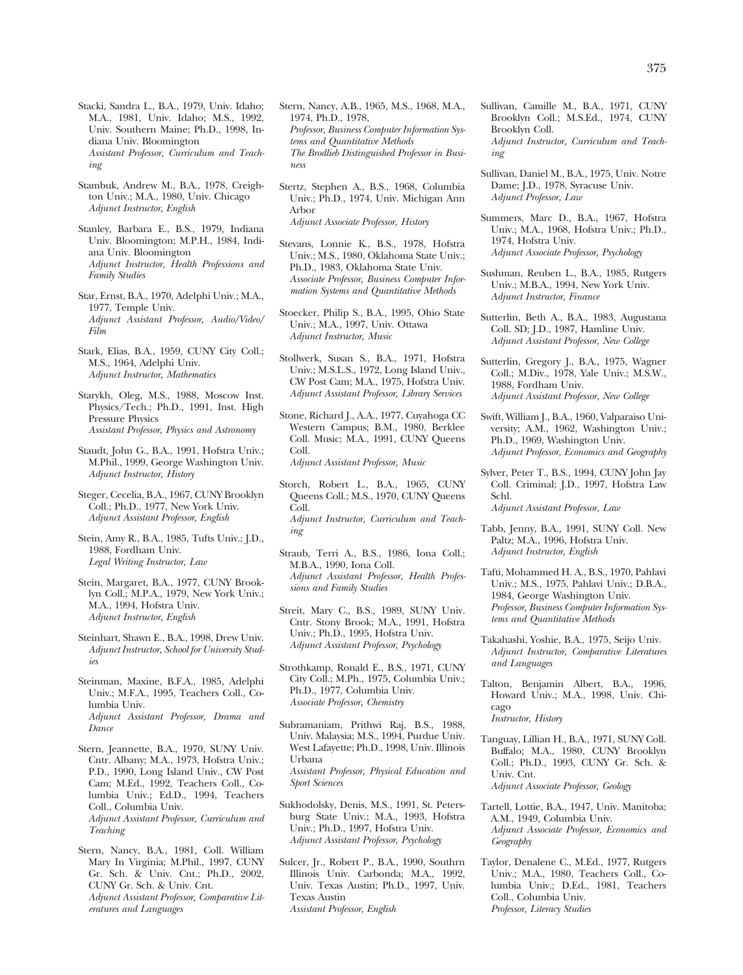- Stacki, Sandra L., B.A., 1979, Univ. Idaho; M.A., 1981, Univ. Idaho; M.S., 1992, Univ. Southern Maine; Ph.D., 1998, Indiana Univ. Bloomington *Assistant Professor, Curriculum and Teaching*
- Stambuk, Andrew M., B.A., 1978, Creighton Univ.; M.A., 1980, Univ. Chicago *Adjunct Instructor, English*

Stanley, Barbara E., B.S., 1979, Indiana Univ. Bloomington; M.P.H., 1984, Indiana Univ. Bloomington *Adjunct Instructor, Health Professions and Family Studies* 

- Star, Ernst, B.A., 1970, Adelphi Univ.; M.A., 1977, Temple Univ. *Adjunct Assistant Professor, Audio/Video/ Film*
- Stark, Elias, B.A., 1959, CUNY City Coll.; M.S., 1964, Adelphi Univ. *Adjunct Instructor, Mathematics*
- Starykh, Oleg, M.S., 1988, Moscow Inst. Physics/Tech.; Ph.D., 1991, Inst. High Pressure Physics *Assistant Professor, Physics and Astronomy*
- Staudt, John G., B.A., 1991, Hofstra Univ.; M.Phil., 1999, George Washington Univ. *Adjunct Instructor, History*
- Steger, Cecelia, B.A., 1967, CUNY Brooklyn Coll.; Ph.D., 1977, New York Univ. *Adjunct Assistant Professor, English*
- Stein, Amy R., B.A., 1985, Tufts Univ.; J.D., 1988, Fordham Univ. *Legal Writing Instructor, Law*
- Stein, Margaret, B.A., 1977, CUNY Brooklyn Coll.; M.P.A., 1979, New York Univ.; M.A., 1994, Hofstra Univ. *Adjunct Instructor, English*
- Steinhart, Shawn E., B.A., 1998, Drew Univ. *Adjunct Instructor, School for University Studies*
- Steinman, Maxine, B.F.A., 1985, Adelphi Univ.; M.F.A., 1995, Teachers Coll., Columbia Univ. *Adjunct Assistant Professor, Drama and Dance*
- Stern, Jeannette, B.A., 1970, SUNY Univ. Cntr. Albany; M.A., 1973, Hofstra Univ.; P.D., 1990, Long Island Univ., CW Post Cam; M.Ed., 1992, Teachers Coll., Columbia Univ.; Ed.D., 1994, Teachers Coll., Columbia Univ. *Adjunct Assistant Professor, Curriculum and Teaching*
- Stern, Nancy, B.A., 1981, Coll. William Mary In Virginia; M.Phil., 1997, CUNY Gr. Sch. & Univ. Cnt.; Ph.D., 2002, CUNY Gr. Sch. & Univ. Cnt. *Adjunct Assistant Professor, Comparative Literatures and Languages*
- Stern, Nancy, A.B., 1965, M.S., 1968, M.A., 1974, Ph.D., 1978, *Professor, Business Computer Information Systems and Quantitative Methods The Brodlieb Distinguished Professor in Business*
- Stertz, Stephen A., B.S., 1968, Columbia Univ.; Ph.D., 1974, Univ. Michigan Ann Arbor *Adjunct Associate Professor, History*
- Stevans, Lonnie K., B.S., 1978, Hofstra Univ.; M.S., 1980, Oklahoma State Univ.; Ph.D., 1983, Oklahoma State Univ. *Associate Professor, Business Computer Information Systems and Quantitative Methods*
- Stoecker, Philip S., B.A., 1995, Ohio State Univ.; M.A., 1997, Univ. Ottawa *Adjunct Instructor, Music*
- Stollwerk, Susan S., B.A., 1971, Hofstra Univ.; M.S.L.S., 1972, Long Island Univ., CW Post Cam; M.A., 1975, Hofstra Univ. *Adjunct Assistant Professor, Library Services*
- Stone, Richard J., A.A., 1977, Cuyahoga CC Western Campus; B.M., 1980, Berklee Coll. Music; M.A., 1991, CUNY Queens Coll. *Adjunct Assistant Professor, Music*
- Storch, Robert L., B.A., 1965, CUNY Queens Coll.; M.S., 1970, CUNY Queens Coll. *Adjunct Instructor, Curriculum and Teaching*
- Straub, Terri A., B.S., 1986, Iona Coll.; M.B.A., 1990, Iona Coll. *Adjunct Assistant Professor, Health Professions and Family Studies*
- Streit, Mary C., B.S., 1989, SUNY Univ. Cntr. Stony Brook; M.A., 1991, Hofstra Univ.; Ph.D., 1995, Hofstra Univ. *Adjunct Assistant Professor, Psychology*
- Strothkamp, Ronald E., B.S., 1971, CUNY City Coll.; M.Ph., 1975, Columbia Univ.; Ph.D., 1977, Columbia Univ. *Associate Professor, Chemistry*
- Subramaniam, Prithwi Raj, B.S., 1988, Univ. Malaysia; M.S., 1994, Purdue Univ. West Lafayette; Ph.D., 1998, Univ. Illinois Urbana *Assistant Professor, Physical Education and Sport Sciences*
- Sukhodolsky, Denis, M.S., 1991, St. Petersburg State Univ.; M.A., 1993, Hofstra Univ.; Ph.D., 1997, Hofstra Univ. *Adjunct Assistant Professor, Psychology*
- Sulcer, Jr., Robert P., B.A., 1990, Southrn Illinois Univ. Carbonda; M.A., 1992, Univ. Texas Austin; Ph.D., 1997, Univ. Texas Austin *Assistant Professor, English*
- Sullivan, Camille M., B.A., 1971, CUNY Brooklyn Coll.; M.S.Ed., 1974, CUNY Brooklyn Coll. *Adjunct Instructor, Curriculum and Teaching*
- Sullivan, Daniel M., B.A., 1975, Univ. Notre Dame; J.D., 1978, Syracuse Univ. *Adjunct Professor, Law*
- Summers, Marc D., B.A., 1967, Hofstra Univ.; M.A., 1968, Hofstra Univ.; Ph.D., 1974, Hofstra Univ. *Adjunct Associate Professor, Psychology*
- Sushman, Reuben L., B.A., 1985, Rutgers Univ.; M.B.A., 1994, New York Univ. *Adjunct Instructor, Finance*
- Sutterlin, Beth A., B.A., 1983, Augustana Coll. SD; J.D., 1987, Hamline Univ. *Adjunct Assistant Professor, New College*
- Sutterlin, Gregory J., B.A., 1975, Wagner Coll.; M.Div., 1978, Yale Univ.; M.S.W., 1988, Fordham Univ. *Adjunct Assistant Professor, New College*
- Swift, William J., B.A., 1960, Valparaiso University; A.M., 1962, Washington Univ.; Ph.D., 1969, Washington Univ. *Adjunct Professor, Economics and Geography*
- Sylver, Peter T., B.S., 1994, CUNY John Jay Coll. Criminal; J.D., 1997, Hofstra Law Schl. *Adjunct Assistant Professor, Law*
- Tabb, Jenny, B.A., 1991, SUNY Coll. New Paltz; M.A., 1996, Hofstra Univ. *Adjunct Instructor, English*
- Tafti, Mohammed H. A., B.S., 1970, Pahlavi Univ.; M.S., 1975, Pahlavi Univ.; D.B.A., 1984, George Washington Univ. *Professor, Business Computer Information Systems and Quantitative Methods*
- Takahashi, Yoshie, B.A., 1975, Seijo Univ. *Adjunct Instructor, Comparative Literatures and Languages*
- Talton, Benjamin Albert, B.A., 1996, Howard Univ.; M.A., 1998, Univ. Chicago *Instructor, History*
- Tanguay, Lillian H., B.A., 1971, SUNY Coll. Buffalo; M.A., 1980, CUNY Brooklyn Coll.; Ph.D., 1993, CUNY Gr. Sch. & Univ. Cnt. *Adjunct Associate Professor, Geology*
- Tartell, Lottie, B.A., 1947, Univ. Manitoba; A.M., 1949, Columbia Univ. *Adjunct Associate Professor, Economics and Geography*
- Taylor, Denalene C., M.Ed., 1977, Rutgers Univ.; M.A., 1980, Teachers Coll., Columbia Univ.; D.Ed., 1981, Teachers Coll., Columbia Univ. *Professor, Literacy Studies*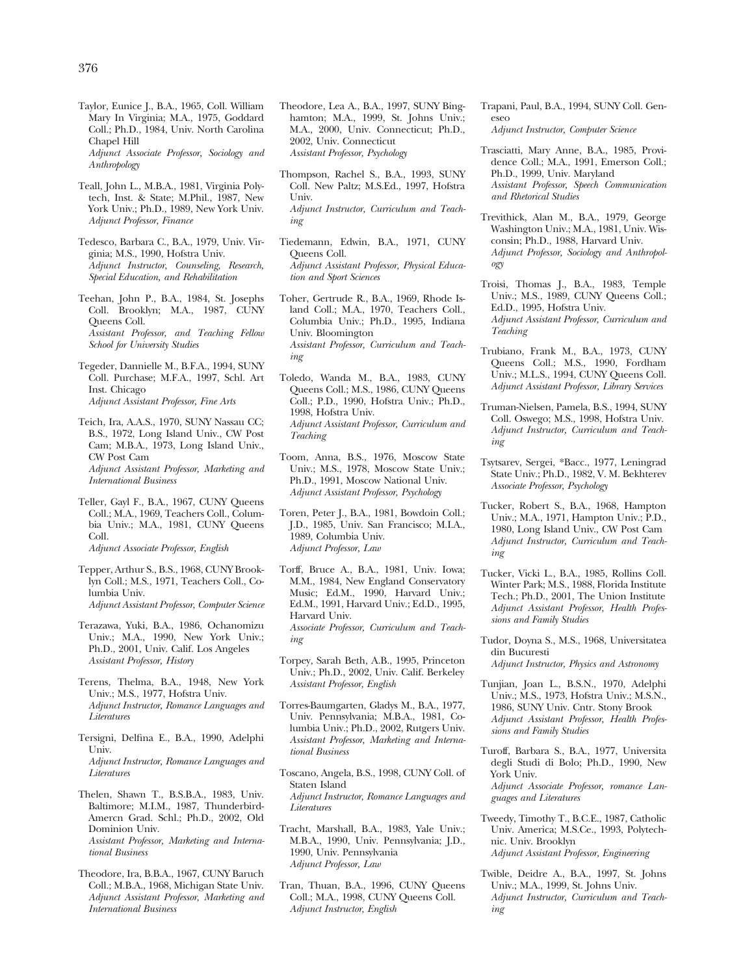Taylor, Eunice J., B.A., 1965, Coll. William Mary In Virginia; M.A., 1975, Goddard Coll.; Ph.D., 1984, Univ. North Carolina Chapel Hill *Adjunct Associate Professor, Sociology and* 

*Anthropology* 

- Teall, John L., M.B.A., 1981, Virginia Polytech, Inst. & State; M.Phil., 1987, New York Univ.; Ph.D., 1989, New York Univ. *Adjunct Professor, Finance*
- Tedesco, Barbara C., B.A., 1979, Univ. Virginia; M.S., 1990, Hofstra Univ. *Adjunct Instructor, Counseling, Research, Special Education, and Rehabilitation*
- Teehan, John P., B.A., 1984, St. Josephs Coll. Brooklyn; M.A., 1987, CUNY Queens Coll. *Assistant Professor, and Teaching Fellow School for University Studies*
- Tegeder, Dannielle M., B.F.A., 1994, SUNY Coll. Purchase; M.F.A., 1997, Schl. Art Inst. Chicago *Adjunct Assistant Professor, Fine Arts*
- Teich, Ira, A.A.S., 1970, SUNY Nassau CC; B.S., 1972, Long Island Univ., CW Post Cam; M.B.A., 1973, Long Island Univ., CW Post Cam *Adjunct Assistant Professor, Marketing and International Business*
- Teller, Gayl F., B.A., 1967, CUNY Queens Coll.; M.A., 1969, Teachers Coll., Columbia Univ.; M.A., 1981, CUNY Queens Coll. *Adjunct Associate Professor, English*
- Tepper, Arthur S., B.S., 1968, CUNY Brooklyn Coll.; M.S., 1971, Teachers Coll., Columbia Univ. *Adjunct Assistant Professor, Computer Science*
- Terazawa, Yuki, B.A., 1986, Ochanomizu Univ.; M.A., 1990, New York Univ.; Ph.D., 2001, Univ. Calif. Los Angeles *Assistant Professor, History*
- Terens, Thelma, B.A., 1948, New York Univ.; M.S., 1977, Hofstra Univ. *Adjunct Instructor, Romance Languages and Literatures*
- Tersigni, Delfina E., B.A., 1990, Adelphi Univ. *Adjunct Instructor, Romance Languages and Literatures*
- Thelen, Shawn T., B.S.B.A., 1983, Univ. Baltimore; M.I.M., 1987, Thunderbird-Amercn Grad. Schl.; Ph.D., 2002, Old Dominion Univ. *Assistant Professor, Marketing and International Business*
- Theodore, Ira, B.B.A., 1967, CUNY Baruch Coll.; M.B.A., 1968, Michigan State Univ. *Adjunct Assistant Professor, Marketing and International Business*
- Theodore, Lea A., B.A., 1997, SUNY Binghamton; M.A., 1999, St. Johns Univ.; M.A., 2000, Univ. Connecticut; Ph.D., 2002, Univ. Connecticut *Assistant Professor, Psychology*
- Thompson, Rachel S., B.A., 1993, SUNY Coll. New Paltz; M.S.Ed., 1997, Hofstra Univ. *Adjunct Instructor, Curriculum and Teaching*
- Tiedemann, Edwin, B.A., 1971, CUNY Queens Coll. *Adjunct Assistant Professor, Physical Education and Sport Sciences*
- Toher, Gertrude R., B.A., 1969, Rhode Island Coll.; M.A., 1970, Teachers Coll., Columbia Univ.; Ph.D., 1995, Indiana Univ. Bloomington *Assistant Professor, Curriculum and Teaching*
- Toledo, Wanda M., B.A., 1983, CUNY Queens Coll.; M.S., 1986, CUNY Queens Coll.; P.D., 1990, Hofstra Univ.; Ph.D., 1998, Hofstra Univ. *Adjunct Assistant Professor, Curriculum and Teaching*
- Toom, Anna, B.S., 1976, Moscow State Univ.; M.S., 1978, Moscow State Univ.; Ph.D., 1991, Moscow National Univ. *Adjunct Assistant Professor, Psychology*
- Toren, Peter J., B.A., 1981, Bowdoin Coll.; J.D., 1985, Univ. San Francisco; M.I.A., 1989, Columbia Univ. *Adjunct Professor, Law*
- Torff, Bruce A., B.A., 1981, Univ. Iowa; M.M., 1984, New England Conservatory Music; Ed.M., 1990, Harvard Univ.; Ed.M., 1991, Harvard Univ.; Ed.D., 1995, Harvard Univ. *Associate Professor, Curriculum and Teaching*
- Torpey, Sarah Beth, A.B., 1995, Princeton Univ.; Ph.D., 2002, Univ. Calif. Berkeley *Assistant Professor, English*
- Torres-Baumgarten, Gladys M., B.A., 1977, Univ. Pennsylvania; M.B.A., 1981, Columbia Univ.; Ph.D., 2002, Rutgers Univ. *Assistant Professor, Marketing and International Business*
- Toscano, Angela, B.S., 1998, CUNY Coll. of Staten Island *Adjunct Instructor, Romance Languages and Literatures*
- Tracht, Marshall, B.A., 1983, Yale Univ.; M.B.A., 1990, Univ. Pennsylvania; J.D., 1990, Univ. Pennsylvania *Adjunct Professor, Law*
- Tran, Thuan, B.A., 1996, CUNY Queens Coll.; M.A., 1998, CUNY Queens Coll. *Adjunct Instructor, English*
- Trapani, Paul, B.A., 1994, SUNY Coll. Geneseo *Adjunct Instructor, Computer Science*
- Trasciatti, Mary Anne, B.A., 1985, Providence Coll.; M.A., 1991, Emerson Coll.; Ph.D., 1999, Univ. Maryland *Assistant Professor, Speech Communication and Rhetorical Studies*
- Trevithick, Alan M., B.A., 1979, George Washington Univ.; M.A., 1981, Univ. Wisconsin; Ph.D., 1988, Harvard Univ. *Adjunct Professor, Sociology and Anthropology*
- Troisi, Thomas J., B.A., 1983, Temple Univ.; M.S., 1989, CUNY Queens Coll.; Ed.D., 1995, Hofstra Univ. *Adjunct Assistant Professor, Curriculum and Teaching*
- Trubiano, Frank M., B.A., 1973, CUNY Queens Coll.; M.S., 1990, Fordham Univ.; M.L.S., 1994, CUNY Queens Coll. *Adjunct Assistant Professor, Library Services*
- Truman-Nielsen, Pamela, B.S., 1994, SUNY Coll. Oswego; M.S., 1998, Hofstra Univ. *Adjunct Instructor, Curriculum and Teaching*
- Tsytsarev, Sergei, \*Bacc., 1977, Leningrad State Univ.; Ph.D., 1982, V. M. Bekhterev *Associate Professor, Psychology*
- Tucker, Robert S., B.A., 1968, Hampton Univ.; M.A., 1971, Hampton Univ.; P.D., 1980, Long Island Univ., CW Post Cam *Adjunct Instructor, Curriculum and Teaching*
- Tucker, Vicki L., B.A., 1985, Rollins Coll. Winter Park; M.S., 1988, Florida Institute Tech.; Ph.D., 2001, The Union Institute *Adjunct Assistant Professor, Health Professions and Family Studies*
- Tudor, Doyna S., M.S., 1968, Universitatea din Bucuresti
	- *Adjunct Instructor, Physics and Astronomy*
- Tunjian, Joan L., B.S.N., 1970, Adelphi Univ.; M.S., 1973, Hofstra Univ.; M.S.N., 1986, SUNY Univ. Cntr. Stony Brook *Adjunct Assistant Professor, Health Professions and Family Studies*
- Turoff, Barbara S., B.A., 1977, Universita degli Studi di Bolo; Ph.D., 1990, New York Univ. *Adjunct Associate Professor, romance Languages and Literatures*
- Tweedy, Timothy T., B.C.E., 1987, Catholic Univ. America; M.S.Ce., 1993, Polytechnic. Univ. Brooklyn *Adjunct Assistant Professor, Engineering*
- Twible, Deidre A., B.A., 1997, St. Johns Univ.; M.A., 1999, St. Johns Univ. *Adjunct Instructor, Curriculum and Teaching*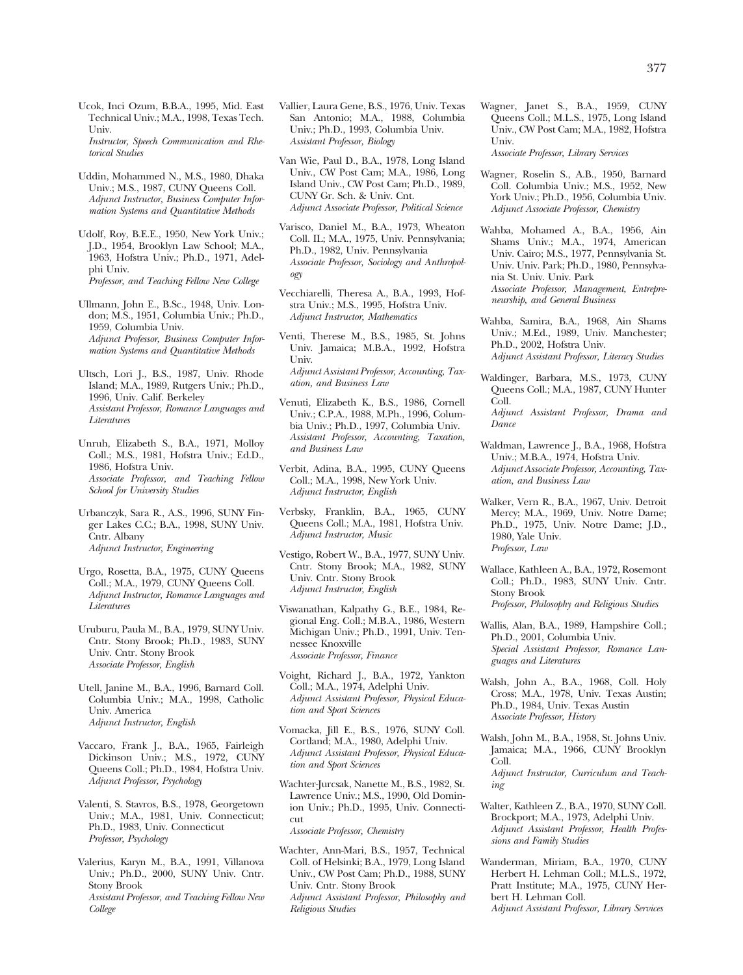Ucok, Inci Ozum, B.B.A., 1995, Mid. East Technical Univ.; M.A., 1998, Texas Tech. Univ. *Instructor, Speech Communication and Rhetorical Studies* 

Uddin, Mohammed N., M.S., 1980, Dhaka Univ.; M.S., 1987, CUNY Queens Coll. *Adjunct Instructor, Business Computer Information Systems and Quantitative Methods* 

Udolf, Roy, B.E.E., 1950, New York Univ.; J.D., 1954, Brooklyn Law School; M.A., 1963, Hofstra Univ.; Ph.D., 1971, Adelphi Univ. *Professor, and Teaching Fellow New College* 

- Ullmann, John E., B.Sc., 1948, Univ. London; M.S., 1951, Columbia Univ.; Ph.D., 1959, Columbia Univ. *Adjunct Professor, Business Computer Information Systems and Quantitative Methods*
- Ultsch, Lori J., B.S., 1987, Univ. Rhode Island; M.A., 1989, Rutgers Univ.; Ph.D., 1996, Univ. Calif. Berkeley *Assistant Professor, Romance Languages and Literatures*
- Unruh, Elizabeth S., B.A., 1971, Molloy Coll.; M.S., 1981, Hofstra Univ.; Ed.D., 1986, Hofstra Univ. *Associate Professor, and Teaching Fellow School for University Studies*
- Urbanczyk, Sara R., A.S., 1996, SUNY Finger Lakes C.C.; B.A., 1998, SUNY Univ. Cntr. Albany *Adjunct Instructor, Engineering*
- Urgo, Rosetta, B.A., 1975, CUNY Queens Coll.; M.A., 1979, CUNY Queens Coll. *Adjunct Instructor, Romance Languages and Literatures*
- Uruburu, Paula M., B.A., 1979, SUNY Univ. Cntr. Stony Brook; Ph.D., 1983, SUNY Univ. Cntr. Stony Brook *Associate Professor, English*
- Utell, Janine M., B.A., 1996, Barnard Coll. Columbia Univ.; M.A., 1998, Catholic Univ. America *Adjunct Instructor, English*
- Vaccaro, Frank J., B.A., 1965, Fairleigh Dickinson Univ.; M.S., 1972, CUNY Queens Coll.; Ph.D., 1984, Hofstra Univ. *Adjunct Professor, Psychology*
- Valenti, S. Stavros, B.S., 1978, Georgetown Univ.; M.A., 1981, Univ. Connecticut; Ph.D., 1983, Univ. Connecticut *Professor, Psychology*
- Valerius, Karyn M., B.A., 1991, Villanova Univ.; Ph.D., 2000, SUNY Univ. Cntr. Stony Brook *Assistant Professor, and Teaching Fellow New College*

Vallier, Laura Gene, B.S., 1976, Univ. Texas San Antonio; M.A., 1988, Columbia Univ.; Ph.D., 1993, Columbia Univ. *Assistant Professor, Biology* 

Van Wie, Paul D., B.A., 1978, Long Island Univ., CW Post Cam; M.A., 1986, Long Island Univ., CW Post Cam; Ph.D., 1989, CUNY Gr. Sch. & Univ. Cnt. *Adjunct Associate Professor, Political Science* 

Varisco, Daniel M., B.A., 1973, Wheaton Coll. IL; M.A., 1975, Univ. Pennsylvania; Ph.D., 1982, Univ. Pennsylvania *Associate Professor, Sociology and Anthropology* 

Vecchiarelli, Theresa A., B.A., 1993, Hofstra Univ.; M.S., 1995, Hofstra Univ. *Adjunct Instructor, Mathematics* 

Venti, Therese M., B.S., 1985, St. Johns Univ. Jamaica; M.B.A., 1992, Hofstra Univ. *Adjunct Assistant Professor, Accounting, Taxation, and Business Law* 

- Venuti, Elizabeth K., B.S., 1986, Cornell Univ.; C.P.A., 1988, M.Ph., 1996, Columbia Univ.; Ph.D., 1997, Columbia Univ. *Assistant Professor, Accounting, Taxation, and Business Law*
- Verbit, Adina, B.A., 1995, CUNY Queens Coll.; M.A., 1998, New York Univ. *Adjunct Instructor, English*
- Verbsky, Franklin, B.A., 1965, CUNY Queens Coll.; M.A., 1981, Hofstra Univ. *Adjunct Instructor, Music*
- Vestigo, Robert W., B.A., 1977, SUNY Univ. Cntr. Stony Brook; M.A., 1982, SUNY Univ. Cntr. Stony Brook *Adjunct Instructor, English*
- Viswanathan, Kalpathy G., B.E., 1984, Regional Eng. Coll.; M.B.A., 1986, Western Michigan Univ.; Ph.D., 1991, Univ. Tennessee Knoxville *Associate Professor, Finance*
- Voight, Richard J., B.A., 1972, Yankton Coll.; M.A., 1974, Adelphi Univ. *Adjunct Assistant Professor, Physical Education and Sport Sciences*
- Vomacka, Jill E., B.S., 1976, SUNY Coll. Cortland; M.A., 1980, Adelphi Univ. *Adjunct Assistant Professor, Physical Education and Sport Sciences*
- Wachter-Jurcsak, Nanette M., B.S., 1982, St. Lawrence Univ.; M.S., 1990, Old Dominion Univ.; Ph.D., 1995, Univ. Connecticut

*Associate Professor, Chemistry* 

Wachter, Ann-Mari, B.S., 1957, Technical Coll. of Helsinki; B.A., 1979, Long Island Univ., CW Post Cam; Ph.D., 1988, SUNY Univ. Cntr. Stony Brook *Adjunct Assistant Professor, Philosophy and Religious Studies* 

Wagner, Janet S., B.A., 1959, CUNY Queens Coll.; M.L.S., 1975, Long Island Univ., CW Post Cam; M.A., 1982, Hofstra Univ.

*Associate Professor, Library Services* 

- Wagner, Roselin S., A.B., 1950, Barnard Coll. Columbia Univ.; M.S., 1952, New York Univ.; Ph.D., 1956, Columbia Univ. *Adjunct Associate Professor, Chemistry*
- Wahba, Mohamed A., B.A., 1956, Ain Shams Univ.; M.A., 1974, American Univ. Cairo; M.S., 1977, Pennsylvania St. Univ. Univ. Park; Ph.D., 1980, Pennsylvania St. Univ. Univ. Park *Associate Professor, Management, Entrepreneurship, and General Business*
- Wahba, Samira, B.A., 1968, Ain Shams Univ.; M.Ed., 1989, Univ. Manchester; Ph.D., 2002, Hofstra Univ. *Adjunct Assistant Professor, Literacy Studies*
- Waldinger, Barbara, M.S., 1973, CUNY Queens Coll.; M.A., 1987, CUNY Hunter Coll. *Adjunct Assistant Professor, Drama and Dance*
- Waldman, Lawrence J., B.A., 1968, Hofstra Univ.; M.B.A., 1974, Hofstra Univ. *Adjunct Associate Professor, Accounting, Taxation, and Business Law*
- Walker, Vern R., B.A., 1967, Univ. Detroit Mercy; M.A., 1969, Univ. Notre Dame; Ph.D., 1975, Univ. Notre Dame; J.D., 1980, Yale Univ. *Professor, Law*
- Wallace, Kathleen A., B.A., 1972, Rosemont Coll.; Ph.D., 1983, SUNY Univ. Cntr. Stony Brook *Professor, Philosophy and Religious Studies*
- Wallis, Alan, B.A., 1989, Hampshire Coll.; Ph.D., 2001, Columbia Univ. *Special Assistant Professor, Romance Languages and Literatures*
- Walsh, John A., B.A., 1968, Coll. Holy Cross; M.A., 1978, Univ. Texas Austin; Ph.D., 1984, Univ. Texas Austin *Associate Professor, History*
- Walsh, John M., B.A., 1958, St. Johns Univ. Jamaica; M.A., 1966, CUNY Brooklyn Coll. *Adjunct Instructor, Curriculum and Teaching*
- Walter, Kathleen Z., B.A., 1970, SUNY Coll. Brockport; M.A., 1973, Adelphi Univ. *Adjunct Assistant Professor, Health Professions and Family Studies*
- Wanderman, Miriam, B.A., 1970, CUNY Herbert H. Lehman Coll.; M.L.S., 1972, Pratt Institute; M.A., 1975, CUNY Herbert H. Lehman Coll. *Adjunct Assistant Professor, Library Services*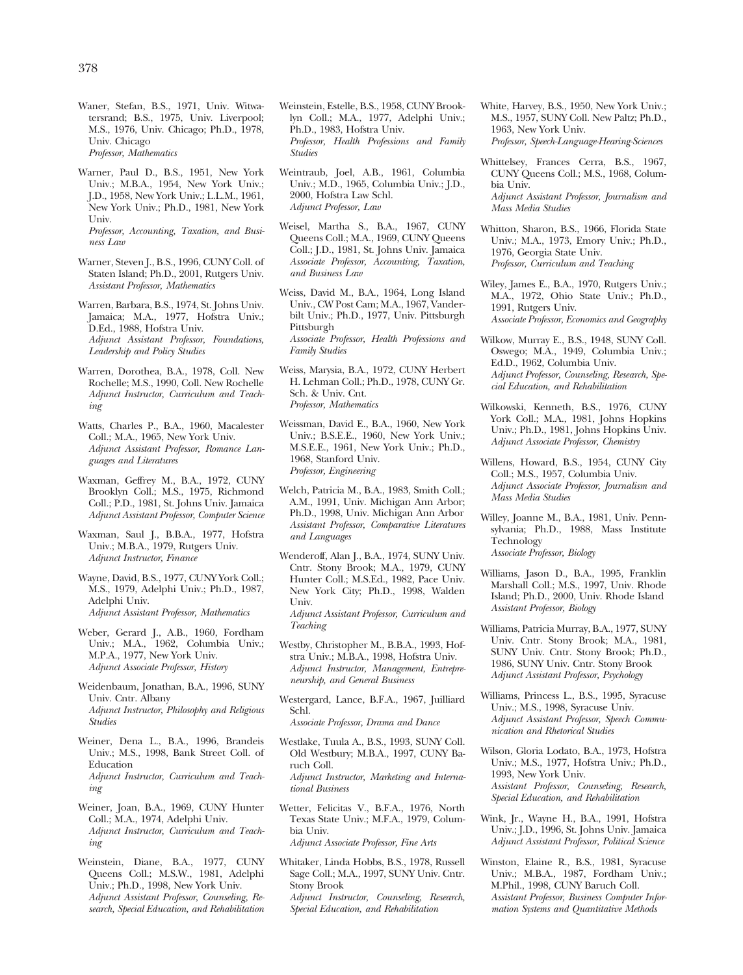Waner, Stefan, B.S., 1971, Univ. Witwatersrand; B.S., 1975, Univ. Liverpool; M.S., 1976, Univ. Chicago; Ph.D., 1978, Univ. Chicago *Professor, Mathematics* 

Warner, Paul D., B.S., 1951, New York Univ.; M.B.A., 1954, New York Univ.; J.D., 1958, New York Univ.; L.L.M., 1961, New York Univ.; Ph.D., 1981, New York Univ. *Professor, Accounting, Taxation, and Busi-*

*ness Law* 

- Warner, Steven J., B.S., 1996, CUNY Coll. of Staten Island; Ph.D., 2001, Rutgers Univ. *Assistant Professor, Mathematics*
- Warren, Barbara, B.S., 1974, St. Johns Univ. Jamaica; M.A., 1977, Hofstra Univ.; D.Ed., 1988, Hofstra Univ. *Adjunct Assistant Professor, Foundations, Leadership and Policy Studies*
- Warren, Dorothea, B.A., 1978, Coll. New Rochelle; M.S., 1990, Coll. New Rochelle *Adjunct Instructor, Curriculum and Teaching*
- Watts, Charles P., B.A., 1960, Macalester Coll.; M.A., 1965, New York Univ. *Adjunct Assistant Professor, Romance Languages and Literatures*
- Waxman, Geffrey M., B.A., 1972, CUNY Brooklyn Coll.; M.S., 1975, Richmond Coll.; P.D., 1981, St. Johns Univ. Jamaica *Adjunct Assistant Professor, Computer Science*
- Waxman, Saul J., B.B.A., 1977, Hofstra Univ.; M.B.A., 1979, Rutgers Univ. *Adjunct Instructor, Finance*
- Wayne, David, B.S., 1977, CUNY York Coll.; M.S., 1979, Adelphi Univ.; Ph.D., 1987, Adelphi Univ. *Adjunct Assistant Professor, Mathematics*
- Weber, Gerard J., A.B., 1960, Fordham Univ.; M.A., 1962, Columbia Univ.; M.P.A., 1977, New York Univ. *Adjunct Associate Professor, History*
- Weidenbaum, Jonathan, B.A., 1996, SUNY Univ. Cntr. Albany *Adjunct Instructor, Philosophy and Religious Studies*
- Weiner, Dena L., B.A., 1996, Brandeis Univ.; M.S., 1998, Bank Street Coll. of Education *Adjunct Instructor, Curriculum and Teaching*
- Weiner, Joan, B.A., 1969, CUNY Hunter Coll.; M.A., 1974, Adelphi Univ. *Adjunct Instructor, Curriculum and Teaching*
- Weinstein, Diane, B.A., 1977, CUNY Queens Coll.; M.S.W., 1981, Adelphi Univ.; Ph.D., 1998, New York Univ. *Adjunct Assistant Professor, Counseling, Research, Special Education, and Rehabilitation*
- Weinstein, Estelle, B.S., 1958, CUNY Brooklyn Coll.; M.A., 1977, Adelphi Univ.; Ph.D., 1983, Hofstra Univ. *Professor, Health Professions and Family Studies*
- Weintraub, Joel, A.B., 1961, Columbia Univ.; M.D., 1965, Columbia Univ.; J.D., 2000, Hofstra Law Schl. *Adjunct Professor, Law*
- Weisel, Martha S., B.A., 1967, CUNY Queens Coll.; M.A., 1969, CUNY Queens Coll.; J.D., 1981, St. Johns Univ. Jamaica *Associate Professor, Accounting, Taxation, and Business Law*
- Weiss, David M., B.A., 1964, Long Island Univ., CW Post Cam; M.A., 1967, Vanderbilt Univ.; Ph.D., 1977, Univ. Pittsburgh Pittsburgh *Associate Professor, Health Professions and Family Studies*
- Weiss, Marysia, B.A., 1972, CUNY Herbert H. Lehman Coll.; Ph.D., 1978, CUNY Gr. Sch. & Univ. Cnt. *Professor, Mathematics*
- Weissman, David E., B.A., 1960, New York Univ.; B.S.E.E., 1960, New York Univ.; M.S.E.E., 1961, New York Univ.; Ph.D., 1968, Stanford Univ. *Professor, Engineering*
- Welch, Patricia M., B.A., 1983, Smith Coll.; A.M., 1991, Univ. Michigan Ann Arbor; Ph.D., 1998, Univ. Michigan Ann Arbor *Assistant Professor, Comparative Literatures and Languages*
- Wenderoff, Alan J., B.A., 1974, SUNY Univ. Cntr. Stony Brook; M.A., 1979, CUNY Hunter Coll.; M.S.Ed., 1982, Pace Univ. New York City; Ph.D., 1998, Walden Univ. *Adjunct Assistant Professor, Curriculum and Teaching*
- Westby, Christopher M., B.B.A., 1993, Hofstra Univ.; M.B.A., 1998, Hofstra Univ. *Adjunct Instructor, Management, Entrepreneurship, and General Business*
- Westergard, Lance, B.F.A., 1967, Juilliard Schl.

*Associate Professor, Drama and Dance* 

Westlake, Tuula A., B.S., 1993, SUNY Coll. Old Westbury; M.B.A., 1997, CUNY Baruch Coll. *Adjunct Instructor, Marketing and International Business* 

Wetter, Felicitas V., B.F.A., 1976, North Texas State Univ.; M.F.A., 1979, Columbia Univ.

*Adjunct Associate Professor, Fine Arts* 

Whitaker, Linda Hobbs, B.S., 1978, Russell Sage Coll.; M.A., 1997, SUNY Univ. Cntr. Stony Brook *Adjunct Instructor, Counseling, Research, Special Education, and Rehabilitation* 

- White, Harvey, B.S., 1950, New York Univ.; M.S., 1957, SUNY Coll. New Paltz; Ph.D., 1963, New York Univ. *Professor, Speech-Language-Hearing-Sciences*
- Whittelsey, Frances Cerra, B.S., 1967, CUNY Queens Coll.; M.S., 1968, Columbia Univ. *Adjunct Assistant Professor, Journalism and Mass Media Studies*
- Whitton, Sharon, B.S., 1966, Florida State Univ.; M.A., 1973, Emory Univ.; Ph.D., 1976, Georgia State Univ. *Professor, Curriculum and Teaching*
- Wiley, James E., B.A., 1970, Rutgers Univ.; M.A., 1972, Ohio State Univ.; Ph.D., 1991, Rutgers Univ. *Associate Professor, Economics and Geography*
- Wilkow, Murray E., B.S., 1948, SUNY Coll. Oswego; M.A., 1949, Columbia Univ.; Ed.D., 1962, Columbia Univ. *Adjunct Professor, Counseling, Research, Special Education, and Rehabilitation*
- Wilkowski, Kenneth, B.S., 1976, CUNY York Coll.; M.A., 1981, Johns Hopkins Univ.; Ph.D., 1981, Johns Hopkins Univ. *Adjunct Associate Professor, Chemistry*
- Willens, Howard, B.S., 1954, CUNY City Coll.; M.S., 1957, Columbia Univ. *Adjunct Associate Professor, Journalism and Mass Media Studies*
- Willey, Joanne M., B.A., 1981, Univ. Pennsylvania; Ph.D., 1988, Mass Institute Technology *Associate Professor, Biology*
- Williams, Jason D., B.A., 1995, Franklin Marshall Coll.; M.S., 1997, Univ. Rhode Island; Ph.D., 2000, Univ. Rhode Island *Assistant Professor, Biology*
- Williams, Patricia Murray, B.A., 1977, SUNY Univ. Cntr. Stony Brook; M.A., 1981, SUNY Univ. Cntr. Stony Brook; Ph.D., 1986, SUNY Univ. Cntr. Stony Brook *Adjunct Assistant Professor, Psychology*
- Williams, Princess L., B.S., 1995, Syracuse Univ.; M.S., 1998, Syracuse Univ. *Adjunct Assistant Professor, Speech Communication and Rhetorical Studies*
- Wilson, Gloria Lodato, B.A., 1973, Hofstra Univ.; M.S., 1977, Hofstra Univ.; Ph.D., 1993, New York Univ. *Assistant Professor, Counseling, Research, Special Education, and Rehabilitation*
- Wink, Jr., Wayne H., B.A., 1991, Hofstra Univ.; J.D., 1996, St. Johns Univ. Jamaica *Adjunct Assistant Professor, Political Science*
- Winston, Elaine R., B.S., 1981, Syracuse Univ.; M.B.A., 1987, Fordham Univ.; M.Phil., 1998, CUNY Baruch Coll. *Assistant Professor, Business Computer Information Systems and Quantitative Methods*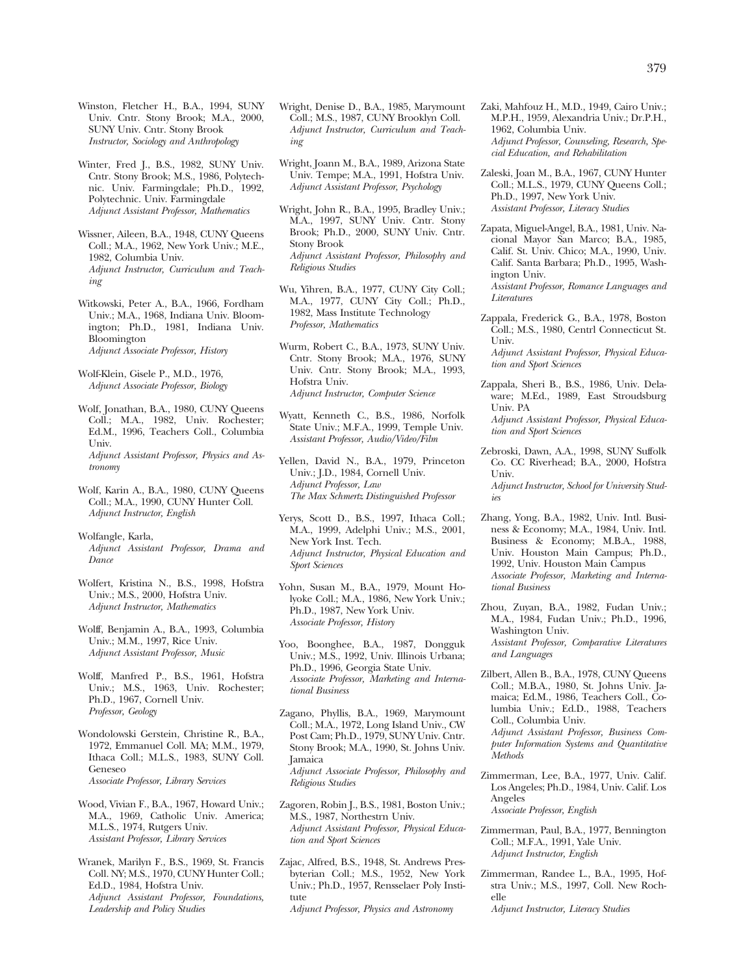Winston, Fletcher H., B.A., 1994, SUNY Univ. Cntr. Stony Brook; M.A., 2000, SUNY Univ. Cntr. Stony Brook *Instructor, Sociology and Anthropology* 

Winter, Fred J., B.S., 1982, SUNY Univ. Cntr. Stony Brook; M.S., 1986, Polytechnic. Univ. Farmingdale; Ph.D., 1992, Polytechnic. Univ. Farmingdale *Adjunct Assistant Professor, Mathematics* 

Wissner, Aileen, B.A., 1948, CUNY Queens Coll.; M.A., 1962, New York Univ.; M.E., 1982, Columbia Univ. *Adjunct Instructor, Curriculum and Teaching* 

Witkowski, Peter A., B.A., 1966, Fordham Univ.; M.A., 1968, Indiana Univ. Bloomington; Ph.D., 1981, Indiana Univ. Bloomington *Adjunct Associate Professor, History* 

Wolf-Klein, Gisele P., M.D., 1976, *Adjunct Associate Professor, Biology* 

Wolf, Jonathan, B.A., 1980, CUNY Queens Coll.; M.A., 1982, Univ. Rochester; Ed.M., 1996, Teachers Coll., Columbia Univ. *Adjunct Assistant Professor, Physics and Astronomy* 

Wolf, Karin A., B.A., 1980, CUNY Queens Coll.; M.A., 1990, CUNY Hunter Coll. *Adjunct Instructor, English* 

Wolfangle, Karla, *Adjunct Assistant Professor, Drama and Dance* 

Wolfert, Kristina N., B.S., 1998, Hofstra Univ.; M.S., 2000, Hofstra Univ. *Adjunct Instructor, Mathematics* 

Wolff, Benjamin A., B.A., 1993, Columbia Univ.; M.M., 1997, Rice Univ. *Adjunct Assistant Professor, Music* 

Wolff, Manfred P., B.S., 1961, Hofstra Univ.; M.S., 1963, Univ. Rochester; Ph.D., 1967, Cornell Univ. *Professor, Geology* 

Wondolowski Gerstein, Christine R., B.A., 1972, Emmanuel Coll. MA; M.M., 1979, Ithaca Coll.; M.L.S., 1983, SUNY Coll. Geneseo *Associate Professor, Library Services* 

Wood, Vivian F., B.A., 1967, Howard Univ.; M.A., 1969, Catholic Univ. America; M.L.S., 1974, Rutgers Univ. *Assistant Professor, Library Services* 

Wranek, Marilyn F., B.S., 1969, St. Francis Coll. NY; M.S., 1970, CUNY Hunter Coll.; Ed.D., 1984, Hofstra Univ. *Adjunct Assistant Professor, Foundations, Leadership and Policy Studies* 

- Wright, Denise D., B.A., 1985, Marymount Coll.; M.S., 1987, CUNY Brooklyn Coll. *Adjunct Instructor, Curriculum and Teaching*
- Wright, Joann M., B.A., 1989, Arizona State Univ. Tempe; M.A., 1991, Hofstra Univ. *Adjunct Assistant Professor, Psychology*
- Wright, John R., B.A., 1995, Bradley Univ.; M.A., 1997, SUNY Univ. Cntr. Stony Brook; Ph.D., 2000, SUNY Univ. Cntr. Stony Brook *Adjunct Assistant Professor, Philosophy and Religious Studies*
- Wu, Yihren, B.A., 1977, CUNY City Coll.; M.A., 1977, CUNY City Coll.; Ph.D., 1982, Mass Institute Technology *Professor, Mathematics*
- Wurm, Robert C., B.A., 1973, SUNY Univ. Cntr. Stony Brook; M.A., 1976, SUNY Univ. Cntr. Stony Brook; M.A., 1993, Hofstra Univ. *Adjunct Instructor, Computer Science*
- Wyatt, Kenneth C., B.S., 1986, Norfolk State Univ.; M.F.A., 1999, Temple Univ. *Assistant Professor, Audio/Video/Film*

Yellen, David N., B.A., 1979, Princeton Univ.; J.D., 1984, Cornell Univ. *Adjunct Professor, Law The Max Schmertz Distinguished Professor* 

- Yerys, Scott D., B.S., 1997, Ithaca Coll.; M.A., 1999, Adelphi Univ.; M.S., 2001, New York Inst. Tech. *Adjunct Instructor, Physical Education and Sport Sciences*
- Yohn, Susan M., B.A., 1979, Mount Holyoke Coll.; M.A., 1986, New York Univ.; Ph.D., 1987, New York Univ. *Associate Professor, History*

Yoo, Boonghee, B.A., 1987, Dongguk Univ.; M.S., 1992, Univ. Illinois Urbana; Ph.D., 1996, Georgia State Univ. *Associate Professor, Marketing and International Business* 

- Zagano, Phyllis, B.A., 1969, Marymount Coll.; M.A., 1972, Long Island Univ., CW Post Cam; Ph.D., 1979, SUNY Univ. Cntr. Stony Brook; M.A., 1990, St. Johns Univ. Jamaica *Adjunct Associate Professor, Philosophy and Religious Studies*
- Zagoren, Robin J., B.S., 1981, Boston Univ.; M.S., 1987, Northestrn Univ. *Adjunct Assistant Professor, Physical Education and Sport Sciences*
- Zajac, Alfred, B.S., 1948, St. Andrews Presbyterian Coll.; M.S., 1952, New York Univ.; Ph.D., 1957, Rensselaer Poly Institute

*Adjunct Professor, Physics and Astronomy* 

- Zaki, Mahfouz H., M.D., 1949, Cairo Univ.; M.P.H., 1959, Alexandria Univ.; Dr.P.H., 1962, Columbia Univ. *Adjunct Professor, Counseling, Research, Special Education, and Rehabilitation*
- Zaleski, Joan M., B.A., 1967, CUNY Hunter Coll.; M.L.S., 1979, CUNY Queens Coll.; Ph.D., 1997, New York Univ. *Assistant Professor, Literacy Studies*
- Zapata, Miguel-Angel, B.A., 1981, Univ. Nacional Mayor San Marco; B.A., 1985, Calif. St. Univ. Chico; M.A., 1990, Univ. Calif. Santa Barbara; Ph.D., 1995, Washington Univ.
	- *Assistant Professor, Romance Languages and Literatures*
- Zappala, Frederick G., B.A., 1978, Boston Coll.; M.S., 1980, Centrl Connecticut St. Univ.

*Adjunct Assistant Professor, Physical Education and Sport Sciences* 

Zappala, Sheri B., B.S., 1986, Univ. Delaware; M.Ed., 1989, East Stroudsburg Univ. PA

*Adjunct Assistant Professor, Physical Education and Sport Sciences* 

Zebroski, Dawn, A.A., 1998, SUNY Suffolk Co. CC Riverhead; B.A., 2000, Hofstra Univ.

*Adjunct Instructor, School for University Studies* 

- Zhang, Yong, B.A., 1982, Univ. Intl. Business & Economy; M.A., 1984, Univ. Intl. Business & Economy; M.B.A., 1988, Univ. Houston Main Campus; Ph.D., 1992, Univ. Houston Main Campus *Associate Professor, Marketing and International Business*
- Zhou, Zuyan, B.A., 1982, Fudan Univ.; M.A., 1984, Fudan Univ.; Ph.D., 1996, Washington Univ.

*Assistant Professor, Comparative Literatures and Languages* 

Zilbert, Allen B., B.A., 1978, CUNY Queens Coll.; M.B.A., 1980, St. Johns Univ. Jamaica; Ed.M., 1986, Teachers Coll., Columbia Univ.; Ed.D., 1988, Teachers Coll., Columbia Univ.

*Adjunct Assistant Professor, Business Computer Information Systems and Quantitative Methods* 

Zimmerman, Lee, B.A., 1977, Univ. Calif. Los Angeles; Ph.D., 1984, Univ. Calif. Los Angeles

*Associate Professor, English* 

- Zimmerman, Paul, B.A., 1977, Bennington Coll.; M.F.A., 1991, Yale Univ. *Adjunct Instructor, English*
- Zimmerman, Randee L., B.A., 1995, Hofstra Univ.; M.S., 1997, Coll. New Rochelle

*Adjunct Instructor, Literacy Studies*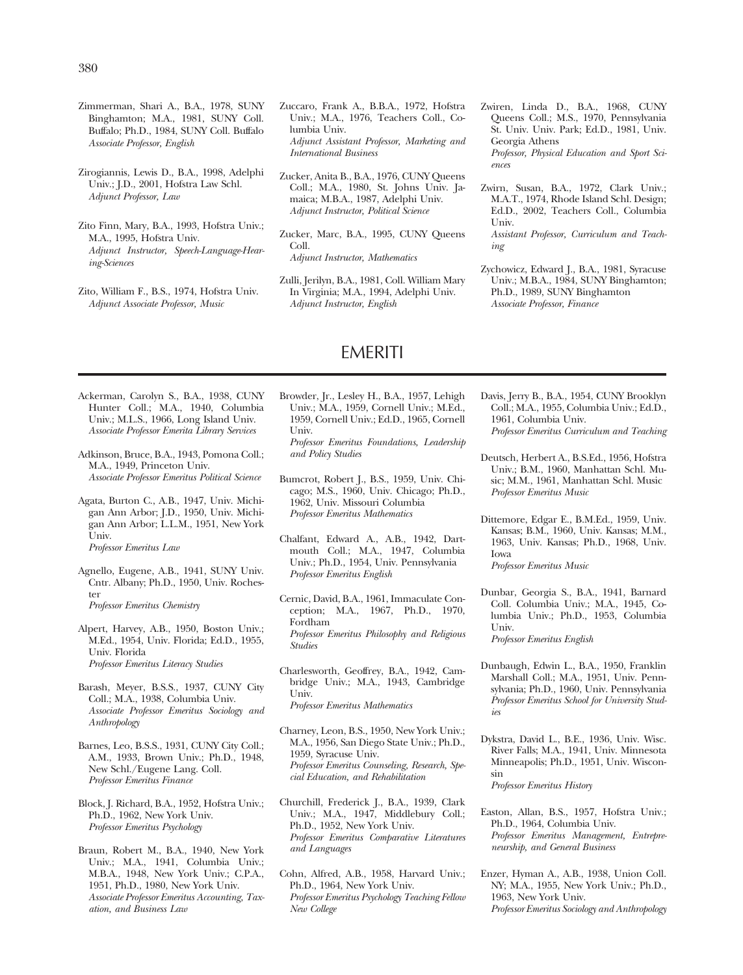- Zimmerman, Shari A., B.A., 1978, SUNY Binghamton; M.A., 1981, SUNY Coll. Buffalo; Ph.D., 1984, SUNY Coll. Buffalo *Associate Professor, English*
- Zirogiannis, Lewis D., B.A., 1998, Adelphi Univ.; J.D., 2001, Hofstra Law Schl. *Adjunct Professor, Law*
- Zito Finn, Mary, B.A., 1993, Hofstra Univ.; M.A., 1995, Hofstra Univ. *Adjunct Instructor, Speech-Language-Hearing-Sciences*
- Zito, William F., B.S., 1974, Hofstra Univ. *Adjunct Associate Professor, Music*
- Zuccaro, Frank A., B.B.A., 1972, Hofstra Univ.; M.A., 1976, Teachers Coll., Columbia Univ. *Adjunct Assistant Professor, Marketing and International Business*
- Zucker, Anita B., B.A., 1976, CUNY Queens Coll.; M.A., 1980, St. Johns Univ. Jamaica; M.B.A., 1987, Adelphi Univ. *Adjunct Instructor, Political Science*
- Zucker, Marc, B.A., 1995, CUNY Queens Coll. *Adjunct Instructor, Mathematics*
- Zulli, Jerilyn, B.A., 1981, Coll. William Mary In Virginia; M.A., 1994, Adelphi Univ. *Adjunct Instructor, English*

## EMERITI

- Ackerman, Carolyn S., B.A., 1938, CUNY Hunter Coll.; M.A., 1940, Columbia Univ.; M.L.S., 1966, Long Island Univ. *Associate Professor Emerita Library Services*
- Adkinson, Bruce, B.A., 1943, Pomona Coll.; M.A., 1949, Princeton Univ. *Associate Professor Emeritus Political Science*
- Agata, Burton C., A.B., 1947, Univ. Michigan Ann Arbor; J.D., 1950, Univ. Michigan Ann Arbor; L.L.M., 1951, New York Univ. *Professor Emeritus Law*
- Agnello, Eugene, A.B., 1941, SUNY Univ. Cntr. Albany; Ph.D., 1950, Univ. Rochester *Professor Emeritus Chemistry*
- Alpert, Harvey, A.B., 1950, Boston Univ.; M.Ed., 1954, Univ. Florida; Ed.D., 1955, Univ. Florida *Professor Emeritus Literacy Studies*
- Barash, Meyer, B.S.S., 1937, CUNY City Coll.; M.A., 1938, Columbia Univ. *Associate Professor Emeritus Sociology and Anthropology*
- Barnes, Leo, B.S.S., 1931, CUNY City Coll.; A.M., 1933, Brown Univ.; Ph.D., 1948, New Schl./Eugene Lang. Coll. *Professor Emeritus Finance*
- Block, J. Richard, B.A., 1952, Hofstra Univ.; Ph.D., 1962, New York Univ. *Professor Emeritus Psychology*
- Braun, Robert M., B.A., 1940, New York Univ.; M.A., 1941, Columbia Univ.; M.B.A., 1948, New York Univ.; C.P.A., 1951, Ph.D., 1980, New York Univ. *Associate Professor Emeritus Accounting, Taxation, and Business Law*

Browder, Jr., Lesley H., B.A., 1957, Lehigh Univ.; M.A., 1959, Cornell Univ.; M.Ed., 1959, Cornell Univ.; Ed.D., 1965, Cornell Univ.

*Professor Emeritus Foundations, Leadership and Policy Studies* 

- Bumcrot, Robert J., B.S., 1959, Univ. Chicago; M.S., 1960, Univ. Chicago; Ph.D., 1962, Univ. Missouri Columbia *Professor Emeritus Mathematics*
- Chalfant, Edward A., A.B., 1942, Dartmouth Coll.; M.A., 1947, Columbia Univ.; Ph.D., 1954, Univ. Pennsylvania *Professor Emeritus English*
- Cernic, David, B.A., 1961, Immaculate Conception; M.A., 1967, Ph.D., 1970, Fordham *Professor Emeritus Philosophy and Religious Studies*
- Charlesworth, Geoffrey, B.A., 1942, Cambridge Univ.; M.A., 1943, Cambridge Univ. *Professor Emeritus Mathematics*
- Charney, Leon, B.S., 1950, New York Univ.; M.A., 1956, San Diego State Univ.; Ph.D., 1959, Syracuse Univ. *Professor Emeritus Counseling, Research, Special Education, and Rehabilitation*
- Churchill, Frederick J., B.A., 1939, Clark Univ.; M.A., 1947, Middlebury Coll.; Ph.D., 1952, New York Univ. *Professor Emeritus Comparative Literatures and Languages*
- Cohn, Alfred, A.B., 1958, Harvard Univ.; Ph.D., 1964, New York Univ. *Professor Emeritus Psychology Teaching Fellow New College*

Zwiren, Linda D., B.A., 1968, CUNY Queens Coll.; M.S., 1970, Pennsylvania St. Univ. Univ. Park; Ed.D., 1981, Univ. Georgia Athens *Professor, Physical Education and Sport Sci-*

*ences* 

Zwirn, Susan, B.A., 1972, Clark Univ.; M.A.T., 1974, Rhode Island Schl. Design; Ed.D., 2002, Teachers Coll., Columbia Univ.

*Assistant Professor, Curriculum and Teaching* 

- Zychowicz, Edward J., B.A., 1981, Syracuse Univ.; M.B.A., 1984, SUNY Binghamton; Ph.D., 1989, SUNY Binghamton *Associate Professor, Finance*
- Davis, Jerry B., B.A., 1954, CUNY Brooklyn Coll.; M.A., 1955, Columbia Univ.; Ed.D., 1961, Columbia Univ. *Professor Emeritus Curriculum and Teaching*
- Deutsch, Herbert A., B.S.Ed., 1956, Hofstra Univ.; B.M., 1960, Manhattan Schl. Music; M.M., 1961, Manhattan Schl. Music *Professor Emeritus Music*
- Dittemore, Edgar E., B.M.Ed., 1959, Univ. Kansas; B.M., 1960, Univ. Kansas; M.M., 1963, Univ. Kansas; Ph.D., 1968, Univ. Iowa *Professor Emeritus Music*
- Dunbar, Georgia S., B.A., 1941, Barnard Coll. Columbia Univ.; M.A., 1945, Columbia Univ.; Ph.D., 1953, Columbia Univ. *Professor Emeritus English*
- Dunbaugh, Edwin L., B.A., 1950, Franklin Marshall Coll.; M.A., 1951, Univ. Pennsylvania; Ph.D., 1960, Univ. Pennsylvania *Professor Emeritus School for University Studies*
- Dykstra, David L., B.E., 1936, Univ. Wisc. River Falls; M.A., 1941, Univ. Minnesota Minneapolis; Ph.D., 1951, Univ. Wisconsin *Professor Emeritus History*
- Easton, Allan, B.S., 1957, Hofstra Univ.; Ph.D., 1964, Columbia Univ. *Professor Emeritus Management, Entrepreneurship, and General Business*
- Enzer, Hyman A., A.B., 1938, Union Coll. NY; M.A., 1955, New York Univ.; Ph.D., 1963, New York Univ. *Professor Emeritus Sociology and Anthropology*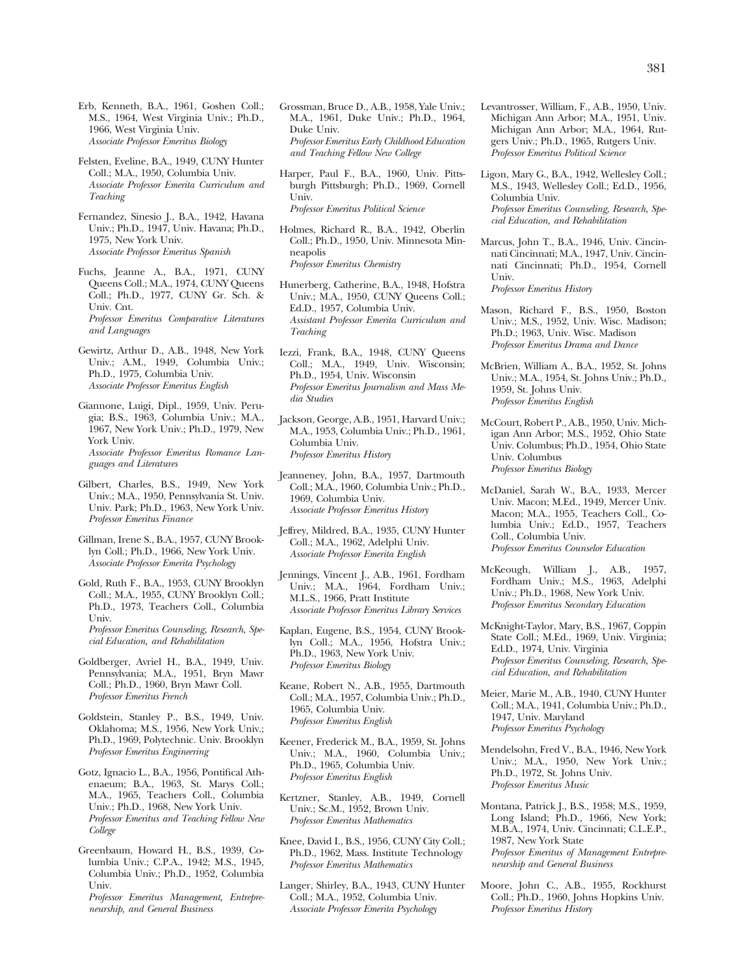Erb, Kenneth, B.A., 1961, Goshen Coll.; M.S., 1964, West Virginia Univ.; Ph.D., 1966, West Virginia Univ. *Associate Professor Emeritus Biology* 

Felsten, Eveline, B.A., 1949, CUNY Hunter Coll.; M.A., 1950, Columbia Univ. *Associate Professor Emerita Curriculum and Teaching* 

Fernandez, Sinesio J., B.A., 1942, Havana Univ.; Ph.D., 1947, Univ. Havana; Ph.D., 1975, New York Univ. *Associate Professor Emeritus Spanish* 

- Fuchs, Jeanne A., B.A., 1971, CUNY Queens Coll.; M.A., 1974, CUNY Queens Coll.; Ph.D., 1977, CUNY Gr. Sch. & Univ. Cnt. *Professor Emeritus Comparative Literatures and Languages*
- Gewirtz, Arthur D., A.B., 1948, New York Univ.; A.M., 1949, Columbia Univ.; Ph.D., 1975, Columbia Univ. *Associate Professor Emeritus English*
- Giannone, Luigi, Dipl., 1959, Univ. Perugia; B.S., 1963, Columbia Univ.; M.A., 1967, New York Univ.; Ph.D., 1979, New York Univ. *Associate Professor Emeritus Romance Languages and Literatures*
- Gilbert, Charles, B.S., 1949, New York Univ.; M.A., 1950, Pennsylvania St. Univ. Univ. Park; Ph.D., 1963, New York Univ. *Professor Emeritus Finance*

Gillman, Irene S., B.A., 1957, CUNY Brooklyn Coll.; Ph.D., 1966, New York Univ. *Associate Professor Emerita Psychology* 

- Gold, Ruth F., B.A., 1953, CUNY Brooklyn Coll.; M.A., 1955, CUNY Brooklyn Coll.; Ph.D., 1973, Teachers Coll., Columbia Univ. *Professor Emeritus Counseling, Research, Special Education, and Rehabilitation*
- Goldberger, Avriel H., B.A., 1949, Univ. Pennsylvania; M.A., 1951, Bryn Mawr Coll.; Ph.D., 1960, Bryn Mawr Coll. *Professor Emeritus French*
- Goldstein, Stanley P., B.S., 1949, Univ. Oklahoma; M.S., 1956, New York Univ.; Ph.D., 1969, Polytechnic. Univ. Brooklyn *Professor Emeritus Engineering*
- Gotz, Ignacio L., B.A., 1956, Pontifical Athenaeum; B.A., 1963, St. Marys Coll.; M.A., 1965, Teachers Coll., Columbia Univ.; Ph.D., 1968, New York Univ. *Professor Emeritus and Teaching Fellow New College*
- Greenbaum, Howard H., B.S., 1939, Columbia Univ.; C.P.A., 1942; M.S., 1945, Columbia Univ.; Ph.D., 1952, Columbia Univ. *Professor Emeritus Management, Entrepre-*

*neurship, and General Business* 

Grossman, Bruce D., A.B., 1958, Yale Univ.; M.A., 1961, Duke Univ.; Ph.D., 1964, Duke Univ. *Professor Emeritus Early Childhood Education and Teaching Fellow New College* 

Harper, Paul F., B.A., 1960, Univ. Pittsburgh Pittsburgh; Ph.D., 1969, Cornell Univ. *Professor Emeritus Political Science* 

- Holmes, Richard R., B.A., 1942, Oberlin Coll.; Ph.D., 1950, Univ. Minnesota Minneapolis *Professor Emeritus Chemistry*
- Hunerberg, Catherine, B.A., 1948, Hofstra Univ.; M.A., 1950, CUNY Queens Coll.; Ed.D., 1957, Columbia Univ. *Assistant Professor Emerita Curriculum and Teaching*
- Iezzi, Frank, B.A., 1948, CUNY Queens Coll.; M.A., 1949, Univ. Wisconsin; Ph.D., 1954, Univ. Wisconsin *Professor Emeritus Journalism and Mass Media Studies*
- Jackson, George, A.B., 1951, Harvard Univ.; M.A., 1953, Columbia Univ.; Ph.D., 1961, Columbia Univ. *Professor Emeritus History*
- Jeanneney, John, B.A., 1957, Dartmouth Coll.; M.A., 1960, Columbia Univ.; Ph.D., 1969, Columbia Univ. *Associate Professor Emeritus History*
- Jeffrey, Mildred, B.A., 1935, CUNY Hunter Coll.; M.A., 1962, Adelphi Univ. *Associate Professor Emerita English*
- Jennings, Vincent J., A.B., 1961, Fordham Univ.; M.A., 1964, Fordham Univ.; M.L.S., 1966, Pratt Institute *Associate Professor Emeritus Library Services*
- Kaplan, Eugene, B.S., 1954, CUNY Brooklyn Coll.; M.A., 1956, Hofstra Univ.; Ph.D., 1963, New York Univ. *Professor Emeritus Biology*
- Keane, Robert N., A.B., 1955, Dartmouth Coll.; M.A., 1957, Columbia Univ.; Ph.D., 1965, Columbia Univ. *Professor Emeritus English*
- Keener, Frederick M., B.A., 1959, St. Johns Univ.; M.A., 1960, Columbia Univ.; Ph.D., 1965, Columbia Univ. *Professor Emeritus English*
- Kertzner, Stanley, A.B., 1949, Cornell Univ.; Sc.M., 1952, Brown Univ. *Professor Emeritus Mathematics*
- Knee, David I., B.S., 1956, CUNY City Coll.; Ph.D., 1962, Mass. Institute Technology *Professor Emeritus Mathematics*
- Langer, Shirley, B.A., 1943, CUNY Hunter Coll.; M.A., 1952, Columbia Univ. *Associate Professor Emerita Psychology*
- Levantrosser, William, F., A.B., 1950, Univ. Michigan Ann Arbor; M.A., 1951, Univ. Michigan Ann Arbor; M.A., 1964, Rutgers Univ.; Ph.D., 1965, Rutgers Univ. *Professor Emeritus Political Science*
- Ligon, Mary G., B.A., 1942, Wellesley Coll.; M.S., 1943, Wellesley Coll.; Ed.D., 1956, Columbia Univ. *Professor Emeritus Counseling, Research, Special Education, and Rehabilitation*
- Marcus, John T., B.A., 1946, Univ. Cincinnati Cincinnati; M.A., 1947, Univ. Cincinnati Cincinnati; Ph.D., 1954, Cornell Univ. *Professor Emeritus History*
- Mason, Richard F., B.S., 1950, Boston Univ.; M.S., 1952, Univ. Wisc. Madison;
- Ph.D.; 1963, Univ. Wisc. Madison *Professor Emeritus Drama and Dance*
- McBrien, William A., B.A., 1952, St. Johns Univ.; M.A., 1954, St. Johns Univ.; Ph.D., 1959, St. Johns Univ. *Professor Emeritus English*
- McCourt, Robert P., A.B., 1950, Univ. Michigan Ann Arbor; M.S., 1952, Ohio State Univ. Columbus; Ph.D., 1954, Ohio State Univ. Columbus *Professor Emeritus Biology*
- McDaniel, Sarah W., B.A., 1933, Mercer Univ. Macon; M.Ed., 1949, Mercer Univ. Macon; M.A., 1955, Teachers Coll., Columbia Univ.; Ed.D., 1957, Teachers Coll., Columbia Univ. *Professor Emeritus Counselor Education*
- McKeough, William J., A.B., 1957, Fordham Univ.; M.S., 1963, Adelphi Univ.; Ph.D., 1968, New York Univ. *Professor Emeritus Secondary Education*
- McKnight-Taylor, Mary, B.S., 1967, Coppin State Coll.; M.Ed., 1969, Univ. Virginia; Ed.D., 1974, Univ. Virginia *Professor Emeritus Counseling, Research, Special Education, and Rehabilitation*
- Meier, Marie M., A.B., 1940, CUNY Hunter Coll.; M.A., 1941, Columbia Univ.; Ph.D., 1947, Univ. Maryland *Professor Emeritus Psychology*
- Mendelsohn, Fred V., B.A., 1946, New York Univ.; M.A., 1950, New York Univ.; Ph.D., 1972, St. Johns Univ. *Professor Emeritus Music*
- Montana, Patrick J., B.S., 1958; M.S., 1959, Long Island; Ph.D., 1966, New York; M.B.A., 1974, Univ. Cincinnati; C.L.E.P., 1987, New York State *Professor Emeritus of Management Entrepreneurship and General Business*
- Moore, John C., A.B., 1955, Rockhurst Coll.; Ph.D., 1960, Johns Hopkins Univ. *Professor Emeritus History*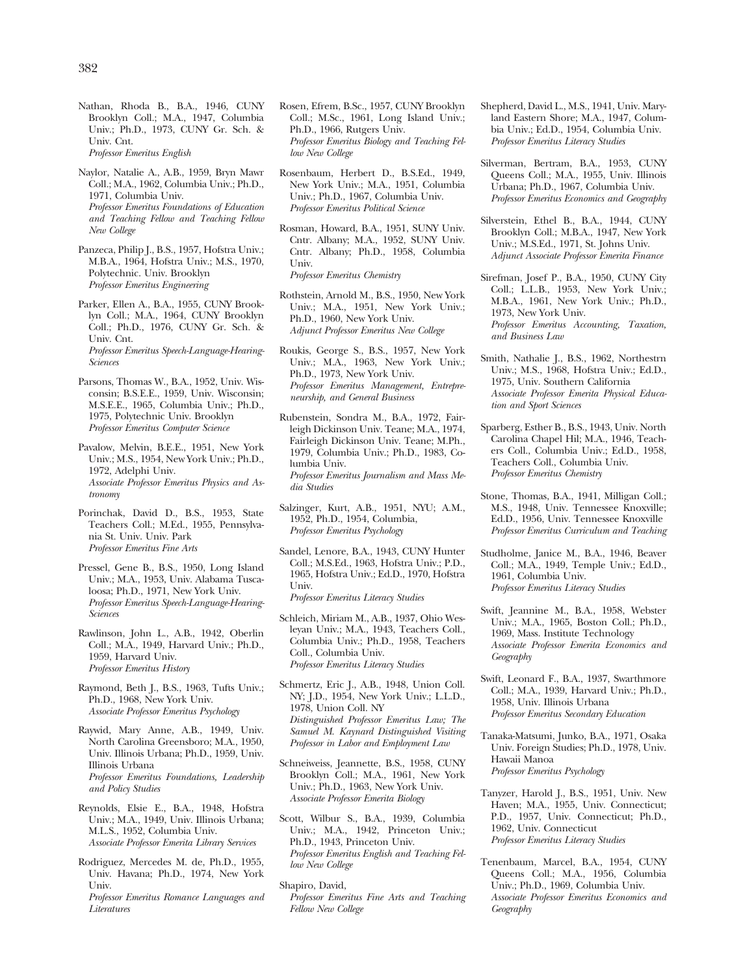Nathan, Rhoda B., B.A., 1946, CUNY Brooklyn Coll.; M.A., 1947, Columbia Univ.; Ph.D., 1973, CUNY Gr. Sch. & Univ. Cnt. *Professor Emeritus English* 

Naylor, Natalie A., A.B., 1959, Bryn Mawr Coll.; M.A., 1962, Columbia Univ.; Ph.D., 1971, Columbia Univ. *Professor Emeritus Foundations of Education and Teaching Fellow and Teaching Fellow New College* 

Panzeca, Philip J., B.S., 1957, Hofstra Univ.; M.B.A., 1964, Hofstra Univ.; M.S., 1970, Polytechnic. Univ. Brooklyn *Professor Emeritus Engineering* 

- Parker, Ellen A., B.A., 1955, CUNY Brooklyn Coll.; M.A., 1964, CUNY Brooklyn Coll.; Ph.D., 1976, CUNY Gr. Sch. & Univ. Cnt. *Professor Emeritus Speech-Language-Hearing-Sciences*
- Parsons, Thomas W., B.A., 1952, Univ. Wisconsin; B.S.E.E., 1959, Univ. Wisconsin; M.S.E.E., 1965, Columbia Univ.; Ph.D., 1975, Polytechnic Univ. Brooklyn *Professor Emeritus Computer Science*
- Pavalow, Melvin, B.E.E., 1951, New York Univ.; M.S., 1954, New York Univ.; Ph.D., 1972, Adelphi Univ. *Associate Professor Emeritus Physics and Astronomy*
- Porinchak, David D., B.S., 1953, State Teachers Coll.; M.Ed., 1955, Pennsylvania St. Univ. Univ. Park *Professor Emeritus Fine Arts*
- Pressel, Gene B., B.S., 1950, Long Island Univ.; M.A., 1953, Univ. Alabama Tuscaloosa; Ph.D., 1971, New York Univ. *Professor Emeritus Speech-Language-Hearing-Sciences*
- Rawlinson, John L., A.B., 1942, Oberlin Coll.; M.A., 1949, Harvard Univ.; Ph.D., 1959, Harvard Univ. *Professor Emeritus History*
- Raymond, Beth J., B.S., 1963, Tufts Univ.; Ph.D., 1968, New York Univ. *Associate Professor Emeritus Psychology*
- Raywid, Mary Anne, A.B., 1949, Univ. North Carolina Greensboro; M.A., 1950, Univ. Illinois Urbana; Ph.D., 1959, Univ. Illinois Urbana *Professor Emeritus Foundations, Leadership and Policy Studies*
- Reynolds, Elsie E., B.A., 1948, Hofstra Univ.; M.A., 1949, Univ. Illinois Urbana; M.L.S., 1952, Columbia Univ. *Associate Professor Emerita Library Services*
- Rodriguez, Mercedes M. de, Ph.D., 1955, Univ. Havana; Ph.D., 1974, New York Univ. *Professor Emeritus Romance Languages and*

*Literatures* 

Rosen, Efrem, B.Sc., 1957, CUNY Brooklyn Coll.; M.Sc., 1961, Long Island Univ.; Ph.D., 1966, Rutgers Univ. *Professor Emeritus Biology and Teaching Fellow New College* 

- Rosenbaum, Herbert D., B.S.Ed., 1949, New York Univ.; M.A., 1951, Columbia Univ.; Ph.D., 1967, Columbia Univ. *Professor Emeritus Political Science*
- Rosman, Howard, B.A., 1951, SUNY Univ. Cntr. Albany; M.A., 1952, SUNY Univ. Cntr. Albany; Ph.D., 1958, Columbia Univ. *Professor Emeritus Chemistry*

- Rothstein, Arnold M., B.S., 1950, New York Univ.; M.A., 1951, New York Univ.; Ph.D., 1960, New York Univ. *Adjunct Professor Emeritus New College*
- Roukis, George S., B.S., 1957, New York Univ.; M.A., 1963, New York Univ.; Ph.D., 1973, New York Univ. *Professor Emeritus Management, Entrepreneurship, and General Business*
- Rubenstein, Sondra M., B.A., 1972, Fairleigh Dickinson Univ. Teane; M.A., 1974, Fairleigh Dickinson Univ. Teane; M.Ph., 1979, Columbia Univ.; Ph.D., 1983, Columbia Univ. *Professor Emeritus Journalism and Mass Media Studies*
- Salzinger, Kurt, A.B., 1951, NYU; A.M., 1952, Ph.D., 1954, Columbia, *Professor Emeritus Psychology*
- Sandel, Lenore, B.A., 1943, CUNY Hunter Coll.; M.S.Ed., 1963, Hofstra Univ.; P.D., 1965, Hofstra Univ.; Ed.D., 1970, Hofstra Univ.

*Professor Emeritus Literacy Studies* 

- Schleich, Miriam M., A.B., 1937, Ohio Wesleyan Univ.; M.A., 1943, Teachers Coll., Columbia Univ.; Ph.D., 1958, Teachers Coll., Columbia Univ. *Professor Emeritus Literacy Studies*
- Schmertz, Eric J., A.B., 1948, Union Coll. NY; J.D., 1954, New York Univ.; L.L.D., 1978, Union Coll. NY *Distinguished Professor Emeritus Law; The Samuel M. Kaynard Distinguished Visiting Professor in Labor and Employment Law*
- Schneiweiss, Jeannette, B.S., 1958, CUNY Brooklyn Coll.; M.A., 1961, New York Univ.; Ph.D., 1963, New York Univ. *Associate Professor Emerita Biology*
- Scott, Wilbur S., B.A., 1939, Columbia Univ.; M.A., 1942, Princeton Univ.; Ph.D., 1943, Princeton Univ. *Professor Emeritus English and Teaching Fellow New College*
- Shapiro, David, *Professor Emeritus Fine Arts and Teaching Fellow New College*
- Shepherd, David L., M.S., 1941, Univ. Maryland Eastern Shore; M.A., 1947, Columbia Univ.; Ed.D., 1954, Columbia Univ. *Professor Emeritus Literacy Studies*
- Silverman, Bertram, B.A., 1953, CUNY Queens Coll.; M.A., 1955, Univ. Illinois Urbana; Ph.D., 1967, Columbia Univ. *Professor Emeritus Economics and Geography*
- Silverstein, Ethel B., B.A., 1944, CUNY Brooklyn Coll.; M.B.A., 1947, New York Univ.; M.S.Ed., 1971, St. Johns Univ. *Adjunct Associate Professor Emerita Finance*
- Sirefman, Josef P., B.A., 1950, CUNY City Coll.; L.L.B., 1953, New York Univ.; M.B.A., 1961, New York Univ.; Ph.D., 1973, New York Univ. *Professor Emeritus Accounting, Taxation, and Business Law*
- Smith, Nathalie J., B.S., 1962, Northestrn Univ.; M.S., 1968, Hofstra Univ.; Ed.D., 1975, Univ. Southern California *Associate Professor Emerita Physical Education and Sport Sciences*
- Sparberg, Esther B., B.S., 1943, Univ. North Carolina Chapel Hil; M.A., 1946, Teachers Coll., Columbia Univ.; Ed.D., 1958, Teachers Coll., Columbia Univ. *Professor Emeritus Chemistry*
- Stone, Thomas, B.A., 1941, Milligan Coll.; M.S., 1948, Univ. Tennessee Knoxville; Ed.D., 1956, Univ. Tennessee Knoxville *Professor Emeritus Curriculum and Teaching*
- Studholme, Janice M., B.A., 1946, Beaver Coll.; M.A., 1949, Temple Univ.; Ed.D., 1961, Columbia Univ. *Professor Emeritus Literacy Studies*
- Swift, Jeannine M., B.A., 1958, Webster Univ.; M.A., 1965, Boston Coll.; Ph.D., 1969, Mass. Institute Technology *Associate Professor Emerita Economics and Geography*
- Swift, Leonard F., B.A., 1937, Swarthmore Coll.; M.A., 1939, Harvard Univ.; Ph.D., 1958, Univ. Illinois Urbana *Professor Emeritus Secondary Education*
- Tanaka-Matsumi, Junko, B.A., 1971, Osaka Univ. Foreign Studies; Ph.D., 1978, Univ. Hawaii Manoa *Professor Emeritus Psychology*
- Tanyzer, Harold J., B.S., 1951, Univ. New Haven; M.A., 1955, Univ. Connecticut; P.D., 1957, Univ. Connecticut; Ph.D., 1962, Univ. Connecticut *Professor Emeritus Literacy Studies*
- Tenenbaum, Marcel, B.A., 1954, CUNY Queens Coll.; M.A., 1956, Columbia Univ.; Ph.D., 1969, Columbia Univ. *Associate Professor Emeritus Economics and Geography*